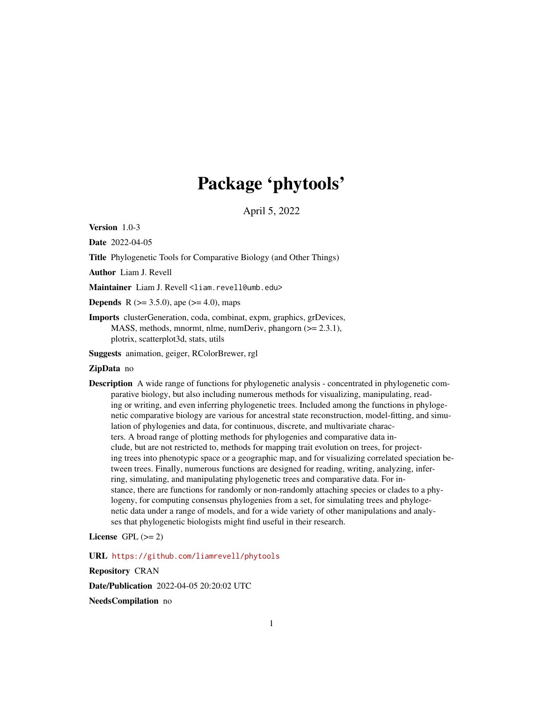# Package 'phytools'

April 5, 2022

<span id="page-0-0"></span>Version 1.0-3

Date 2022-04-05

Title Phylogenetic Tools for Comparative Biology (and Other Things)

Author Liam J. Revell

Maintainer Liam J. Revell <liam.revell@umb.edu>

**Depends** R  $(>= 3.5.0)$ , ape  $(>= 4.0)$ , maps

Imports clusterGeneration, coda, combinat, expm, graphics, grDevices, MASS, methods, mnormt, nlme, numDeriv, phangorn (>= 2.3.1), plotrix, scatterplot3d, stats, utils

Suggests animation, geiger, RColorBrewer, rgl

# ZipData no

Description A wide range of functions for phylogenetic analysis - concentrated in phylogenetic comparative biology, but also including numerous methods for visualizing, manipulating, reading or writing, and even inferring phylogenetic trees. Included among the functions in phylogenetic comparative biology are various for ancestral state reconstruction, model-fitting, and simulation of phylogenies and data, for continuous, discrete, and multivariate characters. A broad range of plotting methods for phylogenies and comparative data include, but are not restricted to, methods for mapping trait evolution on trees, for projecting trees into phenotypic space or a geographic map, and for visualizing correlated speciation between trees. Finally, numerous functions are designed for reading, writing, analyzing, inferring, simulating, and manipulating phylogenetic trees and comparative data. For instance, there are functions for randomly or non-randomly attaching species or clades to a phylogeny, for computing consensus phylogenies from a set, for simulating trees and phylogenetic data under a range of models, and for a wide variety of other manipulations and analyses that phylogenetic biologists might find useful in their research.

#### License GPL  $(>= 2)$

URL <https://github.com/liamrevell/phytools>

Repository CRAN

Date/Publication 2022-04-05 20:20:02 UTC

NeedsCompilation no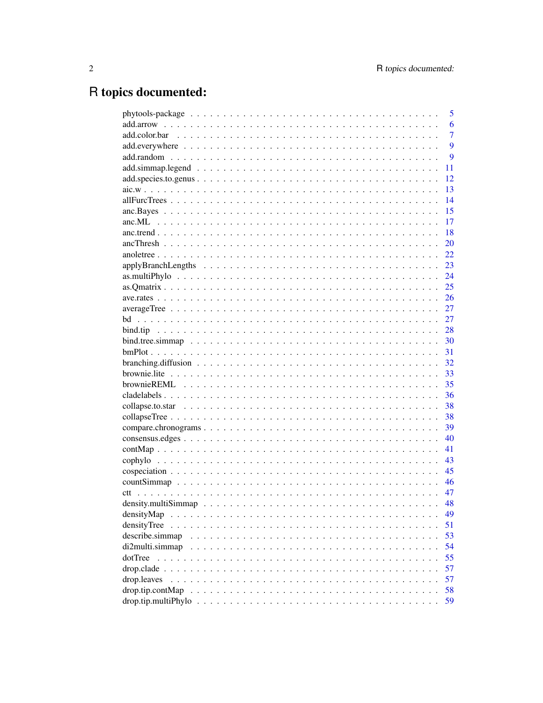# R topics documented:

|                  | 5              |
|------------------|----------------|
|                  | 6              |
|                  | $\overline{7}$ |
|                  | 9              |
|                  | 9              |
|                  | 11             |
|                  | 12             |
|                  | 13             |
|                  | 14             |
|                  | 15             |
|                  | 17             |
|                  | 18             |
|                  | 20             |
|                  | 22             |
|                  | 23             |
|                  | 24             |
|                  | 25             |
|                  | 26             |
|                  | 27             |
|                  | 27             |
|                  | 28             |
|                  | 30             |
|                  | 31             |
|                  | 32             |
|                  | 33             |
|                  | 35             |
|                  | 36             |
|                  | 38             |
|                  | 38             |
|                  | 39             |
|                  | 40             |
|                  | 41             |
|                  | 43             |
|                  | 45             |
|                  | 46             |
|                  | 47             |
|                  | 48             |
|                  |                |
| densityMap       | 49<br>51       |
| densityTree      | 53             |
| describe.simmap  | 54             |
| di2multi.simmap  |                |
| dotTree          | 55             |
|                  | 57             |
| drop.leaves      | 57             |
| drop.tip.contMap | 58             |
|                  | 59             |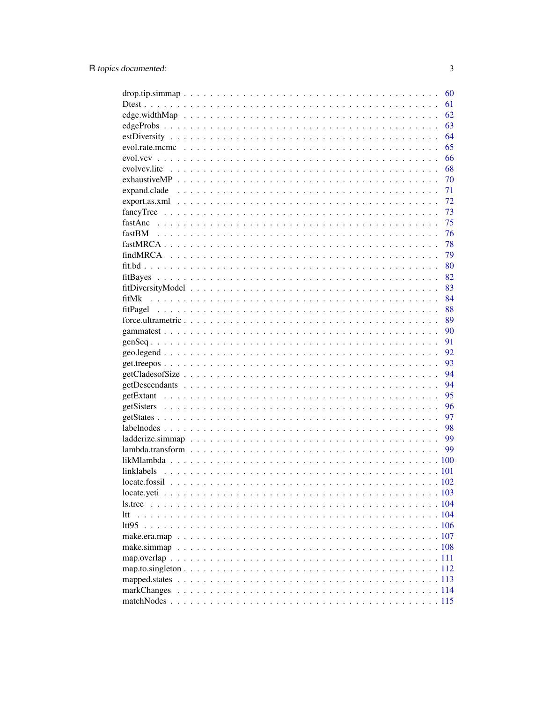|       |  |  |  |  |  |  |  |  | 60 |
|-------|--|--|--|--|--|--|--|--|----|
|       |  |  |  |  |  |  |  |  | 61 |
|       |  |  |  |  |  |  |  |  | 62 |
|       |  |  |  |  |  |  |  |  | 63 |
|       |  |  |  |  |  |  |  |  | 64 |
|       |  |  |  |  |  |  |  |  | 65 |
|       |  |  |  |  |  |  |  |  | 66 |
|       |  |  |  |  |  |  |  |  | 68 |
|       |  |  |  |  |  |  |  |  | 70 |
|       |  |  |  |  |  |  |  |  | 71 |
|       |  |  |  |  |  |  |  |  | 72 |
|       |  |  |  |  |  |  |  |  | 73 |
|       |  |  |  |  |  |  |  |  | 75 |
|       |  |  |  |  |  |  |  |  | 76 |
|       |  |  |  |  |  |  |  |  | 78 |
|       |  |  |  |  |  |  |  |  | 79 |
|       |  |  |  |  |  |  |  |  | 80 |
|       |  |  |  |  |  |  |  |  | 82 |
|       |  |  |  |  |  |  |  |  | 83 |
| fitMk |  |  |  |  |  |  |  |  | 84 |
|       |  |  |  |  |  |  |  |  | 88 |
|       |  |  |  |  |  |  |  |  | 89 |
|       |  |  |  |  |  |  |  |  | 90 |
|       |  |  |  |  |  |  |  |  | 91 |
|       |  |  |  |  |  |  |  |  | 92 |
|       |  |  |  |  |  |  |  |  | 93 |
|       |  |  |  |  |  |  |  |  | 94 |
|       |  |  |  |  |  |  |  |  | 94 |
|       |  |  |  |  |  |  |  |  | 95 |
|       |  |  |  |  |  |  |  |  | 96 |
|       |  |  |  |  |  |  |  |  | 97 |
|       |  |  |  |  |  |  |  |  | 98 |
|       |  |  |  |  |  |  |  |  | 99 |
|       |  |  |  |  |  |  |  |  | 99 |
|       |  |  |  |  |  |  |  |  |    |
|       |  |  |  |  |  |  |  |  |    |
|       |  |  |  |  |  |  |  |  |    |
|       |  |  |  |  |  |  |  |  |    |
|       |  |  |  |  |  |  |  |  |    |
| ltt   |  |  |  |  |  |  |  |  |    |
|       |  |  |  |  |  |  |  |  |    |
|       |  |  |  |  |  |  |  |  |    |
|       |  |  |  |  |  |  |  |  |    |
|       |  |  |  |  |  |  |  |  |    |
|       |  |  |  |  |  |  |  |  |    |
|       |  |  |  |  |  |  |  |  |    |
|       |  |  |  |  |  |  |  |  |    |
|       |  |  |  |  |  |  |  |  |    |
|       |  |  |  |  |  |  |  |  |    |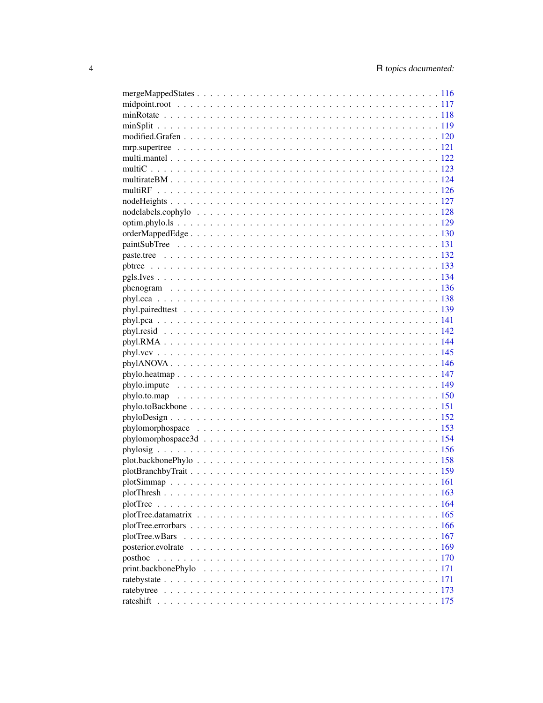| rateshift |  |  |  |  |  |  |  |  |  |  |  |  |
|-----------|--|--|--|--|--|--|--|--|--|--|--|--|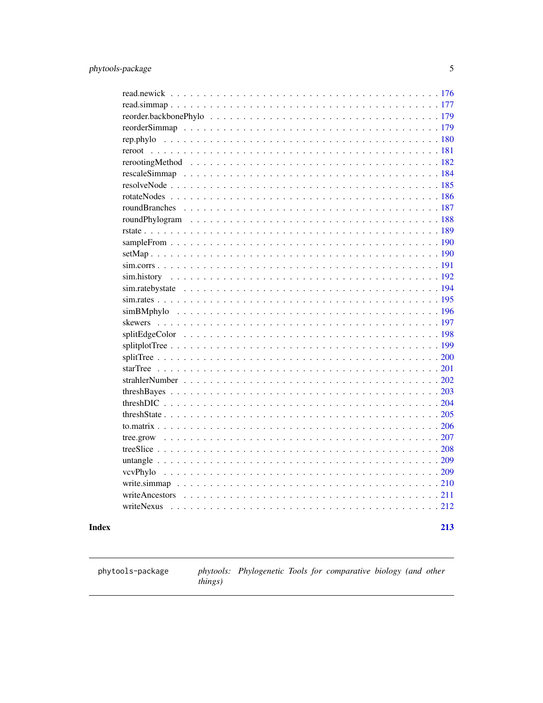<span id="page-4-0"></span>

| writeNexus |
|------------|
|            |
| 213        |

# **Index**

phytools-package

phytools: Phylogenetic Tools for comparative biology (and other things)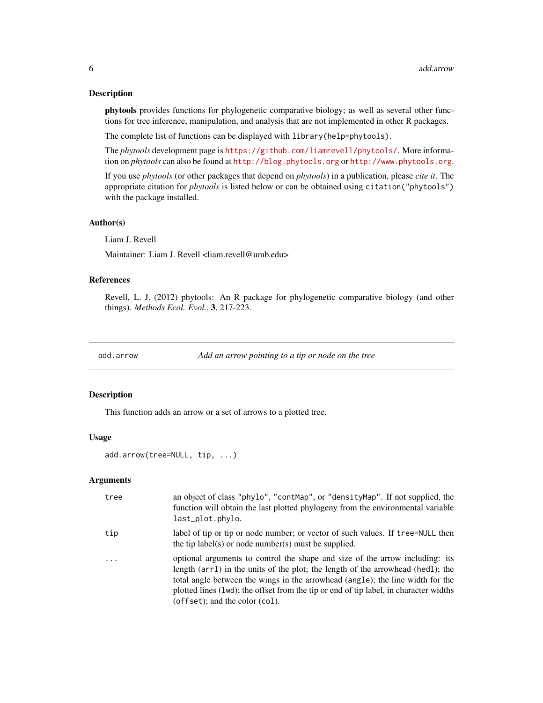#### Description

phytools provides functions for phylogenetic comparative biology; as well as several other functions for tree inference, manipulation, and analysis that are not implemented in other R packages.

The complete list of functions can be displayed with library(help=phytools).

The *phytools* development page is <https://github.com/liamrevell/phytools/>. More information on *phytools* can also be found at <http://blog.phytools.org> or <http://www.phytools.org>.

If you use *phytools* (or other packages that depend on *phytools*) in a publication, please *cite it*. The appropriate citation for *phytools* is listed below or can be obtained using citation("phytools") with the package installed.

#### Author(s)

Liam J. Revell

Maintainer: Liam J. Revell <liam.revell@umb.edu>

# References

Revell, L. J. (2012) phytools: An R package for phylogenetic comparative biology (and other things). *Methods Ecol. Evol.*, 3, 217-223.

add.arrow *Add an arrow pointing to a tip or node on the tree*

### Description

This function adds an arrow or a set of arrows to a plotted tree.

#### Usage

add.arrow(tree=NULL, tip, ...)

#### Arguments

| tree       | an object of class "phylo", "contMap", or "densityMap". If not supplied, the<br>function will obtain the last plotted phylogeny from the environmental variable<br>last_plot.phylo.                                                                                                                                                                                          |
|------------|------------------------------------------------------------------------------------------------------------------------------------------------------------------------------------------------------------------------------------------------------------------------------------------------------------------------------------------------------------------------------|
| tip        | label of tip or tip or node number; or vector of such values. If t ree=NULL then<br>the tip label(s) or node number(s) must be supplied.                                                                                                                                                                                                                                     |
| $\ddots$ . | optional arguments to control the shape and size of the arrow including: its<br>length (arr1) in the units of the plot; the length of the arrowhead (hed1); the<br>total angle between the wings in the arrowhead (angle); the line width for the<br>plotted lines (1wd); the offset from the tip or end of tip label, in character widths<br>(offset); and the color (col). |

<span id="page-5-0"></span>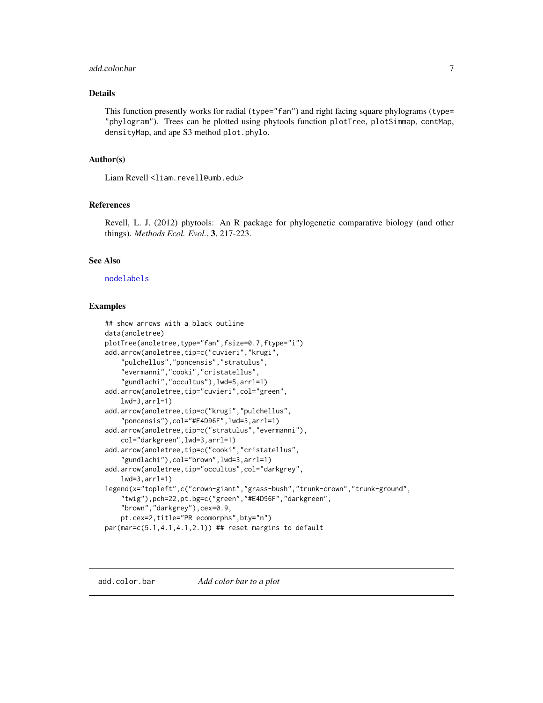#### <span id="page-6-0"></span>add.color.bar 7

# Details

This function presently works for radial (type="fan") and right facing square phylograms (type= "phylogram"). Trees can be plotted using phytools function plotTree, plotSimmap, contMap, densityMap, and ape S3 method plot.phylo.

#### Author(s)

Liam Revell <liam.revell@umb.edu>

# References

Revell, L. J. (2012) phytools: An R package for phylogenetic comparative biology (and other things). *Methods Ecol. Evol.*, 3, 217-223.

# See Also

#### [nodelabels](#page-0-0)

#### Examples

```
## show arrows with a black outline
data(anoletree)
plotTree(anoletree,type="fan",fsize=0.7,ftype="i")
add.arrow(anoletree,tip=c("cuvieri","krugi",
    "pulchellus","poncensis","stratulus",
    "evermanni","cooki","cristatellus",
    "gundlachi","occultus"),lwd=5,arrl=1)
add.arrow(anoletree,tip="cuvieri",col="green",
   lwd=3,arrl=1)
add.arrow(anoletree,tip=c("krugi","pulchellus",
    "poncensis"),col="#E4D96F",lwd=3,arrl=1)
add.arrow(anoletree,tip=c("stratulus","evermanni"),
    col="darkgreen",lwd=3,arrl=1)
add.arrow(anoletree,tip=c("cooki","cristatellus",
    "gundlachi"),col="brown",lwd=3,arrl=1)
add.arrow(anoletree,tip="occultus",col="darkgrey",
   lwd=3,arrl=1)
legend(x="topleft",c("crown-giant","grass-bush","trunk-crown","trunk-ground",
    "twig"),pch=22,pt.bg=c("green","#E4D96F","darkgreen",
    "brown","darkgrey"),cex=0.9,
    pt.cex=2,title="PR ecomorphs",bty="n")
par(max=c(5.1,4.1,4.1,2.1)) ## reset margins to default
```
add.color.bar *Add color bar to a plot*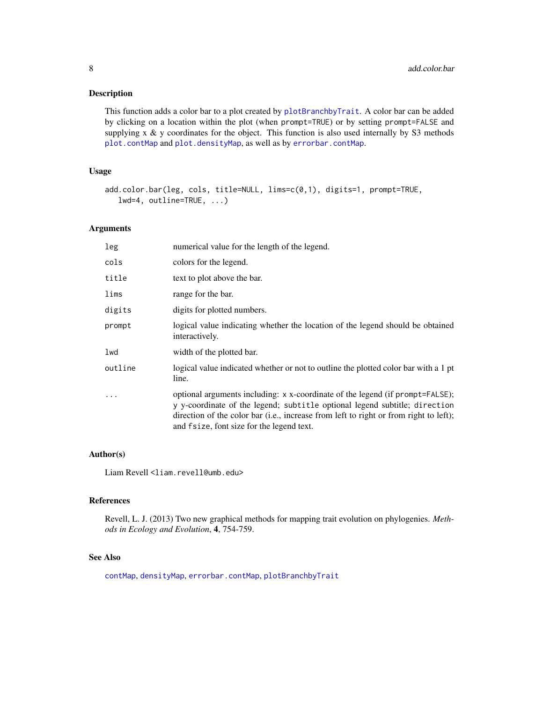# Description

This function adds a color bar to a plot created by [plotBranchbyTrait](#page-158-1). A color bar can be added by clicking on a location within the plot (when prompt=TRUE) or by setting prompt=FALSE and supplying  $x \& y$  coordinates for the object. This function is also used internally by S3 methods [plot.contMap](#page-40-1) and [plot.densityMap](#page-48-1), as well as by [errorbar.contMap](#page-40-1).

# Usage

```
add.color.bar(leg, cols, title=NULL, lims=c(0,1), digits=1, prompt=TRUE,
  lwd=4, outline=TRUE, ...)
```
#### Arguments

| leg       | numerical value for the length of the legend.                                                                                                                                                                                                                                                      |
|-----------|----------------------------------------------------------------------------------------------------------------------------------------------------------------------------------------------------------------------------------------------------------------------------------------------------|
| cols      | colors for the legend.                                                                                                                                                                                                                                                                             |
| title     | text to plot above the bar.                                                                                                                                                                                                                                                                        |
| lims      | range for the bar.                                                                                                                                                                                                                                                                                 |
| digits    | digits for plotted numbers.                                                                                                                                                                                                                                                                        |
| prompt    | logical value indicating whether the location of the legend should be obtained<br>interactively.                                                                                                                                                                                                   |
| lwd       | width of the plotted bar.                                                                                                                                                                                                                                                                          |
| outline   | logical value indicated whether or not to outline the plotted color bar with a 1 pt<br>line.                                                                                                                                                                                                       |
| $\ddotsc$ | optional arguments including: x x-coordinate of the legend (if prompt=FALSE);<br>y y-coordinate of the legend; subtitle optional legend subtitle; direction<br>direction of the color bar (i.e., increase from left to right or from right to left);<br>and f size, font size for the legend text. |

# Author(s)

Liam Revell <liam.revell@umb.edu>

#### References

Revell, L. J. (2013) Two new graphical methods for mapping trait evolution on phylogenies. *Methods in Ecology and Evolution*, 4, 754-759.

#### See Also

[contMap](#page-40-2), [densityMap](#page-48-2), [errorbar.contMap](#page-40-1), [plotBranchbyTrait](#page-158-1)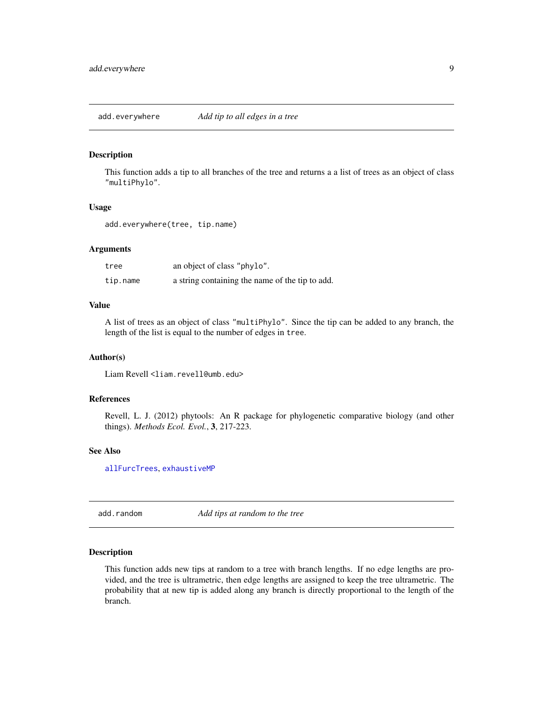<span id="page-8-1"></span><span id="page-8-0"></span>add.everywhere *Add tip to all edges in a tree*

#### Description

This function adds a tip to all branches of the tree and returns a a list of trees as an object of class "multiPhylo".

#### Usage

add.everywhere(tree, tip.name)

# Arguments

| tree     | an object of class "phylo".                     |
|----------|-------------------------------------------------|
| tip.name | a string containing the name of the tip to add. |

# Value

A list of trees as an object of class "multiPhylo". Since the tip can be added to any branch, the length of the list is equal to the number of edges in tree.

# Author(s)

Liam Revell <liam.revell@umb.edu>

# References

Revell, L. J. (2012) phytools: An R package for phylogenetic comparative biology (and other things). *Methods Ecol. Evol.*, 3, 217-223.

#### See Also

[allFurcTrees](#page-13-1), [exhaustiveMP](#page-69-1)

<span id="page-8-2"></span>add.random *Add tips at random to the tree*

#### Description

This function adds new tips at random to a tree with branch lengths. If no edge lengths are provided, and the tree is ultrametric, then edge lengths are assigned to keep the tree ultrametric. The probability that at new tip is added along any branch is directly proportional to the length of the branch.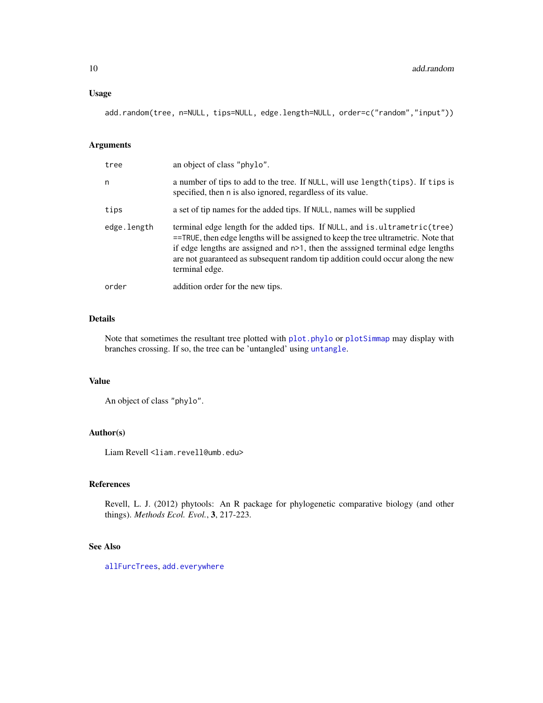add.random(tree, n=NULL, tips=NULL, edge.length=NULL, order=c("random","input"))

#### Arguments

| tree        | an object of class "phylo".                                                                                                                                                                                                                                                                                                                                 |
|-------------|-------------------------------------------------------------------------------------------------------------------------------------------------------------------------------------------------------------------------------------------------------------------------------------------------------------------------------------------------------------|
| n           | a number of tips to add to the tree. If NULL, will use length(tips). If tips is<br>specified, then n is also ignored, regardless of its value.                                                                                                                                                                                                              |
| tips        | a set of tip names for the added tips. If NULL, names will be supplied                                                                                                                                                                                                                                                                                      |
| edge.length | terminal edge length for the added tips. If NULL, and is ultrametric (tree)<br>$=$ TRUE, then edge lengths will be assigned to keep the tree ultrametric. Note that<br>if edge lengths are assigned and $n>1$ , then the assigned terminal edge lengths<br>are not guaranteed as subsequent random tip addition could occur along the new<br>terminal edge. |
| order       | addition order for the new tips.                                                                                                                                                                                                                                                                                                                            |

# Details

Note that sometimes the resultant tree plotted with [plot.phylo](#page-0-0) or [plotSimmap](#page-160-1) may display with branches crossing. If so, the tree can be 'untangled' using [untangle](#page-208-1).

# Value

```
An object of class "phylo".
```
# Author(s)

Liam Revell <liam.revell@umb.edu>

# References

Revell, L. J. (2012) phytools: An R package for phylogenetic comparative biology (and other things). *Methods Ecol. Evol.*, 3, 217-223.

# See Also

[allFurcTrees](#page-13-1), [add.everywhere](#page-8-1)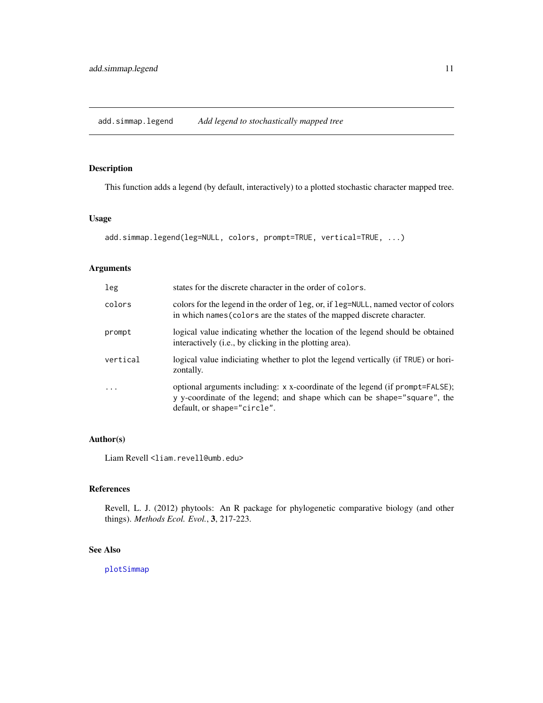# <span id="page-10-0"></span>Description

This function adds a legend (by default, interactively) to a plotted stochastic character mapped tree.

#### Usage

```
add.simmap.legend(leg=NULL, colors, prompt=TRUE, vertical=TRUE, ...)
```
# Arguments

| leg      | states for the discrete character in the order of colors.                                                                                                                                |
|----------|------------------------------------------------------------------------------------------------------------------------------------------------------------------------------------------|
| colors   | colors for the legend in the order of leg, or, if leg=NULL, named vector of colors<br>in which names (colors are the states of the mapped discrete character.                            |
| prompt   | logical value indicating whether the location of the legend should be obtained<br>interactively (i.e., by clicking in the plotting area).                                                |
| vertical | logical value indiciating whether to plot the legend vertically (if TRUE) or hori-<br>zontally.                                                                                          |
| $\cdot$  | optional arguments including: x x-coordinate of the legend (if prompt=FALSE);<br>y y-coordinate of the legend; and shape which can be shape="square", the<br>default, or shape="circle". |

# Author(s)

Liam Revell <liam.revell@umb.edu>

# References

Revell, L. J. (2012) phytools: An R package for phylogenetic comparative biology (and other things). *Methods Ecol. Evol.*, 3, 217-223.

# See Also

[plotSimmap](#page-160-1)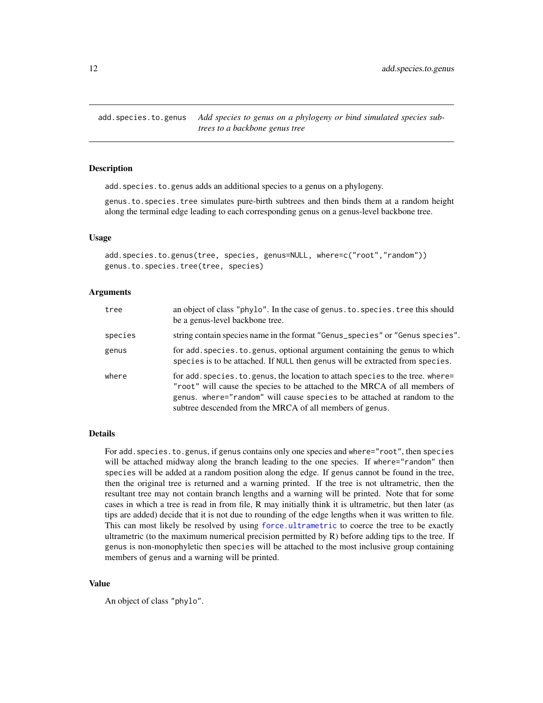<span id="page-11-0"></span>add.species.to.genus *Add species to genus on a phylogeny or bind simulated species subtrees to a backbone genus tree*

#### Description

add.species.to.genus adds an additional species to a genus on a phylogeny.

genus.to.species.tree simulates pure-birth subtrees and then binds them at a random height along the terminal edge leading to each corresponding genus on a genus-level backbone tree.

# Usage

add.species.to.genus(tree, species, genus=NULL, where=c("root","random")) genus.to.species.tree(tree, species)

#### Arguments

| tree    | an object of class "phylo". In the case of genus. to. species. tree this should<br>be a genus-level backbone tree.                                                                                                                                                                                   |
|---------|------------------------------------------------------------------------------------------------------------------------------------------------------------------------------------------------------------------------------------------------------------------------------------------------------|
| species | string contain species name in the format "Genus_species" or "Genus species".                                                                                                                                                                                                                        |
| genus   | for add. species. to. genus, optional argument containing the genus to which<br>species is to be attached. If NULL then genus will be extracted from species.                                                                                                                                        |
| where   | for add. species. to genus, the location to attach species to the tree. where=<br>"root" will cause the species to be attached to the MRCA of all members of<br>genus. where="random" will cause species to be attached at random to the<br>subtree descended from the MRCA of all members of genus. |

# Details

For add. species. to.genus, if genus contains only one species and where="root", then species will be attached midway along the branch leading to the one species. If where="random" then species will be added at a random position along the edge. If genus cannot be found in the tree, then the original tree is returned and a warning printed. If the tree is not ultrametric, then the resultant tree may not contain branch lengths and a warning will be printed. Note that for some cases in which a tree is read in from file, R may initially think it is ultrametric, but then later (as tips are added) decide that it is not due to rounding of the edge lengths when it was written to file. This can most likely be resolved by using [force.ultrametric](#page-88-1) to coerce the tree to be exactly ultrametric (to the maximum numerical precision permitted by  $R$ ) before adding tips to the tree. If genus is non-monophyletic then species will be attached to the most inclusive group containing members of genus and a warning will be printed.

#### Value

An object of class "phylo".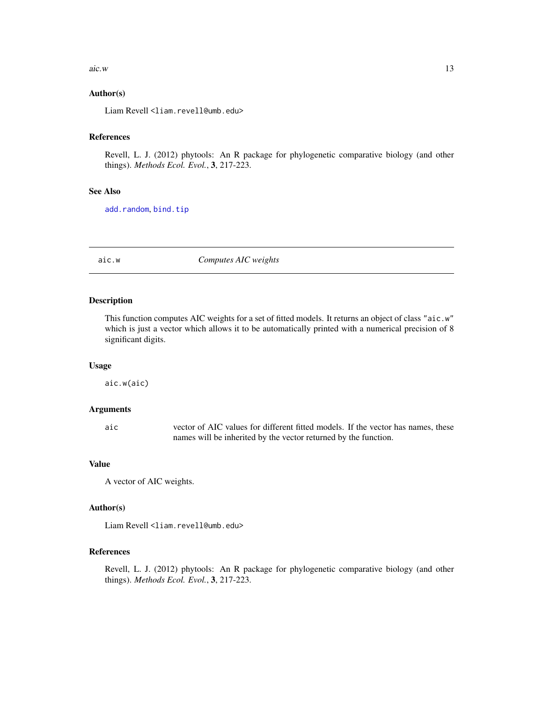#### <span id="page-12-0"></span> $aic.w$  13

# Author(s)

Liam Revell <liam.revell@umb.edu>

# References

Revell, L. J. (2012) phytools: An R package for phylogenetic comparative biology (and other things). *Methods Ecol. Evol.*, 3, 217-223.

### See Also

[add.random](#page-8-2), [bind.tip](#page-27-1)

aic.w *Computes AIC weights*

#### Description

This function computes AIC weights for a set of fitted models. It returns an object of class "aic.w" which is just a vector which allows it to be automatically printed with a numerical precision of 8 significant digits.

#### Usage

aic.w(aic)

# Arguments

aic vector of AIC values for different fitted models. If the vector has names, these names will be inherited by the vector returned by the function.

#### Value

A vector of AIC weights.

#### Author(s)

Liam Revell <liam.revell@umb.edu>

# References

Revell, L. J. (2012) phytools: An R package for phylogenetic comparative biology (and other things). *Methods Ecol. Evol.*, 3, 217-223.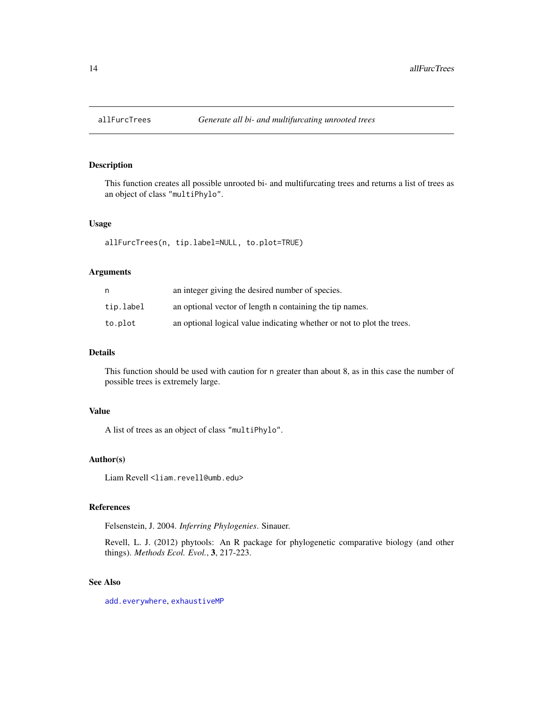<span id="page-13-1"></span><span id="page-13-0"></span>

# Description

This function creates all possible unrooted bi- and multifurcating trees and returns a list of trees as an object of class "multiPhylo".

#### Usage

allFurcTrees(n, tip.label=NULL, to.plot=TRUE)

#### Arguments

|           | an integer giving the desired number of species.                       |
|-----------|------------------------------------------------------------------------|
| tip.label | an optional vector of length n containing the tip names.               |
| to.plot   | an optional logical value indicating whether or not to plot the trees. |

# Details

This function should be used with caution for n greater than about 8, as in this case the number of possible trees is extremely large.

# Value

A list of trees as an object of class "multiPhylo".

# Author(s)

Liam Revell <liam.revell@umb.edu>

#### References

Felsenstein, J. 2004. *Inferring Phylogenies*. Sinauer.

Revell, L. J. (2012) phytools: An R package for phylogenetic comparative biology (and other things). *Methods Ecol. Evol.*, 3, 217-223.

# See Also

[add.everywhere](#page-8-1), [exhaustiveMP](#page-69-1)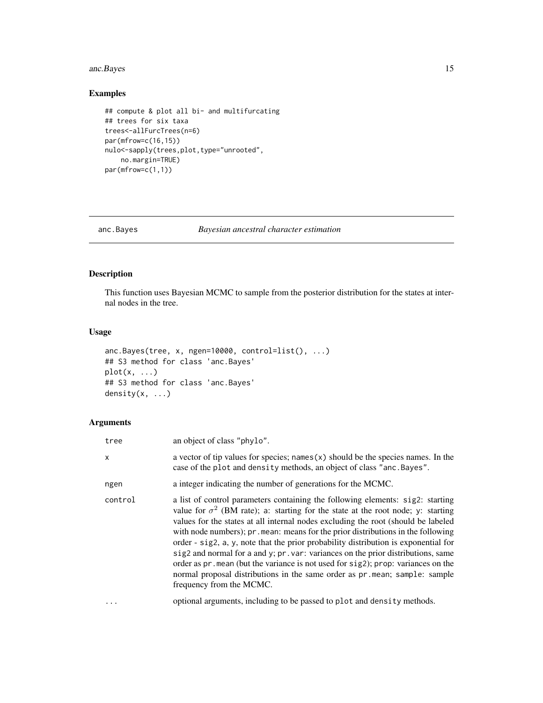# <span id="page-14-0"></span>anc. Bayes 15

# Examples

```
## compute & plot all bi- and multifurcating
## trees for six taxa
trees<-allFurcTrees(n=6)
par(mfrow=c(16,15))
nulo<-sapply(trees,plot,type="unrooted",
   no.margin=TRUE)
par(mfrow=c(1,1))
```
<span id="page-14-1"></span>anc.Bayes *Bayesian ancestral character estimation*

# Description

This function uses Bayesian MCMC to sample from the posterior distribution for the states at internal nodes in the tree.

#### Usage

```
anc.Bayes(tree, x, ngen=10000, control=list(), ...)
## S3 method for class 'anc.Bayes'
plot(x, \ldots)## S3 method for class 'anc.Bayes'
density(x, ...)
```
# Arguments

| tree     | an object of class "phylo".                                                                                                                                                                                                                                                                                                                                                                                                                                                                                                                                                                                                                                                                                                  |
|----------|------------------------------------------------------------------------------------------------------------------------------------------------------------------------------------------------------------------------------------------------------------------------------------------------------------------------------------------------------------------------------------------------------------------------------------------------------------------------------------------------------------------------------------------------------------------------------------------------------------------------------------------------------------------------------------------------------------------------------|
| X        | a vector of tip values for species; names $(x)$ should be the species names. In the<br>case of the plot and density methods, an object of class "anc. Bayes".                                                                                                                                                                                                                                                                                                                                                                                                                                                                                                                                                                |
| ngen     | a integer indicating the number of generations for the MCMC.                                                                                                                                                                                                                                                                                                                                                                                                                                                                                                                                                                                                                                                                 |
| control  | a list of control parameters containing the following elements: sig2: starting<br>value for $\sigma^2$ (BM rate); a: starting for the state at the root node; y: starting<br>values for the states at all internal nodes excluding the root (should be labeled<br>with node numbers); pr. mean: means for the prior distributions in the following<br>order - sig2, a, y, note that the prior probability distribution is exponential for<br>sig2 and normal for a and y; pr. var: variances on the prior distributions, same<br>order as pr. mean (but the variance is not used for sig2); prop: variances on the<br>normal proposal distributions in the same order as pr.mean; sample: sample<br>frequency from the MCMC. |
| $\cdots$ | optional arguments, including to be passed to plot and density methods.                                                                                                                                                                                                                                                                                                                                                                                                                                                                                                                                                                                                                                                      |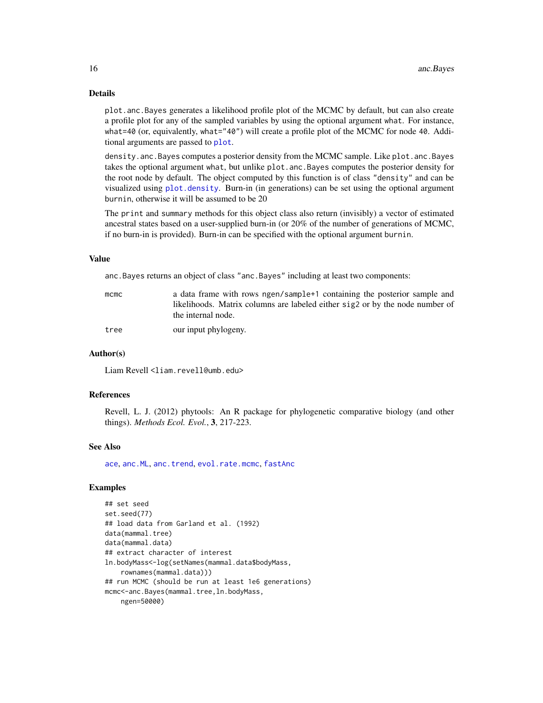# Details

plot.anc.Bayes generates a likelihood profile plot of the MCMC by default, but can also create a profile plot for any of the sampled variables by using the optional argument what. For instance, what=40 (or, equivalently, what="40") will create a profile plot of the MCMC for node 40. Additional arguments are passed to [plot](#page-0-0).

density.anc.Bayes computes a posterior density from the MCMC sample. Like plot.anc.Bayes takes the optional argument what, but unlike plot.anc.Bayes computes the posterior density for the root node by default. The object computed by this function is of class "density" and can be visualized using [plot.density](#page-0-0). Burn-in (in generations) can be set using the optional argument burnin, otherwise it will be assumed to be 20

The print and summary methods for this object class also return (invisibly) a vector of estimated ancestral states based on a user-supplied burn-in (or 20% of the number of generations of MCMC, if no burn-in is provided). Burn-in can be specified with the optional argument burnin.

# Value

anc.Bayes returns an object of class "anc.Bayes" including at least two components:

| mcmc | a data frame with rows ngen/sample+1 containing the posterior sample and     |
|------|------------------------------------------------------------------------------|
|      | likelihoods. Matrix columns are labeled either sig2 or by the node number of |
|      | the internal node.                                                           |
| tree | our input phylogeny.                                                         |

#### Author(s)

Liam Revell <liam.revell@umb.edu>

#### References

Revell, L. J. (2012) phytools: An R package for phylogenetic comparative biology (and other things). *Methods Ecol. Evol.*, 3, 217-223.

#### See Also

[ace](#page-0-0), [anc.ML](#page-16-1), [anc.trend](#page-17-1), [evol.rate.mcmc](#page-64-1), [fastAnc](#page-74-1)

# Examples

```
## set seed
set.seed(77)
## load data from Garland et al. (1992)
data(mammal.tree)
data(mammal.data)
## extract character of interest
ln.bodyMass<-log(setNames(mammal.data$bodyMass,
    rownames(mammal.data)))
## run MCMC (should be run at least 1e6 generations)
mcmc<-anc.Bayes(mammal.tree,ln.bodyMass,
   ngen=50000)
```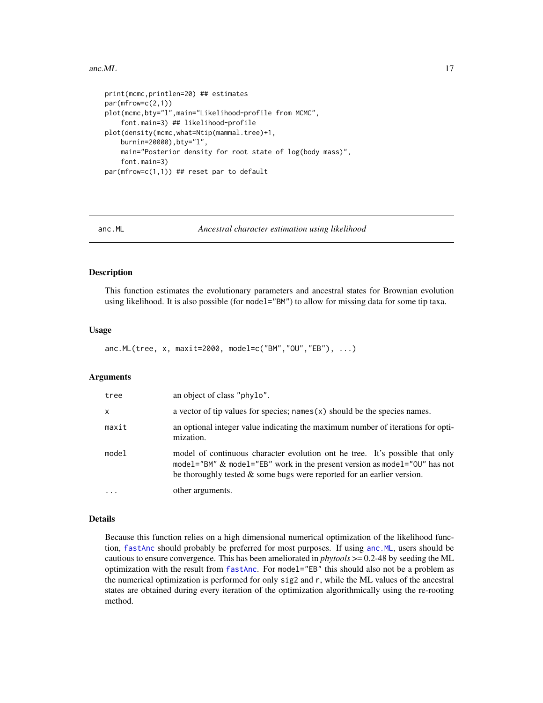#### <span id="page-16-0"></span>anc.ML 17

```
print(mcmc,printlen=20) ## estimates
par(mfrow=c(2,1))
plot(mcmc,bty="l",main="Likelihood-profile from MCMC",
    font.main=3) ## likelihood-profile
plot(density(mcmc,what=Ntip(mammal.tree)+1,
   burnin=20000),bty="l",
   main="Posterior density for root state of log(body mass)",
    font.main=3)
par(mfrow=c(1,1)) ## reset par to default
```
<span id="page-16-1"></span>

anc.ML *Ancestral character estimation using likelihood*

# Description

This function estimates the evolutionary parameters and ancestral states for Brownian evolution using likelihood. It is also possible (for model="BM") to allow for missing data for some tip taxa.

#### Usage

anc.ML(tree, x, maxit=2000, model=c("BM","OU","EB"), ...)

#### Arguments

| tree     | an object of class "phylo".                                                                                                                                                                                                            |
|----------|----------------------------------------------------------------------------------------------------------------------------------------------------------------------------------------------------------------------------------------|
| $\times$ | a vector of tip values for species; names $(x)$ should be the species names.                                                                                                                                                           |
| maxit    | an optional integer value indicating the maximum number of iterations for opti-<br>mization.                                                                                                                                           |
| model    | model of continuous character evolution ont he tree. It's possible that only<br>model="BM" & model="EB" work in the present version as model="00" has not<br>be thoroughly tested $\&$ some bugs were reported for an earlier version. |
|          | other arguments.                                                                                                                                                                                                                       |

#### Details

Because this function relies on a high dimensional numerical optimization of the likelihood function, [fastAnc](#page-74-1) should probably be preferred for most purposes. If using [anc.ML](#page-16-1), users should be cautious to ensure convergence. This has been ameliorated in *phytools* >= 0.2-48 by seeding the ML optimization with the result from [fastAnc](#page-74-1). For model="EB" this should also not be a problem as the numerical optimization is performed for only sig2 and r, while the ML values of the ancestral states are obtained during every iteration of the optimization algorithmically using the re-rooting method.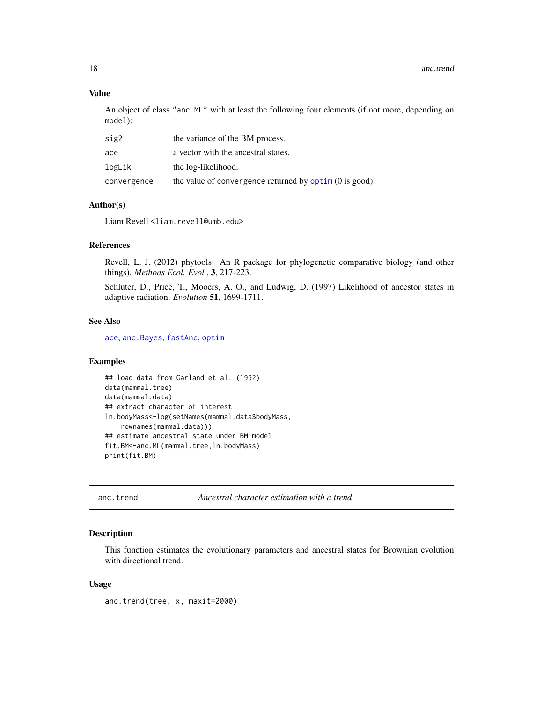# Value

An object of class "anc.ML" with at least the following four elements (if not more, depending on model):

| sig2        | the variance of the BM process.                                |
|-------------|----------------------------------------------------------------|
| ace         | a vector with the ancestral states.                            |
| logLik      | the log-likelihood.                                            |
| convergence | the value of convergence returned by $\phi$ optim (0 is good). |

# Author(s)

Liam Revell <liam.revell@umb.edu>

#### References

Revell, L. J. (2012) phytools: An R package for phylogenetic comparative biology (and other things). *Methods Ecol. Evol.*, 3, 217-223.

Schluter, D., Price, T., Mooers, A. O., and Ludwig, D. (1997) Likelihood of ancestor states in adaptive radiation. *Evolution* 51, 1699-1711.

# See Also

[ace](#page-0-0), [anc.Bayes](#page-14-1), [fastAnc](#page-74-1), [optim](#page-0-0)

# Examples

```
## load data from Garland et al. (1992)
data(mammal.tree)
data(mammal.data)
## extract character of interest
ln.bodyMass<-log(setNames(mammal.data$bodyMass,
    rownames(mammal.data)))
## estimate ancestral state under BM model
fit.BM<-anc.ML(mammal.tree,ln.bodyMass)
print(fit.BM)
```
<span id="page-17-1"></span>anc.trend *Ancestral character estimation with a trend*

# Description

This function estimates the evolutionary parameters and ancestral states for Brownian evolution with directional trend.

#### Usage

anc.trend(tree, x, maxit=2000)

<span id="page-17-0"></span>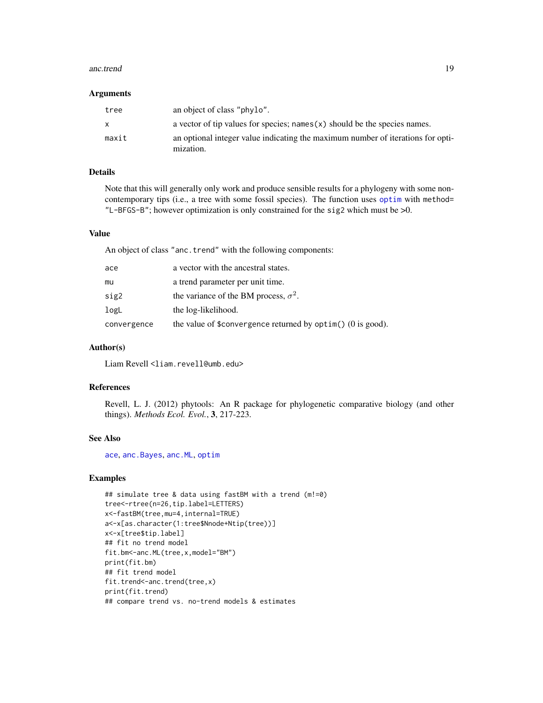#### anc.trend 19

#### **Arguments**

| tree         | an object of class "phylo".                                                                  |
|--------------|----------------------------------------------------------------------------------------------|
| $\mathsf{x}$ | a vector of tip values for species; names $(x)$ should be the species names.                 |
| maxit        | an optional integer value indicating the maximum number of iterations for opti-<br>mization. |

# Details

Note that this will generally only work and produce sensible results for a phylogeny with some noncontemporary tips (i.e., a tree with some fossil species). The function uses [optim](#page-0-0) with method= "L-BFGS-B"; however optimization is only constrained for the sig2 which must be >0.

# Value

An object of class "anc.trend" with the following components:

| ace         | a vector with the ancestral states.                            |
|-------------|----------------------------------------------------------------|
| mu          | a trend parameter per unit time.                               |
| sig2        | the variance of the BM process, $\sigma^2$ .                   |
| logL        | the log-likelihood.                                            |
| convergence | the value of \$convergence returned by $option()$ (0 is good). |

# Author(s)

Liam Revell <liam.revell@umb.edu>

# References

Revell, L. J. (2012) phytools: An R package for phylogenetic comparative biology (and other things). *Methods Ecol. Evol.*, 3, 217-223.

### See Also

[ace](#page-0-0), [anc.Bayes](#page-14-1), [anc.ML](#page-16-1), [optim](#page-0-0)

# Examples

```
## simulate tree & data using fastBM with a trend (m!=0)
tree<-rtree(n=26,tip.label=LETTERS)
x<-fastBM(tree,mu=4,internal=TRUE)
a<-x[as.character(1:tree$Nnode+Ntip(tree))]
x<-x[tree$tip.label]
## fit no trend model
fit.bm<-anc.ML(tree,x,model="BM")
print(fit.bm)
## fit trend model
fit.trend<-anc.trend(tree,x)
print(fit.trend)
## compare trend vs. no-trend models & estimates
```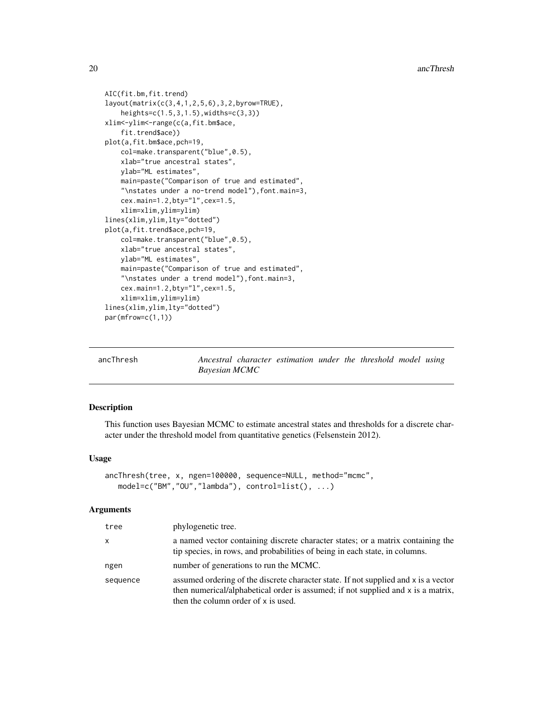```
AIC(fit.bm,fit.trend)
layout(matrix(c(3,4,1,2,5,6),3,2,byrow=TRUE),
    heights=c(1.5,3,1.5),widths=c(3,3))
xlim<-ylim<-range(c(a,fit.bm$ace,
    fit.trend$ace))
plot(a,fit.bm$ace,pch=19,
   col=make.transparent("blue",0.5),
   xlab="true ancestral states",
   ylab="ML estimates",
   main=paste("Comparison of true and estimated",
    "\nstates under a no-trend model"),font.main=3,
    cex.main=1.2,bty="l",cex=1.5,
    xlim=xlim,ylim=ylim)
lines(xlim,ylim,lty="dotted")
plot(a,fit.trend$ace,pch=19,
    col=make.transparent("blue", 0.5),
   xlab="true ancestral states",
   ylab="ML estimates",
    main=paste("Comparison of true and estimated",
    "\nstates under a trend model"),font.main=3,
   cex.main=1.2,bty="l",cex=1.5,
    xlim=xlim,ylim=ylim)
lines(xlim,ylim,lty="dotted")
par(mfrow=c(1,1))
```

| ancThresh |  |
|-----------|--|
|           |  |

h *Ancestral character estimation under the threshold model using Bayesian MCMC*

#### Description

This function uses Bayesian MCMC to estimate ancestral states and thresholds for a discrete character under the threshold model from quantitative genetics (Felsenstein 2012).

# Usage

```
ancThresh(tree, x, ngen=100000, sequence=NULL, method="mcmc",
   model=c("BM","OU","lambda"), control=list(), ...)
```
#### Arguments

| tree     | phylogenetic tree.                                                                                                                                                                                             |
|----------|----------------------------------------------------------------------------------------------------------------------------------------------------------------------------------------------------------------|
| x        | a named vector containing discrete character states; or a matrix containing the<br>tip species, in rows, and probabilities of being in each state, in columns.                                                 |
| ngen     | number of generations to run the MCMC.                                                                                                                                                                         |
| sequence | assumed ordering of the discrete character state. If not supplied and x is a vector<br>then numerical/alphabetical order is assumed; if not supplied and x is a matrix,<br>then the column order of x is used. |

<span id="page-19-0"></span>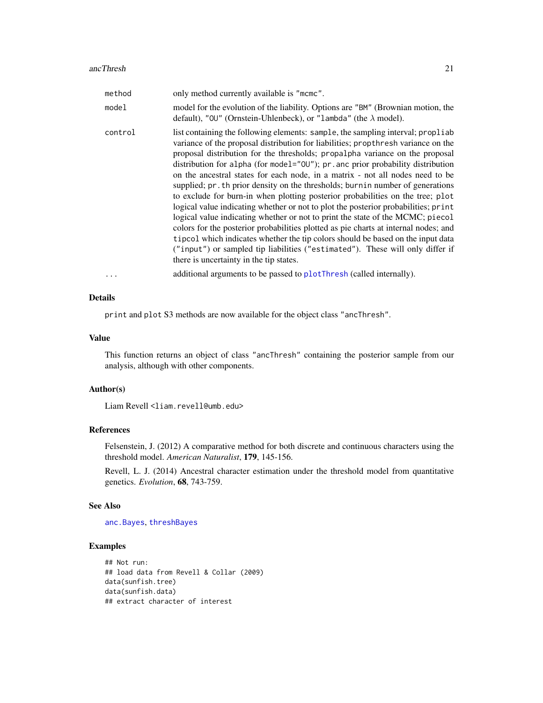| method   | only method currently available is "mcmc".                                                                                                                                                                                                                                                                                                                                                                                                                                                                                                                                                                                                                                                                                                                                                                                                                                                                                                                                                                                                                                 |
|----------|----------------------------------------------------------------------------------------------------------------------------------------------------------------------------------------------------------------------------------------------------------------------------------------------------------------------------------------------------------------------------------------------------------------------------------------------------------------------------------------------------------------------------------------------------------------------------------------------------------------------------------------------------------------------------------------------------------------------------------------------------------------------------------------------------------------------------------------------------------------------------------------------------------------------------------------------------------------------------------------------------------------------------------------------------------------------------|
| model    | model for the evolution of the liability. Options are "BM" (Brownian motion, the<br>default), "00" (Ornstein-Uhlenbeck), or "lambda" (the $\lambda$ model).                                                                                                                                                                                                                                                                                                                                                                                                                                                                                                                                                                                                                                                                                                                                                                                                                                                                                                                |
| control  | list containing the following elements: sample, the sampling interval; propliab<br>variance of the proposal distribution for liabilities; propthresh variance on the<br>proposal distribution for the thresholds; propalpha variance on the proposal<br>distribution for alpha (for model="00"); pr. anc prior probability distribution<br>on the ancestral states for each node, in a matrix - not all nodes need to be<br>supplied; pr. th prior density on the thresholds; burnin number of generations<br>to exclude for burn-in when plotting posterior probabilities on the tree; plot<br>logical value indicating whether or not to plot the posterior probabilities; print<br>logical value indicating whether or not to print the state of the MCMC; piecol<br>colors for the posterior probabilities plotted as pie charts at internal nodes; and<br>tipcol which indicates whether the tip colors should be based on the input data<br>("input") or sampled tip liabilities ("estimated"). These will only differ if<br>there is uncertainty in the tip states. |
| $\cdots$ | additional arguments to be passed to plotThresh (called internally).                                                                                                                                                                                                                                                                                                                                                                                                                                                                                                                                                                                                                                                                                                                                                                                                                                                                                                                                                                                                       |

# Details

print and plot S3 methods are now available for the object class "ancThresh".

#### Value

This function returns an object of class "ancThresh" containing the posterior sample from our analysis, although with other components.

#### Author(s)

Liam Revell <liam.revell@umb.edu>

# References

Felsenstein, J. (2012) A comparative method for both discrete and continuous characters using the threshold model. *American Naturalist*, 179, 145-156.

Revell, L. J. (2014) Ancestral character estimation under the threshold model from quantitative genetics. *Evolution*, 68, 743-759.

#### See Also

[anc.Bayes](#page-14-1), [threshBayes](#page-202-1)

# Examples

```
## Not run:
## load data from Revell & Collar (2009)
data(sunfish.tree)
data(sunfish.data)
## extract character of interest
```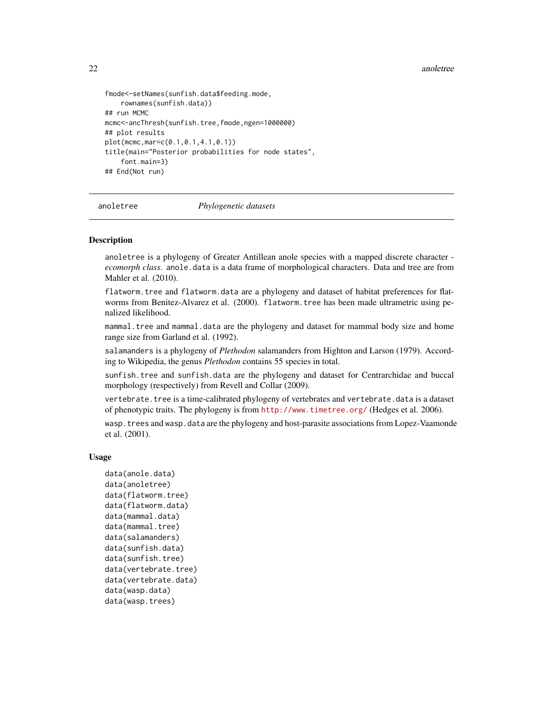#### 22 anoletree and the state of the state of the state of the state of the state of the state of the state of the state of the state of the state of the state of the state of the state of the state of the state of the state

```
fmode<-setNames(sunfish.data$feeding.mode,
    rownames(sunfish.data))
## run MCMC
mcmc<-ancThresh(sunfish.tree,fmode,ngen=1000000)
## plot results
plot(mcmc,mar=c(0.1,0.1,4.1,0.1))
title(main="Posterior probabilities for node states",
    font.main=3)
## End(Not run)
```
anoletree *Phylogenetic datasets*

### **Description**

anoletree is a phylogeny of Greater Antillean anole species with a mapped discrete character *ecomorph class*. anole.data is a data frame of morphological characters. Data and tree are from Mahler et al. (2010).

flatworm.tree and flatworm.data are a phylogeny and dataset of habitat preferences for flatworms from Benitez-Alvarez et al. (2000). flatworm.tree has been made ultrametric using penalized likelihood.

mammal.tree and mammal.data are the phylogeny and dataset for mammal body size and home range size from Garland et al. (1992).

salamanders is a phylogeny of *Plethodon* salamanders from Highton and Larson (1979). According to Wikipedia, the genus *Plethodon* contains 55 species in total.

sunfish.tree and sunfish.data are the phylogeny and dataset for Centrarchidae and buccal morphology (respectively) from Revell and Collar (2009).

vertebrate. tree is a time-calibrated phylogeny of vertebrates and vertebrate. data is a dataset of phenotypic traits. The phylogeny is from <http://www.timetree.org/> (Hedges et al. 2006).

wasp.trees and wasp.data are the phylogeny and host-parasite associations from Lopez-Vaamonde et al. (2001).

#### Usage

```
data(anole.data)
data(anoletree)
data(flatworm.tree)
data(flatworm.data)
data(mammal.data)
data(mammal.tree)
data(salamanders)
data(sunfish.data)
data(sunfish.tree)
data(vertebrate.tree)
data(vertebrate.data)
data(wasp.data)
data(wasp.trees)
```
<span id="page-21-0"></span>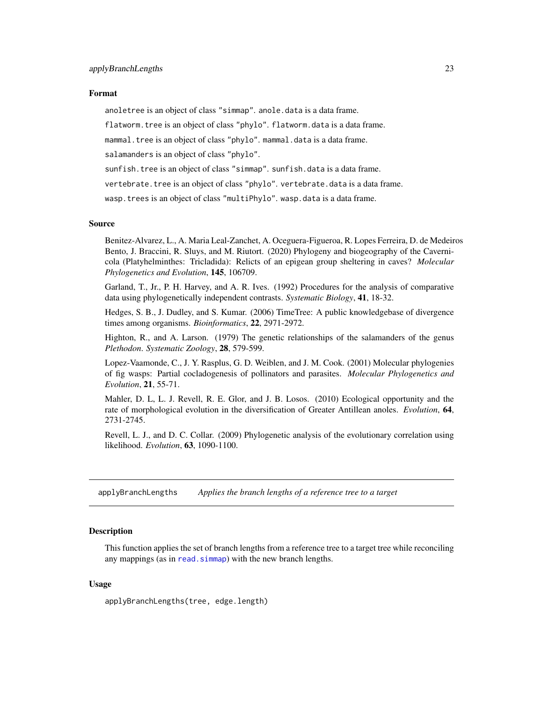#### <span id="page-22-0"></span>Format

anoletree is an object of class "simmap". anole.data is a data frame.

flatworm.tree is an object of class "phylo". flatworm.data is a data frame.

mammal.tree is an object of class "phylo".mammal.data is a data frame.

salamanders is an object of class "phylo".

sunfish.tree is an object of class "simmap". sunfish.data is a data frame.

vertebrate.tree is an object of class "phylo". vertebrate.data is a data frame.

wasp.trees is an object of class "multiPhylo". wasp.data is a data frame.

#### Source

Benitez-Alvarez, L., A. Maria Leal-Zanchet, A. Oceguera-Figueroa, R. Lopes Ferreira, D. de Medeiros Bento, J. Braccini, R. Sluys, and M. Riutort. (2020) Phylogeny and biogeography of the Cavernicola (Platyhelminthes: Tricladida): Relicts of an epigean group sheltering in caves? *Molecular Phylogenetics and Evolution*, 145, 106709.

Garland, T., Jr., P. H. Harvey, and A. R. Ives. (1992) Procedures for the analysis of comparative data using phylogenetically independent contrasts. *Systematic Biology*, 41, 18-32.

Hedges, S. B., J. Dudley, and S. Kumar. (2006) TimeTree: A public knowledgebase of divergence times among organisms. *Bioinformatics*, 22, 2971-2972.

Highton, R., and A. Larson. (1979) The genetic relationships of the salamanders of the genus *Plethodon*. *Systematic Zoology*, 28, 579-599.

Lopez-Vaamonde, C., J. Y. Rasplus, G. D. Weiblen, and J. M. Cook. (2001) Molecular phylogenies of fig wasps: Partial cocladogenesis of pollinators and parasites. *Molecular Phylogenetics and Evolution*, 21, 55-71.

Mahler, D. L, L. J. Revell, R. E. Glor, and J. B. Losos. (2010) Ecological opportunity and the rate of morphological evolution in the diversification of Greater Antillean anoles. *Evolution*, 64, 2731-2745.

Revell, L. J., and D. C. Collar. (2009) Phylogenetic analysis of the evolutionary correlation using likelihood. *Evolution*, 63, 1090-1100.

applyBranchLengths *Applies the branch lengths of a reference tree to a target*

#### Description

This function applies the set of branch lengths from a reference tree to a target tree while reconciling any mappings (as in read. simmap) with the new branch lengths.

#### Usage

applyBranchLengths(tree, edge.length)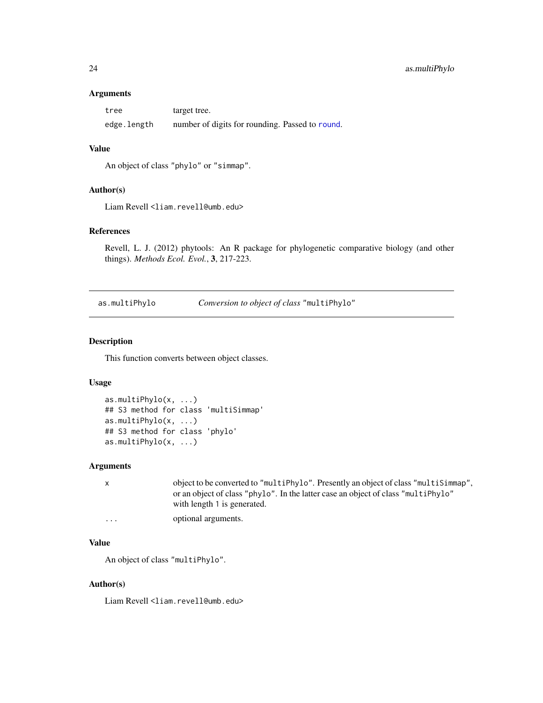#### <span id="page-23-0"></span>Arguments

| tree        | target tree.                                    |
|-------------|-------------------------------------------------|
| edge.length | number of digits for rounding. Passed to round. |

# Value

An object of class "phylo" or "simmap".

# Author(s)

Liam Revell <liam.revell@umb.edu>

# References

Revell, L. J. (2012) phytools: An R package for phylogenetic comparative biology (and other things). *Methods Ecol. Evol.*, 3, 217-223.

as.multiPhylo *Conversion to object of class* "multiPhylo"

# Description

This function converts between object classes.

# Usage

```
as.multiPhylo(x, ...)
## S3 method for class 'multiSimmap'
as.multiPhylo(x, ...)
## S3 method for class 'phylo'
as.multiPhylo(x, ...)
```
#### Arguments

x object to be converted to "multiPhylo". Presently an object of class "multiSimmap", or an object of class "phylo". In the latter case an object of class "multiPhylo" with length 1 is generated. ... optional arguments.

#### Value

An object of class "multiPhylo".

#### Author(s)

Liam Revell <liam.revell@umb.edu>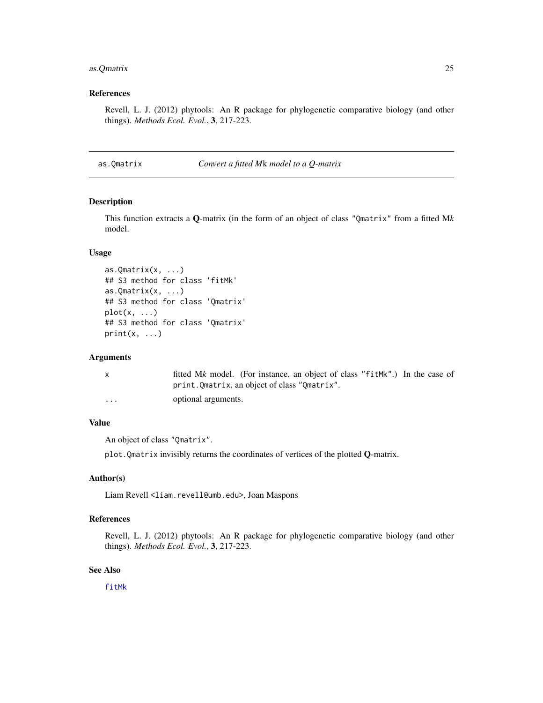# <span id="page-24-0"></span>as.Qmatrix 25

# References

Revell, L. J. (2012) phytools: An R package for phylogenetic comparative biology (and other things). *Methods Ecol. Evol.*, 3, 217-223.

as.Qmatrix *Convert a fitted M*k *model to a Q-matrix*

#### Description

This function extracts a Q-matrix (in the form of an object of class "Qmatrix" from a fitted M*k* model.

#### Usage

```
as.Qmatrix(x, \ldots)## S3 method for class 'fitMk'
as.Qmatrix(x, \ldots)## S3 method for class 'Qmatrix'
plot(x, \ldots)## S3 method for class 'Qmatrix'
print(x, \ldots)
```
#### Arguments

| X        | fitted Mk model. (For instance, an object of class "fitMk".) In the case of |
|----------|-----------------------------------------------------------------------------|
|          | print.Qmatrix, an object of class "Qmatrix".                                |
| $\cdots$ | optional arguments.                                                         |

# Value

An object of class "Qmatrix".

plot. Qmatrix invisibly returns the coordinates of vertices of the plotted  $Q$ -matrix.

# Author(s)

Liam Revell <liam.revell@umb.edu>, Joan Maspons

# References

Revell, L. J. (2012) phytools: An R package for phylogenetic comparative biology (and other things). *Methods Ecol. Evol.*, 3, 217-223.

### See Also

[fitMk](#page-83-1)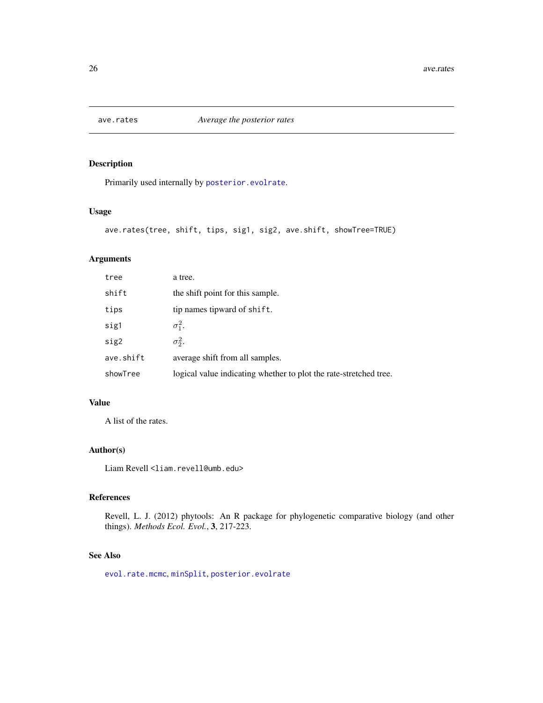<span id="page-25-0"></span>

# Description

Primarily used internally by [posterior.evolrate](#page-168-1).

#### Usage

```
ave.rates(tree, shift, tips, sig1, sig2, ave.shift, showTree=TRUE)
```
# Arguments

| tree      | a tree.                                                           |
|-----------|-------------------------------------------------------------------|
| shift     | the shift point for this sample.                                  |
| tips      | tip names tipward of shift.                                       |
| sig1      | $\sigma_1^2$ .                                                    |
| sig2      | $\sigma_2^2$ .                                                    |
| ave.shift | average shift from all samples.                                   |
| showTree  | logical value indicating whether to plot the rate-stretched tree. |

# Value

A list of the rates.

# Author(s)

Liam Revell <liam.revell@umb.edu>

# References

Revell, L. J. (2012) phytools: An R package for phylogenetic comparative biology (and other things). *Methods Ecol. Evol.*, 3, 217-223.

#### See Also

[evol.rate.mcmc](#page-64-1), [minSplit](#page-118-1), [posterior.evolrate](#page-168-1)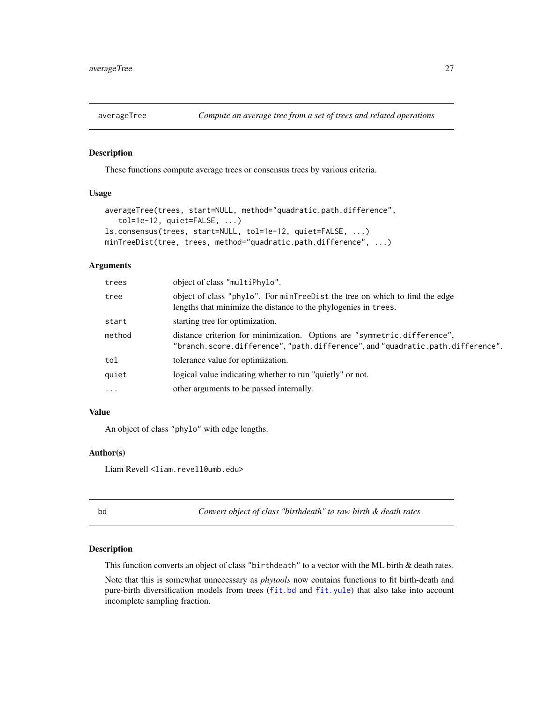<span id="page-26-0"></span>

#### Description

These functions compute average trees or consensus trees by various criteria.

# Usage

```
averageTree(trees, start=NULL, method="quadratic.path.difference",
   tol=1e-12, quiet=FALSE, ...)
ls.consensus(trees, start=NULL, tol=1e-12, quiet=FALSE, ...)
minTreeDist(tree, trees, method="quadratic.path.difference", ...)
```
#### Arguments

| trees    | object of class "multiPhylo".                                                                                                                              |
|----------|------------------------------------------------------------------------------------------------------------------------------------------------------------|
| tree     | object of class "phylo". For minTreeDist the tree on which to find the edge<br>lengths that minimize the distance to the phylogenies in trees.             |
| start    | starting tree for optimization.                                                                                                                            |
| method   | distance criterion for minimization. Options are "symmetric.difference",<br>"branch.score.difference", "path.difference", and "quadratic.path.difference". |
| tol      | tolerance value for optimization.                                                                                                                          |
| quiet    | logical value indicating whether to run "quietly" or not.                                                                                                  |
| $\cdots$ | other arguments to be passed internally.                                                                                                                   |
|          |                                                                                                                                                            |

#### Value

An object of class "phylo" with edge lengths.

# Author(s)

Liam Revell <liam.revell@umb.edu>

bd *Convert object of class "birthdeath" to raw birth & death rates*

# Description

This function converts an object of class "birthdeath" to a vector with the ML birth & death rates.

Note that this is somewhat unnecessary as *phytools* now contains functions to fit birth-death and pure-birth diversification models from trees ([fit.bd](#page-79-1) and [fit.yule](#page-79-2)) that also take into account incomplete sampling fraction.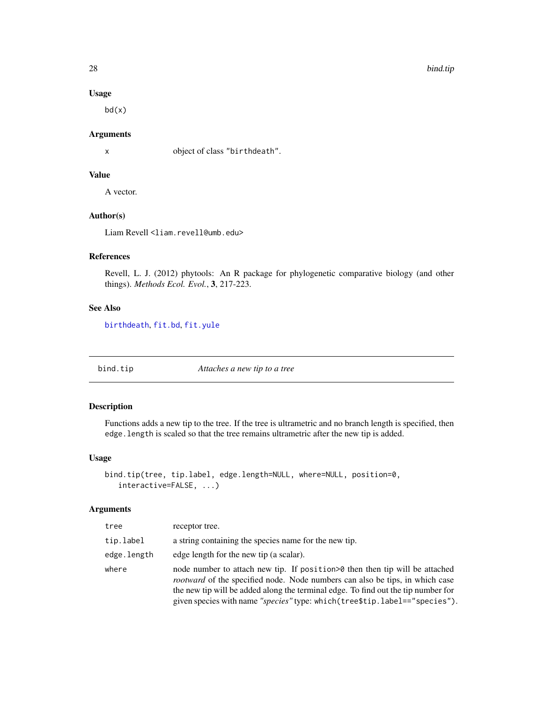# Usage

bd(x)

# Arguments

x object of class "birthdeath".

# Value

A vector.

# Author(s)

Liam Revell <liam.revell@umb.edu>

# References

Revell, L. J. (2012) phytools: An R package for phylogenetic comparative biology (and other things). *Methods Ecol. Evol.*, 3, 217-223.

# See Also

[birthdeath](#page-0-0), [fit.bd](#page-79-1), [fit.yule](#page-79-2)

<span id="page-27-1"></span>bind.tip *Attaches a new tip to a tree*

# Description

Functions adds a new tip to the tree. If the tree is ultrametric and no branch length is specified, then edge.length is scaled so that the tree remains ultrametric after the new tip is added.

# Usage

```
bind.tip(tree, tip.label, edge.length=NULL, where=NULL, position=0,
   interactive=FALSE, ...)
```
#### Arguments

| tree        | receptor tree.                                                                                                                                                                                                                                                                                                                          |
|-------------|-----------------------------------------------------------------------------------------------------------------------------------------------------------------------------------------------------------------------------------------------------------------------------------------------------------------------------------------|
| tip.label   | a string containing the species name for the new tip.                                                                                                                                                                                                                                                                                   |
| edge.length | edge length for the new tip (a scalar).                                                                                                                                                                                                                                                                                                 |
| where       | node number to attach new tip. If position > 0 then then tip will be attached<br><i>rootward</i> of the specified node. Node numbers can also be tips, in which case<br>the new tip will be added along the terminal edge. To find out the tip number for<br>given species with name "species" type: which(tree\$tip.label=="species"). |

<span id="page-27-0"></span>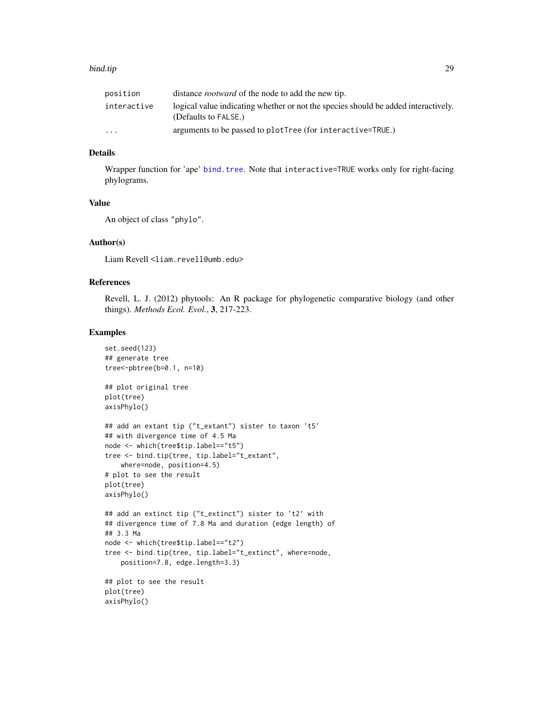#### bind.tip 29

| position                | distance <i>rootward</i> of the node to add the new tip.                                                   |
|-------------------------|------------------------------------------------------------------------------------------------------------|
| interactive             | logical value indicating whether or not the species should be added interactively.<br>(Defaults to FALSE.) |
| $\cdot$ $\cdot$ $\cdot$ | arguments to be passed to plotTree (for interactive=TRUE.)                                                 |

# Details

Wrapper function for 'ape' [bind.tree](#page-0-0). Note that interactive=TRUE works only for right-facing phylograms.

#### Value

An object of class "phylo".

#### Author(s)

Liam Revell <liam.revell@umb.edu>

# References

Revell, L. J. (2012) phytools: An R package for phylogenetic comparative biology (and other things). *Methods Ecol. Evol.*, 3, 217-223.

#### Examples

```
set.seed(123)
## generate tree
tree<-pbtree(b=0.1, n=10)
## plot original tree
plot(tree)
axisPhylo()
## add an extant tip ("t_extant") sister to taxon 't5'
## with divergence time of 4.5 Ma
node <- which(tree$tip.label=="t5")
tree <- bind.tip(tree, tip.label="t_extant",
   where=node, position=4.5)
# plot to see the result
plot(tree)
axisPhylo()
## add an extinct tip ("t_extinct") sister to 't2' with
## divergence time of 7.8 Ma and duration (edge length) of
## 3.3 Ma
node <- which(tree$tip.label=="t2")
tree <- bind.tip(tree, tip.label="t_extinct", where=node,
    position=7.8, edge.length=3.3)
## plot to see the result
plot(tree)
axisPhylo()
```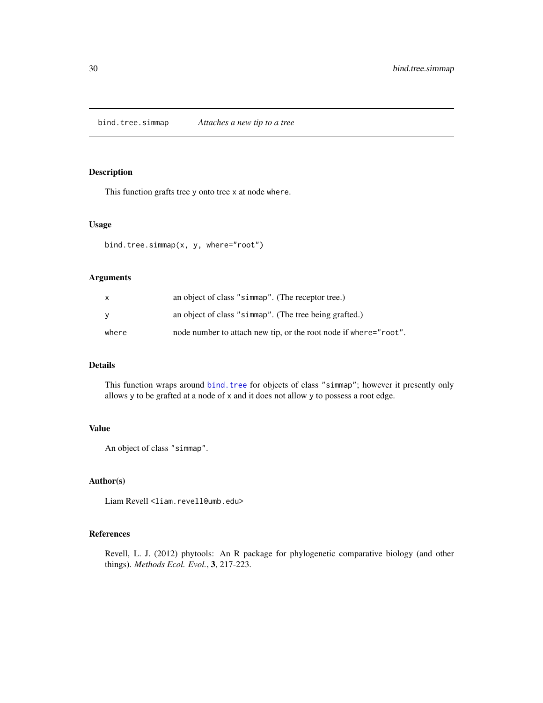<span id="page-29-0"></span>bind.tree.simmap *Attaches a new tip to a tree*

# Description

This function grafts tree y onto tree x at node where.

# Usage

```
bind.tree.simmap(x, y, where="root")
```
# Arguments

| X        | an object of class "simmap". (The receptor tree.)                |
|----------|------------------------------------------------------------------|
| <b>y</b> | an object of class "simmap". (The tree being grafted.)           |
| where    | node number to attach new tip, or the root node if where="root". |

# Details

This function wraps around [bind.tree](#page-0-0) for objects of class "simmap"; however it presently only allows y to be grafted at a node of x and it does not allow y to possess a root edge.

#### Value

An object of class "simmap".

# Author(s)

Liam Revell <liam.revell@umb.edu>

# References

Revell, L. J. (2012) phytools: An R package for phylogenetic comparative biology (and other things). *Methods Ecol. Evol.*, 3, 217-223.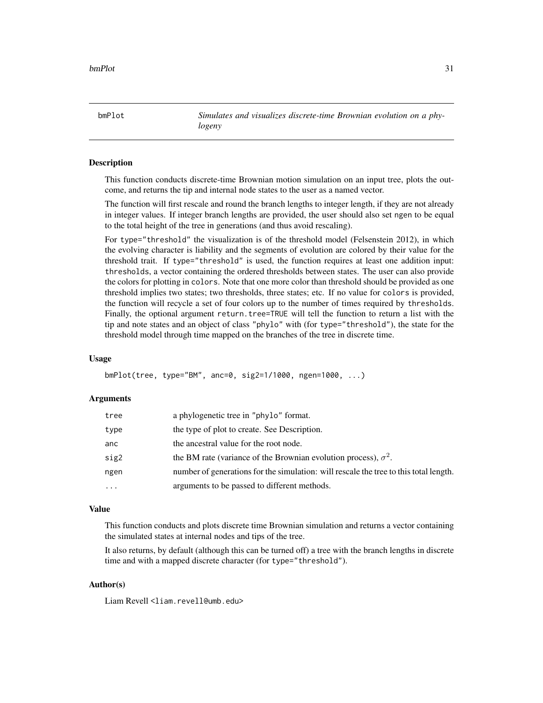<span id="page-30-1"></span><span id="page-30-0"></span>bmPlot *Simulates and visualizes discrete-time Brownian evolution on a phylogeny*

#### Description

This function conducts discrete-time Brownian motion simulation on an input tree, plots the outcome, and returns the tip and internal node states to the user as a named vector.

The function will first rescale and round the branch lengths to integer length, if they are not already in integer values. If integer branch lengths are provided, the user should also set ngen to be equal to the total height of the tree in generations (and thus avoid rescaling).

For type="threshold" the visualization is of the threshold model (Felsenstein 2012), in which the evolving character is liability and the segments of evolution are colored by their value for the threshold trait. If type="threshold" is used, the function requires at least one addition input: thresholds, a vector containing the ordered thresholds between states. The user can also provide the colors for plotting in colors. Note that one more color than threshold should be provided as one threshold implies two states; two thresholds, three states; etc. If no value for colors is provided, the function will recycle a set of four colors up to the number of times required by thresholds. Finally, the optional argument return.tree=TRUE will tell the function to return a list with the tip and note states and an object of class "phylo" with (for type="threshold"), the state for the threshold model through time mapped on the branches of the tree in discrete time.

#### Usage

```
bmPlot(tree, type="BM", anc=0, sig2=1/1000, ngen=1000, ...)
```
#### Arguments

| tree | a phylogenetic tree in "phylo" format.                                                |
|------|---------------------------------------------------------------------------------------|
| type | the type of plot to create. See Description.                                          |
| anc  | the ancestral value for the root node.                                                |
| sig2 | the BM rate (variance of the Brownian evolution process), $\sigma^2$ .                |
| ngen | number of generations for the simulation: will rescale the tree to this total length. |
| .    | arguments to be passed to different methods.                                          |

#### Value

This function conducts and plots discrete time Brownian simulation and returns a vector containing the simulated states at internal nodes and tips of the tree.

It also returns, by default (although this can be turned off) a tree with the branch lengths in discrete time and with a mapped discrete character (for type="threshold").

# Author(s)

Liam Revell <liam.revell@umb.edu>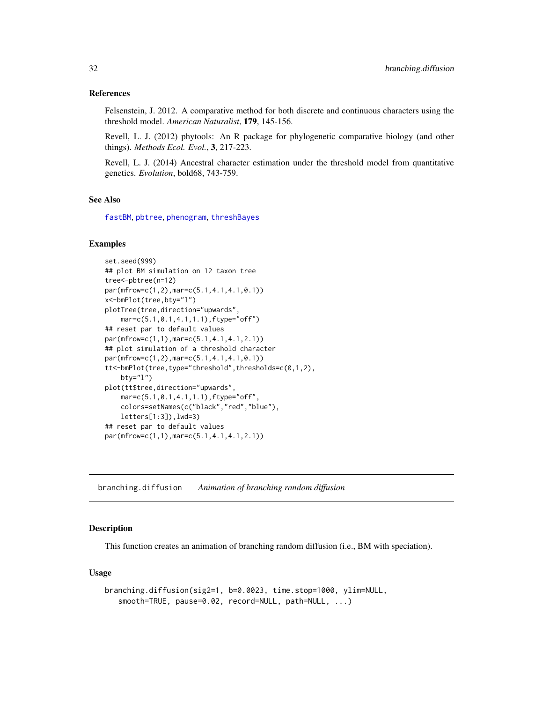#### <span id="page-31-0"></span>References

Felsenstein, J. 2012. A comparative method for both discrete and continuous characters using the threshold model. *American Naturalist*, 179, 145-156.

Revell, L. J. (2012) phytools: An R package for phylogenetic comparative biology (and other things). *Methods Ecol. Evol.*, 3, 217-223.

Revell, L. J. (2014) Ancestral character estimation under the threshold model from quantitative genetics. *Evolution*, bold68, 743-759.

# See Also

[fastBM](#page-75-1), [pbtree](#page-132-1), [phenogram](#page-135-1), [threshBayes](#page-202-1)

#### Examples

```
set.seed(999)
## plot BM simulation on 12 taxon tree
tree<-pbtree(n=12)
par(mfrow=c(1,2),mar=c(5.1,4.1,4.1,0.1))
x<-bmPlot(tree,bty="l")
plotTree(tree,direction="upwards",
    mar=c(5.1,0.1,4.1,1.1),ftype="off")
## reset par to default values
par(mfrow=c(1,1),mar=c(5.1,4.1,4.1,2.1))
## plot simulation of a threshold character
par(mfrow=c(1,2),mar=c(5.1,4.1,4.1,0.1))
tt<-bmPlot(tree,type="threshold",thresholds=c(0,1,2),
   bty="l")
plot(tt$tree,direction="upwards",
   mar=c(5.1,0.1,4.1,1.1),ftype="off",
   colors=setNames(c("black","red","blue"),
    letters[1:3]),lwd=3)
## reset par to default values
par(mfrow=c(1,1),mar=c(5.1,4.1,4.1,2.1))
```
branching.diffusion *Animation of branching random diffusion*

# Description

This function creates an animation of branching random diffusion (i.e., BM with speciation).

#### Usage

```
branching.diffusion(sig2=1, b=0.0023, time.stop=1000, ylim=NULL,
   smooth=TRUE, pause=0.02, record=NULL, path=NULL, ...)
```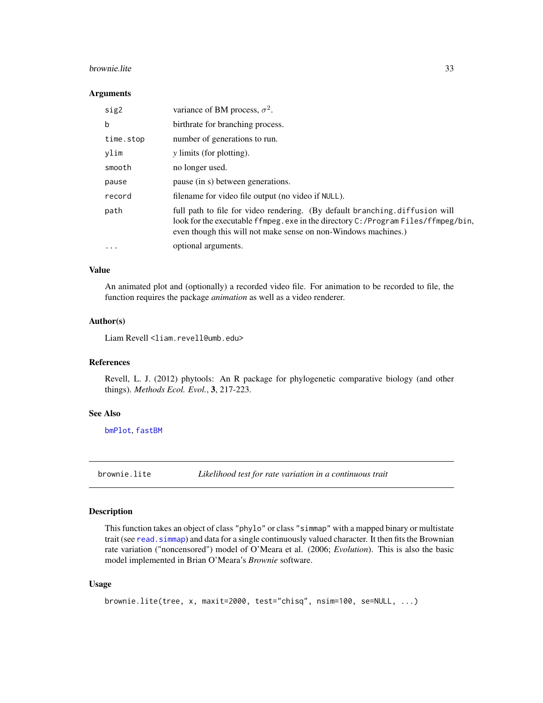#### <span id="page-32-0"></span>brownie.lite 33

#### **Arguments**

| sig2      | variance of BM process, $\sigma^2$ .                                                                                                                                                                                              |
|-----------|-----------------------------------------------------------------------------------------------------------------------------------------------------------------------------------------------------------------------------------|
| b         | birthrate for branching process.                                                                                                                                                                                                  |
| time.stop | number of generations to run.                                                                                                                                                                                                     |
| ylim      | <i>y</i> limits (for plotting).                                                                                                                                                                                                   |
| smooth    | no longer used.                                                                                                                                                                                                                   |
| pause     | pause (in s) between generations.                                                                                                                                                                                                 |
| record    | filename for video file output (no video if NULL).                                                                                                                                                                                |
| path      | full path to file for video rendering. (By default branching diffusion will<br>look for the executable ffmpeg.exe in the directory C:/Program Files/ffmpeg/bin,<br>even though this will not make sense on non-Windows machines.) |
| $\ddotsc$ | optional arguments.                                                                                                                                                                                                               |

# Value

An animated plot and (optionally) a recorded video file. For animation to be recorded to file, the function requires the package *animation* as well as a video renderer.

# Author(s)

Liam Revell <liam.revell@umb.edu>

### References

Revell, L. J. (2012) phytools: An R package for phylogenetic comparative biology (and other things). *Methods Ecol. Evol.*, 3, 217-223.

#### See Also

[bmPlot](#page-30-1), [fastBM](#page-75-1)

<span id="page-32-1"></span>brownie.lite *Likelihood test for rate variation in a continuous trait*

# Description

This function takes an object of class "phylo" or class "simmap" with a mapped binary or multistate trait (see read. simmap) and data for a single continuously valued character. It then fits the Brownian rate variation ("noncensored") model of O'Meara et al. (2006; *Evolution*). This is also the basic model implemented in Brian O'Meara's *Brownie* software.

#### Usage

```
brownie.lite(tree, x, maxit=2000, test="chisq", nsim=100, se=NULL, ...)
```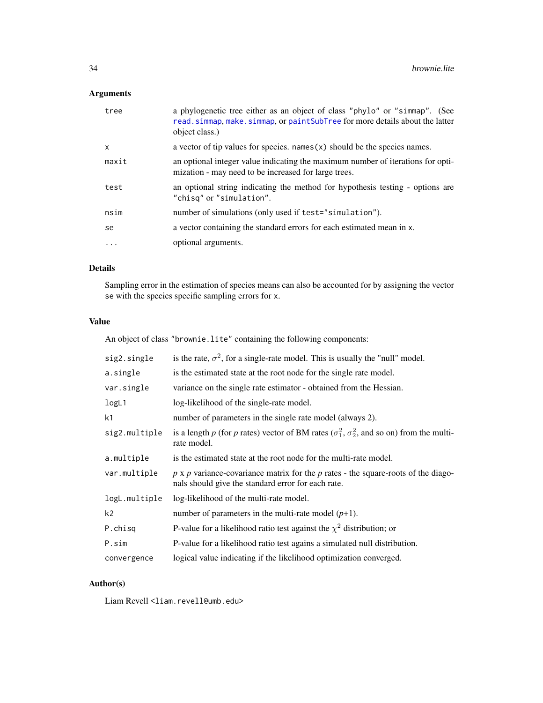# Arguments

| tree  | a phylogenetic tree either as an object of class "phylo" or "simmap". (See<br>read.simmap, make.simmap, or paint SubTree for more details about the latter<br>object class.) |
|-------|------------------------------------------------------------------------------------------------------------------------------------------------------------------------------|
| X     | a vector of tip values for species. names $(x)$ should be the species names.                                                                                                 |
| maxit | an optional integer value indicating the maximum number of iterations for opti-<br>mization - may need to be increased for large trees.                                      |
| test  | an optional string indicating the method for hypothesis testing - options are<br>"chisq" or "simulation".                                                                    |
| nsim  | number of simulations (only used if test="simulation").                                                                                                                      |
| se    | a vector containing the standard errors for each estimated mean in x.                                                                                                        |
| .     | optional arguments.                                                                                                                                                          |

# Details

Sampling error in the estimation of species means can also be accounted for by assigning the vector se with the species specific sampling errors for x.

#### Value

An object of class "brownie.lite" containing the following components:

| sig2.single    | is the rate, $\sigma^2$ , for a single-rate model. This is usually the "null" model.                                                           |
|----------------|------------------------------------------------------------------------------------------------------------------------------------------------|
| a.single       | is the estimated state at the root node for the single rate model.                                                                             |
| var.single     | variance on the single rate estimator - obtained from the Hessian.                                                                             |
| logL1          | log-likelihood of the single-rate model.                                                                                                       |
| k <sub>1</sub> | number of parameters in the single rate model (always 2).                                                                                      |
| sig2.multiple  | is a length p (for p rates) vector of BM rates ( $\sigma_1^2$ , $\sigma_2^2$ , and so on) from the multi-<br>rate model.                       |
| a.multiple     | is the estimated state at the root node for the multi-rate model.                                                                              |
| var.multiple   | $p \times p$ variance-covariance matrix for the p rates - the square-roots of the diago-<br>nals should give the standard error for each rate. |
| logL.multiple  | log-likelihood of the multi-rate model.                                                                                                        |
| k <sub>2</sub> | number of parameters in the multi-rate model $(p+1)$ .                                                                                         |
| P.chisq        | P-value for a likelihood ratio test against the $\chi^2$ distribution; or                                                                      |
| P.sim          | P-value for a likelihood ratio test agains a simulated null distribution.                                                                      |
| convergence    | logical value indicating if the likelihood optimization converged.                                                                             |

# Author(s)

Liam Revell <liam.revell@umb.edu>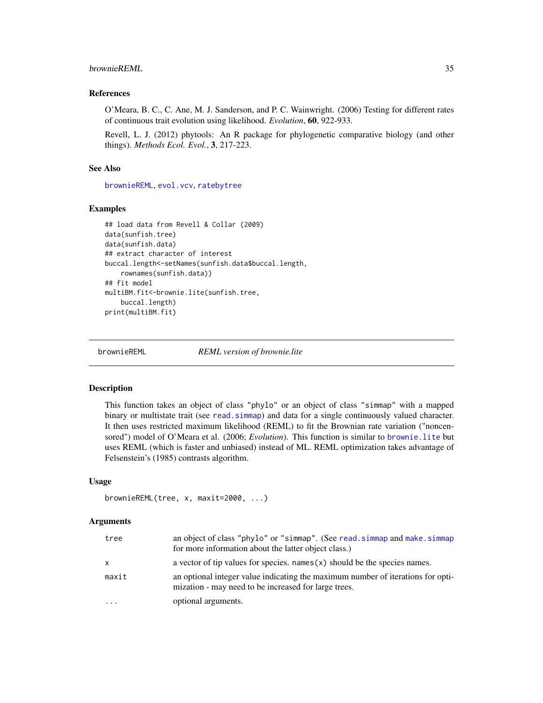# <span id="page-34-0"></span>brownieREML 35

#### References

O'Meara, B. C., C. Ane, M. J. Sanderson, and P. C. Wainwright. (2006) Testing for different rates of continuous trait evolution using likelihood. *Evolution*, 60, 922-933.

Revell, L. J. (2012) phytools: An R package for phylogenetic comparative biology (and other things). *Methods Ecol. Evol.*, 3, 217-223.

#### See Also

[brownieREML](#page-34-1), [evol.vcv](#page-65-1), [ratebytree](#page-172-1)

#### Examples

```
## load data from Revell & Collar (2009)
data(sunfish.tree)
data(sunfish.data)
## extract character of interest
buccal.length<-setNames(sunfish.data$buccal.length,
    rownames(sunfish.data))
## fit model
multiBM.fit<-brownie.lite(sunfish.tree,
   buccal.length)
print(multiBM.fit)
```
<span id="page-34-1"></span>

brownieREML *REML version of brownie.lite*

#### Description

This function takes an object of class "phylo" or an object of class "simmap" with a mapped binary or multistate trait (see read. simmap) and data for a single continuously valued character. It then uses restricted maximum likelihood (REML) to fit the Brownian rate variation ("noncensored") model of O'Meara et al. (2006; *Evolution*). This function is similar to [brownie.lite](#page-32-1) but uses REML (which is faster and unbiased) instead of ML. REML optimization takes advantage of Felsenstein's (1985) contrasts algorithm.

#### Usage

```
brownieREML(tree, x, maxit=2000, ...)
```
#### Arguments

| tree      | an object of class "phylo" or "simmap". (See read. simmap and make. simmap<br>for more information about the latter object class.)      |
|-----------|-----------------------------------------------------------------------------------------------------------------------------------------|
| x         | a vector of tip values for species. names $(x)$ should be the species names.                                                            |
| maxit     | an optional integer value indicating the maximum number of iterations for opti-<br>mization - may need to be increased for large trees. |
| $\ddotsc$ | optional arguments.                                                                                                                     |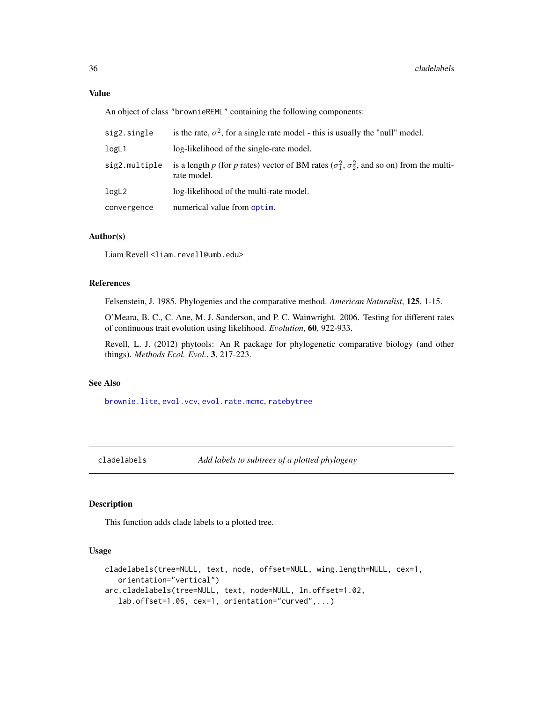An object of class "brownieREML" containing the following components:

| sig2.single   | is the rate, $\sigma^2$ , for a single rate model - this is usually the "null" model.                                    |
|---------------|--------------------------------------------------------------------------------------------------------------------------|
| logL1         | log-likelihood of the single-rate model.                                                                                 |
| sig2.multiple | is a length p (for p rates) vector of BM rates ( $\sigma_1^2$ , $\sigma_2^2$ , and so on) from the multi-<br>rate model. |
| logL2         | log-likelihood of the multi-rate model.                                                                                  |
| convergence   | numerical value from optim.                                                                                              |

#### Author(s)

Liam Revell <liam.revell@umb.edu>

#### References

Felsenstein, J. 1985. Phylogenies and the comparative method. *American Naturalist*, 125, 1-15.

O'Meara, B. C., C. Ane, M. J. Sanderson, and P. C. Wainwright. 2006. Testing for different rates of continuous trait evolution using likelihood. *Evolution*, 60, 922-933.

Revell, L. J. (2012) phytools: An R package for phylogenetic comparative biology (and other things). *Methods Ecol. Evol.*, 3, 217-223.

# See Also

[brownie.lite](#page-32-1), [evol.vcv](#page-65-1), [evol.rate.mcmc](#page-64-1), [ratebytree](#page-172-1)

cladelabels *Add labels to subtrees of a plotted phylogeny*

### Description

This function adds clade labels to a plotted tree.

# Usage

```
cladelabels(tree=NULL, text, node, offset=NULL, wing.length=NULL, cex=1,
   orientation="vertical")
arc.cladelabels(tree=NULL, text, node=NULL, ln.offset=1.02,
   lab.offset=1.06, cex=1, orientation="curved",...)
```
<span id="page-35-0"></span>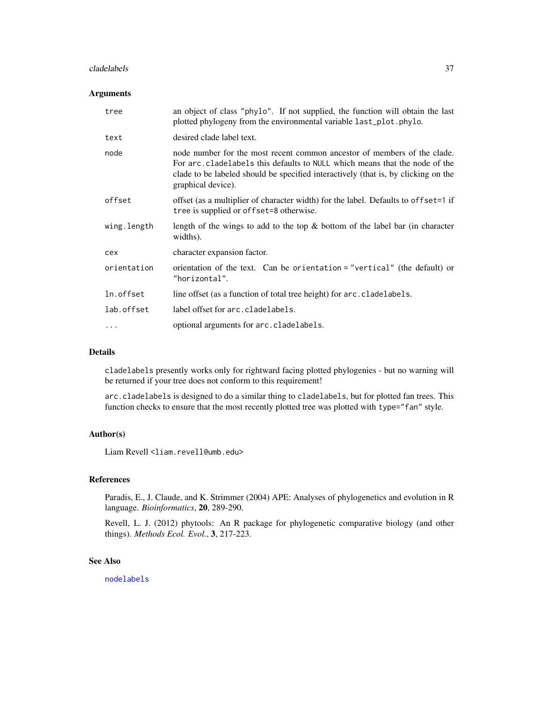#### cladelabels 37

### Arguments

| tree        | an object of class "phylo". If not supplied, the function will obtain the last<br>plotted phylogeny from the environmental variable last_plot.phylo.                                                                                                               |
|-------------|--------------------------------------------------------------------------------------------------------------------------------------------------------------------------------------------------------------------------------------------------------------------|
| text        | desired clade label text.                                                                                                                                                                                                                                          |
| node        | node number for the most recent common ancestor of members of the clade.<br>For arc.cladelabels this defaults to NULL which means that the node of the<br>clade to be labeled should be specified interactively (that is, by clicking on the<br>graphical device). |
| offset      | offset (as a multiplier of character width) for the label. Defaults to offset=1 if<br>tree is supplied or offset=8 otherwise.                                                                                                                                      |
| wing.length | length of the wings to add to the top $\&$ bottom of the label bar (in character<br>widths).                                                                                                                                                                       |
| cex         | character expansion factor.                                                                                                                                                                                                                                        |
| orientation | orientation of the text. Can be orientation = "vertical" (the default) or<br>"horizontal".                                                                                                                                                                         |
| ln.offset   | line offset (as a function of total tree height) for arc.cladelabels.                                                                                                                                                                                              |
| lab.offset  | label offset for arc. cladelabels.                                                                                                                                                                                                                                 |
| $\cdots$    | optional arguments for arc.cladelabels.                                                                                                                                                                                                                            |

# Details

cladelabels presently works only for rightward facing plotted phylogenies - but no warning will be returned if your tree does not conform to this requirement!

arc.cladelabels is designed to do a similar thing to cladelabels, but for plotted fan trees. This function checks to ensure that the most recently plotted tree was plotted with type="fan" style.

## Author(s)

Liam Revell <liam.revell@umb.edu>

## References

Paradis, E., J. Claude, and K. Strimmer (2004) APE: Analyses of phylogenetics and evolution in R language. *Bioinformatics*, 20, 289-290.

Revell, L. J. (2012) phytools: An R package for phylogenetic comparative biology (and other things). *Methods Ecol. Evol.*, 3, 217-223.

# See Also

[nodelabels](#page-0-0)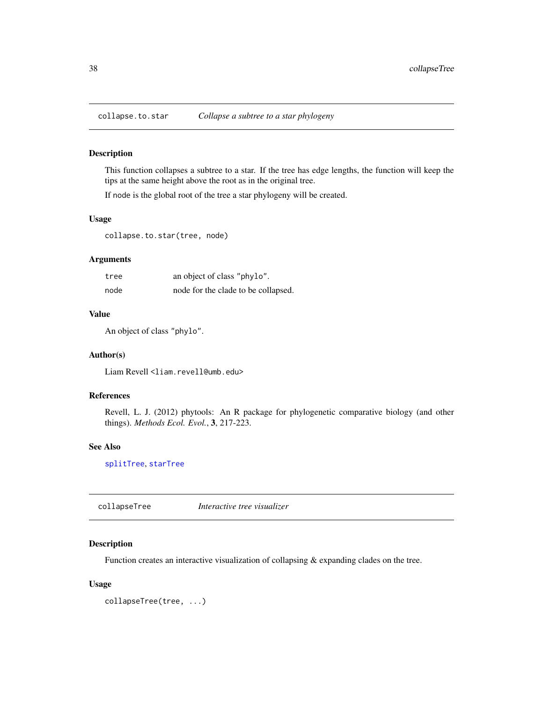This function collapses a subtree to a star. If the tree has edge lengths, the function will keep the tips at the same height above the root as in the original tree.

If node is the global root of the tree a star phylogeny will be created.

### Usage

collapse.to.star(tree, node)

# Arguments

| tree | an object of class "phylo".         |
|------|-------------------------------------|
| node | node for the clade to be collapsed. |

### Value

An object of class "phylo".

#### Author(s)

Liam Revell <liam.revell@umb.edu>

# References

Revell, L. J. (2012) phytools: An R package for phylogenetic comparative biology (and other things). *Methods Ecol. Evol.*, 3, 217-223.

#### See Also

[splitTree](#page-199-0), [starTree](#page-200-0)

collapseTree *Interactive tree visualizer*

### Description

Function creates an interactive visualization of collapsing & expanding clades on the tree.

```
collapseTree(tree, ...)
```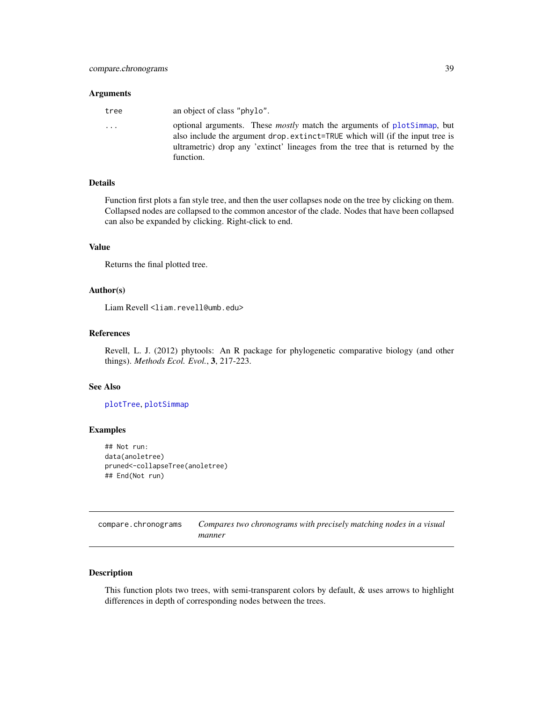#### Arguments

| an object of class "phylo".<br>tree                                                                                                                                                                                                                                 |  |
|---------------------------------------------------------------------------------------------------------------------------------------------------------------------------------------------------------------------------------------------------------------------|--|
| optional arguments. These <i>mostly</i> match the arguments of plotSimmap, but<br>.<br>also include the argument drop. extinct=TRUE which will (if the input tree is<br>ultrametric) drop any 'extinct' lineages from the tree that is returned by the<br>function. |  |

### Details

Function first plots a fan style tree, and then the user collapses node on the tree by clicking on them. Collapsed nodes are collapsed to the common ancestor of the clade. Nodes that have been collapsed can also be expanded by clicking. Right-click to end.

# Value

Returns the final plotted tree.

### Author(s)

Liam Revell <liam.revell@umb.edu>

#### References

Revell, L. J. (2012) phytools: An R package for phylogenetic comparative biology (and other things). *Methods Ecol. Evol.*, 3, 217-223.

#### See Also

[plotTree](#page-163-0), [plotSimmap](#page-160-0)

# Examples

```
## Not run:
data(anoletree)
pruned<-collapseTree(anoletree)
## End(Not run)
```

| compare.chronograms | Compares two chronograms with precisely matching nodes in a visual |
|---------------------|--------------------------------------------------------------------|
|                     | manner                                                             |

# Description

This function plots two trees, with semi-transparent colors by default, & uses arrows to highlight differences in depth of corresponding nodes between the trees.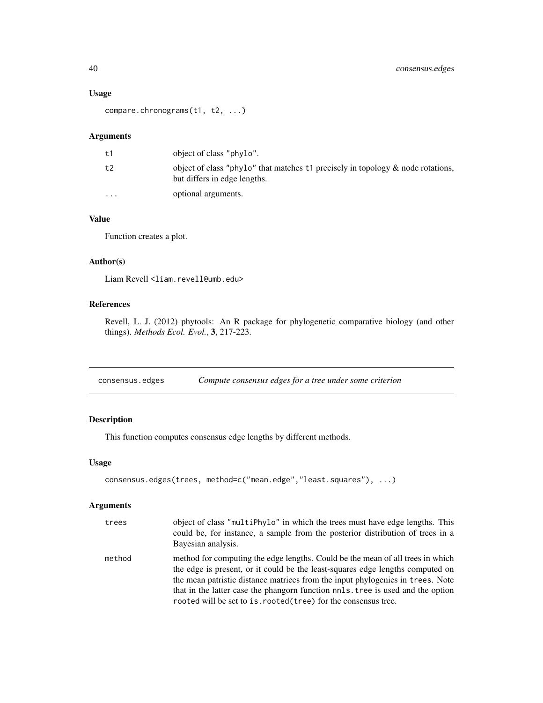### Usage

compare.chronograms(t1, t2, ...)

# Arguments

| t 1                  | object of class "phylo".                                                                                           |
|----------------------|--------------------------------------------------------------------------------------------------------------------|
| t2                   | object of class "phylo" that matches $t_1$ precisely in topology & node rotations,<br>but differs in edge lengths. |
| $\ddot{\phantom{0}}$ | optional arguments.                                                                                                |

# Value

Function creates a plot.

## Author(s)

Liam Revell <liam.revell@umb.edu>

## References

Revell, L. J. (2012) phytools: An R package for phylogenetic comparative biology (and other things). *Methods Ecol. Evol.*, 3, 217-223.

consensus.edges *Compute consensus edges for a tree under some criterion*

# Description

This function computes consensus edge lengths by different methods.

#### Usage

```
consensus.edges(trees, method=c("mean.edge","least.squares"), ...)
```
### Arguments

| trees  | object of class "multiphylo" in which the trees must have edge lengths. This<br>could be, for instance, a sample from the posterior distribution of trees in a<br>Bayesian analysis.                                                                                                                                                                                                                     |
|--------|----------------------------------------------------------------------------------------------------------------------------------------------------------------------------------------------------------------------------------------------------------------------------------------------------------------------------------------------------------------------------------------------------------|
| method | method for computing the edge lengths. Could be the mean of all trees in which<br>the edge is present, or it could be the least-squares edge lengths computed on<br>the mean patristic distance matrices from the input phylogenies in trees. Note<br>that in the latter case the phangorn function nnls. tree is used and the option<br>rooted will be set to is. rooted (tree) for the consensus tree. |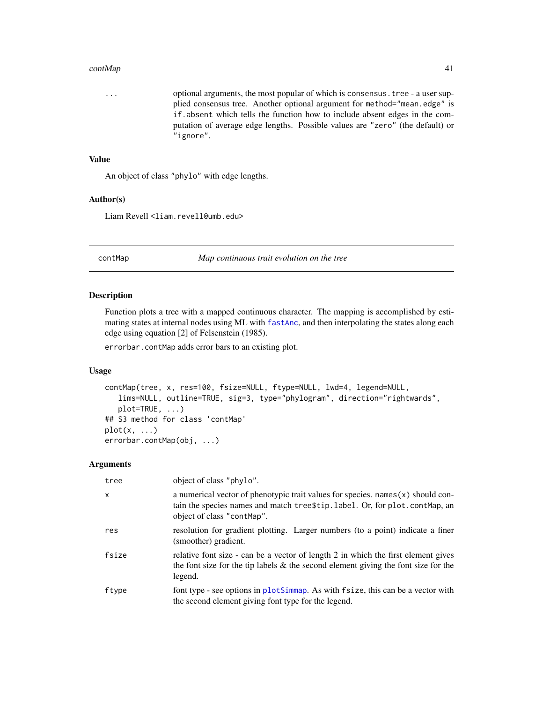#### contMap 41

... optional arguments, the most popular of which is consensus.tree - a user supplied consensus tree. Another optional argument for method="mean.edge" is if.absent which tells the function how to include absent edges in the computation of average edge lengths. Possible values are "zero" (the default) or "ignore".

### Value

An object of class "phylo" with edge lengths.

# Author(s)

Liam Revell <liam.revell@umb.edu>

<span id="page-40-0"></span>contMap *Map continuous trait evolution on the tree*

#### Description

Function plots a tree with a mapped continuous character. The mapping is accomplished by estimating states at internal nodes using ML with [fastAnc](#page-74-0), and then interpolating the states along each edge using equation [2] of Felsenstein (1985).

errorbar.contMap adds error bars to an existing plot.

### Usage

```
contMap(tree, x, res=100, fsize=NULL, ftype=NULL, lwd=4, legend=NULL,
   lims=NULL, outline=TRUE, sig=3, type="phylogram", direction="rightwards",
   plot=TRUE, ...)
## S3 method for class 'contMap'
plot(x, \ldots)errorbar.contMap(obj, ...)
```
#### Arguments

| tree         | object of class "phylo".                                                                                                                                                                          |
|--------------|---------------------------------------------------------------------------------------------------------------------------------------------------------------------------------------------------|
| $\mathsf{x}$ | a numerical vector of phenotypic trait values for species. $names(x)$ should con-<br>tain the species names and match tree \$tip. label. Or, for plot. cont Map, an<br>object of class "contMap". |
| res          | resolution for gradient plotting. Larger numbers (to a point) indicate a finer<br>(smoother) gradient.                                                                                            |
| fsize        | relative font size - can be a vector of length 2 in which the first element gives<br>the font size for the tip labels $\&$ the second element giving the font size for the<br>legend.             |
| ftype        | font type - see options in plotSimmap. As with fsize, this can be a vector with<br>the second element giving font type for the legend.                                                            |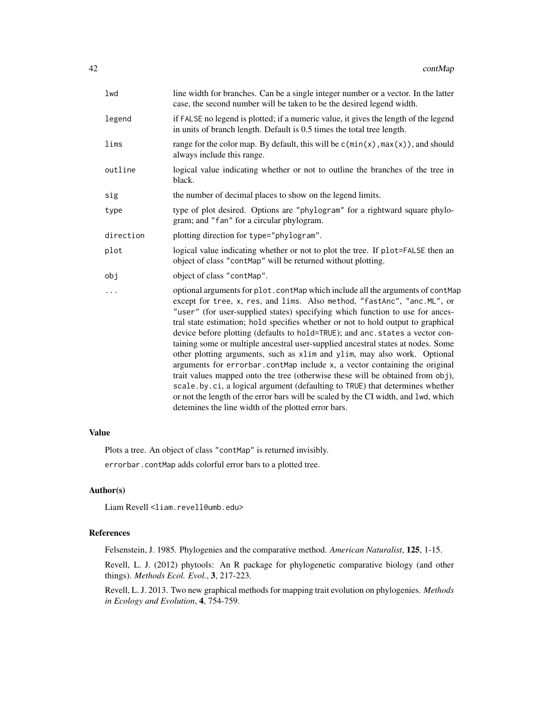| lwd       | line width for branches. Can be a single integer number or a vector. In the latter<br>case, the second number will be taken to be the desired legend width.                                                                                                                                                                                                                                                                                                                                                                                                                                                                                                                                                                                                                                                                                                                                                                                                                  |
|-----------|------------------------------------------------------------------------------------------------------------------------------------------------------------------------------------------------------------------------------------------------------------------------------------------------------------------------------------------------------------------------------------------------------------------------------------------------------------------------------------------------------------------------------------------------------------------------------------------------------------------------------------------------------------------------------------------------------------------------------------------------------------------------------------------------------------------------------------------------------------------------------------------------------------------------------------------------------------------------------|
| legend    | if FALSE no legend is plotted; if a numeric value, it gives the length of the legend<br>in units of branch length. Default is 0.5 times the total tree length.                                                                                                                                                                                                                                                                                                                                                                                                                                                                                                                                                                                                                                                                                                                                                                                                               |
| lims      | range for the color map. By default, this will be $c(min(x), max(x))$ , and should<br>always include this range.                                                                                                                                                                                                                                                                                                                                                                                                                                                                                                                                                                                                                                                                                                                                                                                                                                                             |
| outline   | logical value indicating whether or not to outline the branches of the tree in<br>black.                                                                                                                                                                                                                                                                                                                                                                                                                                                                                                                                                                                                                                                                                                                                                                                                                                                                                     |
| sig       | the number of decimal places to show on the legend limits.                                                                                                                                                                                                                                                                                                                                                                                                                                                                                                                                                                                                                                                                                                                                                                                                                                                                                                                   |
| type      | type of plot desired. Options are "phylogram" for a rightward square phylo-<br>gram; and "fan" for a circular phylogram.                                                                                                                                                                                                                                                                                                                                                                                                                                                                                                                                                                                                                                                                                                                                                                                                                                                     |
| direction | plotting direction for type="phylogram".                                                                                                                                                                                                                                                                                                                                                                                                                                                                                                                                                                                                                                                                                                                                                                                                                                                                                                                                     |
| plot      | logical value indicating whether or not to plot the tree. If plot=FALSE then an<br>object of class "contMap" will be returned without plotting.                                                                                                                                                                                                                                                                                                                                                                                                                                                                                                                                                                                                                                                                                                                                                                                                                              |
| obj       | object of class "contMap".                                                                                                                                                                                                                                                                                                                                                                                                                                                                                                                                                                                                                                                                                                                                                                                                                                                                                                                                                   |
| .         | optional arguments for plot.contMap which include all the arguments of contMap<br>except for tree, x, res, and lims. Also method, "fastAnc", "anc. ML", or<br>"user" (for user-supplied states) specifying which function to use for ances-<br>tral state estimation; hold specifies whether or not to hold output to graphical<br>device before plotting (defaults to hold=TRUE); and anc.states a vector con-<br>taining some or multiple ancestral user-supplied ancestral states at nodes. Some<br>other plotting arguments, such as xlim and ylim, may also work. Optional<br>arguments for errorbar.contMap include x, a vector containing the original<br>trait values mapped onto the tree (otherwise these will be obtained from obj),<br>scale.by.ci, a logical argument (defaulting to TRUE) that determines whether<br>or not the length of the error bars will be scaled by the CI width, and lwd, which<br>detemines the line width of the plotted error bars. |

# Value

Plots a tree. An object of class "contMap" is returned invisibly. errorbar.contMap adds colorful error bars to a plotted tree.

# Author(s)

Liam Revell <liam.revell@umb.edu>

# References

Felsenstein, J. 1985. Phylogenies and the comparative method. *American Naturalist*, 125, 1-15.

Revell, L. J. (2012) phytools: An R package for phylogenetic comparative biology (and other things). *Methods Ecol. Evol.*, 3, 217-223.

Revell, L. J. 2013. Two new graphical methods for mapping trait evolution on phylogenies. *Methods in Ecology and Evolution*, 4, 754-759.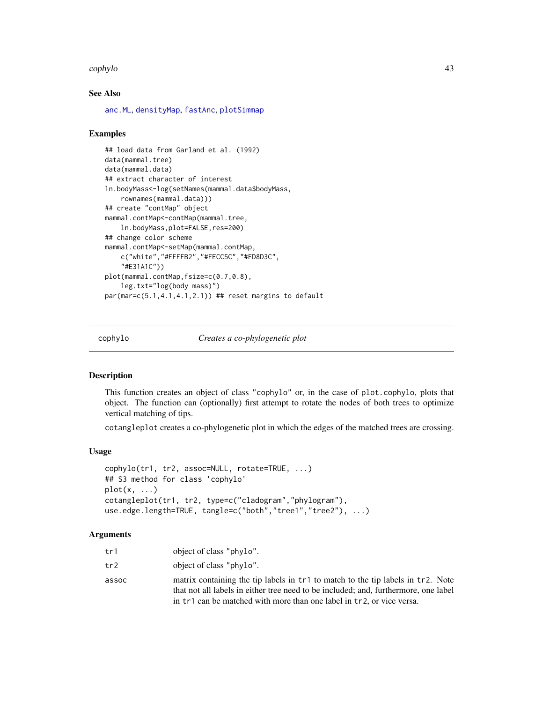#### cophylo 43

### See Also

[anc.ML](#page-16-0), [densityMap](#page-48-0), [fastAnc](#page-74-0), [plotSimmap](#page-160-0)

#### Examples

```
## load data from Garland et al. (1992)
data(mammal.tree)
data(mammal.data)
## extract character of interest
ln.bodyMass<-log(setNames(mammal.data$bodyMass,
    rownames(mammal.data)))
## create "contMap" object
mammal.contMap<-contMap(mammal.tree,
    ln.bodyMass,plot=FALSE,res=200)
## change color scheme
mammal.contMap<-setMap(mammal.contMap,
    c("white","#FFFFB2","#FECC5C","#FD8D3C",
    "#E31A1C"))
plot(mammal.contMap,fsize=c(0.7,0.8),
    leg.txt="log(body mass)")
par(mar=c(5.1,4.1,4.1,2.1)) ## reset margins to default
```
<span id="page-42-0"></span>cophylo *Creates a co-phylogenetic plot*

# Description

This function creates an object of class "cophylo" or, in the case of plot.cophylo, plots that object. The function can (optionally) first attempt to rotate the nodes of both trees to optimize vertical matching of tips.

cotangleplot creates a co-phylogenetic plot in which the edges of the matched trees are crossing.

### Usage

```
cophylo(tr1, tr2, assoc=NULL, rotate=TRUE, ...)
## S3 method for class 'cophylo'
plot(x, \ldots)cotangleplot(tr1, tr2, type=c("cladogram","phylogram"),
use.edge.length=TRUE, tangle=c("both","tree1","tree2"), ...)
```
#### **Arguments**

| tr1   | object of class "phylo".                                                                                                                                                                                                                        |
|-------|-------------------------------------------------------------------------------------------------------------------------------------------------------------------------------------------------------------------------------------------------|
| tr2   | object of class "phylo".                                                                                                                                                                                                                        |
| assoc | matrix containing the tip labels in tr1 to match to the tip labels in tr2. Note<br>that not all labels in either tree need to be included; and, furthermore, one label<br>in tr1 can be matched with more than one label in tr2, or vice versa. |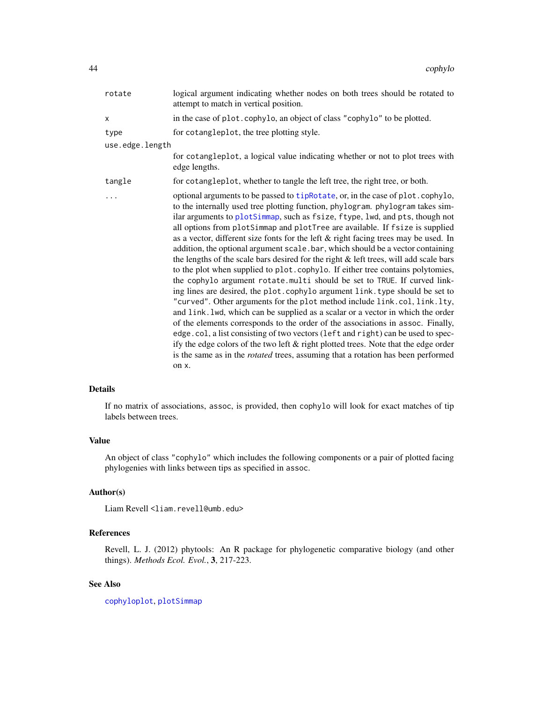| rotate          | logical argument indicating whether nodes on both trees should be rotated to<br>attempt to match in vertical position.                                                                                                                                                                                                                                                                                                                                                                                                                                                                                                                                                                                                                                                                                                                                                                                                                                                                                                                                                                                                                                                                                                                                                                                                                                                            |
|-----------------|-----------------------------------------------------------------------------------------------------------------------------------------------------------------------------------------------------------------------------------------------------------------------------------------------------------------------------------------------------------------------------------------------------------------------------------------------------------------------------------------------------------------------------------------------------------------------------------------------------------------------------------------------------------------------------------------------------------------------------------------------------------------------------------------------------------------------------------------------------------------------------------------------------------------------------------------------------------------------------------------------------------------------------------------------------------------------------------------------------------------------------------------------------------------------------------------------------------------------------------------------------------------------------------------------------------------------------------------------------------------------------------|
| X               | in the case of plot. cophylo, an object of class "cophylo" to be plotted.                                                                                                                                                                                                                                                                                                                                                                                                                                                                                                                                                                                                                                                                                                                                                                                                                                                                                                                                                                                                                                                                                                                                                                                                                                                                                                         |
| type            | for cotangleplot, the tree plotting style.                                                                                                                                                                                                                                                                                                                                                                                                                                                                                                                                                                                                                                                                                                                                                                                                                                                                                                                                                                                                                                                                                                                                                                                                                                                                                                                                        |
| use.edge.length |                                                                                                                                                                                                                                                                                                                                                                                                                                                                                                                                                                                                                                                                                                                                                                                                                                                                                                                                                                                                                                                                                                                                                                                                                                                                                                                                                                                   |
|                 | for cotangleplot, a logical value indicating whether or not to plot trees with<br>edge lengths.                                                                                                                                                                                                                                                                                                                                                                                                                                                                                                                                                                                                                                                                                                                                                                                                                                                                                                                                                                                                                                                                                                                                                                                                                                                                                   |
| tangle          | for cotangleplot, whether to tangle the left tree, the right tree, or both.                                                                                                                                                                                                                                                                                                                                                                                                                                                                                                                                                                                                                                                                                                                                                                                                                                                                                                                                                                                                                                                                                                                                                                                                                                                                                                       |
| .               | optional arguments to be passed to tipRotate, or, in the case of plot.cophylo,<br>to the internally used tree plotting function, phylogram. phylogram takes sim-<br>ilar arguments to plotSimmap, such as fsize, ftype, lwd, and pts, though not<br>all options from plotSimmap and plotTree are available. If fsize is supplied<br>as a vector, different size fonts for the left & right facing trees may be used. In<br>addition, the optional argument scale.bar, which should be a vector containing<br>the lengths of the scale bars desired for the right & left trees, will add scale bars<br>to the plot when supplied to plot.cophylo. If either tree contains polytomies,<br>the cophylo argument rotate.multi should be set to TRUE. If curved link-<br>ing lines are desired, the plot.cophylo argument link.type should be set to<br>"curved". Other arguments for the plot method include link.col, link.lty,<br>and link. lwd, which can be supplied as a scalar or a vector in which the order<br>of the elements corresponds to the order of the associations in assoc. Finally,<br>edge.col, a list consisting of two vectors (left and right) can be used to spec-<br>ify the edge colors of the two left & right plotted trees. Note that the edge order<br>is the same as in the <i>rotated</i> trees, assuming that a rotation has been performed<br>on x. |

### Details

If no matrix of associations, assoc, is provided, then cophylo will look for exact matches of tip labels between trees.

#### Value

An object of class "cophylo" which includes the following components or a pair of plotted facing phylogenies with links between tips as specified in assoc.

# Author(s)

Liam Revell <liam.revell@umb.edu>

# References

Revell, L. J. (2012) phytools: An R package for phylogenetic comparative biology (and other things). *Methods Ecol. Evol.*, 3, 217-223.

# See Also

[cophyloplot](#page-0-0), [plotSimmap](#page-160-0)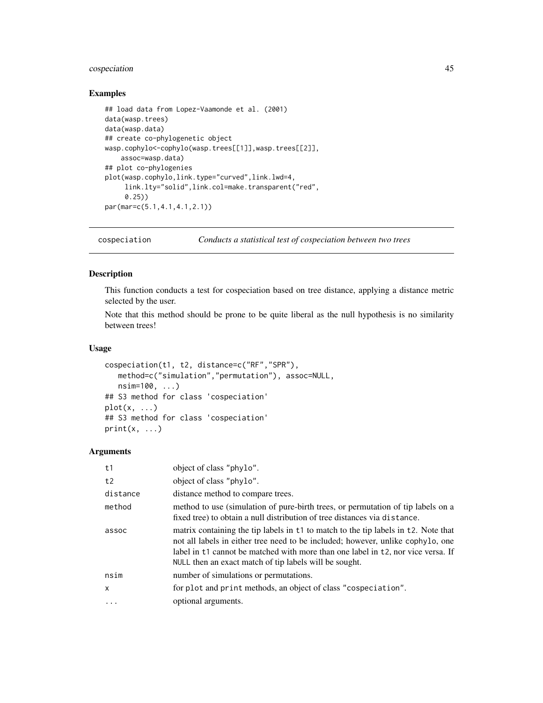# cospeciation 45

# Examples

```
## load data from Lopez-Vaamonde et al. (2001)
data(wasp.trees)
data(wasp.data)
## create co-phylogenetic object
wasp.cophylo<-cophylo(wasp.trees[[1]],wasp.trees[[2]],
    assoc=wasp.data)
## plot co-phylogenies
plot(wasp.cophylo,link.type="curved",link.lwd=4,
     link.lty="solid",link.col=make.transparent("red",
     0.25))
par(mar=c(5.1,4.1,4.1,2.1))
```
cospeciation *Conducts a statistical test of cospeciation between two trees*

### Description

This function conducts a test for cospeciation based on tree distance, applying a distance metric selected by the user.

Note that this method should be prone to be quite liberal as the null hypothesis is no similarity between trees!

#### Usage

```
cospeciation(t1, t2, distance=c("RF","SPR"),
   method=c("simulation","permutation"), assoc=NULL,
   nsim=100, ...)
## S3 method for class 'cospeciation'
plot(x, \ldots)## S3 method for class 'cospeciation'
print(x, \ldots)
```
#### Arguments

| object of class "phylo".                                                                                                                                                                                                                                                                                            |
|---------------------------------------------------------------------------------------------------------------------------------------------------------------------------------------------------------------------------------------------------------------------------------------------------------------------|
| object of class "phylo".                                                                                                                                                                                                                                                                                            |
| distance method to compare trees.                                                                                                                                                                                                                                                                                   |
| method to use (simulation of pure-birth trees, or permutation of tip labels on a<br>fixed tree) to obtain a null distribution of tree distances via distance.                                                                                                                                                       |
| matrix containing the tip labels in t1 to match to the tip labels in t2. Note that<br>not all labels in either tree need to be included; however, unlike cophylo, one<br>label in t1 cannot be matched with more than one label in t2, nor vice versa. If<br>NULL then an exact match of tip labels will be sought. |
| number of simulations or permutations.                                                                                                                                                                                                                                                                              |
| for plot and print methods, an object of class "cospeciation".                                                                                                                                                                                                                                                      |
| optional arguments.                                                                                                                                                                                                                                                                                                 |
|                                                                                                                                                                                                                                                                                                                     |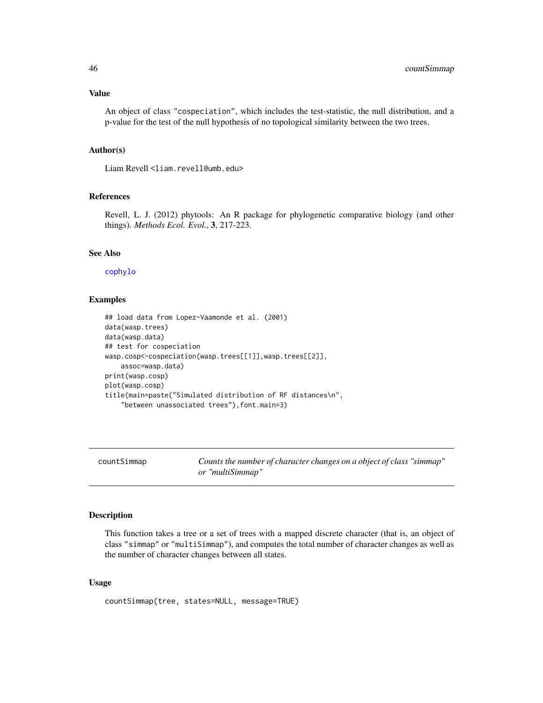# Value

An object of class "cospeciation", which includes the test-statistic, the null distribution, and a p-value for the test of the null hypothesis of no topological similarity between the two trees.

### Author(s)

Liam Revell <liam.revell@umb.edu>

### References

Revell, L. J. (2012) phytools: An R package for phylogenetic comparative biology (and other things). *Methods Ecol. Evol.*, 3, 217-223.

# See Also

#### [cophylo](#page-42-0)

### Examples

```
## load data from Lopez-Vaamonde et al. (2001)
data(wasp.trees)
data(wasp.data)
## test for cospeciation
wasp.cosp<-cospeciation(wasp.trees[[1]],wasp.trees[[2]],
    assoc=wasp.data)
print(wasp.cosp)
plot(wasp.cosp)
title(main=paste("Simulated distribution of RF distances\n",
    "between unassociated trees"),font.main=3)
```
<span id="page-45-0"></span>countSimmap *Counts the number of character changes on a object of class "simmap" or "multiSimmap"*

### Description

This function takes a tree or a set of trees with a mapped discrete character (that is, an object of class "simmap" or "multiSimmap"), and computes the total number of character changes as well as the number of character changes between all states.

```
countSimmap(tree, states=NULL, message=TRUE)
```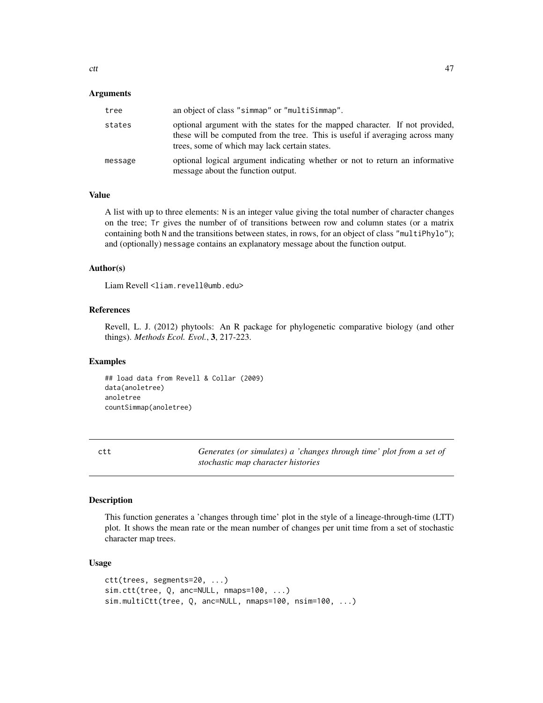### Arguments

| tree    | an object of class "simmap" or "multiSimmap".                                                                                                                                                                  |
|---------|----------------------------------------------------------------------------------------------------------------------------------------------------------------------------------------------------------------|
| states  | optional argument with the states for the mapped character. If not provided,<br>these will be computed from the tree. This is useful if averaging across many<br>trees, some of which may lack certain states. |
| message | optional logical argument indicating whether or not to return an informative<br>message about the function output.                                                                                             |

# Value

A list with up to three elements: N is an integer value giving the total number of character changes on the tree; Tr gives the number of of transitions between row and column states (or a matrix containing both N and the transitions between states, in rows, for an object of class "multiPhylo"); and (optionally) message contains an explanatory message about the function output.

### Author(s)

Liam Revell <liam.revell@umb.edu>

# References

Revell, L. J. (2012) phytools: An R package for phylogenetic comparative biology (and other things). *Methods Ecol. Evol.*, 3, 217-223.

# Examples

## load data from Revell & Collar (2009) data(anoletree) anoletree countSimmap(anoletree)

ctt *Generates (or simulates) a 'changes through time' plot from a set of stochastic map character histories*

#### Description

This function generates a 'changes through time' plot in the style of a lineage-through-time (LTT) plot. It shows the mean rate or the mean number of changes per unit time from a set of stochastic character map trees.

```
ctt(trees, segments=20, ...)
sim.ctt(tree, Q, anc=NULL, nmaps=100, ...)
sim.multiCtt(tree, Q, anc=NULL, nmaps=100, nsim=100, ...)
```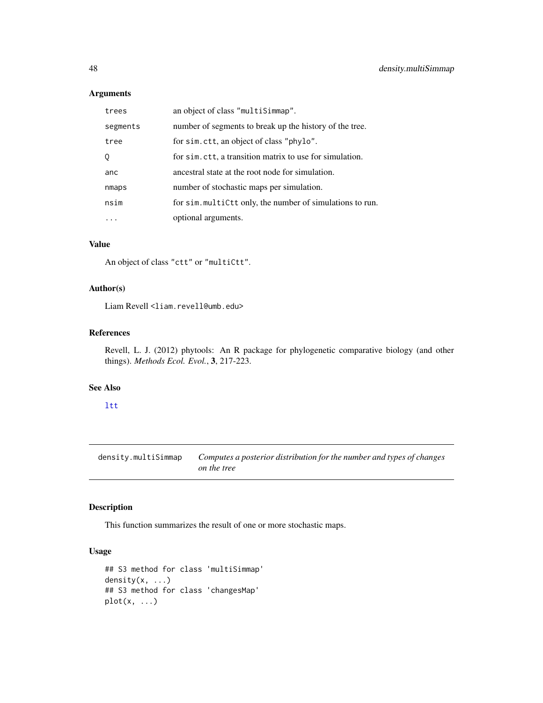# Arguments

| trees    | an object of class "multiSimmap".                         |
|----------|-----------------------------------------------------------|
| segments | number of segments to break up the history of the tree.   |
| tree     | for sim. ctt, an object of class "phylo".                 |
| 0        | for sim. ctt, a transition matrix to use for simulation.  |
| anc      | ancestral state at the root node for simulation.          |
| nmaps    | number of stochastic maps per simulation.                 |
| nsim     | for sim. multiCtt only, the number of simulations to run. |
|          | optional arguments.                                       |

# Value

An object of class "ctt" or "multiCtt".

# Author(s)

Liam Revell <liam.revell@umb.edu>

### References

Revell, L. J. (2012) phytools: An R package for phylogenetic comparative biology (and other things). *Methods Ecol. Evol.*, 3, 217-223.

### See Also

## [ltt](#page-103-0)

density.multiSimmap *Computes a posterior distribution for the number and types of changes on the tree*

# Description

This function summarizes the result of one or more stochastic maps.

```
## S3 method for class 'multiSimmap'
density(x, ...)
## S3 method for class 'changesMap'
plot(x, \ldots)
```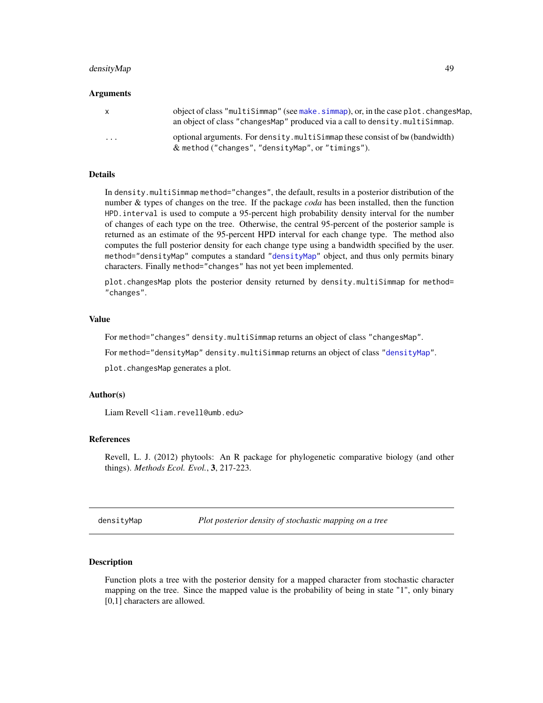### densityMap 49

#### Arguments

| X.       | object of class "multiSimmap" (see make.simmap), or, in the case plot.changesMap,<br>an object of class "changes Map" produced via a call to density. multiSimmap. |
|----------|--------------------------------------------------------------------------------------------------------------------------------------------------------------------|
| $\cdots$ | optional arguments. For density multisimizing these consist of bw (bandwidth)<br>$\&$ method ("changes", "densityMap", or "timings").                              |

#### **Details**

In density.multiSimmap method="changes", the default, results in a posterior distribution of the number & types of changes on the tree. If the package *coda* has been installed, then the function HPD.interval is used to compute a 95-percent high probability density interval for the number of changes of each type on the tree. Otherwise, the central 95-percent of the posterior sample is returned as an estimate of the 95-percent HPD interval for each change type. The method also computes the full posterior density for each change type using a bandwidth specified by the user. method="densityMap" computes a standard ["densityMap"](#page-48-0) object, and thus only permits binary characters. Finally method="changes" has not yet been implemented.

plot.changesMap plots the posterior density returned by density.multiSimmap for method= "changes".

### Value

For method="changes" density.multiSimmap returns an object of class "changesMap".

For method="densityMap" density.multiSimmap returns an object of class ["densityMap"](#page-48-0).

plot.changesMap generates a plot.

### Author(s)

Liam Revell <liam.revell@umb.edu>

### References

Revell, L. J. (2012) phytools: An R package for phylogenetic comparative biology (and other things). *Methods Ecol. Evol.*, 3, 217-223.

<span id="page-48-0"></span>densityMap *Plot posterior density of stochastic mapping on a tree*

#### Description

Function plots a tree with the posterior density for a mapped character from stochastic character mapping on the tree. Since the mapped value is the probability of being in state "1", only binary [0,1] characters are allowed.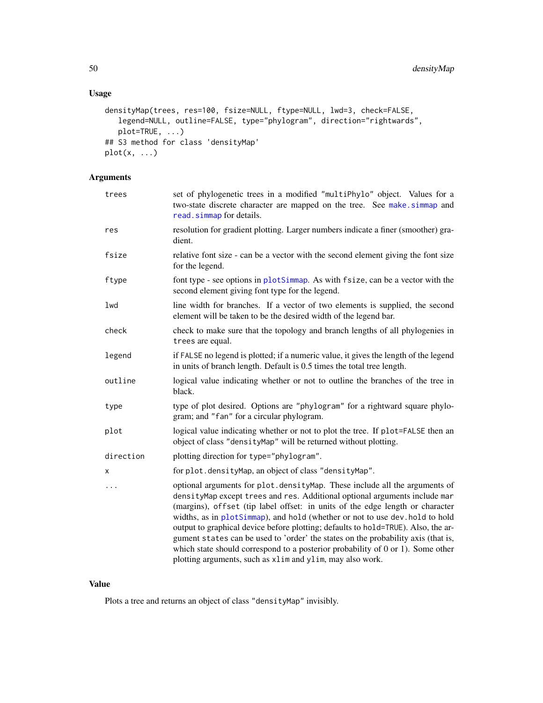# Usage

```
densityMap(trees, res=100, fsize=NULL, ftype=NULL, lwd=3, check=FALSE,
  legend=NULL, outline=FALSE, type="phylogram", direction="rightwards",
   plot=TRUE, ...)
## S3 method for class 'densityMap'
plot(x, \ldots)
```
# Arguments

| trees     | set of phylogenetic trees in a modified "multiPhylo" object. Values for a<br>two-state discrete character are mapped on the tree. See make.simmap and<br>read.simmap for details.                                                                                                                                                                                                                                                                                                                                                                                                                                                                        |
|-----------|----------------------------------------------------------------------------------------------------------------------------------------------------------------------------------------------------------------------------------------------------------------------------------------------------------------------------------------------------------------------------------------------------------------------------------------------------------------------------------------------------------------------------------------------------------------------------------------------------------------------------------------------------------|
| res       | resolution for gradient plotting. Larger numbers indicate a finer (smoother) gra-<br>dient.                                                                                                                                                                                                                                                                                                                                                                                                                                                                                                                                                              |
| fsize     | relative font size - can be a vector with the second element giving the font size<br>for the legend.                                                                                                                                                                                                                                                                                                                                                                                                                                                                                                                                                     |
| ftype     | font type - see options in plotSimmap. As with fsize, can be a vector with the<br>second element giving font type for the legend.                                                                                                                                                                                                                                                                                                                                                                                                                                                                                                                        |
| lwd       | line width for branches. If a vector of two elements is supplied, the second<br>element will be taken to be the desired width of the legend bar.                                                                                                                                                                                                                                                                                                                                                                                                                                                                                                         |
| check     | check to make sure that the topology and branch lengths of all phylogenies in<br>trees are equal.                                                                                                                                                                                                                                                                                                                                                                                                                                                                                                                                                        |
| legend    | if FALSE no legend is plotted; if a numeric value, it gives the length of the legend<br>in units of branch length. Default is 0.5 times the total tree length.                                                                                                                                                                                                                                                                                                                                                                                                                                                                                           |
| outline   | logical value indicating whether or not to outline the branches of the tree in<br>black.                                                                                                                                                                                                                                                                                                                                                                                                                                                                                                                                                                 |
| type      | type of plot desired. Options are "phylogram" for a rightward square phylo-<br>gram; and "fan" for a circular phylogram.                                                                                                                                                                                                                                                                                                                                                                                                                                                                                                                                 |
| plot      | logical value indicating whether or not to plot the tree. If plot=FALSE then an<br>object of class "densityMap" will be returned without plotting.                                                                                                                                                                                                                                                                                                                                                                                                                                                                                                       |
| direction | plotting direction for type="phylogram".                                                                                                                                                                                                                                                                                                                                                                                                                                                                                                                                                                                                                 |
| X         | for plot.densityMap, an object of class "densityMap".                                                                                                                                                                                                                                                                                                                                                                                                                                                                                                                                                                                                    |
| .         | optional arguments for plot.densityMap. These include all the arguments of<br>densityMap except trees and res. Additional optional arguments include mar<br>(margins), offset (tip label offset: in units of the edge length or character<br>widths, as in plotSimmap), and hold (whether or not to use dev. hold to hold<br>output to graphical device before plotting; defaults to hold=TRUE). Also, the ar-<br>gument states can be used to 'order' the states on the probability axis (that is,<br>which state should correspond to a posterior probability of $0$ or $1$ ). Some other<br>plotting arguments, such as xlim and ylim, may also work. |

### Value

Plots a tree and returns an object of class "densityMap" invisibly.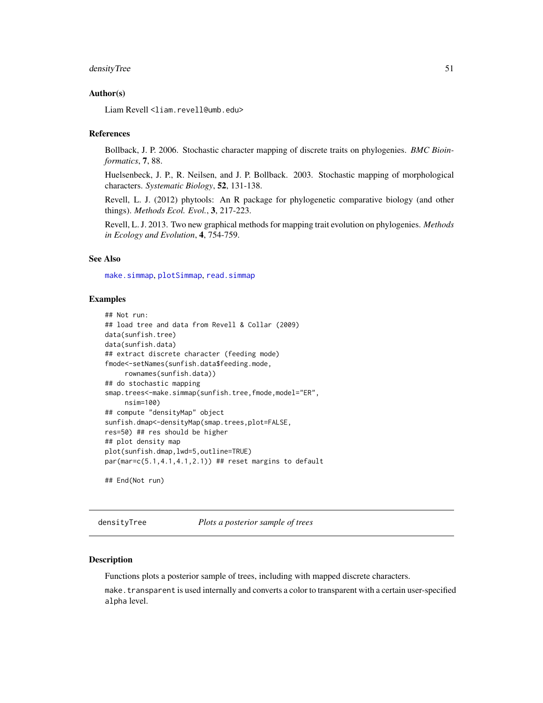## densityTree 51

### Author(s)

Liam Revell <liam.revell@umb.edu>

#### References

Bollback, J. P. 2006. Stochastic character mapping of discrete traits on phylogenies. *BMC Bioinformatics*, 7, 88.

Huelsenbeck, J. P., R. Neilsen, and J. P. Bollback. 2003. Stochastic mapping of morphological characters. *Systematic Biology*, 52, 131-138.

Revell, L. J. (2012) phytools: An R package for phylogenetic comparative biology (and other things). *Methods Ecol. Evol.*, 3, 217-223.

Revell, L. J. 2013. Two new graphical methods for mapping trait evolution on phylogenies. *Methods in Ecology and Evolution*, 4, 754-759.

### See Also

[make.simmap](#page-107-0), [plotSimmap](#page-160-0), [read.simmap](#page-176-0)

#### Examples

```
## Not run:
## load tree and data from Revell & Collar (2009)
data(sunfish.tree)
data(sunfish.data)
## extract discrete character (feeding mode)
fmode<-setNames(sunfish.data$feeding.mode,
     rownames(sunfish.data))
## do stochastic mapping
smap.trees<-make.simmap(sunfish.tree,fmode,model="ER",
     nsim=100)
## compute "densityMap" object
sunfish.dmap<-densityMap(smap.trees,plot=FALSE,
res=50) ## res should be higher
## plot density map
plot(sunfish.dmap,lwd=5,outline=TRUE)
par(max=c(5.1,4.1,4.1,2.1)) ## reset margins to default
## End(Not run)
```
densityTree *Plots a posterior sample of trees*

#### Description

Functions plots a posterior sample of trees, including with mapped discrete characters.

make.transparent is used internally and converts a color to transparent with a certain user-specified alpha level.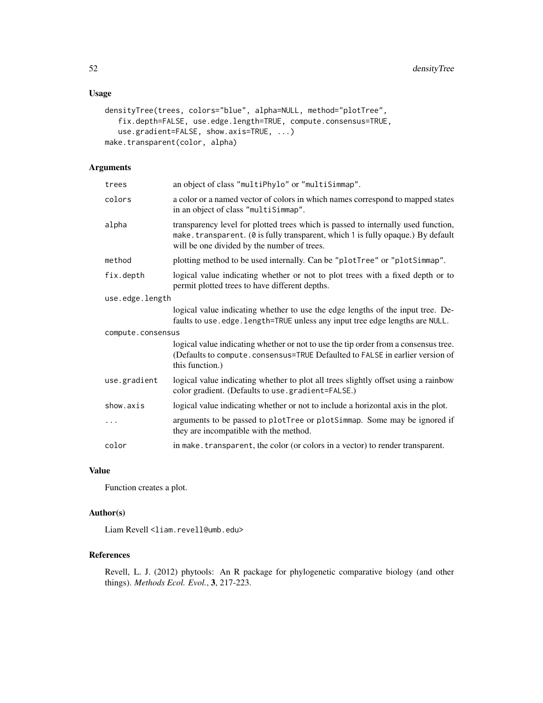# Usage

```
densityTree(trees, colors="blue", alpha=NULL, method="plotTree",
   fix.depth=FALSE, use.edge.length=TRUE, compute.consensus=TRUE,
   use.gradient=FALSE, show.axis=TRUE, ...)
make.transparent(color, alpha)
```
### Arguments

| trees             | an object of class "multiPhylo" or "multiSimmap".                                                                                                                                                                   |  |
|-------------------|---------------------------------------------------------------------------------------------------------------------------------------------------------------------------------------------------------------------|--|
| colors            | a color or a named vector of colors in which names correspond to mapped states<br>in an object of class "multiSimmap".                                                                                              |  |
| alpha             | transparency level for plotted trees which is passed to internally used function,<br>make.transparent. (0 is fully transparent, which 1 is fully opaque.) By default<br>will be one divided by the number of trees. |  |
| method            | plotting method to be used internally. Can be "plotTree" or "plotSimmap".                                                                                                                                           |  |
| fix.depth         | logical value indicating whether or not to plot trees with a fixed depth or to<br>permit plotted trees to have different depths.                                                                                    |  |
| use.edge.length   |                                                                                                                                                                                                                     |  |
|                   | logical value indicating whether to use the edge lengths of the input tree. De-<br>faults to use.edge.length=TRUE unless any input tree edge lengths are NULL.                                                      |  |
| compute.consensus |                                                                                                                                                                                                                     |  |
|                   | logical value indicating whether or not to use the tip order from a consensus tree.<br>(Defaults to compute.consensus=TRUE Defaulted to FALSE in earlier version of<br>this function.)                              |  |
| use.gradient      | logical value indicating whether to plot all trees slightly offset using a rainbow<br>color gradient. (Defaults to use.gradient=FALSE.)                                                                             |  |
| show.axis         | logical value indicating whether or not to include a horizontal axis in the plot.                                                                                                                                   |  |
| .                 | arguments to be passed to plotTree or plotSimmap. Some may be ignored if<br>they are incompatible with the method.                                                                                                  |  |
| color             | in make. transparent, the color (or colors in a vector) to render transparent.                                                                                                                                      |  |

### Value

Function creates a plot.

# Author(s)

Liam Revell <liam.revell@umb.edu>

### References

Revell, L. J. (2012) phytools: An R package for phylogenetic comparative biology (and other things). *Methods Ecol. Evol.*, 3, 217-223.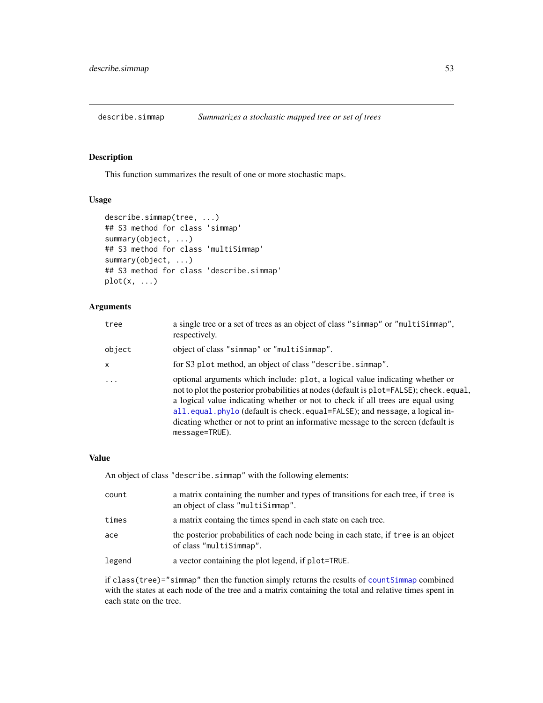This function summarizes the result of one or more stochastic maps.

### Usage

```
describe.simmap(tree, ...)
## S3 method for class 'simmap'
summary(object, ...)
## S3 method for class 'multiSimmap'
summary(object, ...)
## S3 method for class 'describe.simmap'
plot(x, \ldots)
```
# Arguments

| tree                    | a single tree or a set of trees as an object of class "simmap" or "multiSimmap",<br>respectively.                                                                                                                                                                                                                                                                                                                                               |
|-------------------------|-------------------------------------------------------------------------------------------------------------------------------------------------------------------------------------------------------------------------------------------------------------------------------------------------------------------------------------------------------------------------------------------------------------------------------------------------|
| object                  | object of class "simmap" or "multiSimmap".                                                                                                                                                                                                                                                                                                                                                                                                      |
| $\mathsf{x}$            | for S3 plot method, an object of class "describe.simmap".                                                                                                                                                                                                                                                                                                                                                                                       |
| $\cdot$ $\cdot$ $\cdot$ | optional arguments which include: plot, a logical value indicating whether or<br>not to plot the posterior probabilities at nodes (default is plot=FALSE); check.equal,<br>a logical value indicating whether or not to check if all trees are equal using<br>all.equal.phylo (default is check.equal=FALSE); and message, a logical in-<br>dicating whether or not to print an informative message to the screen (default is<br>message=TRUE). |

### Value

An object of class "describe.simmap" with the following elements:

| count  | a matrix containing the number and types of transitions for each tree, if tree is<br>an object of class "multiSimmap". |
|--------|------------------------------------------------------------------------------------------------------------------------|
| times  | a matrix containg the times spend in each state on each tree.                                                          |
| ace    | the posterior probabilities of each node being in each state, if t ree is an object<br>of class "multiSimmap".         |
| legend | a vector containing the plot legend, if plot=TRUE.                                                                     |

if class(tree)="simmap" then the function simply returns the results of [countSimmap](#page-45-0) combined with the states at each node of the tree and a matrix containing the total and relative times spent in each state on the tree.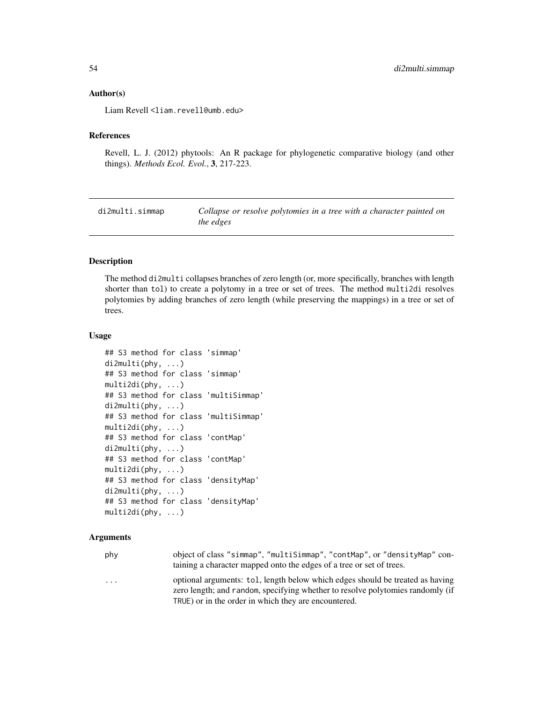#### Author(s)

Liam Revell <liam.revell@umb.edu>

#### References

Revell, L. J. (2012) phytools: An R package for phylogenetic comparative biology (and other things). *Methods Ecol. Evol.*, 3, 217-223.

di2multi.simmap *Collapse or resolve polytomies in a tree with a character painted on the edges*

### Description

The method di2multi collapses branches of zero length (or, more specifically, branches with length shorter than tol) to create a polytomy in a tree or set of trees. The method multi2di resolves polytomies by adding branches of zero length (while preserving the mappings) in a tree or set of trees.

#### Usage

```
## S3 method for class 'simmap'
di2multi(phy, ...)
## S3 method for class 'simmap'
multi2di(phy, ...)
## S3 method for class 'multiSimmap'
di2multi(phy, ...)
## S3 method for class 'multiSimmap'
multi2di(phy, ...)
## S3 method for class 'contMap'
di2multi(phy, ...)
## S3 method for class 'contMap'
multi2di(phy, ...)
## S3 method for class 'densityMap'
di2multi(phy, ...)
## S3 method for class 'densityMap'
multi2di(phy, ...)
```
## Arguments

| phy                     | object of class "simmap", "multiSimmap", "contMap", or "densityMap" con-<br>taining a character mapped onto the edges of a tree or set of trees.                |
|-------------------------|-----------------------------------------------------------------------------------------------------------------------------------------------------------------|
| $\cdot$ $\cdot$ $\cdot$ | optional arguments: tol, length below which edges should be treated as having<br>zero length; and random, specifying whether to resolve polytomies randomly (if |

TRUE) or in the order in which they are encountered.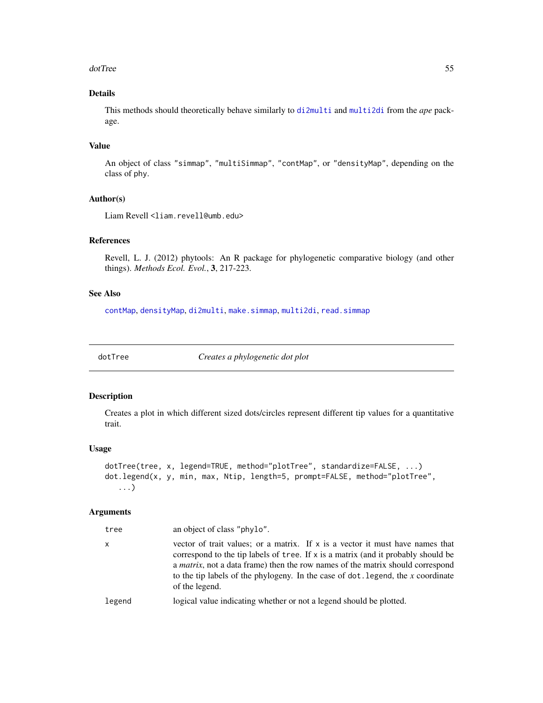#### dotTree 55

# Details

This methods should theoretically behave similarly to [di2multi](#page-0-0) and [multi2di](#page-0-0) from the *ape* package.

# Value

An object of class "simmap", "multiSimmap", "contMap", or "densityMap", depending on the class of phy.

### Author(s)

Liam Revell <liam.revell@umb.edu>

# References

Revell, L. J. (2012) phytools: An R package for phylogenetic comparative biology (and other things). *Methods Ecol. Evol.*, 3, 217-223.

# See Also

[contMap](#page-40-0), [densityMap](#page-48-0), [di2multi](#page-0-0), [make.simmap](#page-107-0), [multi2di](#page-0-0), [read.simmap](#page-176-0)

dotTree *Creates a phylogenetic dot plot*

#### Description

Creates a plot in which different sized dots/circles represent different tip values for a quantitative trait.

### Usage

```
dotTree(tree, x, legend=TRUE, method="plotTree", standardize=FALSE, ...)
dot.legend(x, y, min, max, Ntip, length=5, prompt=FALSE, method="plotTree",
   ...)
```
## Arguments

| tree   | an object of class "phylo".                                                                                                                                                                                                                                                                                                                                             |
|--------|-------------------------------------------------------------------------------------------------------------------------------------------------------------------------------------------------------------------------------------------------------------------------------------------------------------------------------------------------------------------------|
| x      | vector of trait values; or a matrix. If x is a vector it must have names that<br>correspond to the tip labels of tree. If x is a matrix (and it probably should be<br>a <i>matrix</i> , not a data frame) then the row names of the matrix should correspond<br>to the tip labels of the phylogeny. In the case of $dot$ . legend, the $x$ coordinate<br>of the legend. |
| legend | logical value indicating whether or not a legend should be plotted.                                                                                                                                                                                                                                                                                                     |
|        |                                                                                                                                                                                                                                                                                                                                                                         |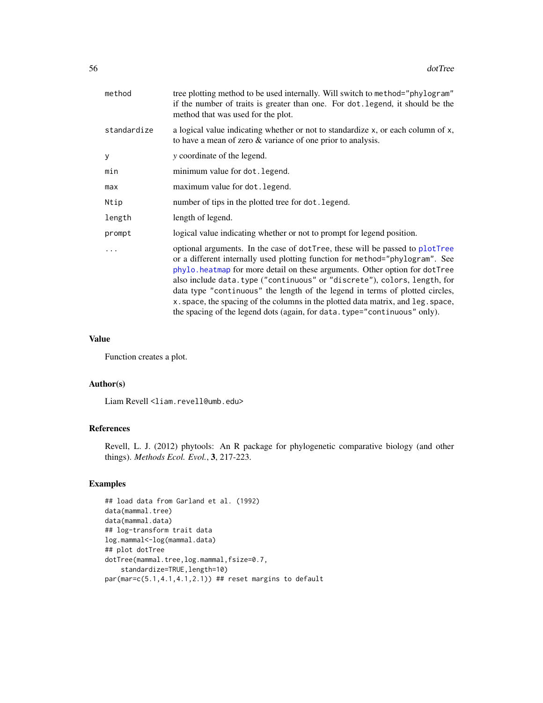| method      | tree plotting method to be used internally. Will switch to method="phylogram"<br>if the number of traits is greater than one. For dot. legend, it should be the<br>method that was used for the plot.                                                                                                                                                                                                                                                                                                                                                                    |
|-------------|--------------------------------------------------------------------------------------------------------------------------------------------------------------------------------------------------------------------------------------------------------------------------------------------------------------------------------------------------------------------------------------------------------------------------------------------------------------------------------------------------------------------------------------------------------------------------|
| standardize | a logical value indicating whether or not to standardize x, or each column of x,<br>to have a mean of zero $&$ variance of one prior to analysis.                                                                                                                                                                                                                                                                                                                                                                                                                        |
| y           | y coordinate of the legend.                                                                                                                                                                                                                                                                                                                                                                                                                                                                                                                                              |
| min         | minimum value for dot. legend.                                                                                                                                                                                                                                                                                                                                                                                                                                                                                                                                           |
| max         | maximum value for dot. legend.                                                                                                                                                                                                                                                                                                                                                                                                                                                                                                                                           |
| Ntip        | number of tips in the plotted tree for dot. legend.                                                                                                                                                                                                                                                                                                                                                                                                                                                                                                                      |
| length      | length of legend.                                                                                                                                                                                                                                                                                                                                                                                                                                                                                                                                                        |
| prompt      | logical value indicating whether or not to prompt for legend position.                                                                                                                                                                                                                                                                                                                                                                                                                                                                                                   |
|             | optional arguments. In the case of dotTree, these will be passed to plotTree<br>or a different internally used plotting function for method="phylogram". See<br>phylo. heatmap for more detail on these arguments. Other option for dotTree<br>also include data.type ("continuous" or "discrete"), colors, length, for<br>data type "continuous" the length of the legend in terms of plotted circles,<br>x. space, the spacing of the columns in the plotted data matrix, and leg. space,<br>the spacing of the legend dots (again, for data. type="continuous" only). |

#### Value

Function creates a plot.

#### Author(s)

Liam Revell <liam.revell@umb.edu>

#### References

Revell, L. J. (2012) phytools: An R package for phylogenetic comparative biology (and other things). *Methods Ecol. Evol.*, 3, 217-223.

# Examples

```
## load data from Garland et al. (1992)
data(mammal.tree)
data(mammal.data)
## log-transform trait data
log.mammal<-log(mammal.data)
## plot dotTree
dotTree(mammal.tree,log.mammal,fsize=0.7,
   standardize=TRUE,length=10)
par(mar=c(5.1,4.1,4.1,2.1)) ## reset margins to default
```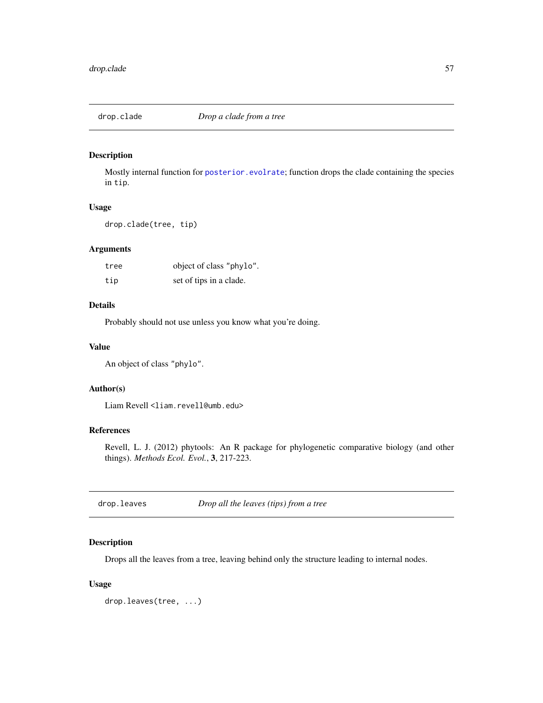Mostly internal function for [posterior.evolrate](#page-168-0); function drops the clade containing the species in tip.

### Usage

drop.clade(tree, tip)

# Arguments

| tree | object of class "phylo". |
|------|--------------------------|
| tip  | set of tips in a clade.  |

### Details

Probably should not use unless you know what you're doing.

### Value

An object of class "phylo".

#### Author(s)

Liam Revell <liam.revell@umb.edu>

# References

Revell, L. J. (2012) phytools: An R package for phylogenetic comparative biology (and other things). *Methods Ecol. Evol.*, 3, 217-223.

drop.leaves *Drop all the leaves (tips) from a tree*

# Description

Drops all the leaves from a tree, leaving behind only the structure leading to internal nodes.

### Usage

drop.leaves(tree, ...)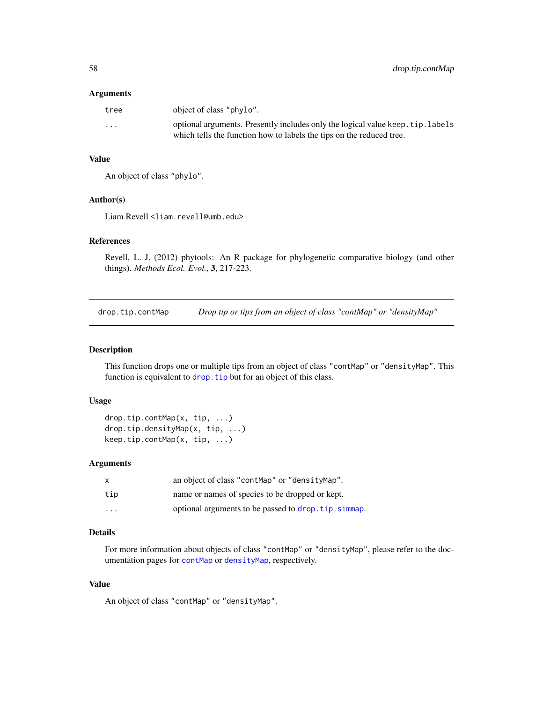#### Arguments

| tree     | object of class "phylo".                                                                                                                                |
|----------|---------------------------------------------------------------------------------------------------------------------------------------------------------|
| $\cdots$ | optional arguments. Presently includes only the logical value keep. tip. labels<br>which tells the function how to labels the tips on the reduced tree. |

### Value

An object of class "phylo".

# Author(s)

Liam Revell <liam.revell@umb.edu>

# References

Revell, L. J. (2012) phytools: An R package for phylogenetic comparative biology (and other things). *Methods Ecol. Evol.*, 3, 217-223.

drop.tip.contMap *Drop tip or tips from an object of class "contMap" or "densityMap"*

#### Description

This function drops one or multiple tips from an object of class "contMap" or "densityMap". This function is equivalent to drop. tip but for an object of this class.

### Usage

```
drop.tip.contMap(x, tip, ...)
drop.tip.densityMap(x, tip, ...)
keep.tip.contMap(x, tip, ...)
```
# Arguments

|          | an object of class "contMap" or "densityMap".       |
|----------|-----------------------------------------------------|
| tip      | name or names of species to be dropped or kept.     |
| $\cdots$ | optional arguments to be passed to drop.tip.simmap. |

# Details

For more information about objects of class "contMap" or "densityMap", please refer to the documentation pages for [contMap](#page-40-0) or [densityMap](#page-48-0), respectively.

### Value

An object of class "contMap" or "densityMap".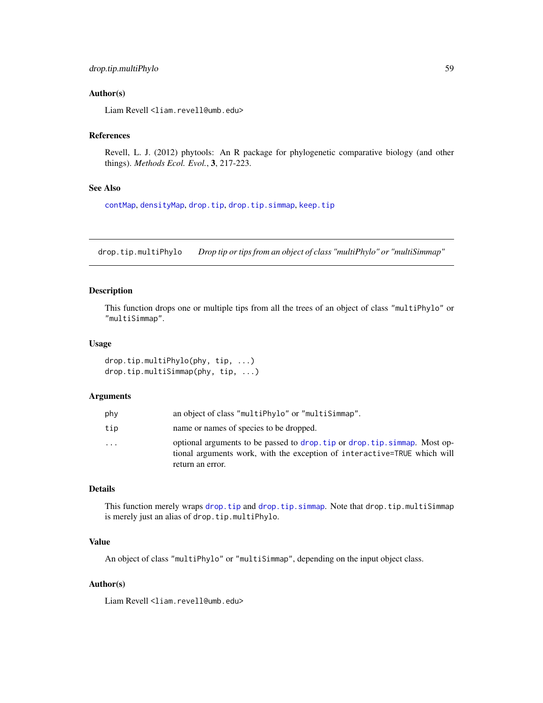# drop.tip.multiPhylo 59

### Author(s)

Liam Revell <liam.revell@umb.edu>

#### References

Revell, L. J. (2012) phytools: An R package for phylogenetic comparative biology (and other things). *Methods Ecol. Evol.*, 3, 217-223.

# See Also

[contMap](#page-40-0), [densityMap](#page-48-0), [drop.tip](#page-0-0), [drop.tip.simmap](#page-59-0), [keep.tip](#page-0-0)

drop.tip.multiPhylo *Drop tip or tips from an object of class "multiPhylo" or "multiSimmap"*

#### Description

This function drops one or multiple tips from all the trees of an object of class "multiPhylo" or "multiSimmap".

#### Usage

```
drop.tip.multiPhylo(phy, tip, ...)
drop.tip.multiSimmap(phy, tip, ...)
```
### Arguments

| phy       | an object of class "multiPhylo" or "multiSimmap".                                                                                                                           |
|-----------|-----------------------------------------------------------------------------------------------------------------------------------------------------------------------------|
| tip       | name or names of species to be dropped.                                                                                                                                     |
| $\ddotsc$ | optional arguments to be passed to drop, tip or drop, tip, simmap. Most op-<br>tional arguments work, with the exception of interactive=TRUE which will<br>return an error. |

# Details

This function merely wraps [drop.tip](#page-0-0) and [drop.tip.simmap](#page-59-0). Note that drop.tip.multiSimmap is merely just an alias of drop.tip.multiPhylo.

# Value

An object of class "multiPhylo" or "multiSimmap", depending on the input object class.

# Author(s)

Liam Revell <liam.revell@umb.edu>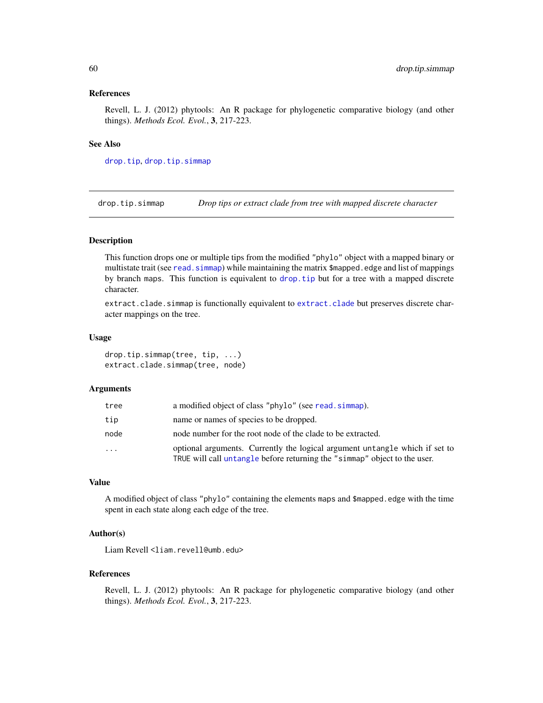#### References

Revell, L. J. (2012) phytools: An R package for phylogenetic comparative biology (and other things). *Methods Ecol. Evol.*, 3, 217-223.

#### See Also

[drop.tip](#page-0-0), [drop.tip.simmap](#page-59-0)

<span id="page-59-0"></span>drop.tip.simmap *Drop tips or extract clade from tree with mapped discrete character*

### **Description**

This function drops one or multiple tips from the modified "phylo" object with a mapped binary or multistate trait (see read. simmap) while maintaining the matrix \$mapped. edge and list of mappings by branch maps. This function is equivalent to [drop.tip](#page-0-0) but for a tree with a mapped discrete character.

[extract.clade](#page-0-0).simmap is functionally equivalent to extract.clade but preserves discrete character mappings on the tree.

### Usage

drop.tip.simmap(tree, tip, ...) extract.clade.simmap(tree, node)

#### Arguments

| tree     | a modified object of class "phylo" (see read. simmap).                                                                                                   |
|----------|----------------------------------------------------------------------------------------------------------------------------------------------------------|
| tip      | name or names of species to be dropped.                                                                                                                  |
| node     | node number for the root node of the clade to be extracted.                                                                                              |
| $\ddots$ | optional arguments. Currently the logical argument untangle which if set to<br>TRUE will call untangle before returning the "simmap" object to the user. |

#### Value

A modified object of class "phylo" containing the elements maps and \$mapped.edge with the time spent in each state along each edge of the tree.

# Author(s)

Liam Revell <liam.revell@umb.edu>

#### References

Revell, L. J. (2012) phytools: An R package for phylogenetic comparative biology (and other things). *Methods Ecol. Evol.*, 3, 217-223.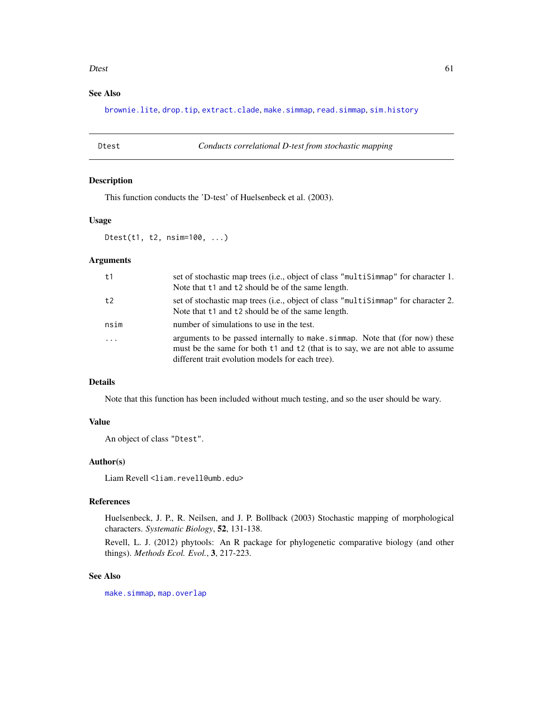#### Dtest 61

# See Also

[brownie.lite](#page-32-0), [drop.tip](#page-0-0), [extract.clade](#page-0-0), [make.simmap](#page-107-0), [read.simmap](#page-176-0), [sim.history](#page-191-0)

Dtest *Conducts correlational D-test from stochastic mapping*

# Description

This function conducts the 'D-test' of Huelsenbeck et al. (2003).

#### Usage

Dtest(t1, t2, nsim=100, ...)

# Arguments

| t1         | set of stochastic map trees (i.e., object of class "multisimmap" for character 1.<br>Note that t1 and t2 should be of the same length.                                                                            |
|------------|-------------------------------------------------------------------------------------------------------------------------------------------------------------------------------------------------------------------|
| t2         | set of stochastic map trees (i.e., object of class "multisimmap" for character 2.<br>Note that t1 and t2 should be of the same length.                                                                            |
| nsim       | number of simulations to use in the test.                                                                                                                                                                         |
| $\ddots$ . | arguments to be passed internally to make simmap. Note that (for now) these<br>must be the same for both t1 and t2 (that is to say, we are not able to assume<br>different trait evolution models for each tree). |

## Details

Note that this function has been included without much testing, and so the user should be wary.

#### Value

An object of class "Dtest".

#### Author(s)

Liam Revell <liam.revell@umb.edu>

#### References

Huelsenbeck, J. P., R. Neilsen, and J. P. Bollback (2003) Stochastic mapping of morphological characters. *Systematic Biology*, 52, 131-138.

Revell, L. J. (2012) phytools: An R package for phylogenetic comparative biology (and other things). *Methods Ecol. Evol.*, 3, 217-223.

#### See Also

[make.simmap](#page-107-0), [map.overlap](#page-110-0)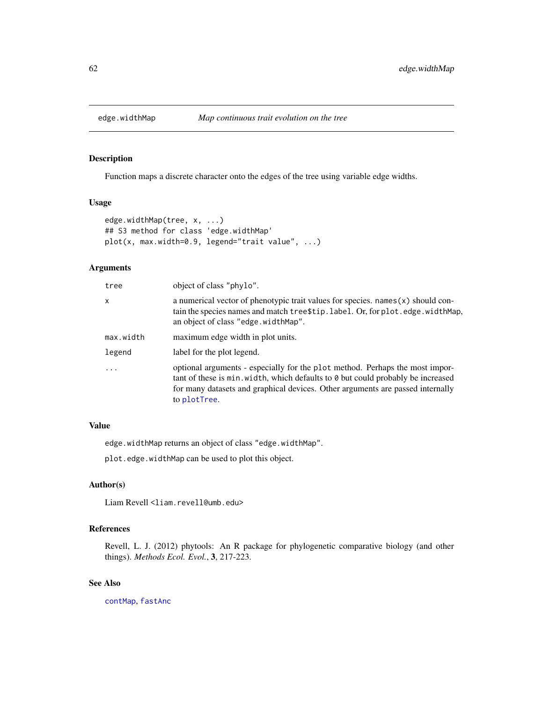Function maps a discrete character onto the edges of the tree using variable edge widths.

### Usage

```
edge.widthMap(tree, x, ...)
## S3 method for class 'edge.widthMap'
plot(x, max.width=0.9, legend="trait value", ...)
```
# Arguments

| tree      | object of class "phylo".                                                                                                                                                                                                                                           |
|-----------|--------------------------------------------------------------------------------------------------------------------------------------------------------------------------------------------------------------------------------------------------------------------|
| x         | a numerical vector of phenotypic trait values for species. $names(x)$ should con-<br>tain the species names and match tree\$tip.label. Or, for plot.edge.widthMap,<br>an object of class "edge.widthMap".                                                          |
| max.width | maximum edge width in plot units.                                                                                                                                                                                                                                  |
| legend    | label for the plot legend.                                                                                                                                                                                                                                         |
| $\ddots$  | optional arguments - especially for the plot method. Perhaps the most impor-<br>tant of these is min. width, which defaults to 0 but could probably be increased<br>for many datasets and graphical devices. Other arguments are passed internally<br>to plotTree. |

# Value

edge.widthMap returns an object of class "edge.widthMap".

plot.edge.widthMap can be used to plot this object.

#### Author(s)

Liam Revell <liam.revell@umb.edu>

### References

Revell, L. J. (2012) phytools: An R package for phylogenetic comparative biology (and other things). *Methods Ecol. Evol.*, 3, 217-223.

### See Also

[contMap](#page-40-0), [fastAnc](#page-74-0)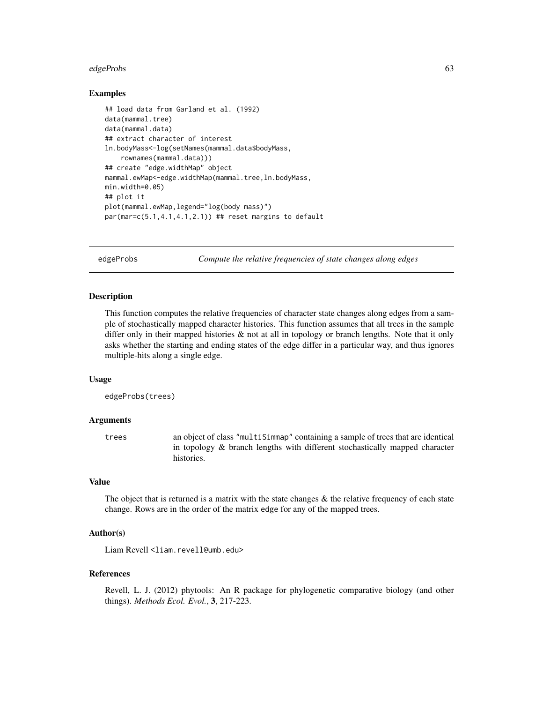#### edgeProbs 63 and the contract of the contract of the contract of the contract of the contract of the contract of the contract of the contract of the contract of the contract of the contract of the contract of the contract

### Examples

```
## load data from Garland et al. (1992)
data(mammal.tree)
data(mammal.data)
## extract character of interest
ln.bodyMass<-log(setNames(mammal.data$bodyMass,
    rownames(mammal.data)))
## create "edge.widthMap" object
mammal.ewMap<-edge.widthMap(mammal.tree,ln.bodyMass,
min.width=0.05)
## plot it
plot(mammal.ewMap,legend="log(body mass)")
par(max=c(5.1,4.1,4.1,2.1)) ## reset margins to default
```
edgeProbs *Compute the relative frequencies of state changes along edges*

#### Description

This function computes the relative frequencies of character state changes along edges from a sample of stochastically mapped character histories. This function assumes that all trees in the sample differ only in their mapped histories & not at all in topology or branch lengths. Note that it only asks whether the starting and ending states of the edge differ in a particular way, and thus ignores multiple-hits along a single edge.

### Usage

```
edgeProbs(trees)
```
# Arguments

trees an object of class "multiSimmap" containing a sample of trees that are identical in topology & branch lengths with different stochastically mapped character histories.

#### Value

The object that is returned is a matrix with the state changes  $\&$  the relative frequency of each state change. Rows are in the order of the matrix edge for any of the mapped trees.

## Author(s)

Liam Revell <liam.revell@umb.edu>

#### References

Revell, L. J. (2012) phytools: An R package for phylogenetic comparative biology (and other things). *Methods Ecol. Evol.*, 3, 217-223.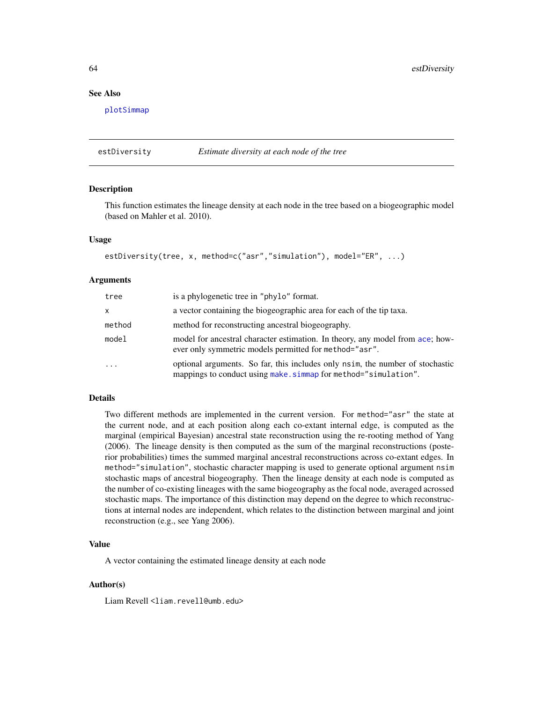# See Also

[plotSimmap](#page-160-0)

estDiversity *Estimate diversity at each node of the tree*

#### Description

This function estimates the lineage density at each node in the tree based on a biogeographic model (based on Mahler et al. 2010).

### Usage

```
estDiversity(tree, x, method=c("asr","simulation"), model="ER", ...)
```
#### Arguments

| tree       | is a phylogenetic tree in "phylo" format.                                                                                                        |
|------------|--------------------------------------------------------------------------------------------------------------------------------------------------|
| X          | a vector containing the biogeographic area for each of the tip taxa.                                                                             |
| method     | method for reconstructing ancestral biogeography.                                                                                                |
| model      | model for ancestral character estimation. In theory, any model from ace; how-<br>ever only symmetric models permitted for method="asr".          |
| $\ddots$ . | optional arguments. So far, this includes only nsim, the number of stochastic<br>mappings to conduct using make. simmap for method="simulation". |

### Details

Two different methods are implemented in the current version. For method="asr" the state at the current node, and at each position along each co-extant internal edge, is computed as the marginal (empirical Bayesian) ancestral state reconstruction using the re-rooting method of Yang (2006). The lineage density is then computed as the sum of the marginal reconstructions (posterior probabilities) times the summed marginal ancestral reconstructions across co-extant edges. In method="simulation", stochastic character mapping is used to generate optional argument nsim stochastic maps of ancestral biogeography. Then the lineage density at each node is computed as the number of co-existing lineages with the same biogeography as the focal node, averaged acrossed stochastic maps. The importance of this distinction may depend on the degree to which reconstructions at internal nodes are independent, which relates to the distinction between marginal and joint reconstruction (e.g., see Yang 2006).

### Value

A vector containing the estimated lineage density at each node

#### Author(s)

Liam Revell <liam.revell@umb.edu>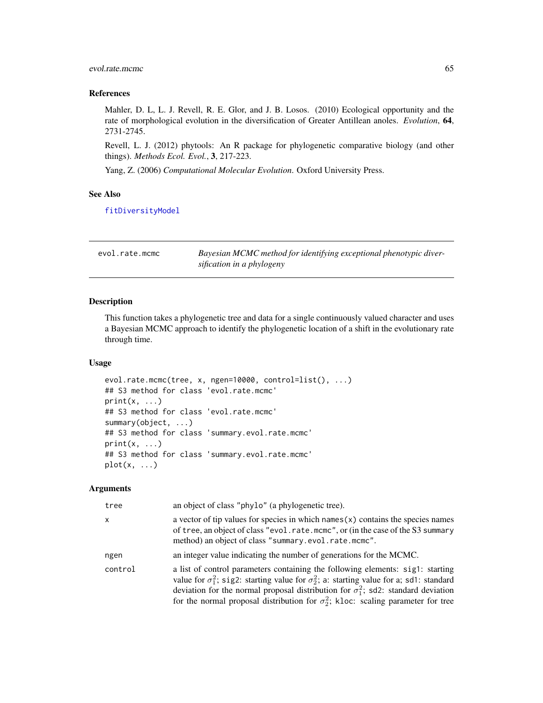# evol.rate.mcmc 65

### References

Mahler, D. L, L. J. Revell, R. E. Glor, and J. B. Losos. (2010) Ecological opportunity and the rate of morphological evolution in the diversification of Greater Antillean anoles. *Evolution*, 64, 2731-2745.

Revell, L. J. (2012) phytools: An R package for phylogenetic comparative biology (and other things). *Methods Ecol. Evol.*, 3, 217-223.

Yang, Z. (2006) *Computational Molecular Evolution*. Oxford University Press.

### See Also

[fitDiversityModel](#page-82-0)

<span id="page-64-0"></span>

| evol.rate.mcmc | Bayesian MCMC method for identifying exceptional phenotypic diver- |
|----------------|--------------------------------------------------------------------|
|                | sification in a phylogeny                                          |

# Description

This function takes a phylogenetic tree and data for a single continuously valued character and uses a Bayesian MCMC approach to identify the phylogenetic location of a shift in the evolutionary rate through time.

#### Usage

```
evol.rate.mcmc(tree, x, ngen=10000, control=list(), ...)
## S3 method for class 'evol.rate.mcmc'
print(x, \ldots)## S3 method for class 'evol.rate.mcmc'
summary(object, ...)
## S3 method for class 'summary.evol.rate.mcmc'
print(x, \ldots)## S3 method for class 'summary.evol.rate.mcmc'
plot(x, \ldots)
```
### Arguments

| tree         | an object of class "phylo" (a phylogenetic tree).                                                                                                                                                                                                                                                                                                                                  |
|--------------|------------------------------------------------------------------------------------------------------------------------------------------------------------------------------------------------------------------------------------------------------------------------------------------------------------------------------------------------------------------------------------|
| $\mathsf{x}$ | a vector of tip values for species in which names $(x)$ contains the species names<br>of tree, an object of class "evol.rate.mcmc", or (in the case of the S3 summary<br>method) an object of class "summary.evol.rate.mcmc".                                                                                                                                                      |
| ngen         | an integer value indicating the number of generations for the MCMC.                                                                                                                                                                                                                                                                                                                |
| control      | a list of control parameters containing the following elements: sig1: starting<br>value for $\sigma_1^2$ ; sig2: starting value for $\sigma_2^2$ ; a: starting value for a; sd1: standard<br>deviation for the normal proposal distribution for $\sigma_1^2$ ; sd2: standard deviation<br>for the normal proposal distribution for $\sigma_2^2$ ; kloc: scaling parameter for tree |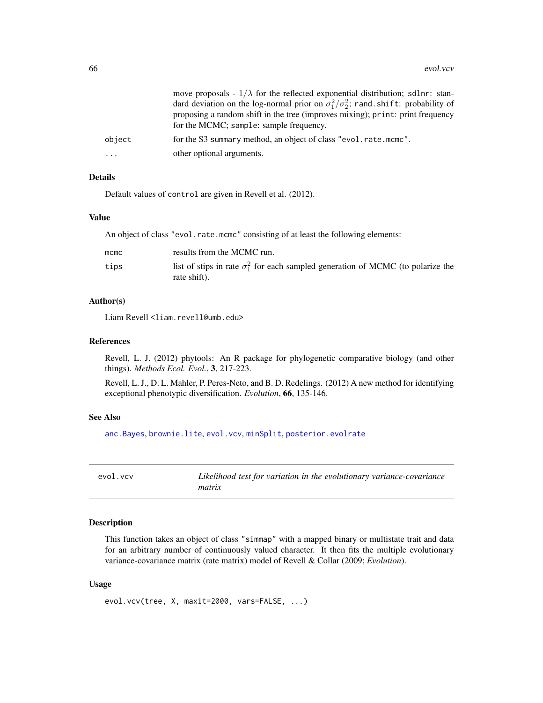|           | move proposals - $1/\lambda$ for the reflected exponential distribution; sdlnr: stan-<br>dard deviation on the log-normal prior on $\sigma_1^2/\sigma_2^2$ ; rand shift: probability of<br>proposing a random shift in the tree (improves mixing); print: print frequency<br>for the MCMC; sample: sample frequency. |
|-----------|----------------------------------------------------------------------------------------------------------------------------------------------------------------------------------------------------------------------------------------------------------------------------------------------------------------------|
| object    | for the S3 summary method, an object of class "evol.rate.mcmc".                                                                                                                                                                                                                                                      |
| $\ddotsc$ | other optional arguments.                                                                                                                                                                                                                                                                                            |

# Details

Default values of control are given in Revell et al. (2012).

#### Value

An object of class "evol.rate.mcmc" consisting of at least the following elements:

| $m$ cmc | results from the MCMC run.                                                                              |
|---------|---------------------------------------------------------------------------------------------------------|
| tips    | list of stips in rate $\sigma_1^2$ for each sampled generation of MCMC (to polarize the<br>rate shift). |

### Author(s)

Liam Revell <liam.revell@umb.edu>

## References

Revell, L. J. (2012) phytools: An R package for phylogenetic comparative biology (and other things). *Methods Ecol. Evol.*, 3, 217-223.

Revell, L. J., D. L. Mahler, P. Peres-Neto, and B. D. Redelings. (2012) A new method for identifying exceptional phenotypic diversification. *Evolution*, 66, 135-146.

#### See Also

[anc.Bayes](#page-14-0), [brownie.lite](#page-32-0), [evol.vcv](#page-65-0), [minSplit](#page-118-0), [posterior.evolrate](#page-168-0)

<span id="page-65-0"></span>evol.vcv *Likelihood test for variation in the evolutionary variance-covariance matrix*

### Description

This function takes an object of class "simmap" with a mapped binary or multistate trait and data for an arbitrary number of continuously valued character. It then fits the multiple evolutionary variance-covariance matrix (rate matrix) model of Revell & Collar (2009; *Evolution*).

```
evol.vcv(tree, X, maxit=2000, vars=FALSE, ...)
```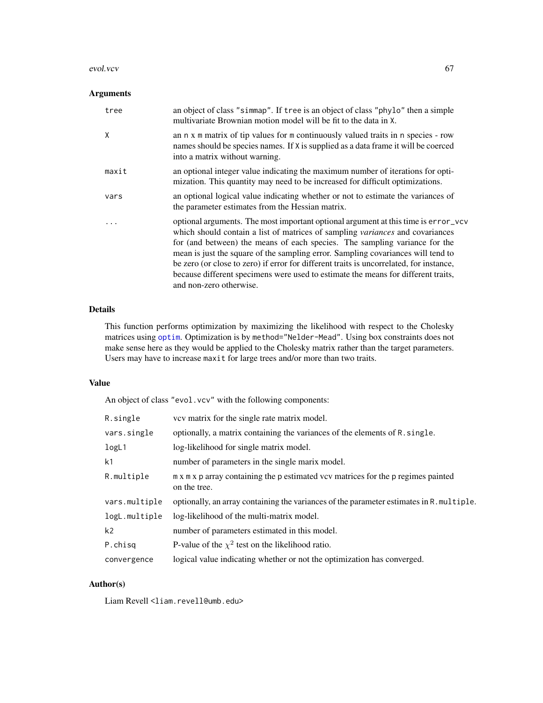#### evol.vcv 67

# Arguments

| tree  | an object of class "simmap". If tree is an object of class "phylo" then a simple<br>multivariate Brownian motion model will be fit to the data in X.                                                                                                                                                                                                                                                                                                                                                                                             |
|-------|--------------------------------------------------------------------------------------------------------------------------------------------------------------------------------------------------------------------------------------------------------------------------------------------------------------------------------------------------------------------------------------------------------------------------------------------------------------------------------------------------------------------------------------------------|
| X     | an n x m matrix of tip values for m continuously valued traits in n species - row<br>names should be species names. If X is supplied as a data frame it will be coerced<br>into a matrix without warning.                                                                                                                                                                                                                                                                                                                                        |
| maxit | an optional integer value indicating the maximum number of iterations for opti-<br>mization. This quantity may need to be increased for difficult optimizations.                                                                                                                                                                                                                                                                                                                                                                                 |
| vars  | an optional logical value indicating whether or not to estimate the variances of<br>the parameter estimates from the Hessian matrix.                                                                                                                                                                                                                                                                                                                                                                                                             |
|       | optional arguments. The most important optional argument at this time is error-vcv<br>which should contain a list of matrices of sampling variances and covariances<br>for (and between) the means of each species. The sampling variance for the<br>mean is just the square of the sampling error. Sampling covariances will tend to<br>be zero (or close to zero) if error for different traits is uncorrelated, for instance,<br>because different specimens were used to estimate the means for different traits,<br>and non-zero otherwise. |

# Details

This function performs optimization by maximizing the likelihood with respect to the Cholesky matrices using [optim](#page-0-0). Optimization is by method="Nelder-Mead". Using box constraints does not make sense here as they would be applied to the Cholesky matrix rather than the target parameters. Users may have to increase maxit for large trees and/or more than two traits.

### Value

An object of class "evol.vcv" with the following components:

| R.single      | vev matrix for the single rate matrix model.                                                      |
|---------------|---------------------------------------------------------------------------------------------------|
| vars.single   | optionally, a matrix containing the variances of the elements of R. single.                       |
| logL1         | log-likelihood for single matrix model.                                                           |
| k1            | number of parameters in the single marix model.                                                   |
| R.multiple    | m x m x p array containing the p estimated vcv matrices for the p regimes painted<br>on the tree. |
| vars.multiple | optionally, an array containing the variances of the parameter estimates in R. multiple.          |
| logL.multiple | log-likelihood of the multi-matrix model.                                                         |
| k2            | number of parameters estimated in this model.                                                     |
| P.chisq       | P-value of the $\chi^2$ test on the likelihood ratio.                                             |
| convergence   | logical value indicating whether or not the optimization has converged.                           |

# Author(s)

Liam Revell <liam.revell@umb.edu>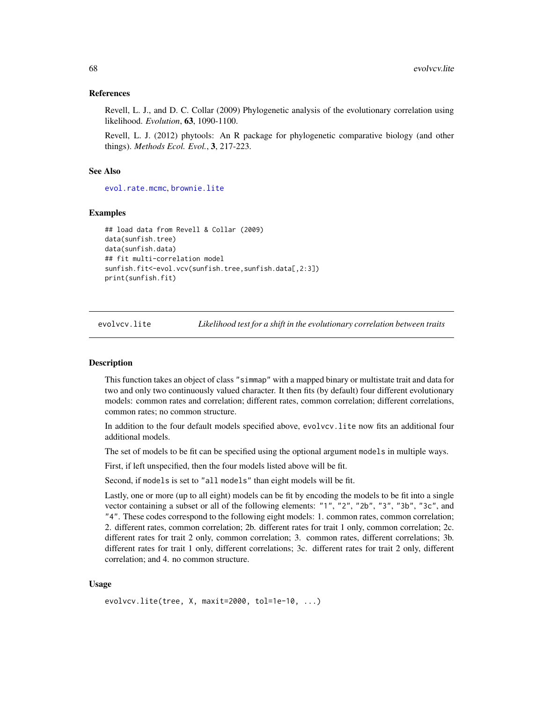#### References

Revell, L. J., and D. C. Collar (2009) Phylogenetic analysis of the evolutionary correlation using likelihood. *Evolution*, 63, 1090-1100.

Revell, L. J. (2012) phytools: An R package for phylogenetic comparative biology (and other things). *Methods Ecol. Evol.*, 3, 217-223.

### See Also

[evol.rate.mcmc](#page-64-0), [brownie.lite](#page-32-0)

#### Examples

```
## load data from Revell & Collar (2009)
data(sunfish.tree)
data(sunfish.data)
## fit multi-correlation model
sunfish.fit<-evol.vcv(sunfish.tree,sunfish.data[,2:3])
print(sunfish.fit)
```
evolvcv.lite *Likelihood test for a shift in the evolutionary correlation between traits*

#### **Description**

This function takes an object of class "simmap" with a mapped binary or multistate trait and data for two and only two continuously valued character. It then fits (by default) four different evolutionary models: common rates and correlation; different rates, common correlation; different correlations, common rates; no common structure.

In addition to the four default models specified above, evolvcv.lite now fits an additional four additional models.

The set of models to be fit can be specified using the optional argument models in multiple ways.

First, if left unspecified, then the four models listed above will be fit.

Second, if models is set to "all models" than eight models will be fit.

Lastly, one or more (up to all eight) models can be fit by encoding the models to be fit into a single vector containing a subset or all of the following elements: "1", "2", "2b", "3", "3b", "3c", and "4". These codes correspond to the following eight models: 1. common rates, common correlation; 2. different rates, common correlation; 2b. different rates for trait 1 only, common correlation; 2c. different rates for trait 2 only, common correlation; 3. common rates, different correlations; 3b. different rates for trait 1 only, different correlations; 3c. different rates for trait 2 only, different correlation; and 4. no common structure.

```
evolvcv.lite(tree, X, maxit=2000, tol=1e-10, ...)
```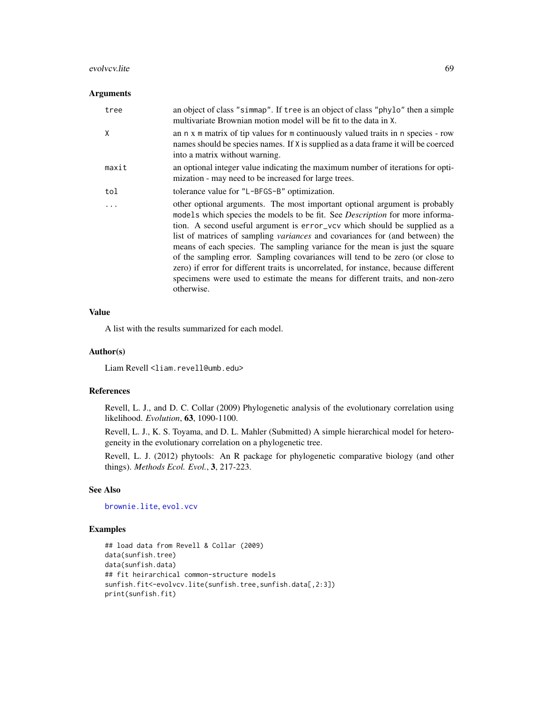#### evolvcv.lite 69

## Arguments

| tree  | an object of class "simmap". If tree is an object of class "phylo" then a simple<br>multivariate Brownian motion model will be fit to the data in X.                                                                                                                                                                                                                                                                                                                                                                                                                                                                                                                                         |
|-------|----------------------------------------------------------------------------------------------------------------------------------------------------------------------------------------------------------------------------------------------------------------------------------------------------------------------------------------------------------------------------------------------------------------------------------------------------------------------------------------------------------------------------------------------------------------------------------------------------------------------------------------------------------------------------------------------|
| X     | an n x m matrix of tip values for m continuously valued traits in n species - row<br>names should be species names. If X is supplied as a data frame it will be coerced<br>into a matrix without warning.                                                                                                                                                                                                                                                                                                                                                                                                                                                                                    |
| maxit | an optional integer value indicating the maximum number of iterations for opti-<br>mization - may need to be increased for large trees.                                                                                                                                                                                                                                                                                                                                                                                                                                                                                                                                                      |
| tol   | tolerance value for "L-BFGS-B" optimization.                                                                                                                                                                                                                                                                                                                                                                                                                                                                                                                                                                                                                                                 |
|       | other optional arguments. The most important optional argument is probably<br>models which species the models to be fit. See <i>Description</i> for more informa-<br>tion. A second useful argument is error_vcv which should be supplied as a<br>list of matrices of sampling <i>variances</i> and covariances for (and between) the<br>means of each species. The sampling variance for the mean is just the square<br>of the sampling error. Sampling covariances will tend to be zero (or close to<br>zero) if error for different traits is uncorrelated, for instance, because different<br>specimens were used to estimate the means for different traits, and non-zero<br>otherwise. |

### Value

A list with the results summarized for each model.

# Author(s)

Liam Revell <liam.revell@umb.edu>

## References

Revell, L. J., and D. C. Collar (2009) Phylogenetic analysis of the evolutionary correlation using likelihood. *Evolution*, 63, 1090-1100.

Revell, L. J., K. S. Toyama, and D. L. Mahler (Submitted) A simple hierarchical model for heterogeneity in the evolutionary correlation on a phylogenetic tree.

Revell, L. J. (2012) phytools: An R package for phylogenetic comparative biology (and other things). *Methods Ecol. Evol.*, 3, 217-223.

## See Also

[brownie.lite](#page-32-0), [evol.vcv](#page-65-0)

### Examples

```
## load data from Revell & Collar (2009)
data(sunfish.tree)
data(sunfish.data)
## fit heirarchical common-structure models
sunfish.fit<-evolvcv.lite(sunfish.tree,sunfish.data[,2:3])
print(sunfish.fit)
```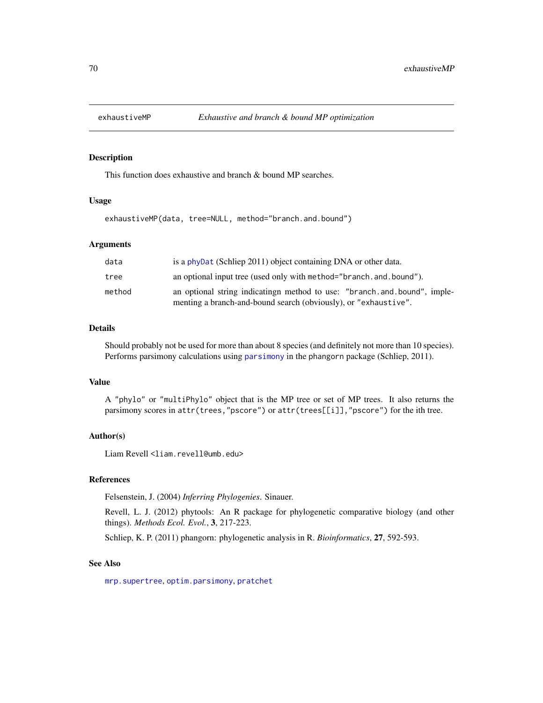This function does exhaustive and branch & bound MP searches.

#### Usage

exhaustiveMP(data, tree=NULL, method="branch.and.bound")

# Arguments

| is a phyDat (Schliep 2011) object containing DNA or other data.                                                                             |
|---------------------------------------------------------------------------------------------------------------------------------------------|
| an optional input tree (used only with method="branch.and.bound").                                                                          |
| an optional string indicatingn method to use: "branch.and.bound", imple-<br>menting a branch-and-bound search (obviously), or "exhaustive". |
|                                                                                                                                             |

# Details

Should probably not be used for more than about 8 species (and definitely not more than 10 species). Performs parsimony calculations using [parsimony](#page-0-0) in the phangorn package (Schliep, 2011).

### Value

A "phylo" or "multiPhylo" object that is the MP tree or set of MP trees. It also returns the parsimony scores in attr(trees,"pscore") or attr(trees[[i]],"pscore") for the ith tree.

## Author(s)

Liam Revell <liam.revell@umb.edu>

#### References

Felsenstein, J. (2004) *Inferring Phylogenies*. Sinauer.

Revell, L. J. (2012) phytools: An R package for phylogenetic comparative biology (and other things). *Methods Ecol. Evol.*, 3, 217-223.

Schliep, K. P. (2011) phangorn: phylogenetic analysis in R. *Bioinformatics*, 27, 592-593.

#### See Also

[mrp.supertree](#page-120-0), [optim.parsimony](#page-0-0), [pratchet](#page-0-0)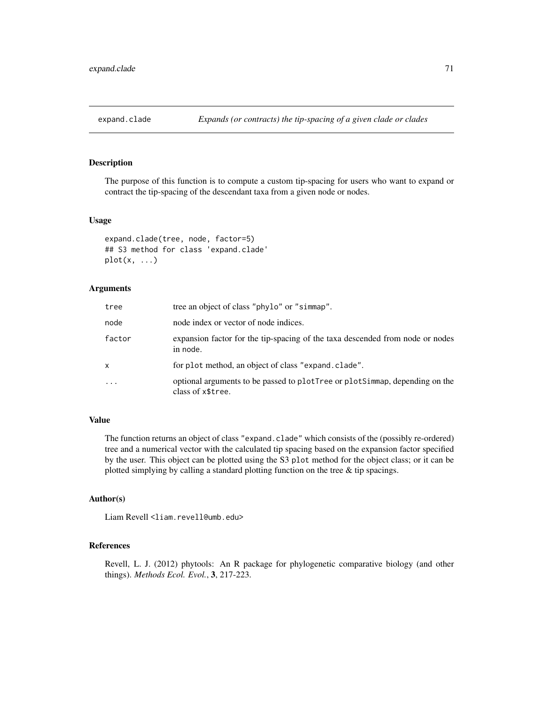The purpose of this function is to compute a custom tip-spacing for users who want to expand or contract the tip-spacing of the descendant taxa from a given node or nodes.

### Usage

```
expand.clade(tree, node, factor=5)
## S3 method for class 'expand.clade'
plot(x, \ldots)
```
# Arguments

| tree   | tree an object of class "phylo" or "simmap".                                                     |
|--------|--------------------------------------------------------------------------------------------------|
| node   | node index or vector of node indices.                                                            |
| factor | expansion factor for the tip-spacing of the taxa descended from node or nodes<br>in node.        |
| x      | for plot method, an object of class "expand. clade".                                             |
| .      | optional arguments to be passed to plotTree or plotSimmap, depending on the<br>class of x\$tree. |

# Value

The function returns an object of class "expand.clade" which consists of the (possibly re-ordered) tree and a numerical vector with the calculated tip spacing based on the expansion factor specified by the user. This object can be plotted using the S3 plot method for the object class; or it can be plotted simplying by calling a standard plotting function on the tree & tip spacings.

#### Author(s)

Liam Revell <liam.revell@umb.edu>

#### References

Revell, L. J. (2012) phytools: An R package for phylogenetic comparative biology (and other things). *Methods Ecol. Evol.*, 3, 217-223.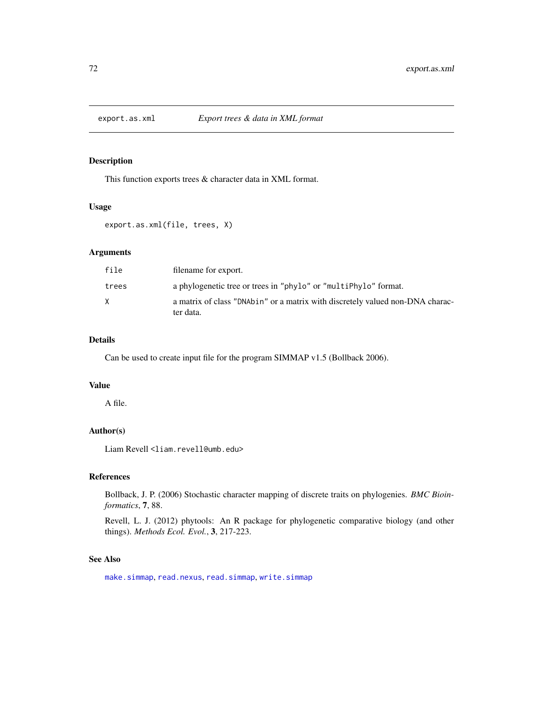This function exports trees & character data in XML format.

### Usage

```
export.as.xml(file, trees, X)
```
# Arguments

| file  | filename for export.                                                                       |
|-------|--------------------------------------------------------------------------------------------|
| trees | a phylogenetic tree or trees in "phylo" or "multiPhylo" format.                            |
|       | a matrix of class "DNAbin" or a matrix with discretely valued non-DNA charac-<br>ter data. |

#### Details

Can be used to create input file for the program SIMMAP v1.5 (Bollback 2006).

### Value

A file.

# Author(s)

Liam Revell <liam.revell@umb.edu>

### References

Bollback, J. P. (2006) Stochastic character mapping of discrete traits on phylogenies. *BMC Bioinformatics*, 7, 88.

Revell, L. J. (2012) phytools: An R package for phylogenetic comparative biology (and other things). *Methods Ecol. Evol.*, 3, 217-223.

### See Also

[make.simmap](#page-107-0), [read.nexus](#page-0-0), [read.simmap](#page-176-0), [write.simmap](#page-209-0)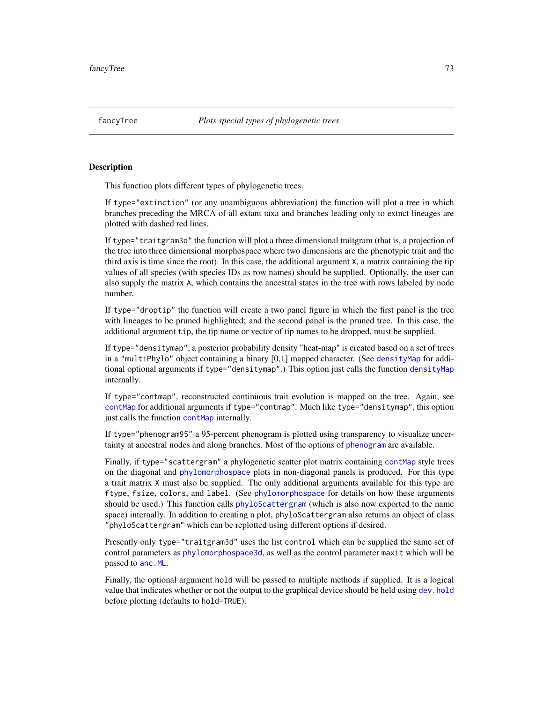<span id="page-72-0"></span>This function plots different types of phylogenetic trees.

If type="extinction" (or any unambiguous abbreviation) the function will plot a tree in which branches preceding the MRCA of all extant taxa and branches leading only to extnct lineages are plotted with dashed red lines.

If type="traitgram3d" the function will plot a three dimensional traitgram (that is, a projection of the tree into three dimensional morphospace where two dimensions are the phenotypic trait and the third axis is time since the root). In this case, the additional argument X, a matrix containing the tip values of all species (with species IDs as row names) should be supplied. Optionally, the user can also supply the matrix A, which contains the ancestral states in the tree with rows labeled by node number.

If type="droptip" the function will create a two panel figure in which the first panel is the tree with lineages to be pruned highlighted; and the second panel is the pruned tree. In this case, the additional argument tip, the tip name or vector of tip names to be dropped, must be supplied.

If type="densitymap", a posterior probability density "heat-map" is created based on a set of trees in a "multiPhylo" object containing a binary [0,1] mapped character. (See [densityMap](#page-48-0) for additional optional arguments if type="densitymap".) This option just calls the function [densityMap](#page-48-0) internally.

If type="contmap", reconstructed continuous trait evolution is mapped on the tree. Again, see [contMap](#page-40-0) for additional arguments if type="contmap". Much like type="densitymap", this option just calls the function [contMap](#page-40-0) internally.

If type="phenogram95" a 95-percent phenogram is plotted using transparency to visualize uncertainty at ancestral nodes and along branches. Most of the options of [phenogram](#page-135-0) are available.

Finally, if type="scattergram" a phylogenetic scatter plot matrix containing [contMap](#page-40-0) style trees on the diagonal and [phylomorphospace](#page-152-0) plots in non-diagonal panels is produced. For this type a trait matrix X must also be supplied. The only additional arguments available for this type are ftype, fsize, colors, and label. (See [phylomorphospace](#page-152-0) for details on how these arguments should be used.) This function calls [phyloScattergram](#page-72-0) (which is also now exported to the name space) internally. In addition to creating a plot, phyloScattergram also returns an object of class "phyloScattergram" which can be replotted using different options if desired.

Presently only type="traitgram3d" uses the list control which can be supplied the same set of control parameters as [phylomorphospace3d](#page-153-0), as well as the control parameter maxit which will be passed to [anc.ML](#page-16-0).

Finally, the optional argument hold will be passed to multiple methods if supplied. It is a logical value that indicates whether or not the output to the graphical device should be held using [dev.hold](#page-0-0) before plotting (defaults to hold=TRUE).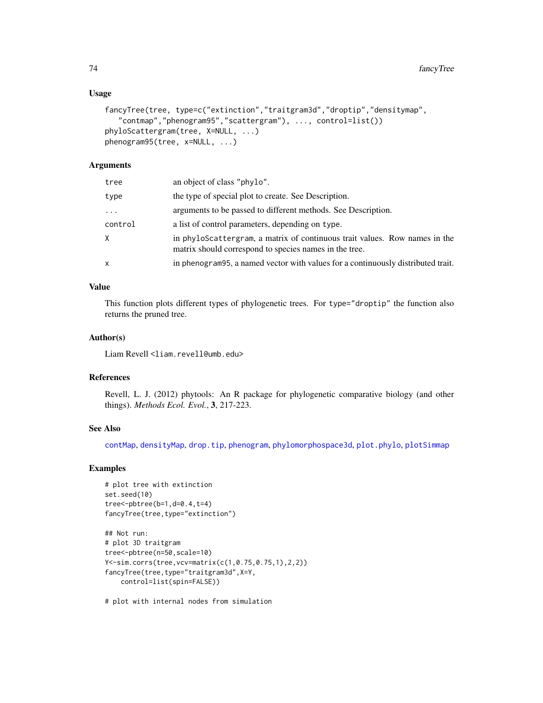## Usage

```
fancyTree(tree, type=c("extinction","traitgram3d","droptip","densitymap",
   "contmap","phenogram95","scattergram"), ..., control=list())
phyloScattergram(tree, X=NULL, ...)
phenogram95(tree, x=NULL, ...)
```
## Arguments

| tree     | an object of class "phylo".                                                                                                          |
|----------|--------------------------------------------------------------------------------------------------------------------------------------|
| type     | the type of special plot to create. See Description.                                                                                 |
| $\cdots$ | arguments to be passed to different methods. See Description.                                                                        |
| control  | a list of control parameters, depending on type.                                                                                     |
| X.       | in phyloScattergram, a matrix of continuous trait values. Row names in the<br>matrix should correspond to species names in the tree. |
| x        | in phenogram 95, a named vector with values for a continuously distributed trait.                                                    |

# Value

This function plots different types of phylogenetic trees. For type="droptip" the function also returns the pruned tree.

### Author(s)

Liam Revell <liam.revell@umb.edu>

# References

Revell, L. J. (2012) phytools: An R package for phylogenetic comparative biology (and other things). *Methods Ecol. Evol.*, 3, 217-223.

### See Also

[contMap](#page-40-0), [densityMap](#page-48-0), [drop.tip](#page-0-0), [phenogram](#page-135-0), [phylomorphospace3d](#page-153-0), [plot.phylo](#page-0-0), [plotSimmap](#page-160-0)

## Examples

```
# plot tree with extinction
set.seed(10)
tree<-pbtree(b=1,d=0.4,t=4)
fancyTree(tree,type="extinction")
```

```
## Not run:
# plot 3D traitgram
tree<-pbtree(n=50,scale=10)
Y<-sim.corrs(tree,vcv=matrix(c(1,0.75,0.75,1),2,2))
fancyTree(tree,type="traitgram3d",X=Y,
   control=list(spin=FALSE))
```
# plot with internal nodes from simulation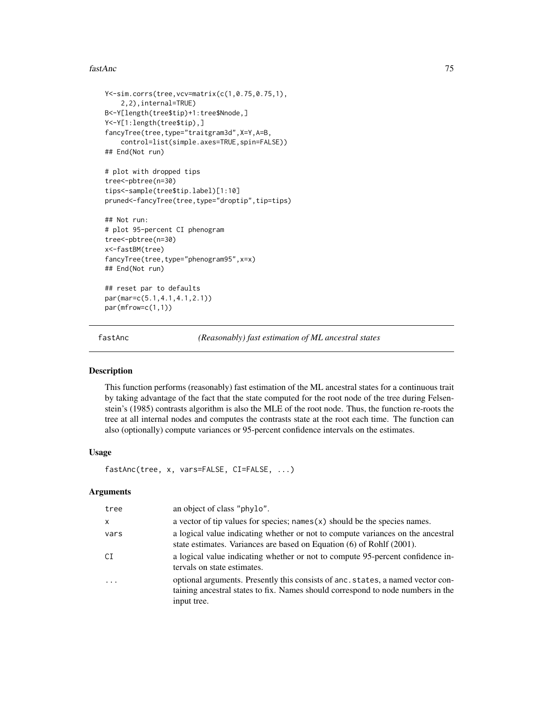#### fastAnc 75

```
Y<-sim.corrs(tree,vcv=matrix(c(1,0.75,0.75,1),
    2,2),internal=TRUE)
B<-Y[length(tree$tip)+1:tree$Nnode,]
Y<-Y[1:length(tree$tip),]
fancyTree(tree,type="traitgram3d",X=Y,A=B,
    control=list(simple.axes=TRUE,spin=FALSE))
## End(Not run)
# plot with dropped tips
tree<-pbtree(n=30)
tips<-sample(tree$tip.label)[1:10]
pruned<-fancyTree(tree,type="droptip",tip=tips)
## Not run:
# plot 95-percent CI phenogram
tree<-pbtree(n=30)
x<-fastBM(tree)
fancyTree(tree,type="phenogram95",x=x)
## End(Not run)
## reset par to defaults
par(mar=c(5.1,4.1,4.1,2.1))
par(mfrow=c(1,1))
```
fastAnc *(Reasonably) fast estimation of ML ancestral states*

## **Description**

This function performs (reasonably) fast estimation of the ML ancestral states for a continuous trait by taking advantage of the fact that the state computed for the root node of the tree during Felsenstein's (1985) contrasts algorithm is also the MLE of the root node. Thus, the function re-roots the tree at all internal nodes and computes the contrasts state at the root each time. The function can also (optionally) compute variances or 95-percent confidence intervals on the estimates.

### Usage

```
fastAnc(tree, x, vars=FALSE, CI=FALSE, ...)
```
### Arguments

| tree                    | an object of class "phylo".                                                                                                                                                       |
|-------------------------|-----------------------------------------------------------------------------------------------------------------------------------------------------------------------------------|
| X                       | a vector of tip values for species; names $(x)$ should be the species names.                                                                                                      |
| vars                    | a logical value indicating whether or not to compute variances on the ancestral<br>state estimates. Variances are based on Equation (6) of Rohlf (2001).                          |
| CI                      | a logical value indicating whether or not to compute 95-percent confidence in-<br>tervals on state estimates.                                                                     |
| $\cdot$ $\cdot$ $\cdot$ | optional arguments. Presently this consists of anc. states, a named vector con-<br>taining ancestral states to fix. Names should correspond to node numbers in the<br>input tree. |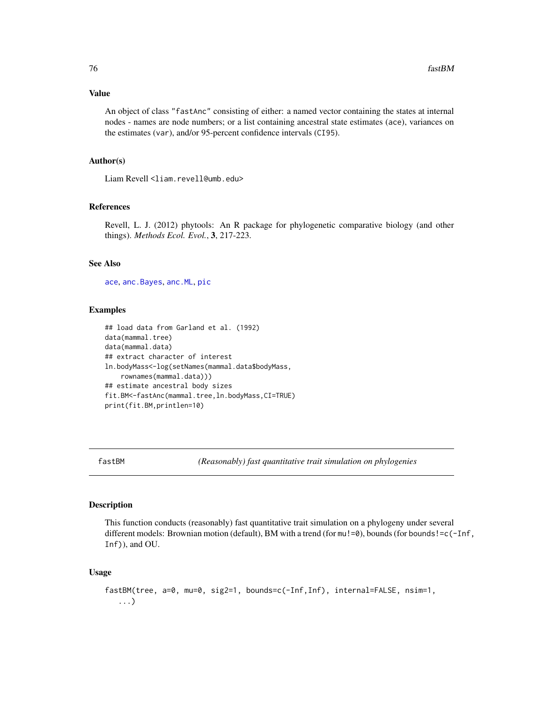## Value

An object of class "fastAnc" consisting of either: a named vector containing the states at internal nodes - names are node numbers; or a list containing ancestral state estimates (ace), variances on the estimates (var), and/or 95-percent confidence intervals (CI95).

### Author(s)

Liam Revell <liam.revell@umb.edu>

## References

Revell, L. J. (2012) phytools: An R package for phylogenetic comparative biology (and other things). *Methods Ecol. Evol.*, 3, 217-223.

## See Also

[ace](#page-0-0), [anc.Bayes](#page-14-0), [anc.ML](#page-16-0), [pic](#page-0-0)

### Examples

```
## load data from Garland et al. (1992)
data(mammal.tree)
data(mammal.data)
## extract character of interest
ln.bodyMass<-log(setNames(mammal.data$bodyMass,
    rownames(mammal.data)))
## estimate ancestral body sizes
fit.BM<-fastAnc(mammal.tree,ln.bodyMass,CI=TRUE)
print(fit.BM,printlen=10)
```
fastBM *(Reasonably) fast quantitative trait simulation on phylogenies*

#### Description

This function conducts (reasonably) fast quantitative trait simulation on a phylogeny under several different models: Brownian motion (default), BM with a trend (for mu!=0), bounds (for bounds!=c(-Inf, Inf)), and OU.

#### Usage

```
fastBM(tree, a=0, mu=0, sig2=1, bounds=c(-Inf,Inf), internal=FALSE, nsim=1,
   ...)
```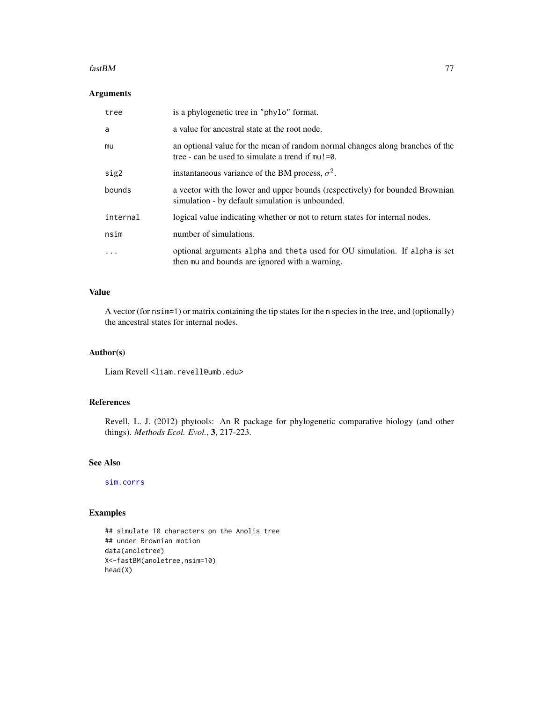#### $fastBM$  and  $77$

# Arguments

| tree      | is a phylogenetic tree in "phylo" format.                                                                                            |
|-----------|--------------------------------------------------------------------------------------------------------------------------------------|
| a         | a value for ancestral state at the root node.                                                                                        |
| mu        | an optional value for the mean of random normal changes along branches of the<br>tree - can be used to simulate a trend if $mu!=0$ . |
| sig2      | instantaneous variance of the BM process, $\sigma^2$ .                                                                               |
| bounds    | a vector with the lower and upper bounds (respectively) for bounded Brownian<br>simulation - by default simulation is unbounded.     |
| internal  | logical value indicating whether or not to return states for internal nodes.                                                         |
| nsim      | number of simulations.                                                                                                               |
| $\ddotsc$ | optional arguments alpha and theta used for OU simulation. If alpha is set<br>then mu and bounds are ignored with a warning.         |

## Value

A vector (for nsim=1) or matrix containing the tip states for the n species in the tree, and (optionally) the ancestral states for internal nodes.

# Author(s)

Liam Revell <liam.revell@umb.edu>

# References

Revell, L. J. (2012) phytools: An R package for phylogenetic comparative biology (and other things). *Methods Ecol. Evol.*, 3, 217-223.

# See Also

[sim.corrs](#page-190-0)

# Examples

```
## simulate 10 characters on the Anolis tree
## under Brownian motion
data(anoletree)
X<-fastBM(anoletree,nsim=10)
head(X)
```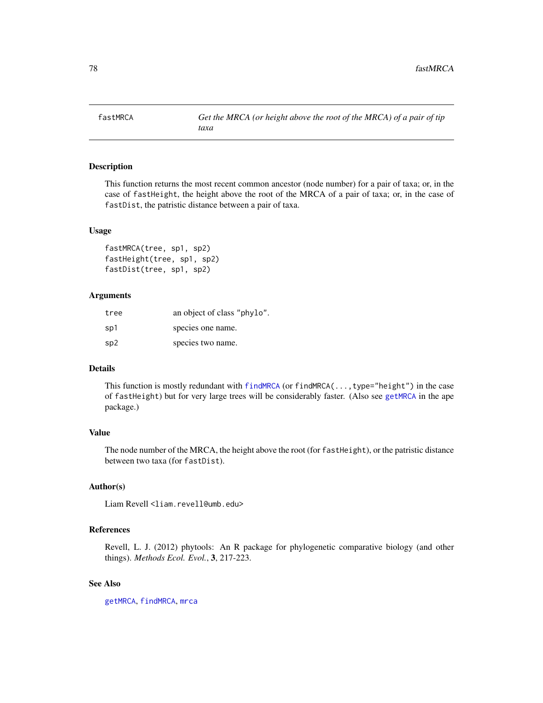This function returns the most recent common ancestor (node number) for a pair of taxa; or, in the case of fastHeight, the height above the root of the MRCA of a pair of taxa; or, in the case of fastDist, the patristic distance between a pair of taxa.

### Usage

```
fastMRCA(tree, sp1, sp2)
fastHeight(tree, sp1, sp2)
fastDist(tree, sp1, sp2)
```
### Arguments

| tree | an object of class "phylo". |
|------|-----------------------------|
| sp1  | species one name.           |
| sp2  | species two name.           |

### Details

This function is mostly redundant with [findMRCA](#page-78-0) (or findMRCA(..., type="height") in the case of fastHeight) but for very large trees will be considerably faster. (Also see [getMRCA](#page-0-0) in the ape package.)

# Value

The node number of the MRCA, the height above the root (for fastHeight), or the patristic distance between two taxa (for fastDist).

## Author(s)

Liam Revell <liam.revell@umb.edu>

### References

Revell, L. J. (2012) phytools: An R package for phylogenetic comparative biology (and other things). *Methods Ecol. Evol.*, 3, 217-223.

## See Also

[getMRCA](#page-0-0), [findMRCA](#page-78-0), [mrca](#page-0-0)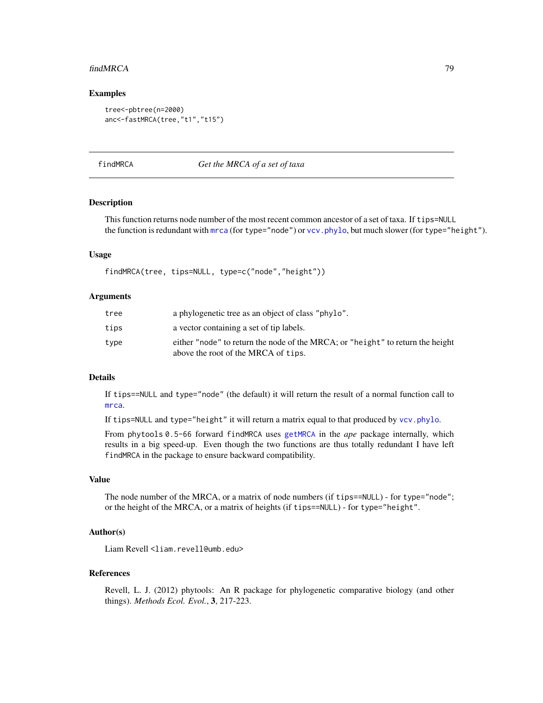#### findMRCA 79

## Examples

```
tree<-pbtree(n=2000)
anc<-fastMRCA(tree,"t1","t15")
```
<span id="page-78-0"></span>findMRCA *Get the MRCA of a set of taxa*

### Description

This function returns node number of the most recent common ancestor of a set of taxa. If tips=NULL the function is redundant with [mrca](#page-0-0) (for type="node") or vcv. phylo, but much slower (for type="height").

### Usage

findMRCA(tree, tips=NULL, type=c("node","height"))

### **Arguments**

| tree | a phylogenetic tree as an object of class "phylo".                                                                    |
|------|-----------------------------------------------------------------------------------------------------------------------|
| tips | a vector containing a set of tip labels.                                                                              |
| tvpe | either "node" to return the node of the MRCA; or "height" to return the height<br>above the root of the MRCA of tips. |

#### Details

If tips==NULL and type="node" (the default) it will return the result of a normal function call to [mrca](#page-0-0).

If tips=NULL and type="height" it will return a matrix equal to that produced by [vcv.phylo](#page-0-0).

From phytools 0.5-66 forward findMRCA uses [getMRCA](#page-0-0) in the *ape* package internally, which results in a big speed-up. Even though the two functions are thus totally redundant I have left findMRCA in the package to ensure backward compatibility.

#### Value

The node number of the MRCA, or a matrix of node numbers (if tips==NULL) - for type="node"; or the height of the MRCA, or a matrix of heights (if tips==NULL) - for type="height".

### Author(s)

Liam Revell <liam.revell@umb.edu>

#### References

Revell, L. J. (2012) phytools: An R package for phylogenetic comparative biology (and other things). *Methods Ecol. Evol.*, 3, 217-223.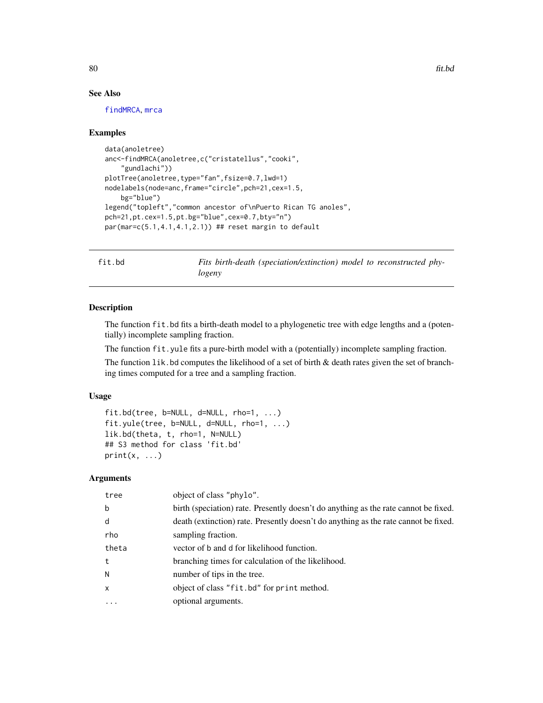# See Also

[findMRCA](#page-78-0), [mrca](#page-0-0)

### Examples

```
data(anoletree)
anc<-findMRCA(anoletree,c("cristatellus","cooki",
    "gundlachi"))
plotTree(anoletree,type="fan",fsize=0.7,lwd=1)
nodelabels(node=anc,frame="circle",pch=21,cex=1.5,
   bg="blue")
legend("topleft","common ancestor of\nPuerto Rican TG anoles",
pch=21,pt.cex=1.5,pt.bg="blue",cex=0.7,bty="n")
par(mar=c(5.1,4.1,4.1,2.1)) ## reset margin to default
```
fit.bd *Fits birth-death (speciation/extinction) model to reconstructed phylogeny*

# Description

The function fit.bd fits a birth-death model to a phylogenetic tree with edge lengths and a (potentially) incomplete sampling fraction.

The function fit.yule fits a pure-birth model with a (potentially) incomplete sampling fraction.

The function  $1$  ik. bd computes the likelihood of a set of birth  $\&$  death rates given the set of branching times computed for a tree and a sampling fraction.

## Usage

```
fit.bd(tree, b=NULL, d=NULL, rho=1, ...)
fit.yule(tree, b=NULL, d=NULL, rho=1, ...)
lik.bd(theta, t, rho=1, N=NULL)
## S3 method for class 'fit.bd'
print(x, \ldots)
```
# Arguments

| tree         | object of class "phylo".                                                            |
|--------------|-------------------------------------------------------------------------------------|
| b            | birth (speciation) rate. Presently doesn't do anything as the rate cannot be fixed. |
| d            | death (extinction) rate. Presently doesn't do anything as the rate cannot be fixed. |
| rho          | sampling fraction.                                                                  |
| theta        | vector of b and d for likelihood function.                                          |
| t            | branching times for calculation of the likelihood.                                  |
| N            | number of tips in the tree.                                                         |
| $\mathsf{x}$ | object of class "fit.bd" for print method.                                          |
| $\ddotsc$    | optional arguments.                                                                 |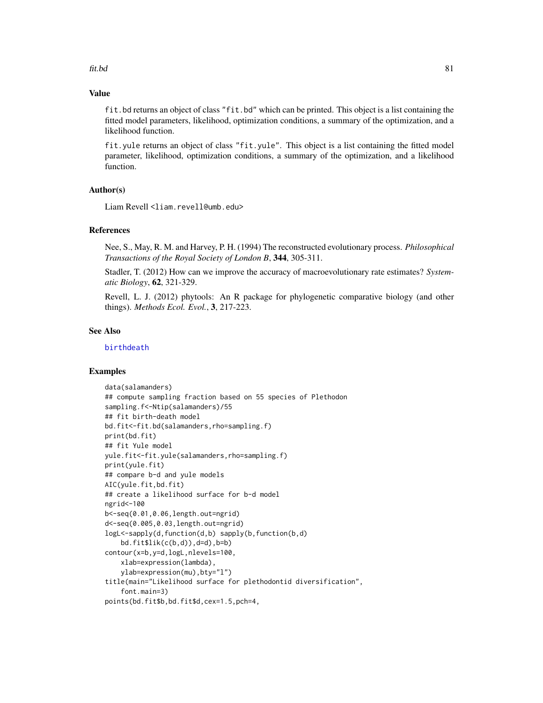### $fit,bd$  81

# Value

fit.bd returns an object of class "fit.bd" which can be printed. This object is a list containing the fitted model parameters, likelihood, optimization conditions, a summary of the optimization, and a likelihood function.

fit.yule returns an object of class "fit.yule". This object is a list containing the fitted model parameter, likelihood, optimization conditions, a summary of the optimization, and a likelihood function.

# Author(s)

Liam Revell <liam.revell@umb.edu>

## References

Nee, S., May, R. M. and Harvey, P. H. (1994) The reconstructed evolutionary process. *Philosophical Transactions of the Royal Society of London B*, 344, 305-311.

Stadler, T. (2012) How can we improve the accuracy of macroevolutionary rate estimates? *Systematic Biology*, 62, 321-329.

Revell, L. J. (2012) phytools: An R package for phylogenetic comparative biology (and other things). *Methods Ecol. Evol.*, 3, 217-223.

### See Also

[birthdeath](#page-0-0)

## Examples

```
data(salamanders)
## compute sampling fraction based on 55 species of Plethodon
sampling.f<-Ntip(salamanders)/55
## fit birth-death model
bd.fit<-fit.bd(salamanders,rho=sampling.f)
print(bd.fit)
## fit Yule model
yule.fit<-fit.yule(salamanders,rho=sampling.f)
print(yule.fit)
## compare b-d and yule models
AIC(yule.fit,bd.fit)
## create a likelihood surface for b-d model
ngrid<-100
b<-seq(0.01,0.06,length.out=ngrid)
d<-seq(0.005,0.03,length.out=ngrid)
logL<-sapply(d,function(d,b) sapply(b,function(b,d)
    bd.fit$lik(c(b,d)),d=d),b=b)contour(x=b,y=d,logL,nlevels=100,
    xlab=expression(lambda),
    ylab=expression(mu),bty="l")
title(main="Likelihood surface for plethodontid diversification",
    font.main=3)
points(bd.fit$b,bd.fit$d,cex=1.5,pch=4,
```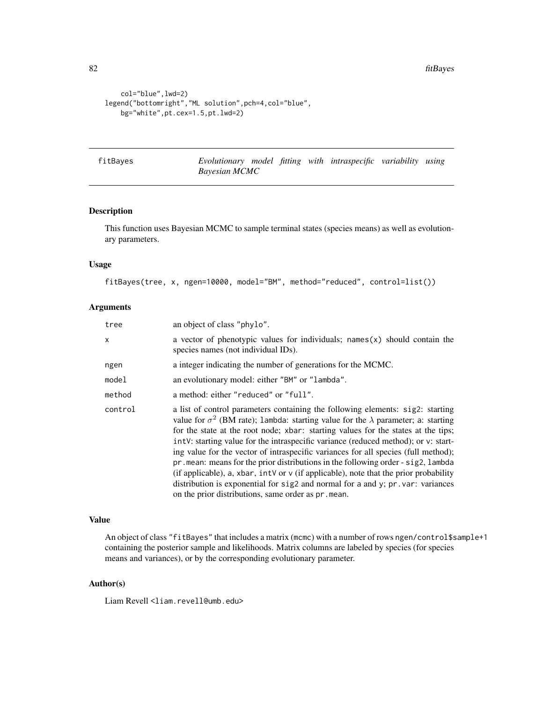```
col="blue",lwd=2)
legend("bottomright","ML solution",pch=4,col="blue",
   bg="white",pt.cex=1.5,pt.lwd=2)
```
fitBayes *Evolutionary model fitting with intraspecific variability using Bayesian MCMC*

### Description

This function uses Bayesian MCMC to sample terminal states (species means) as well as evolutionary parameters.

### Usage

fitBayes(tree, x, ngen=10000, model="BM", method="reduced", control=list())

# Arguments

| tree    | an object of class "phylo".                                                                                                                                                                                                                                                                                                                                                                                                                                                                                                                                                                                                                                                                                                                                                           |
|---------|---------------------------------------------------------------------------------------------------------------------------------------------------------------------------------------------------------------------------------------------------------------------------------------------------------------------------------------------------------------------------------------------------------------------------------------------------------------------------------------------------------------------------------------------------------------------------------------------------------------------------------------------------------------------------------------------------------------------------------------------------------------------------------------|
| x       | a vector of phenotypic values for individuals; $n = x \cdot x$ should contain the<br>species names (not individual IDs).                                                                                                                                                                                                                                                                                                                                                                                                                                                                                                                                                                                                                                                              |
| ngen    | a integer indicating the number of generations for the MCMC.                                                                                                                                                                                                                                                                                                                                                                                                                                                                                                                                                                                                                                                                                                                          |
| model   | an evolutionary model: either "BM" or "lambda".                                                                                                                                                                                                                                                                                                                                                                                                                                                                                                                                                                                                                                                                                                                                       |
| method  | a method: either "reduced" or "full".                                                                                                                                                                                                                                                                                                                                                                                                                                                                                                                                                                                                                                                                                                                                                 |
| control | a list of control parameters containing the following elements: sig2: starting<br>value for $\sigma^2$ (BM rate); 1 ambda: starting value for the $\lambda$ parameter; a: starting<br>for the state at the root node; xbar: starting values for the states at the tips;<br>int V: starting value for the intraspecific variance (reduced method); or v: start-<br>ing value for the vector of intraspecific variances for all species (full method);<br>$pr$ . mean: means for the prior distributions in the following order - sig2, lambda<br>(if applicable), a, xbar, intv or $\nu$ (if applicable), note that the prior probability<br>distribution is exponential for $sig2$ and normal for a and y; $pr.var: variances$<br>on the prior distributions, same order as pr. mean. |

#### Value

An object of class "fitBayes" that includes a matrix (mcmc) with a number of rows ngen/control\$sample+1 containing the posterior sample and likelihoods. Matrix columns are labeled by species (for species means and variances), or by the corresponding evolutionary parameter.

## Author(s)

Liam Revell <liam.revell@umb.edu>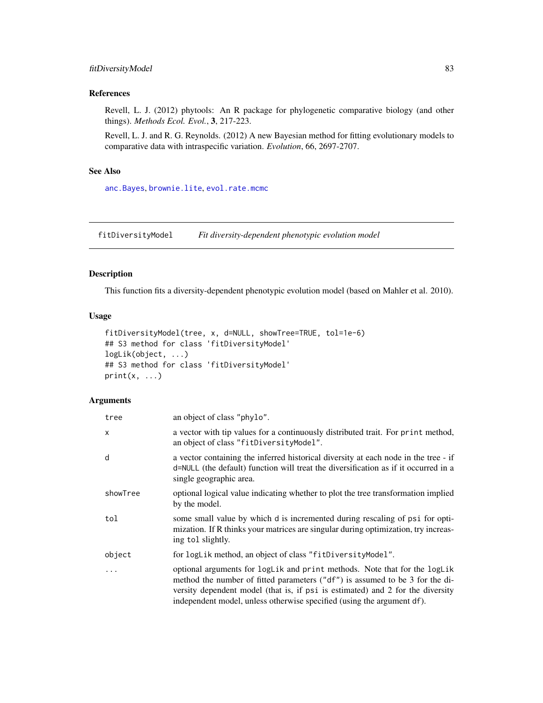# fitDiversityModel 83

## References

Revell, L. J. (2012) phytools: An R package for phylogenetic comparative biology (and other things). *Methods Ecol. Evol.*, 3, 217-223.

Revell, L. J. and R. G. Reynolds. (2012) A new Bayesian method for fitting evolutionary models to comparative data with intraspecific variation. *Evolution*, 66, 2697-2707.

# See Also

[anc.Bayes](#page-14-0), [brownie.lite](#page-32-0), [evol.rate.mcmc](#page-64-0)

fitDiversityModel *Fit diversity-dependent phenotypic evolution model*

## Description

This function fits a diversity-dependent phenotypic evolution model (based on Mahler et al. 2010).

### Usage

```
fitDiversityModel(tree, x, d=NULL, showTree=TRUE, tol=1e-6)
## S3 method for class 'fitDiversityModel'
logLik(object, ...)
## S3 method for class 'fitDiversityModel'
print(x, \ldots)
```
# Arguments

| tree         | an object of class "phylo".                                                                                                                                                                                                                                                                                           |
|--------------|-----------------------------------------------------------------------------------------------------------------------------------------------------------------------------------------------------------------------------------------------------------------------------------------------------------------------|
| $\mathsf{x}$ | a vector with tip values for a continuously distributed trait. For print method,<br>an object of class "fitDiversityModel".                                                                                                                                                                                           |
| d            | a vector containing the inferred historical diversity at each node in the tree - if<br>d=NULL (the default) function will treat the diversification as if it occurred in a<br>single geographic area.                                                                                                                 |
| showTree     | optional logical value indicating whether to plot the tree transformation implied<br>by the model.                                                                                                                                                                                                                    |
| tol          | some small value by which d is incremented during rescaling of psi for opti-<br>mization. If R thinks your matrices are singular during optimization, try increas-<br>ing tol slightly.                                                                                                                               |
| object       | for logLik method, an object of class "fitDiversityModel".                                                                                                                                                                                                                                                            |
| $\ddots$     | optional arguments for logLik and print methods. Note that for the logLik<br>method the number of fitted parameters ("df") is assumed to be 3 for the di-<br>versity dependent model (that is, if psi is estimated) and 2 for the diversity<br>independent model, unless otherwise specified (using the argument df). |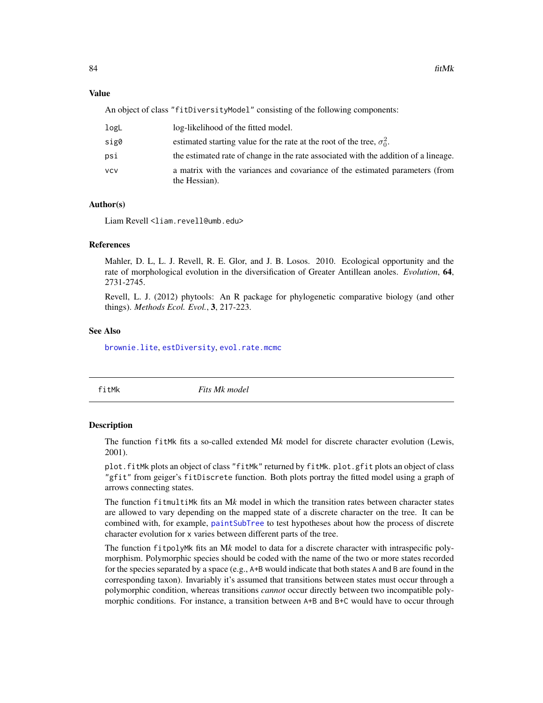#### Value

An object of class "fitDiversityModel" consisting of the following components:

| logL | log-likelihood of the fitted model.                                                           |
|------|-----------------------------------------------------------------------------------------------|
| sig0 | estimated starting value for the rate at the root of the tree, $\sigma_0^2$ .                 |
| psi  | the estimated rate of change in the rate associated with the addition of a lineage.           |
| vcv  | a matrix with the variances and covariance of the estimated parameters (from<br>the Hessian). |

# Author(s)

Liam Revell <liam.revell@umb.edu>

## References

Mahler, D. L, L. J. Revell, R. E. Glor, and J. B. Losos. 2010. Ecological opportunity and the rate of morphological evolution in the diversification of Greater Antillean anoles. *Evolution*, 64, 2731-2745.

Revell, L. J. (2012) phytools: An R package for phylogenetic comparative biology (and other things). *Methods Ecol. Evol.*, 3, 217-223.

### See Also

[brownie.lite](#page-32-0), [estDiversity](#page-63-0), [evol.rate.mcmc](#page-64-0)

<span id="page-83-0"></span>

fitMk *Fits Mk model*

### Description

The function fitMk fits a so-called extended M*k* model for discrete character evolution (Lewis, 2001).

plot.fitMk plots an object of class "fitMk" returned by fitMk. plot.gfit plots an object of class "gfit" from geiger's fitDiscrete function. Both plots portray the fitted model using a graph of arrows connecting states.

The function fitmultiMk fits an M*k* model in which the transition rates between character states are allowed to vary depending on the mapped state of a discrete character on the tree. It can be combined with, for example, [paintSubTree](#page-130-0) to test hypotheses about how the process of discrete character evolution for x varies between different parts of the tree.

The function fitpolyMk fits an M*k* model to data for a discrete character with intraspecific polymorphism. Polymorphic species should be coded with the name of the two or more states recorded for the species separated by a space (e.g., A+B would indicate that both states A and B are found in the corresponding taxon). Invariably it's assumed that transitions between states must occur through a polymorphic condition, whereas transitions *cannot* occur directly between two incompatible polymorphic conditions. For instance, a transition between A+B and B+C would have to occur through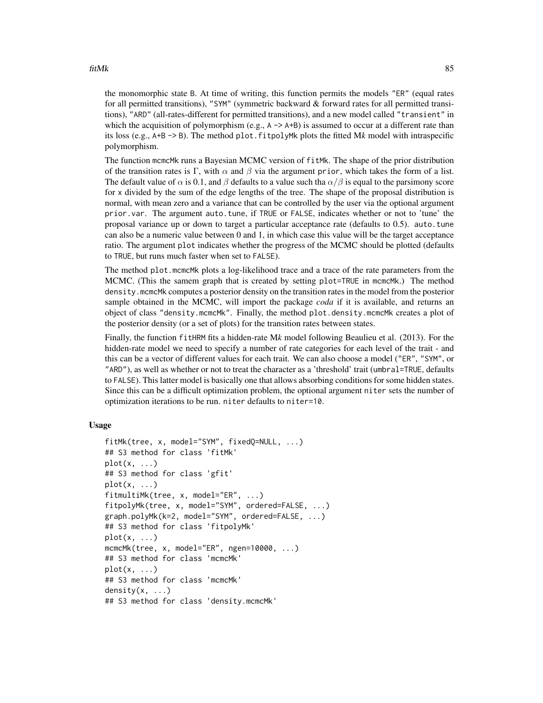### fitMk 85

the monomorphic state B. At time of writing, this function permits the models "ER" (equal rates for all permitted transitions), "SYM" (symmetric backward & forward rates for all permitted transitions), "ARD" (all-rates-different for permitted transitions), and a new model called "transient" in which the acquisition of polymorphism (e.g.,  $A \rightarrow A+B$ ) is assumed to occur at a different rate than its loss (e.g.,  $A+B \rightarrow B$ ). The method plot. fit polymant plots the fitted Mk model with intraspecific polymorphism.

The function mcmcMk runs a Bayesian MCMC version of fitMk. The shape of the prior distribution of the transition rates is Γ, with  $\alpha$  and  $\beta$  via the argument prior, which takes the form of a list. The default value of  $\alpha$  is 0.1, and  $\beta$  defaults to a value such tha  $\alpha/\beta$  is equal to the parsimony score for x divided by the sum of the edge lengths of the tree. The shape of the proposal distribution is normal, with mean zero and a variance that can be controlled by the user via the optional argument prior.var. The argument auto.tune, if TRUE or FALSE, indicates whether or not to 'tune' the proposal variance up or down to target a particular acceptance rate (defaults to 0.5). auto.tune can also be a numeric value between 0 and 1, in which case this value will be the target acceptance ratio. The argument plot indicates whether the progress of the MCMC should be plotted (defaults to TRUE, but runs much faster when set to FALSE).

The method plot.mcmcMk plots a log-likelihood trace and a trace of the rate parameters from the MCMC. (This the samem graph that is created by setting plot=TRUE in mcmcMk.) The method density.mcmcMk computes a posterior density on the transition rates in the model from the posterior sample obtained in the MCMC, will import the package *coda* if it is available, and returns an object of class "density.mcmcMk". Finally, the method plot.density.mcmcMk creates a plot of the posterior density (or a set of plots) for the transition rates between states.

Finally, the function fitHRM fits a hidden-rate M*k* model following Beaulieu et al. (2013). For the hidden-rate model we need to specify a number of rate categories for each level of the trait - and this can be a vector of different values for each trait. We can also choose a model ("ER", "SYM", or "ARD"), as well as whether or not to treat the character as a 'threshold' trait (umbral=TRUE, defaults to FALSE). This latter model is basically one that allows absorbing conditions for some hidden states. Since this can be a difficult optimization problem, the optional argument niter sets the number of optimization iterations to be run. niter defaults to niter=10.

## Usage

```
fitMk(tree, x, model="SYM", fixedQ=NULL, ...)
## S3 method for class 'fitMk'
plot(x, \ldots)## S3 method for class 'gfit'
plot(x, \ldots)fitmultiMk(tree, x, model="ER", ...)
fitpolyMk(tree, x, model="SYM", ordered=FALSE, ...)
graph.polyMk(k=2, model="SYM", ordered=FALSE, ...)
## S3 method for class 'fitpolyMk'
plot(x, \ldots)mcmcMk(tree, x, model="ER", ngen=10000, ...)
## S3 method for class 'mcmcMk'
plot(x, \ldots)## S3 method for class 'mcmcMk'
density(x, \ldots)## S3 method for class 'density.mcmcMk'
```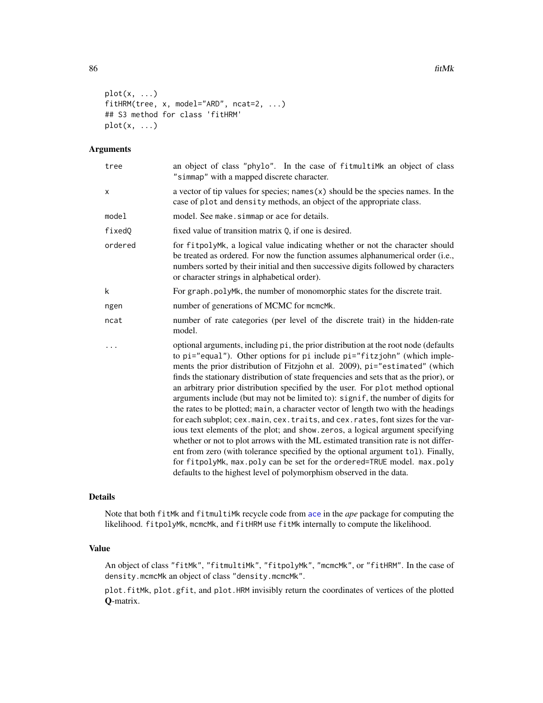```
plot(x, \ldots)fitHRM(tree, x, model="ARD", ncat=2, ...)
## S3 method for class 'fitHRM'
plot(x, \ldots)
```
## Arguments

| tree    | an object of class "phylo". In the case of fitmultimk an object of class<br>"simmap" with a mapped discrete character.                                                                                                                                                                                                                                                                                                                                                                                                                                                                                                                                                                                                                                                                                                                                                                                                                                                                                                                                                                             |
|---------|----------------------------------------------------------------------------------------------------------------------------------------------------------------------------------------------------------------------------------------------------------------------------------------------------------------------------------------------------------------------------------------------------------------------------------------------------------------------------------------------------------------------------------------------------------------------------------------------------------------------------------------------------------------------------------------------------------------------------------------------------------------------------------------------------------------------------------------------------------------------------------------------------------------------------------------------------------------------------------------------------------------------------------------------------------------------------------------------------|
| x       | a vector of tip values for species; names $(x)$ should be the species names. In the<br>case of plot and density methods, an object of the appropriate class.                                                                                                                                                                                                                                                                                                                                                                                                                                                                                                                                                                                                                                                                                                                                                                                                                                                                                                                                       |
| model   | model. See make. simmap or ace for details.                                                                                                                                                                                                                                                                                                                                                                                                                                                                                                                                                                                                                                                                                                                                                                                                                                                                                                                                                                                                                                                        |
| fixedQ  | fixed value of transition matrix 0, if one is desired.                                                                                                                                                                                                                                                                                                                                                                                                                                                                                                                                                                                                                                                                                                                                                                                                                                                                                                                                                                                                                                             |
| ordered | for fitpolyMk, a logical value indicating whether or not the character should<br>be treated as ordered. For now the function assumes alphanumerical order (i.e.,<br>numbers sorted by their initial and then successive digits followed by characters<br>or character strings in alphabetical order).                                                                                                                                                                                                                                                                                                                                                                                                                                                                                                                                                                                                                                                                                                                                                                                              |
| k       | For graph.polyMk, the number of monomorphic states for the discrete trait.                                                                                                                                                                                                                                                                                                                                                                                                                                                                                                                                                                                                                                                                                                                                                                                                                                                                                                                                                                                                                         |
| ngen    | number of generations of MCMC for mcmcMk.                                                                                                                                                                                                                                                                                                                                                                                                                                                                                                                                                                                                                                                                                                                                                                                                                                                                                                                                                                                                                                                          |
| ncat    | number of rate categories (per level of the discrete trait) in the hidden-rate<br>model.                                                                                                                                                                                                                                                                                                                                                                                                                                                                                                                                                                                                                                                                                                                                                                                                                                                                                                                                                                                                           |
|         | optional arguments, including pi, the prior distribution at the root node (defaults<br>to pi="equal"). Other options for pi include pi="fitzjohn" (which imple-<br>ments the prior distribution of Fitzjohn et al. 2009), pi="estimated" (which<br>finds the stationary distribution of state frequencies and sets that as the prior), or<br>an arbitrary prior distribution specified by the user. For plot method optional<br>arguments include (but may not be limited to): signif, the number of digits for<br>the rates to be plotted; main, a character vector of length two with the headings<br>for each subplot; cex.main, cex.traits, and cex.rates, font sizes for the var-<br>ious text elements of the plot; and show.zeros, a logical argument specifying<br>whether or not to plot arrows with the ML estimated transition rate is not differ-<br>ent from zero (with tolerance specified by the optional argument tol). Finally,<br>for fitpolyMk, max.poly can be set for the ordered=TRUE model. max.poly<br>defaults to the highest level of polymorphism observed in the data. |

### Details

Note that both fitMk and fitmultiMk recycle code from [ace](#page-0-0) in the *ape* package for computing the likelihood. fitpolyMk, mcmcMk, and fitHRM use fitMk internally to compute the likelihood.

# Value

An object of class "fitMk", "fitmultiMk", "fitpolyMk", "mcmcMk", or "fitHRM". In the case of density.mcmcMk an object of class "density.mcmcMk".

plot.fitMk, plot.gfit, and plot.HRM invisibly return the coordinates of vertices of the plotted Q-matrix.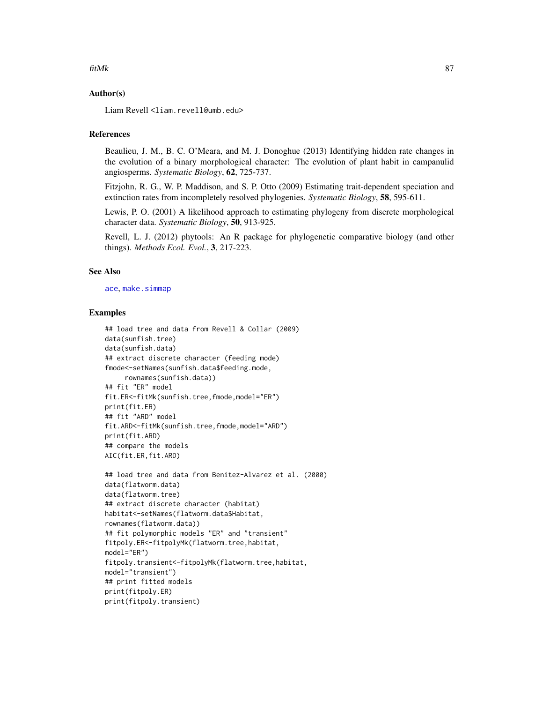#### fitMk 87

## Author(s)

Liam Revell <liam.revell@umb.edu>

### References

Beaulieu, J. M., B. C. O'Meara, and M. J. Donoghue (2013) Identifying hidden rate changes in the evolution of a binary morphological character: The evolution of plant habit in campanulid angiosperms. *Systematic Biology*, 62, 725-737.

Fitzjohn, R. G., W. P. Maddison, and S. P. Otto (2009) Estimating trait-dependent speciation and extinction rates from incompletely resolved phylogenies. *Systematic Biology*, 58, 595-611.

Lewis, P. O. (2001) A likelihood approach to estimating phylogeny from discrete morphological character data. *Systematic Biology*, 50, 913-925.

Revell, L. J. (2012) phytools: An R package for phylogenetic comparative biology (and other things). *Methods Ecol. Evol.*, 3, 217-223.

### See Also

[ace](#page-0-0), [make.simmap](#page-107-0)

## Examples

```
## load tree and data from Revell & Collar (2009)
data(sunfish.tree)
data(sunfish.data)
## extract discrete character (feeding mode)
fmode<-setNames(sunfish.data$feeding.mode,
     rownames(sunfish.data))
## fit "ER" model
fit.ER<-fitMk(sunfish.tree,fmode,model="ER")
print(fit.ER)
## fit "ARD" model
fit.ARD<-fitMk(sunfish.tree,fmode,model="ARD")
print(fit.ARD)
## compare the models
AIC(fit.ER,fit.ARD)
```

```
## load tree and data from Benitez-Alvarez et al. (2000)
data(flatworm.data)
data(flatworm.tree)
## extract discrete character (habitat)
habitat<-setNames(flatworm.data$Habitat,
rownames(flatworm.data))
## fit polymorphic models "ER" and "transient"
fitpoly.ER<-fitpolyMk(flatworm.tree,habitat,
model="ER")
fitpoly.transient<-fitpolyMk(flatworm.tree,habitat,
model="transient")
## print fitted models
print(fitpoly.ER)
print(fitpoly.transient)
```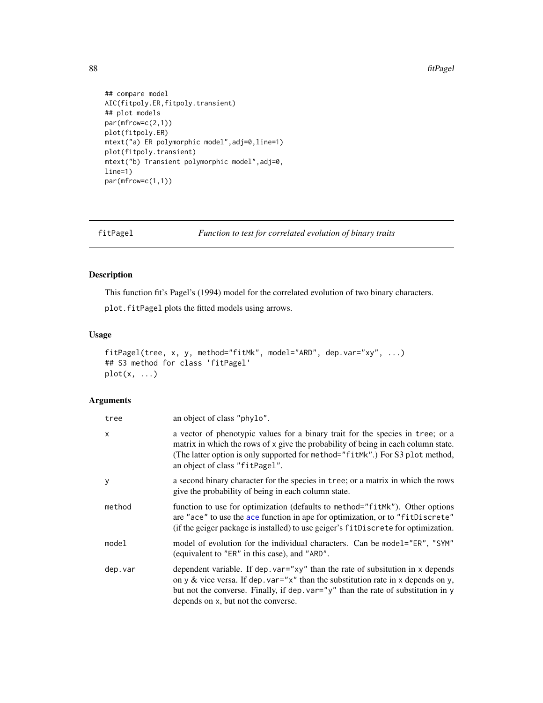88 fitPagel

```
## compare model
AIC(fitpoly.ER,fitpoly.transient)
## plot models
par(mfrow=c(2,1))
plot(fitpoly.ER)
mtext("a) ER polymorphic model",adj=0,line=1)
plot(fitpoly.transient)
mtext("b) Transient polymorphic model",adj=0,
line=1)
par(mfrow=c(1,1))
```
fitPagel *Function to test for correlated evolution of binary traits*

# Description

This function fit's Pagel's (1994) model for the correlated evolution of two binary characters.

plot.fitPagel plots the fitted models using arrows.

### Usage

```
fitPagel(tree, x, y, method="fitMk", model="ARD", dep.var="xy", ...)
## S3 method for class 'fitPagel'
plot(x, \ldots)
```
# Arguments

| tree    | an object of class "phylo".                                                                                                                                                                                                                                                                          |
|---------|------------------------------------------------------------------------------------------------------------------------------------------------------------------------------------------------------------------------------------------------------------------------------------------------------|
| x       | a vector of phenotypic values for a binary trait for the species in tree; or a<br>matrix in which the rows of x give the probability of being in each column state.<br>(The latter option is only supported for method="fitMk".) For S3 plot method,<br>an object of class "fitPagel".               |
| у       | a second binary character for the species in tree; or a matrix in which the rows<br>give the probability of being in each column state.                                                                                                                                                              |
| method  | function to use for optimization (defaults to method="fitMk"). Other options<br>are "ace" to use the ace function in ape for optimization, or to "fitDiscrete"<br>(if the geiger package is installed) to use geiger's fitDiscrete for optimization.                                                 |
| model   | model of evolution for the individual characters. Can be model="ER", "SYM"<br>(equivalent to "ER" in this case), and "ARD".                                                                                                                                                                          |
| dep.var | dependent variable. If dep. $var="xy"$ than the rate of subsitution in x depends<br>on y & vice versa. If dep. var=" $x$ " than the substitution rate in x depends on y,<br>but not the converse. Finally, if dep. var="y" than the rate of substitution in y<br>depends on x, but not the converse. |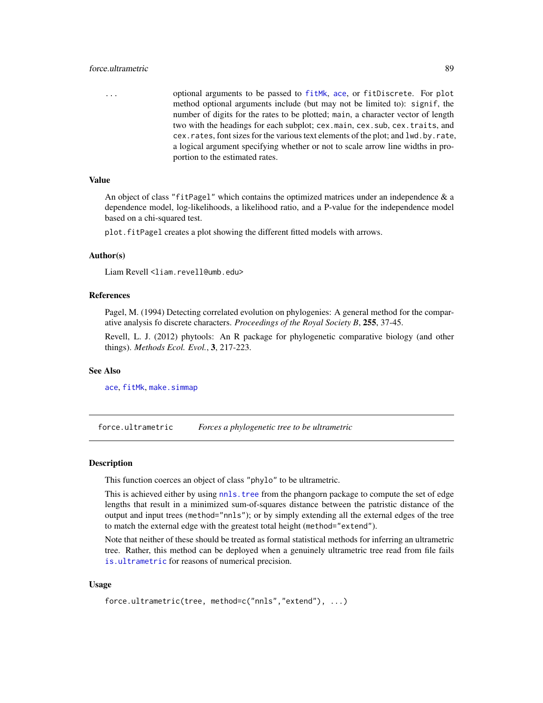## force.ultrametric 89

... optional arguments to be passed to [fitMk](#page-83-0), [ace](#page-0-0), or fitDiscrete. For plot method optional arguments include (but may not be limited to): signif, the number of digits for the rates to be plotted; main, a character vector of length two with the headings for each subplot; cex.main, cex.sub, cex.traits, and cex.rates, font sizes for the various text elements of the plot; and lwd.by.rate, a logical argument specifying whether or not to scale arrow line widths in proportion to the estimated rates.

## Value

An object of class "fitPagel" which contains the optimized matrices under an independence  $\&$  a dependence model, log-likelihoods, a likelihood ratio, and a P-value for the independence model based on a chi-squared test.

plot.fitPagel creates a plot showing the different fitted models with arrows.

### Author(s)

Liam Revell <liam.revell@umb.edu>

### References

Pagel, M. (1994) Detecting correlated evolution on phylogenies: A general method for the comparative analysis fo discrete characters. *Proceedings of the Royal Society B*, 255, 37-45.

Revell, L. J. (2012) phytools: An R package for phylogenetic comparative biology (and other things). *Methods Ecol. Evol.*, 3, 217-223.

### See Also

[ace](#page-0-0), [fitMk](#page-83-0), [make.simmap](#page-107-0)

force.ultrametric *Forces a phylogenetic tree to be ultrametric*

#### Description

This function coerces an object of class "phylo" to be ultrametric.

This is achieved either by using nnls. tree from the phangorn package to compute the set of edge lengths that result in a minimized sum-of-squares distance between the patristic distance of the output and input trees (method="nnls"); or by simply extending all the external edges of the tree to match the external edge with the greatest total height (method="extend").

Note that neither of these should be treated as formal statistical methods for inferring an ultrametric tree. Rather, this method can be deployed when a genuinely ultrametric tree read from file fails [is.ultrametric](#page-0-0) for reasons of numerical precision.

### Usage

```
force.ultrametric(tree, method=c("nnls","extend"), ...)
```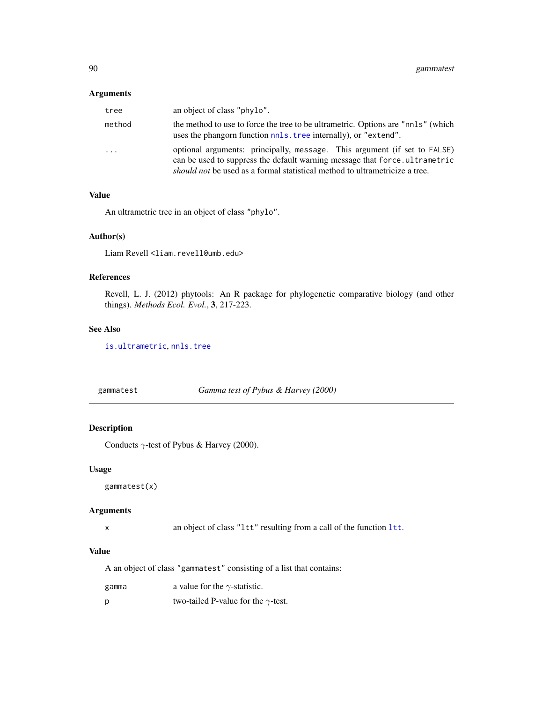## Arguments

| tree     | an object of class "phylo".                                                                                                                                                                                                            |
|----------|----------------------------------------------------------------------------------------------------------------------------------------------------------------------------------------------------------------------------------------|
| method   | the method to use to force the tree to be ultrametric. Options are "nnls" (which<br>uses the phangorn function not stree internally), or "extend".                                                                                     |
| $\cdots$ | optional arguments: principally, message. This argument (if set to FALSE)<br>can be used to suppress the default warning message that force.ultrametric<br>should not be used as a formal statistical method to ultrametricize a tree. |

## Value

An ultrametric tree in an object of class "phylo".

## Author(s)

Liam Revell <liam.revell@umb.edu>

## References

Revell, L. J. (2012) phytools: An R package for phylogenetic comparative biology (and other things). *Methods Ecol. Evol.*, 3, 217-223.

## See Also

[is.ultrametric](#page-0-0), [nnls.tree](#page-0-0)

<span id="page-89-0"></span>gammatest *Gamma test of Pybus & Harvey (2000)*

## Description

Conducts  $\gamma$ -test of Pybus & Harvey (2000).

## Usage

gammatest(x)

#### Arguments

x an object of class "ltt" resulting from a call of the function [ltt](#page-103-0).

# Value

A an object of class "gammatest" consisting of a list that contains:

| a value for the $\gamma$ -statistic.<br>gamma |  |
|-----------------------------------------------|--|
|-----------------------------------------------|--|

p two-tailed P-value for the  $\gamma$ -test.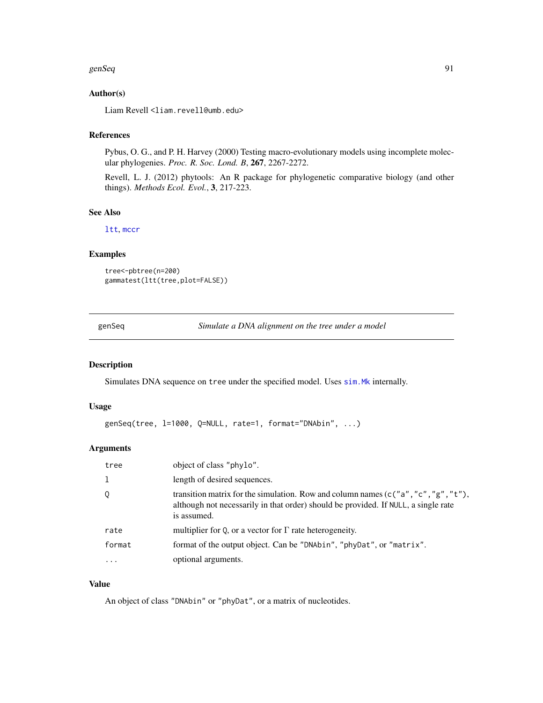#### genSeq 91

# Author(s)

Liam Revell <liam.revell@umb.edu>

# References

Pybus, O. G., and P. H. Harvey (2000) Testing macro-evolutionary models using incomplete molecular phylogenies. *Proc. R. Soc. Lond. B*, 267, 2267-2272.

Revell, L. J. (2012) phytools: An R package for phylogenetic comparative biology (and other things). *Methods Ecol. Evol.*, 3, 217-223.

## See Also

[ltt](#page-103-0), [mccr](#page-103-1)

# Examples

```
tree<-pbtree(n=200)
gammatest(ltt(tree,plot=FALSE))
```
genSeq *Simulate a DNA alignment on the tree under a model*

# Description

Simulates DNA sequence on tree under the specified model. Uses [sim.Mk](#page-191-0) internally.

#### Usage

```
genSeq(tree, l=1000, Q=NULL, rate=1, format="DNAbin", ...)
```
### Arguments

| tree      | object of class "phylo".                                                                                                                                                                |
|-----------|-----------------------------------------------------------------------------------------------------------------------------------------------------------------------------------------|
|           | length of desired sequences.                                                                                                                                                            |
| Q         | transition matrix for the simulation. Row and column names (c("a", "c", "g", "t"),<br>although not necessarily in that order) should be provided. If NULL, a single rate<br>is assumed. |
| rate      | multiplier for Q, or a vector for $\Gamma$ rate heterogeneity.                                                                                                                          |
| format    | format of the output object. Can be "DNAbin", "phyDat", or "matrix".                                                                                                                    |
| $\ddotsc$ | optional arguments.                                                                                                                                                                     |

# Value

An object of class "DNAbin" or "phyDat", or a matrix of nucleotides.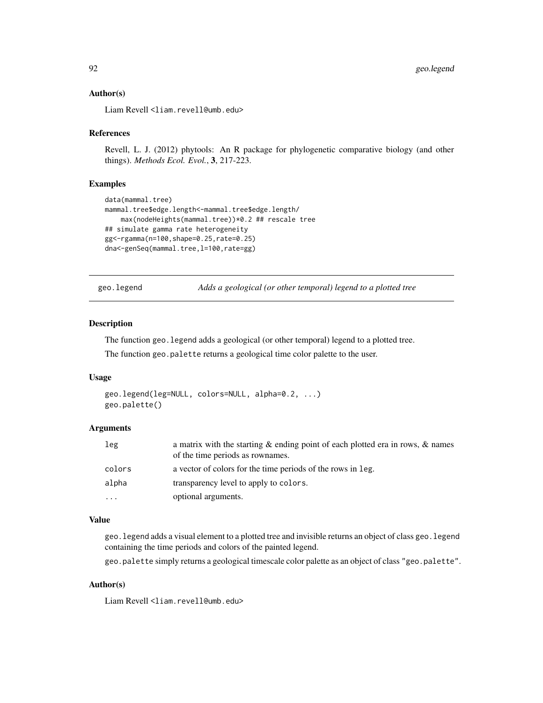### Author(s)

Liam Revell <liam.revell@umb.edu>

### References

Revell, L. J. (2012) phytools: An R package for phylogenetic comparative biology (and other things). *Methods Ecol. Evol.*, 3, 217-223.

### Examples

```
data(mammal.tree)
mammal.tree$edge.length<-mammal.tree$edge.length/
    max(nodeHeights(mammal.tree))*0.2 ## rescale tree
## simulate gamma rate heterogeneity
gg<-rgamma(n=100,shape=0.25,rate=0.25)
dna<-genSeq(mammal.tree, 1=100, rate=gg)
```
geo.legend *Adds a geological (or other temporal) legend to a plotted tree*

### Description

The function geo.legend adds a geological (or other temporal) legend to a plotted tree.

The function geo.palette returns a geological time color palette to the user.

#### Usage

```
geo.legend(leg=NULL, colors=NULL, alpha=0.2, ...)
geo.palette()
```
## Arguments

| leg      | a matrix with the starting $\&$ ending point of each plotted era in rows, $\&$ names<br>of the time periods as rownames. |
|----------|--------------------------------------------------------------------------------------------------------------------------|
| colors   | a vector of colors for the time periods of the rows in leg.                                                              |
| alpha    | transparency level to apply to colors.                                                                                   |
| $\cdots$ | optional arguments.                                                                                                      |

#### Value

geo.legend adds a visual element to a plotted tree and invisible returns an object of class geo.legend containing the time periods and colors of the painted legend.

geo.palette simply returns a geological timescale color palette as an object of class "geo.palette".

## Author(s)

Liam Revell <liam.revell@umb.edu>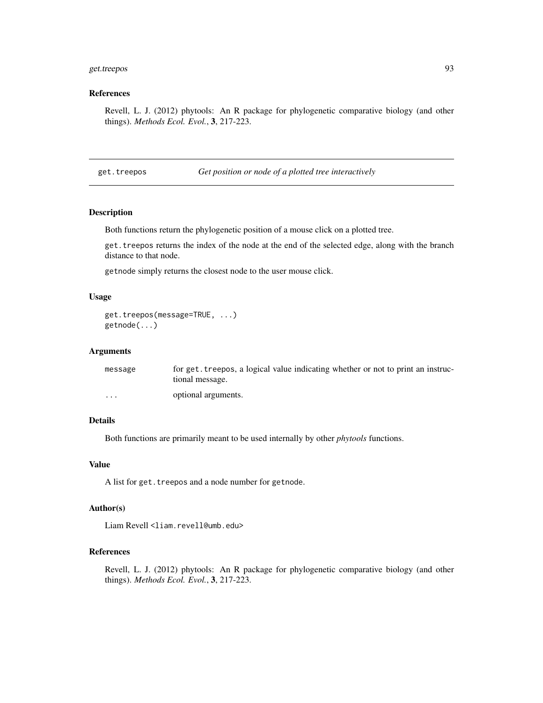# get.treepos 93

## References

Revell, L. J. (2012) phytools: An R package for phylogenetic comparative biology (and other things). *Methods Ecol. Evol.*, 3, 217-223.

get.treepos *Get position or node of a plotted tree interactively*

### Description

Both functions return the phylogenetic position of a mouse click on a plotted tree.

get.treepos returns the index of the node at the end of the selected edge, along with the branch distance to that node.

getnode simply returns the closest node to the user mouse click.

## Usage

```
get.treepos(message=TRUE, ...)
getnode(...)
```
### **Arguments**

| message                 | for get, treepos, a logical value indicating whether or not to print an instruc-<br>tional message. |
|-------------------------|-----------------------------------------------------------------------------------------------------|
| $\cdot$ $\cdot$ $\cdot$ | optional arguments.                                                                                 |

# Details

Both functions are primarily meant to be used internally by other *phytools* functions.

## Value

A list for get. treepos and a node number for getnode.

### Author(s)

Liam Revell <liam.revell@umb.edu>

# References

Revell, L. J. (2012) phytools: An R package for phylogenetic comparative biology (and other things). *Methods Ecol. Evol.*, 3, 217-223.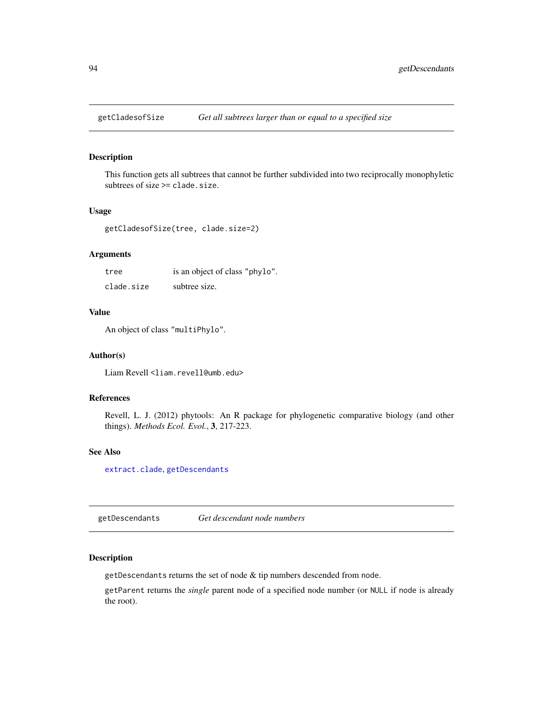This function gets all subtrees that cannot be further subdivided into two reciprocally monophyletic subtrees of size >= clade.size.

### Usage

getCladesofSize(tree, clade.size=2)

# Arguments

| tree       | is an object of class "phylo". |
|------------|--------------------------------|
| clade.size | subtree size.                  |

## Value

An object of class "multiPhylo".

#### Author(s)

Liam Revell <liam.revell@umb.edu>

#### References

Revell, L. J. (2012) phytools: An R package for phylogenetic comparative biology (and other things). *Methods Ecol. Evol.*, 3, 217-223.

### See Also

[extract.clade](#page-0-0), [getDescendants](#page-93-0)

<span id="page-93-0"></span>getDescendants *Get descendant node numbers*

## Description

getDescendants returns the set of node & tip numbers descended from node.

getParent returns the *single* parent node of a specified node number (or NULL if node is already the root).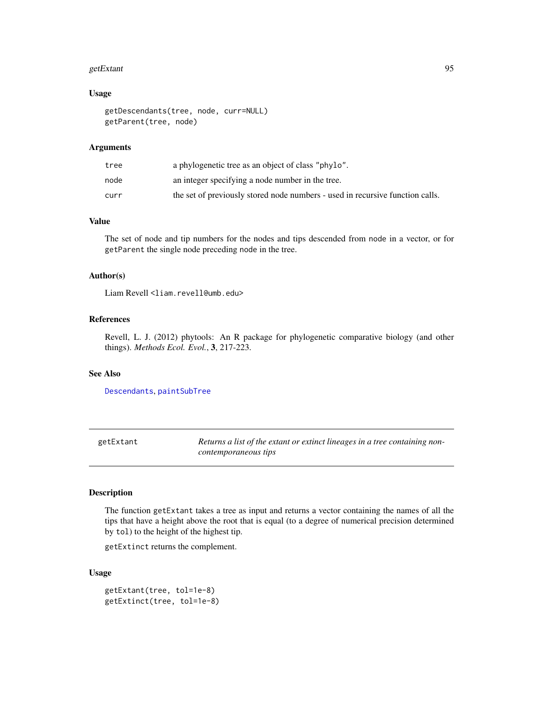#### getExtant 95

### Usage

```
getDescendants(tree, node, curr=NULL)
getParent(tree, node)
```
### Arguments

| tree | a phylogenetic tree as an object of class "phylo".                            |
|------|-------------------------------------------------------------------------------|
| node | an integer specifying a node number in the tree.                              |
| curr | the set of previously stored node numbers - used in recursive function calls. |

# Value

The set of node and tip numbers for the nodes and tips descended from node in a vector, or for getParent the single node preceding node in the tree.

### Author(s)

Liam Revell <liam.revell@umb.edu>

## References

Revell, L. J. (2012) phytools: An R package for phylogenetic comparative biology (and other things). *Methods Ecol. Evol.*, 3, 217-223.

# See Also

[Descendants](#page-0-0), [paintSubTree](#page-130-0)

getExtant *Returns a list of the extant or extinct lineages in a tree containing noncontemporaneous tips*

# Description

The function getExtant takes a tree as input and returns a vector containing the names of all the tips that have a height above the root that is equal (to a degree of numerical precision determined by tol) to the height of the highest tip.

getExtinct returns the complement.

### Usage

```
getExtant(tree, tol=1e-8)
getExtinct(tree, tol=1e-8)
```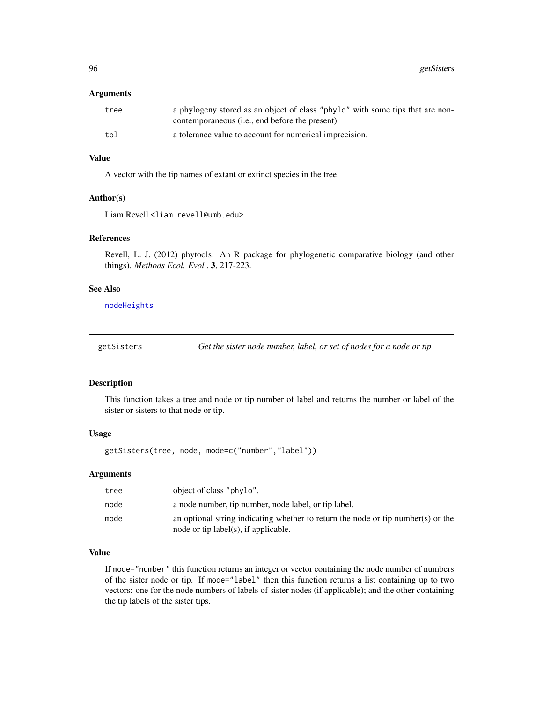### **Arguments**

| tree | a phylogeny stored as an object of class "phylo" with some tips that are non-<br>contemporaneous ( <i>i.e.</i> , end before the present). |
|------|-------------------------------------------------------------------------------------------------------------------------------------------|
| tol  | a tolerance value to account for numerical imprecision.                                                                                   |

## Value

A vector with the tip names of extant or extinct species in the tree.

#### Author(s)

Liam Revell <liam.revell@umb.edu>

#### References

Revell, L. J. (2012) phytools: An R package for phylogenetic comparative biology (and other things). *Methods Ecol. Evol.*, 3, 217-223.

# See Also

[nodeHeights](#page-126-0)

getSisters *Get the sister node number, label, or set of nodes for a node or tip*

#### Description

This function takes a tree and node or tip number of label and returns the number or label of the sister or sisters to that node or tip.

# Usage

getSisters(tree, node, mode=c("number","label"))

# Arguments

| tree | object of class "phylo".                                                                                                 |
|------|--------------------------------------------------------------------------------------------------------------------------|
| node | a node number, tip number, node label, or tip label.                                                                     |
| mode | an optional string indicating whether to return the node or tip number(s) or the<br>node or tip label(s), if applicable. |

# Value

If mode="number" this function returns an integer or vector containing the node number of numbers of the sister node or tip. If mode="label" then this function returns a list containing up to two vectors: one for the node numbers of labels of sister nodes (if applicable); and the other containing the tip labels of the sister tips.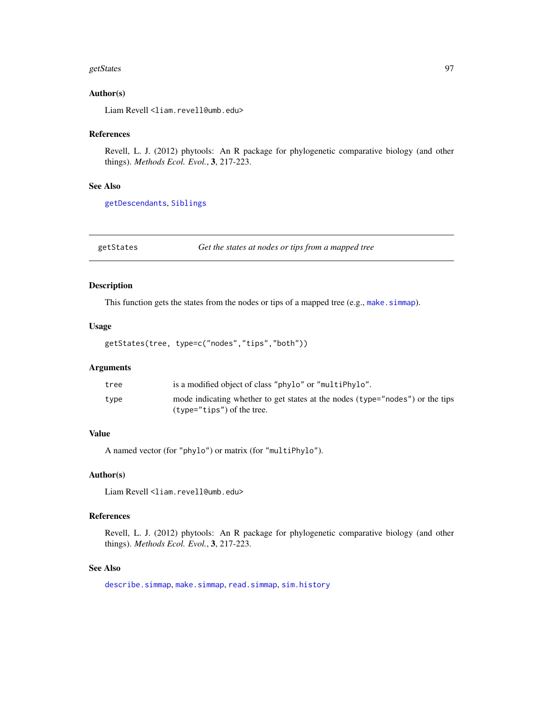#### getStates 97

## Author(s)

Liam Revell <liam.revell@umb.edu>

## References

Revell, L. J. (2012) phytools: An R package for phylogenetic comparative biology (and other things). *Methods Ecol. Evol.*, 3, 217-223.

## See Also

[getDescendants](#page-93-0), [Siblings](#page-0-0)

getStates *Get the states at nodes or tips from a mapped tree*

### Description

This function gets the states from the nodes or tips of a mapped tree (e.g., make. simmap).

## Usage

```
getStates(tree, type=c("nodes","tips","both"))
```
#### Arguments

| tree | is a modified object of class "phylo" or "multiPhylo".                        |
|------|-------------------------------------------------------------------------------|
| type | mode indicating whether to get states at the nodes (type="nodes") or the tips |
|      | $(t$ vpe="tips") of the tree.                                                 |

## Value

A named vector (for "phylo") or matrix (for "multiPhylo").

# Author(s)

Liam Revell <liam.revell@umb.edu>

## References

Revell, L. J. (2012) phytools: An R package for phylogenetic comparative biology (and other things). *Methods Ecol. Evol.*, 3, 217-223.

## See Also

[describe.simmap](#page-52-0), [make.simmap](#page-107-0), [read.simmap](#page-176-0), [sim.history](#page-191-1)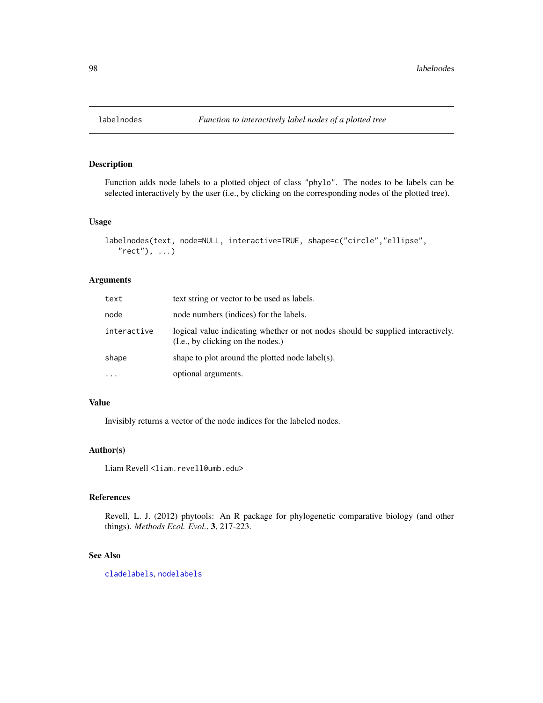Function adds node labels to a plotted object of class "phylo". The nodes to be labels can be selected interactively by the user (i.e., by clicking on the corresponding nodes of the plotted tree).

#### Usage

```
labelnodes(text, node=NULL, interactive=TRUE, shape=c("circle","ellipse",
   "rect"), ...)
```
## Arguments

| text        | text string or vector to be used as labels.                                                                          |
|-------------|----------------------------------------------------------------------------------------------------------------------|
| node        | node numbers (indices) for the labels.                                                                               |
| interactive | logical value indicating whether or not nodes should be supplied interactively.<br>(I.e., by clicking on the nodes.) |
| shape       | shape to plot around the plotted node label(s).                                                                      |
| $\cdots$    | optional arguments.                                                                                                  |

## Value

Invisibly returns a vector of the node indices for the labeled nodes.

# Author(s)

Liam Revell <liam.revell@umb.edu>

# References

Revell, L. J. (2012) phytools: An R package for phylogenetic comparative biology (and other things). *Methods Ecol. Evol.*, 3, 217-223.

## See Also

[cladelabels](#page-35-0), [nodelabels](#page-0-0)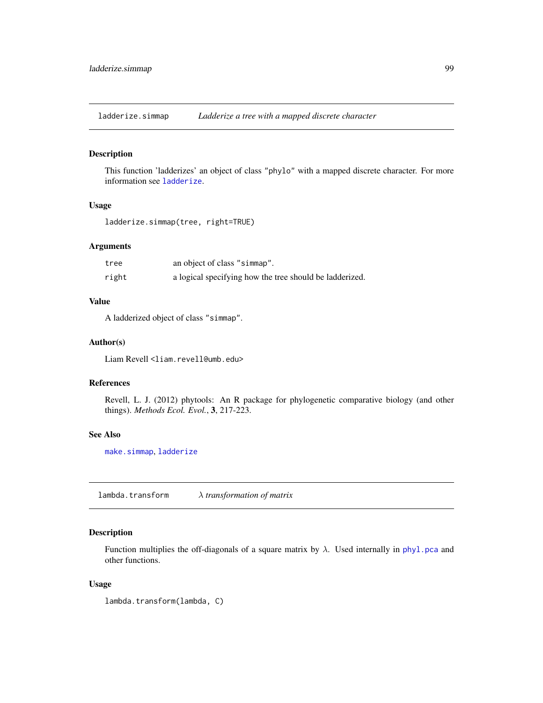ladderize.simmap *Ladderize a tree with a mapped discrete character*

## Description

This function 'ladderizes' an object of class "phylo" with a mapped discrete character. For more information see [ladderize](#page-0-0).

# Usage

```
ladderize.simmap(tree, right=TRUE)
```
### Arguments

| tree  | an object of class "simmap".                            |
|-------|---------------------------------------------------------|
| right | a logical specifying how the tree should be ladderized. |

### Value

A ladderized object of class "simmap".

## Author(s)

Liam Revell <liam.revell@umb.edu>

## References

Revell, L. J. (2012) phytools: An R package for phylogenetic comparative biology (and other things). *Methods Ecol. Evol.*, 3, 217-223.

# See Also

[make.simmap](#page-107-0), [ladderize](#page-0-0)

lambda.transform λ *transformation of matrix*

# Description

Function multiplies the off-diagonals of a square matrix by  $\lambda$ . Used internally in [phyl.pca](#page-140-0) and other functions.

#### Usage

lambda.transform(lambda, C)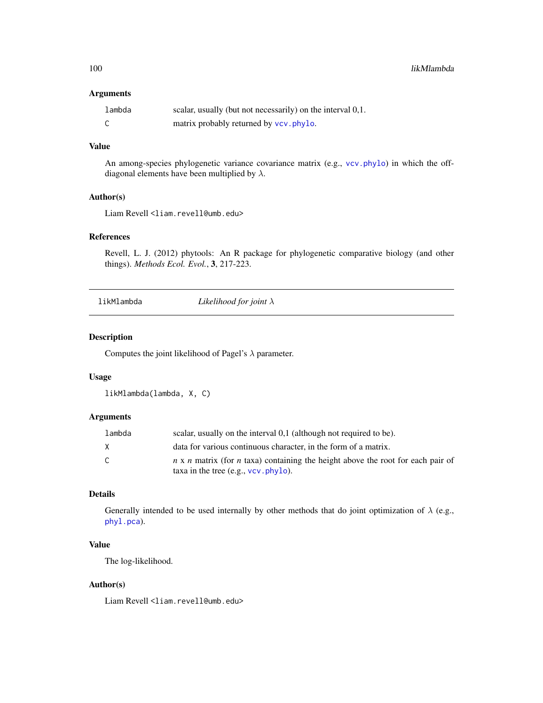## Arguments

| lambda | scalar, usually (but not necessarily) on the interval 0,1. |
|--------|------------------------------------------------------------|
|        | matrix probably returned by vcv. phylo.                    |

# Value

An among-species phylogenetic variance covariance matrix (e.g., [vcv.phylo](#page-0-0)) in which the offdiagonal elements have been multiplied by  $\lambda$ .

# Author(s)

Liam Revell <liam.revell@umb.edu>

### References

Revell, L. J. (2012) phytools: An R package for phylogenetic comparative biology (and other things). *Methods Ecol. Evol.*, 3, 217-223.

likMlambda *Likelihood for joint* λ

## Description

Computes the joint likelihood of Pagel's  $\lambda$  parameter.

## Usage

likMlambda(lambda, X, C)

### Arguments

| lambda | scalar, usually on the interval 0,1 (although not required to be).                                                                       |
|--------|------------------------------------------------------------------------------------------------------------------------------------------|
| X      | data for various continuous character, in the form of a matrix.                                                                          |
| C.     | $n \times n$ matrix (for <i>n</i> taxa) containing the height above the root for each pair of<br>taxa in the tree $(e.g., vcv, phylo)$ . |

## Details

Generally intended to be used internally by other methods that do joint optimization of  $\lambda$  (e.g., [phyl.pca](#page-140-0)).

# Value

The log-likelihood.

## Author(s)

Liam Revell <liam.revell@umb.edu>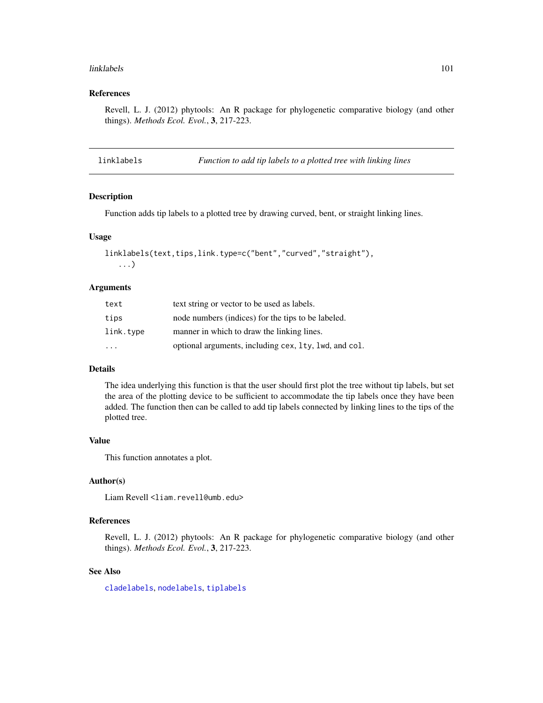#### linklabels 101

### References

Revell, L. J. (2012) phytools: An R package for phylogenetic comparative biology (and other things). *Methods Ecol. Evol.*, 3, 217-223.

linklabels *Function to add tip labels to a plotted tree with linking lines*

## Description

Function adds tip labels to a plotted tree by drawing curved, bent, or straight linking lines.

### Usage

```
linklabels(text,tips,link.type=c("bent","curved","straight"),
   ...)
```
### Arguments

| text                    | text string or vector to be used as labels.           |
|-------------------------|-------------------------------------------------------|
| tips                    | node numbers (indices) for the tips to be labeled.    |
| link.type               | manner in which to draw the linking lines.            |
| $\cdot$ $\cdot$ $\cdot$ | optional arguments, including cex, 1ty, 1wd, and col. |

### Details

The idea underlying this function is that the user should first plot the tree without tip labels, but set the area of the plotting device to be sufficient to accommodate the tip labels once they have been added. The function then can be called to add tip labels connected by linking lines to the tips of the plotted tree.

#### Value

This function annotates a plot.

## Author(s)

Liam Revell <liam.revell@umb.edu>

### References

Revell, L. J. (2012) phytools: An R package for phylogenetic comparative biology (and other things). *Methods Ecol. Evol.*, 3, 217-223.

#### See Also

[cladelabels](#page-35-0), [nodelabels](#page-0-0), [tiplabels](#page-0-0)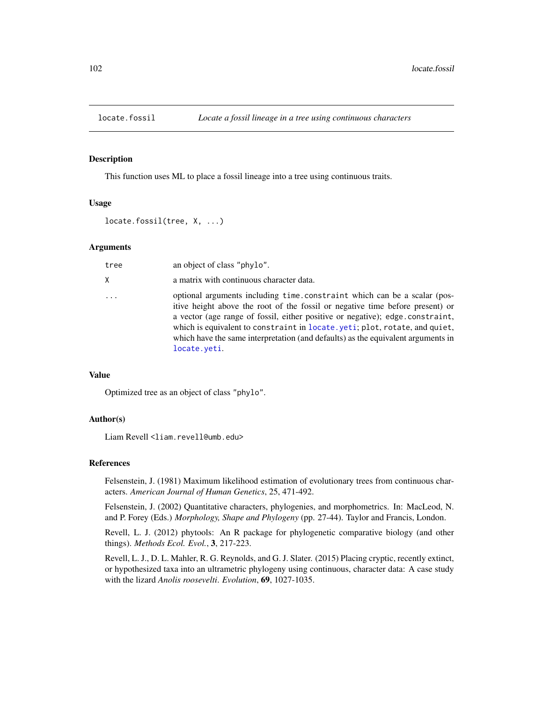This function uses ML to place a fossil lineage into a tree using continuous traits.

# Usage

```
locate.fossil(tree, X, ...)
```
## Arguments

| tree | an object of class "phylo".                                                                                                                                                                                                                                                                                                                                                                                                   |
|------|-------------------------------------------------------------------------------------------------------------------------------------------------------------------------------------------------------------------------------------------------------------------------------------------------------------------------------------------------------------------------------------------------------------------------------|
| X.   | a matrix with continuous character data.                                                                                                                                                                                                                                                                                                                                                                                      |
| .    | optional arguments including time.constraint which can be a scalar (pos-<br>itive height above the root of the fossil or negative time before present) or<br>a vector (age range of fossil, either positive or negative); edge.constraint,<br>which is equivalent to constraint in locate. yeti; plot, rotate, and quiet,<br>which have the same interpretation (and defaults) as the equivalent arguments in<br>locate.yeti. |

# Value

Optimized tree as an object of class "phylo".

# Author(s)

Liam Revell <liam.revell@umb.edu>

### References

Felsenstein, J. (1981) Maximum likelihood estimation of evolutionary trees from continuous characters. *American Journal of Human Genetics*, 25, 471-492.

Felsenstein, J. (2002) Quantitative characters, phylogenies, and morphometrics. In: MacLeod, N. and P. Forey (Eds.) *Morphology, Shape and Phylogeny* (pp. 27-44). Taylor and Francis, London.

Revell, L. J. (2012) phytools: An R package for phylogenetic comparative biology (and other things). *Methods Ecol. Evol.*, 3, 217-223.

Revell, L. J., D. L. Mahler, R. G. Reynolds, and G. J. Slater. (2015) Placing cryptic, recently extinct, or hypothesized taxa into an ultrametric phylogeny using continuous, character data: A case study with the lizard *Anolis roosevelti*. *Evolution*, 69, 1027-1035.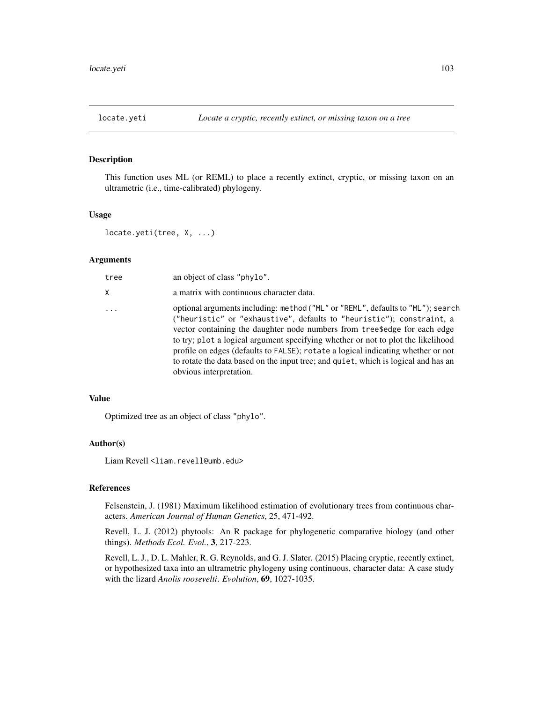<span id="page-102-0"></span>

This function uses ML (or REML) to place a recently extinct, cryptic, or missing taxon on an ultrametric (i.e., time-calibrated) phylogeny.

## Usage

```
locate.yeti(tree, X, ...)
```
### **Arguments**

| tree     | an object of class "phylo".                                                                                                                                                                                                                                                                                                                                                                                                                                                                                                    |
|----------|--------------------------------------------------------------------------------------------------------------------------------------------------------------------------------------------------------------------------------------------------------------------------------------------------------------------------------------------------------------------------------------------------------------------------------------------------------------------------------------------------------------------------------|
| Χ        | a matrix with continuous character data.                                                                                                                                                                                                                                                                                                                                                                                                                                                                                       |
| $\ddots$ | optional arguments including: method ("ML" or "REML", defaults to "ML"); search<br>("heuristic" or "exhaustive", defaults to "heuristic"); constraint, a<br>vector containing the daughter node numbers from tree\$edge for each edge<br>to try; plot a logical argument specifying whether or not to plot the likelihood<br>profile on edges (defaults to FALSE); rotate a logical indicating whether or not<br>to rotate the data based on the input tree; and quiet, which is logical and has an<br>obvious interpretation. |

#### Value

Optimized tree as an object of class "phylo".

### Author(s)

Liam Revell <liam.revell@umb.edu>

# References

Felsenstein, J. (1981) Maximum likelihood estimation of evolutionary trees from continuous characters. *American Journal of Human Genetics*, 25, 471-492.

Revell, L. J. (2012) phytools: An R package for phylogenetic comparative biology (and other things). *Methods Ecol. Evol.*, 3, 217-223.

Revell, L. J., D. L. Mahler, R. G. Reynolds, and G. J. Slater. (2015) Placing cryptic, recently extinct, or hypothesized taxa into an ultrametric phylogeny using continuous, character data: A case study with the lizard *Anolis roosevelti*. *Evolution*, 69, 1027-1035.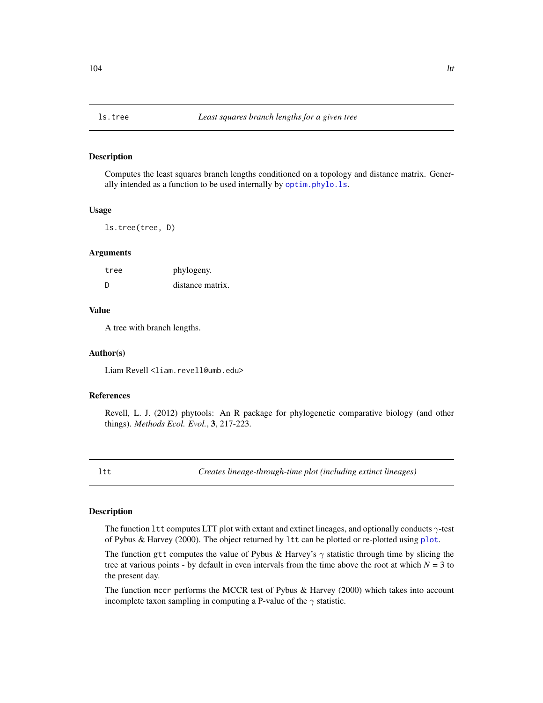Computes the least squares branch lengths conditioned on a topology and distance matrix. Generally intended as a function to be used internally by [optim.phylo.ls](#page-128-0).

### Usage

ls.tree(tree, D)

#### Arguments

| tree | phylogeny.       |
|------|------------------|
| -D   | distance matrix. |

### Value

A tree with branch lengths.

#### Author(s)

Liam Revell <liam.revell@umb.edu>

### References

Revell, L. J. (2012) phytools: An R package for phylogenetic comparative biology (and other things). *Methods Ecol. Evol.*, 3, 217-223.

<span id="page-103-0"></span>ltt *Creates lineage-through-time plot (including extinct lineages)*

# <span id="page-103-1"></span>Description

The function 1tt computes LTT plot with extant and extinct lineages, and optionally conducts  $\gamma$ -test of Pybus & Harvey (2000). The object returned by ltt can be plotted or re-plotted using [plot](#page-0-0).

The function gtt computes the value of Pybus & Harvey's  $\gamma$  statistic through time by slicing the tree at various points - by default in even intervals from the time above the root at which  $N = 3$  to the present day.

The function mccr performs the MCCR test of Pybus & Harvey (2000) which takes into account incomplete taxon sampling in computing a P-value of the  $\gamma$  statistic.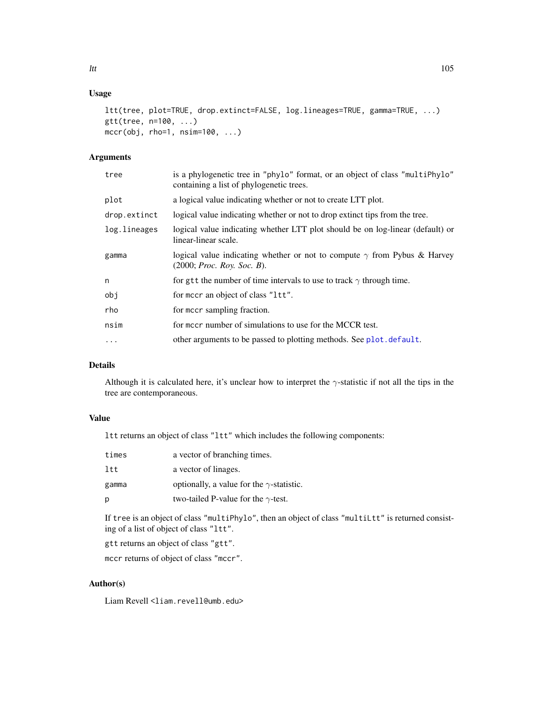# Usage

```
ltt(tree, plot=TRUE, drop.extinct=FALSE, log.lineages=TRUE, gamma=TRUE, ...)
gtt(tree, n=100, ...)
mccr(obj, rho=1, nsim=100, ...)
```
# Arguments

| tree         | is a phylogenetic tree in "phylo" format, or an object of class "multiPhylo"<br>containing a list of phylogenetic trees. |
|--------------|--------------------------------------------------------------------------------------------------------------------------|
| plot         | a logical value indicating whether or not to create LTT plot.                                                            |
| drop.extinct | logical value indicating whether or not to drop extinct tips from the tree.                                              |
| log.lineages | logical value indicating whether LTT plot should be on log-linear (default) or<br>linear-linear scale.                   |
| gamma        | logical value indicating whether or not to compute $\gamma$ from Pybus & Harvey<br>$(2000;$ <i>Proc. Roy. Soc. B</i> ).  |
| n            | for gtt the number of time intervals to use to track $\gamma$ through time.                                              |
| obj          | for meer an object of class "1tt".                                                                                       |
| rho          | for meer sampling fraction.                                                                                              |
| nsim         | for mccr number of simulations to use for the MCCR test.                                                                 |
| .            | other arguments to be passed to plotting methods. See plot. default.                                                     |
|              |                                                                                                                          |

# Details

Although it is calculated here, it's unclear how to interpret the  $\gamma$ -statistic if not all the tips in the tree are contemporaneous.

## Value

ltt returns an object of class "ltt" which includes the following components:

| times | a vector of branching times.                     |
|-------|--------------------------------------------------|
| ltt   | a vector of linages.                             |
| gamma | optionally, a value for the $\gamma$ -statistic. |
| р     | two-tailed P-value for the $\gamma$ -test.       |

If tree is an object of class "multiPhylo", then an object of class "multiLtt" is returned consisting of a list of object of class "ltt".

gtt returns an object of class "gtt".

mccr returns of object of class "mccr".

# Author(s)

Liam Revell <liam.revell@umb.edu>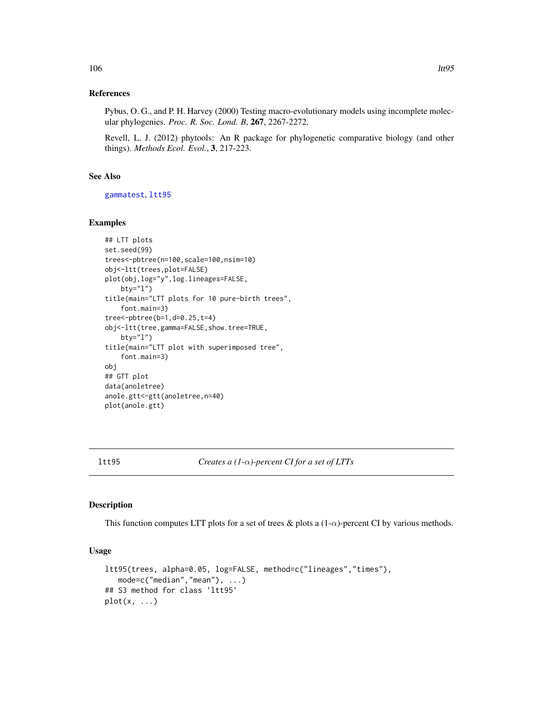## References

Pybus, O. G., and P. H. Harvey (2000) Testing macro-evolutionary models using incomplete molecular phylogenies. *Proc. R. Soc. Lond. B*, 267, 2267-2272.

Revell, L. J. (2012) phytools: An R package for phylogenetic comparative biology (and other things). *Methods Ecol. Evol.*, 3, 217-223.

## See Also

[gammatest](#page-89-0), [ltt95](#page-105-0)

## Examples

```
## LTT plots
set.seed(99)
trees<-pbtree(n=100,scale=100,nsim=10)
obj<-ltt(trees,plot=FALSE)
plot(obj,log="y",log.lineages=FALSE,
   bty="l")
title(main="LTT plots for 10 pure-birth trees",
    font.main=3)
tree<-pbtree(b=1,d=0.25,t=4)
obj<-ltt(tree,gamma=FALSE,show.tree=TRUE,
   bty="l")
title(main="LTT plot with superimposed tree",
    font.main=3)
obj
## GTT plot
data(anoletree)
anole.gtt<-gtt(anoletree,n=40)
plot(anole.gtt)
```
<span id="page-105-0"></span>ltt95 *Creates a (1-*α*)-percent CI for a set of LTTs*

#### Description

This function computes LTT plots for a set of trees & plots a  $(1-\alpha)$ -percent CI by various methods.

## Usage

```
ltt95(trees, alpha=0.05, log=FALSE, method=c("lineages","times"),
   mode=c("median","mean"), ...)
## S3 method for class 'ltt95'
plot(x, \ldots)
```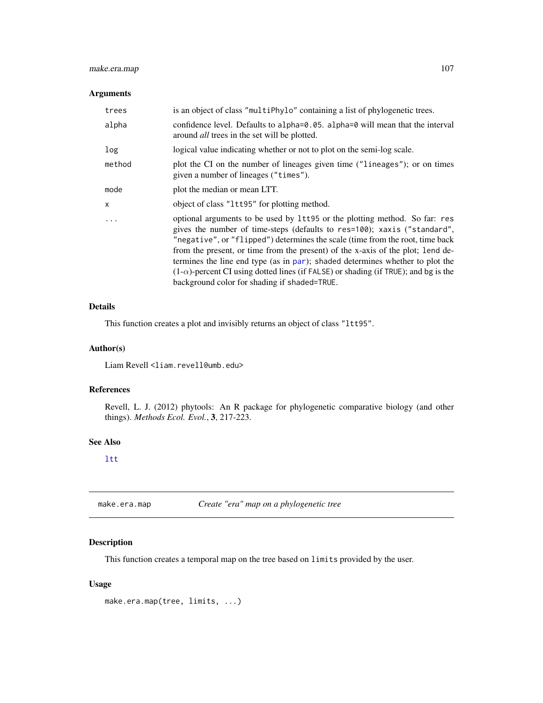# make.era.map 107

## Arguments

| trees   | is an object of class "multiPhylo" containing a list of phylogenetic trees.                                                                                                                                                                                                                                                                                                                                                                                                                                                                               |
|---------|-----------------------------------------------------------------------------------------------------------------------------------------------------------------------------------------------------------------------------------------------------------------------------------------------------------------------------------------------------------------------------------------------------------------------------------------------------------------------------------------------------------------------------------------------------------|
| alpha   | confidence level. Defaults to alpha= $\theta$ . $\theta$ 5. alpha= $\theta$ will mean that the interval<br>around <i>all</i> trees in the set will be plotted.                                                                                                                                                                                                                                                                                                                                                                                            |
| log     | logical value indicating whether or not to plot on the semi-log scale.                                                                                                                                                                                                                                                                                                                                                                                                                                                                                    |
| method  | plot the CI on the number of lineages given time ("lineages"); or on times<br>given a number of lineages ("times").                                                                                                                                                                                                                                                                                                                                                                                                                                       |
| mode    | plot the median or mean LTT.                                                                                                                                                                                                                                                                                                                                                                                                                                                                                                                              |
| X       | object of class "1tt95" for plotting method.                                                                                                                                                                                                                                                                                                                                                                                                                                                                                                              |
| $\cdot$ | optional arguments to be used by 1tt95 or the plotting method. So far: res<br>gives the number of time-steps (defaults to res=100); xaxis ("standard",<br>"negative", or "flipped") determines the scale (time from the root, time back<br>from the present, or time from the present) of the x-axis of the plot; lend de-<br>termines the line end type (as in par); shaded determines whether to plot the<br>$(1-\alpha)$ -percent CI using dotted lines (if FALSE) or shading (if TRUE); and bg is the<br>background color for shading if shaded=TRUE. |

## Details

This function creates a plot and invisibly returns an object of class "ltt95".

## Author(s)

Liam Revell <liam.revell@umb.edu>

## References

Revell, L. J. (2012) phytools: An R package for phylogenetic comparative biology (and other things). *Methods Ecol. Evol.*, 3, 217-223.

### See Also

# [ltt](#page-103-0)

make.era.map *Create "era" map on a phylogenetic tree*

# Description

This function creates a temporal map on the tree based on limits provided by the user.

# Usage

make.era.map(tree, limits, ...)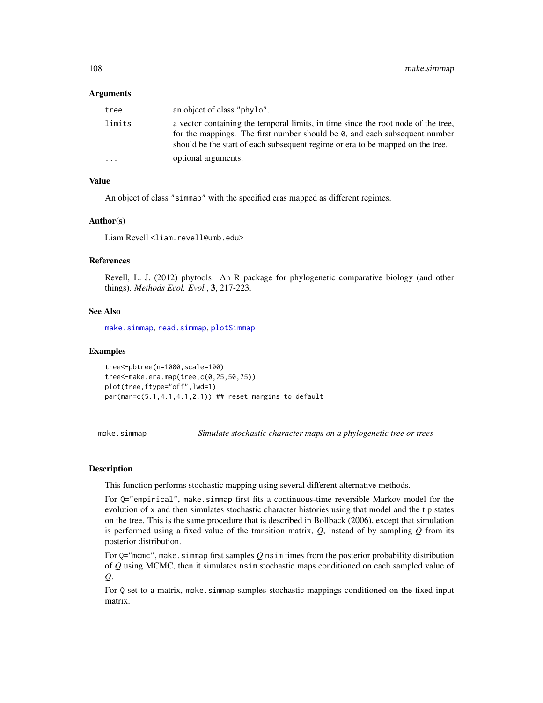#### Arguments

| tree    | an object of class "phylo".                                                                                                                                                                                                                       |
|---------|---------------------------------------------------------------------------------------------------------------------------------------------------------------------------------------------------------------------------------------------------|
| limits  | a vector containing the temporal limits, in time since the root node of the tree,<br>for the mappings. The first number should be 0, and each subsequent number<br>should be the start of each subsequent regime or era to be mapped on the tree. |
| $\cdot$ | optional arguments.                                                                                                                                                                                                                               |

# Value

An object of class "simmap" with the specified eras mapped as different regimes.

### Author(s)

Liam Revell <liam.revell@umb.edu>

### References

Revell, L. J. (2012) phytools: An R package for phylogenetic comparative biology (and other things). *Methods Ecol. Evol.*, 3, 217-223.

### See Also

[make.simmap](#page-107-0), [read.simmap](#page-176-0), [plotSimmap](#page-160-0)

### Examples

```
tree<-pbtree(n=1000,scale=100)
tree<-make.era.map(tree,c(0,25,50,75))
plot(tree,ftype="off",lwd=1)
par(mar=c(5.1,4.1,4.1,2.1)) ## reset margins to default
```
<span id="page-107-0"></span>make.simmap *Simulate stochastic character maps on a phylogenetic tree or trees*

## Description

This function performs stochastic mapping using several different alternative methods.

For Q="empirical", make.simmap first fits a continuous-time reversible Markov model for the evolution of x and then simulates stochastic character histories using that model and the tip states on the tree. This is the same procedure that is described in Bollback (2006), except that simulation is performed using a fixed value of the transition matrix, *Q*, instead of by sampling *Q* from its posterior distribution.

For  $Q="m$ cmc", make.simmap first samples  $Q$  nsim times from the posterior probability distribution of *Q* using MCMC, then it simulates nsim stochastic maps conditioned on each sampled value of *Q*.

For Q set to a matrix, make.simmap samples stochastic mappings conditioned on the fixed input matrix.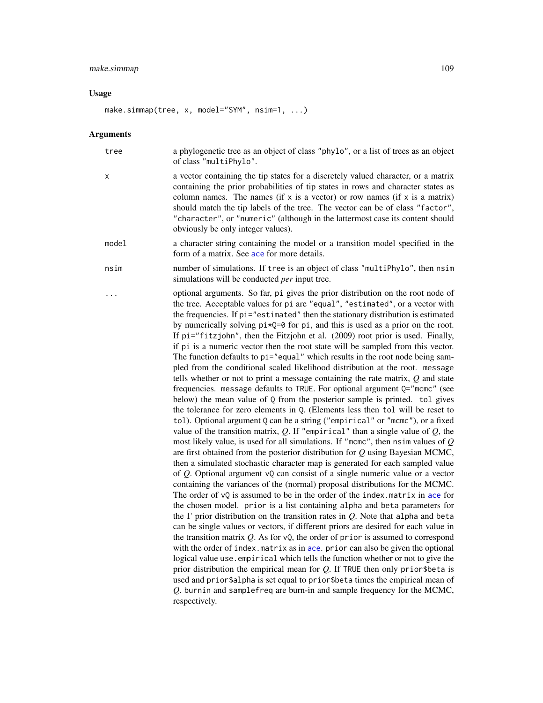#### make.simmap 109

#### Usage

```
make.simmap(tree, x, model="SYM", nsim=1, ...)
```
#### Arguments

tree a phylogenetic tree as an object of class "phylo", or a list of trees as an object of class "multiPhylo".

- x a vector containing the tip states for a discretely valued character, or a matrix containing the prior probabilities of tip states in rows and character states as column names. The names (if x is a vector) or row names (if x is a matrix) should match the tip labels of the tree. The vector can be of class "factor", "character", or "numeric" (although in the lattermost case its content should obviously be only integer values).
- model a character string containing the model or a transition model specified in the form of a matrix. See [ace](#page-0-0) for more details.
- nsim number of simulations. If tree is an object of class "multiPhylo", then nsim simulations will be conducted *per* input tree.
	- optional arguments. So far, pi gives the prior distribution on the root node of the tree. Acceptable values for pi are "equal", "estimated", or a vector with the frequencies. If pi="estimated" then the stationary distribution is estimated by numerically solving  $pi*Q=0$  for pi, and this is used as a prior on the root. If pi="fitzjohn", then the Fitzjohn et al. (2009) root prior is used. Finally, if pi is a numeric vector then the root state will be sampled from this vector. The function defaults to pi="equal" which results in the root node being sampled from the conditional scaled likelihood distribution at the root. message tells whether or not to print a message containing the rate matrix, *Q* and state frequencies. message defaults to TRUE. For optional argument Q="mcmc" (see below) the mean value of Q from the posterior sample is printed. tol gives the tolerance for zero elements in Q. (Elements less then tol will be reset to tol). Optional argument Q can be a string ("empirical" or "mcmc"), or a fixed value of the transition matrix,  $Q$ . If "empirical" than a single value of  $Q$ , the most likely value, is used for all simulations. If "mcmc", then nsim values of *Q* are first obtained from the posterior distribution for *Q* using Bayesian MCMC, then a simulated stochastic character map is generated for each sampled value of *Q*. Optional argument vQ can consist of a single numeric value or a vector containing the variances of the (normal) proposal distributions for the MCMC. The order of  $vQ$  is assumed to be in the order of the index.matrix in [ace](#page-0-0) for the chosen model. prior is a list containing alpha and beta parameters for the Γ prior distribution on the transition rates in *Q*. Note that alpha and beta can be single values or vectors, if different priors are desired for each value in the transition matrix *Q*. As for vQ, the order of prior is assumed to correspond with the order of index.matrix as in [ace](#page-0-0). prior can also be given the optional logical value use.empirical which tells the function whether or not to give the prior distribution the empirical mean for *Q*. If TRUE then only prior\$beta is used and prior\$alpha is set equal to prior\$beta times the empirical mean of *Q*. burnin and samplefreq are burn-in and sample frequency for the MCMC, respectively.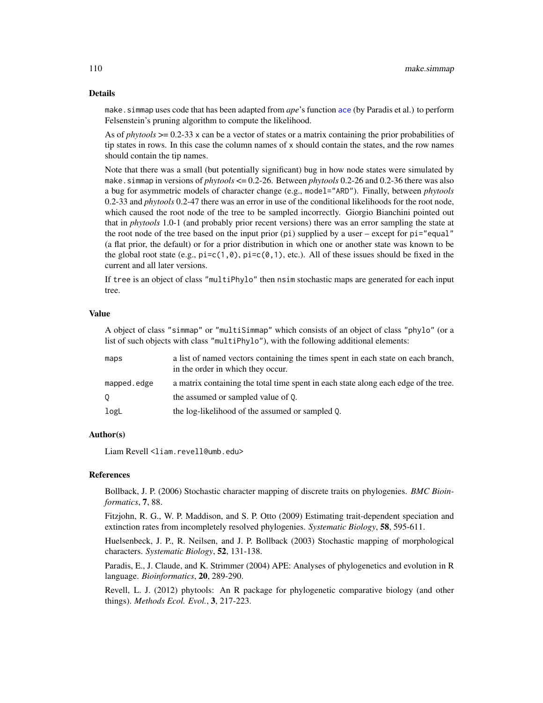#### Details

make. simmap uses code that has been adapted from *ape*'s function [ace](#page-0-0) (by Paradis et al.) to perform Felsenstein's pruning algorithm to compute the likelihood.

As of *phytools* >= 0.2-33 x can be a vector of states or a matrix containing the prior probabilities of tip states in rows. In this case the column names of x should contain the states, and the row names should contain the tip names.

Note that there was a small (but potentially significant) bug in how node states were simulated by make.simmap in versions of *phytools* <= 0.2-26. Between *phytools* 0.2-26 and 0.2-36 there was also a bug for asymmetric models of character change (e.g., model="ARD"). Finally, between *phytools* 0.2-33 and *phytools* 0.2-47 there was an error in use of the conditional likelihoods for the root node, which caused the root node of the tree to be sampled incorrectly. Giorgio Bianchini pointed out that in *phytools* 1.0-1 (and probably prior recent versions) there was an error sampling the state at the root node of the tree based on the input prior  $pi$  is upplied by a user – except for  $pi="equal"$ (a flat prior, the default) or for a prior distribution in which one or another state was known to be the global root state (e.g.,  $pi=c(1,0)$ ,  $pi=c(0,1)$ , etc.). All of these issues should be fixed in the current and all later versions.

If tree is an object of class "multiPhylo" then nsim stochastic maps are generated for each input tree.

## Value

A object of class "simmap" or "multiSimmap" which consists of an object of class "phylo" (or a list of such objects with class "multiPhylo"), with the following additional elements:

| maps        | a list of named vectors containing the times spent in each state on each branch,<br>in the order in which they occur. |
|-------------|-----------------------------------------------------------------------------------------------------------------------|
| mapped.edge | a matrix containing the total time spent in each state along each edge of the tree.                                   |
| $\circ$     | the assumed or sampled value of 0.                                                                                    |
| logL        | the log-likelihood of the assumed or sampled 0.                                                                       |

#### Author(s)

Liam Revell <liam.revell@umb.edu>

#### References

Bollback, J. P. (2006) Stochastic character mapping of discrete traits on phylogenies. *BMC Bioinformatics*, 7, 88.

Fitzjohn, R. G., W. P. Maddison, and S. P. Otto (2009) Estimating trait-dependent speciation and extinction rates from incompletely resolved phylogenies. *Systematic Biology*, 58, 595-611.

Huelsenbeck, J. P., R. Neilsen, and J. P. Bollback (2003) Stochastic mapping of morphological characters. *Systematic Biology*, 52, 131-138.

Paradis, E., J. Claude, and K. Strimmer (2004) APE: Analyses of phylogenetics and evolution in R language. *Bioinformatics*, 20, 289-290.

Revell, L. J. (2012) phytools: An R package for phylogenetic comparative biology (and other things). *Methods Ecol. Evol.*, 3, 217-223.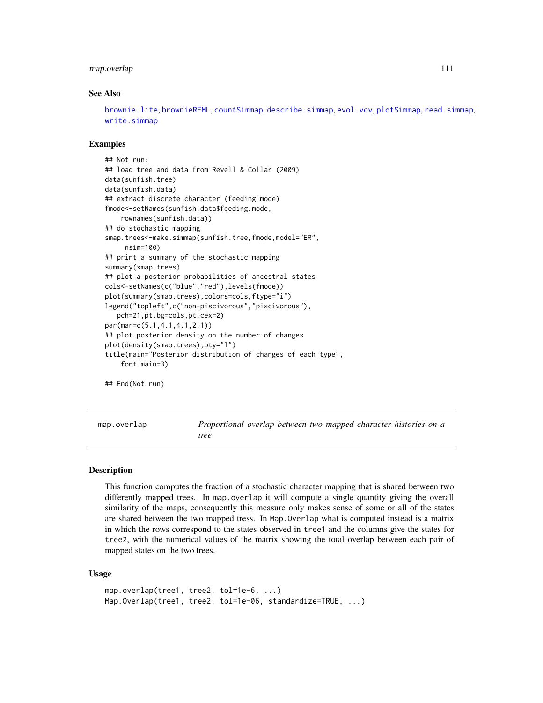## map.overlap 111

#### See Also

[brownie.lite](#page-32-0), [brownieREML](#page-34-0), [countSimmap](#page-45-0), [describe.simmap](#page-52-0), [evol.vcv](#page-65-0), [plotSimmap](#page-160-0), [read.simmap](#page-176-0), [write.simmap](#page-209-0)

## Examples

```
## Not run:
## load tree and data from Revell & Collar (2009)
data(sunfish.tree)
data(sunfish.data)
## extract discrete character (feeding mode)
fmode<-setNames(sunfish.data$feeding.mode,
    rownames(sunfish.data))
## do stochastic mapping
smap.trees<-make.simmap(sunfish.tree,fmode,model="ER",
     nsim=100)
## print a summary of the stochastic mapping
summary(smap.trees)
## plot a posterior probabilities of ancestral states
cols<-setNames(c("blue","red"),levels(fmode))
plot(summary(smap.trees),colors=cols,ftype="i")
legend("topleft",c("non-piscivorous","piscivorous"),
   pch=21,pt.bg=cols,pt.cex=2)
par(mar=c(5.1,4.1,4.1,2.1))
## plot posterior density on the number of changes
plot(density(smap.trees),bty="l")
title(main="Posterior distribution of changes of each type",
    font.main=3)
## End(Not run)
```
map.overlap *Proportional overlap between two mapped character histories on a tree*

#### Description

This function computes the fraction of a stochastic character mapping that is shared between two differently mapped trees. In map.overlap it will compute a single quantity giving the overall similarity of the maps, consequently this measure only makes sense of some or all of the states are shared between the two mapped tress. In Map.Overlap what is computed instead is a matrix in which the rows correspond to the states observed in tree1 and the columns give the states for tree2, with the numerical values of the matrix showing the total overlap between each pair of mapped states on the two trees.

#### Usage

```
map.overlap(tree1, tree2, tol=1e-6, ...)
Map.Overlap(tree1, tree2, tol=1e-06, standardize=TRUE, ...)
```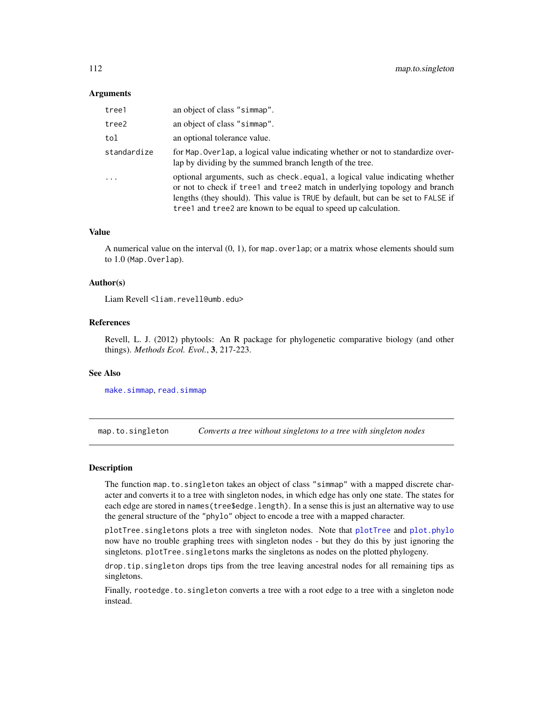## **Arguments**

| tree1       | an object of class "simmap".                                                                                                                                                                                                                                                                                    |
|-------------|-----------------------------------------------------------------------------------------------------------------------------------------------------------------------------------------------------------------------------------------------------------------------------------------------------------------|
| tree2       | an object of class "simmap".                                                                                                                                                                                                                                                                                    |
| tol         | an optional tolerance value.                                                                                                                                                                                                                                                                                    |
| standardize | for Map. Overlap, a logical value indicating whether or not to standardize over-<br>lap by dividing by the summed branch length of the tree.                                                                                                                                                                    |
| $\ddots$    | optional arguments, such as check equal, a logical value indicating whether<br>or not to check if tree1 and tree2 match in underlying topology and branch<br>lengths (they should). This value is TRUE by default, but can be set to FALSE if<br>tree1 and tree2 are known to be equal to speed up calculation. |

#### Value

A numerical value on the interval  $(0, 1)$ , for map. overlap; or a matrix whose elements should sum to 1.0 (Map.Overlap).

## Author(s)

Liam Revell <liam.revell@umb.edu>

### References

Revell, L. J. (2012) phytools: An R package for phylogenetic comparative biology (and other things). *Methods Ecol. Evol.*, 3, 217-223.

## See Also

[make.simmap](#page-107-0), [read.simmap](#page-176-0)

map.to.singleton *Converts a tree without singletons to a tree with singleton nodes*

#### Description

The function map.to.singleton takes an object of class "simmap" with a mapped discrete character and converts it to a tree with singleton nodes, in which edge has only one state. The states for each edge are stored in names(tree\$edge.length). In a sense this is just an alternative way to use the general structure of the "phylo" object to encode a tree with a mapped character.

[plotTree](#page-163-0).singletons plots a tree with singleton nodes. Note that plotTree and [plot.phylo](#page-0-0) now have no trouble graphing trees with singleton nodes - but they do this by just ignoring the singletons. plotTree.singletons marks the singletons as nodes on the plotted phylogeny.

drop.tip.singleton drops tips from the tree leaving ancestral nodes for all remaining tips as singletons.

Finally, rootedge.to.singleton converts a tree with a root edge to a tree with a singleton node instead.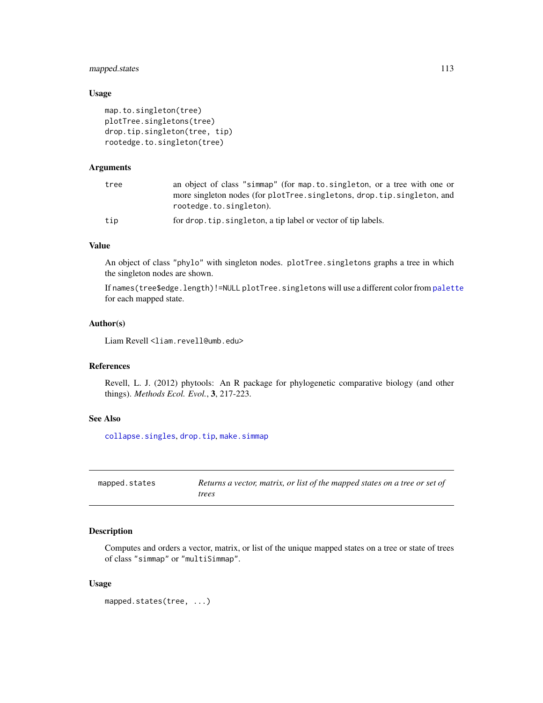# mapped.states 113

# Usage

```
map.to.singleton(tree)
plotTree.singletons(tree)
drop.tip.singleton(tree, tip)
rootedge.to.singleton(tree)
```
# Arguments

| tree | an object of class "simmap" (for map.to.singleton, or a tree with one or<br>more singleton nodes (for plotTree.singletons, drop.tip.singleton, and<br>rootedge.to.singleton). |
|------|-------------------------------------------------------------------------------------------------------------------------------------------------------------------------------|
| tip  | for drop. tip. singleton, a tip label or vector of tip labels.                                                                                                                |

## Value

An object of class "phylo" with singleton nodes. plotTree.singletons graphs a tree in which the singleton nodes are shown.

If names(tree\$edge.length)!=NULL plotTree.singletons will use a different color from [palette](#page-0-0) for each mapped state.

# Author(s)

Liam Revell <liam.revell@umb.edu>

# References

Revell, L. J. (2012) phytools: An R package for phylogenetic comparative biology (and other things). *Methods Ecol. Evol.*, 3, 217-223.

# See Also

[collapse.singles](#page-0-0), [drop.tip](#page-0-0), [make.simmap](#page-107-0)

| mapped.states | Returns a vector, matrix, or list of the mapped states on a tree or set of |
|---------------|----------------------------------------------------------------------------|
|               | trees                                                                      |

# Description

Computes and orders a vector, matrix, or list of the unique mapped states on a tree or state of trees of class "simmap" or "multiSimmap".

## Usage

```
mapped.states(tree, ...)
```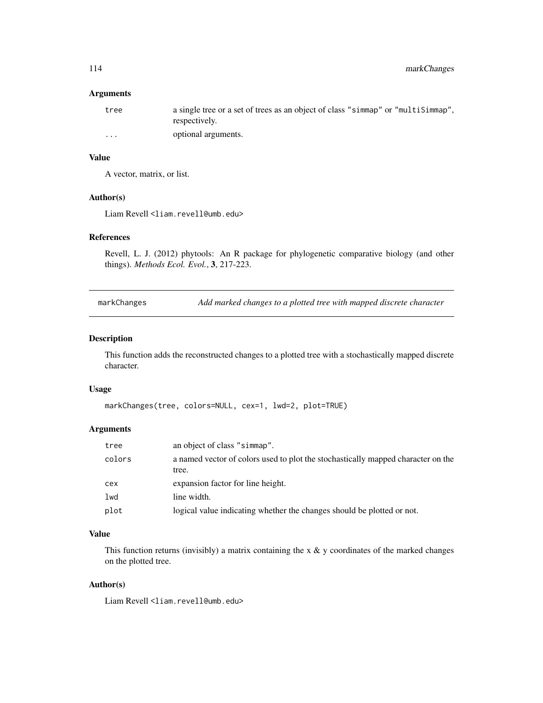# Arguments

| tree     | a single tree or a set of trees as an object of class "simmap" or "multisimmap".<br>respectively. |
|----------|---------------------------------------------------------------------------------------------------|
| $\cdots$ | optional arguments.                                                                               |

# Value

A vector, matrix, or list.

# Author(s)

Liam Revell <liam.revell@umb.edu>

# References

Revell, L. J. (2012) phytools: An R package for phylogenetic comparative biology (and other things). *Methods Ecol. Evol.*, 3, 217-223.

markChanges *Add marked changes to a plotted tree with mapped discrete character*

# Description

This function adds the reconstructed changes to a plotted tree with a stochastically mapped discrete character.

## Usage

```
markChanges(tree, colors=NULL, cex=1, lwd=2, plot=TRUE)
```
# Arguments

| tree   | an object of class "simmap".                                                              |
|--------|-------------------------------------------------------------------------------------------|
| colors | a named vector of colors used to plot the stochastically mapped character on the<br>tree. |
| сех    | expansion factor for line height.                                                         |
| lwd    | line width.                                                                               |
| plot   | logical value indicating whether the changes should be plotted or not.                    |

# Value

This function returns (invisibly) a matrix containing the x  $\&$  y coordinates of the marked changes on the plotted tree.

# Author(s)

Liam Revell <liam.revell@umb.edu>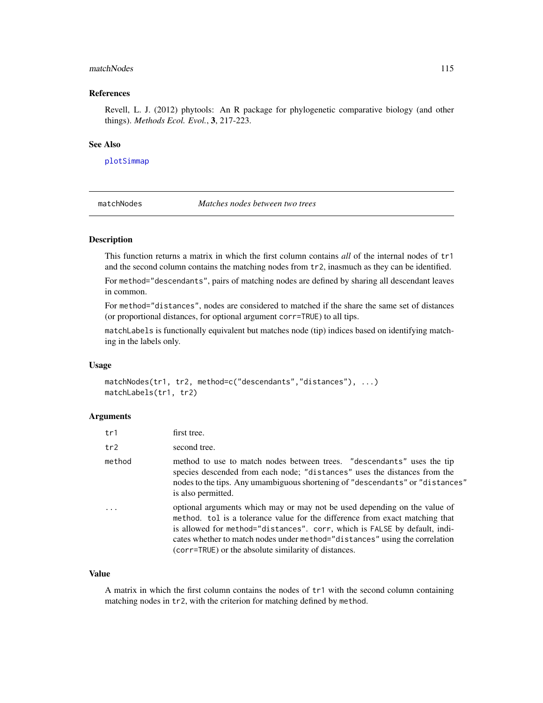#### matchNodes 115

#### References

Revell, L. J. (2012) phytools: An R package for phylogenetic comparative biology (and other things). *Methods Ecol. Evol.*, 3, 217-223.

## See Also

[plotSimmap](#page-160-0)

matchNodes *Matches nodes between two trees*

# Description

This function returns a matrix in which the first column contains *all* of the internal nodes of tr1 and the second column contains the matching nodes from tr2, inasmuch as they can be identified.

For method="descendants", pairs of matching nodes are defined by sharing all descendant leaves in common.

For method="distances", nodes are considered to matched if the share the same set of distances (or proportional distances, for optional argument corr=TRUE) to all tips.

matchLabels is functionally equivalent but matches node (tip) indices based on identifying matching in the labels only.

## Usage

matchNodes(tr1, tr2, method=c("descendants","distances"), ...) matchLabels(tr1, tr2)

#### Arguments

| tr1    | first tree.                                                                                                                                                                                                                                                                                                                                                                   |
|--------|-------------------------------------------------------------------------------------------------------------------------------------------------------------------------------------------------------------------------------------------------------------------------------------------------------------------------------------------------------------------------------|
| tr2    | second tree.                                                                                                                                                                                                                                                                                                                                                                  |
| method | method to use to match nodes between trees. "descendants" uses the tip<br>species descended from each node; "distances" uses the distances from the<br>nodes to the tips. Any umambiguous shortening of "descendants" or "distances"<br>is also permitted.                                                                                                                    |
|        | optional arguments which may or may not be used depending on the value of<br>method. tol is a tolerance value for the difference from exact matching that<br>is allowed for method="distances". corr, which is FALSE by default, indi-<br>cates whether to match nodes under method="distances" using the correlation<br>(corr=TRUE) or the absolute similarity of distances. |

#### Value

A matrix in which the first column contains the nodes of tr1 with the second column containing matching nodes in tr2, with the criterion for matching defined by method.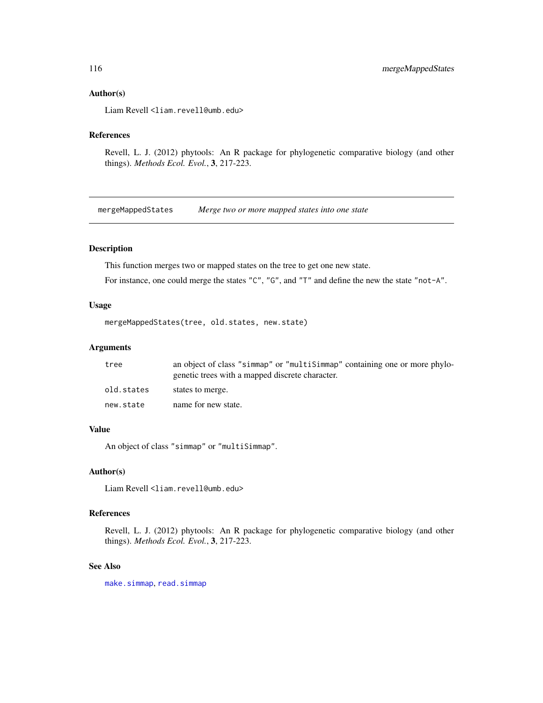## Author(s)

Liam Revell <liam.revell@umb.edu>

#### References

Revell, L. J. (2012) phytools: An R package for phylogenetic comparative biology (and other things). *Methods Ecol. Evol.*, 3, 217-223.

mergeMappedStates *Merge two or more mapped states into one state*

# Description

This function merges two or mapped states on the tree to get one new state.

For instance, one could merge the states "C", "G", and "T" and define the new the state "not-A".

## Usage

mergeMappedStates(tree, old.states, new.state)

# Arguments

| tree       | an object of class "simmap" or "multisimmap" containing one or more phylo-<br>genetic trees with a mapped discrete character. |
|------------|-------------------------------------------------------------------------------------------------------------------------------|
| old.states | states to merge.                                                                                                              |
| new.state  | name for new state.                                                                                                           |

## Value

An object of class "simmap" or "multiSimmap".

## Author(s)

Liam Revell <liam.revell@umb.edu>

# References

Revell, L. J. (2012) phytools: An R package for phylogenetic comparative biology (and other things). *Methods Ecol. Evol.*, 3, 217-223.

# See Also

[make.simmap](#page-107-0), [read.simmap](#page-176-0)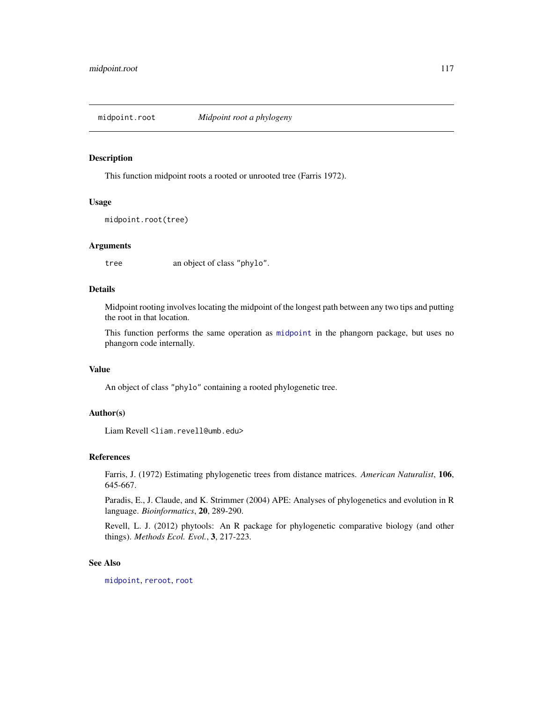This function midpoint roots a rooted or unrooted tree (Farris 1972).

## Usage

```
midpoint.root(tree)
```
#### Arguments

tree an object of class "phylo".

# Details

Midpoint rooting involves locating the midpoint of the longest path between any two tips and putting the root in that location.

This function performs the same operation as [midpoint](#page-0-0) in the phangorn package, but uses no phangorn code internally.

#### Value

An object of class "phylo" containing a rooted phylogenetic tree.

## Author(s)

Liam Revell <liam.revell@umb.edu>

#### References

Farris, J. (1972) Estimating phylogenetic trees from distance matrices. *American Naturalist*, 106, 645-667.

Paradis, E., J. Claude, and K. Strimmer (2004) APE: Analyses of phylogenetics and evolution in R language. *Bioinformatics*, 20, 289-290.

Revell, L. J. (2012) phytools: An R package for phylogenetic comparative biology (and other things). *Methods Ecol. Evol.*, 3, 217-223.

# See Also

[midpoint](#page-0-0), [reroot](#page-180-0), [root](#page-0-0)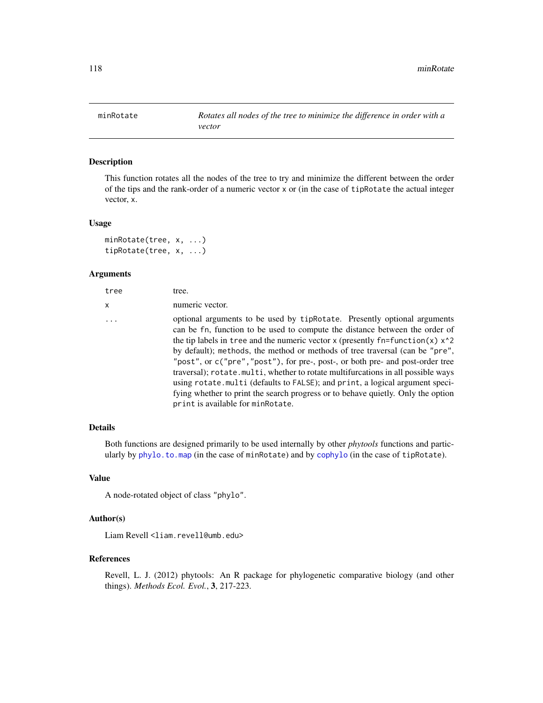This function rotates all the nodes of the tree to try and minimize the different between the order of the tips and the rank-order of a numeric vector x or (in the case of tipRotate the actual integer vector, x.

#### Usage

```
minRotate(tree, x, ...)
tipRotate(tree, x, ...)
```
## Arguments

| tree     | tree.                                                                                                                                                                                                                                                                                                                                                                                                                                                                                                                                                                                                                                                                                                                  |
|----------|------------------------------------------------------------------------------------------------------------------------------------------------------------------------------------------------------------------------------------------------------------------------------------------------------------------------------------------------------------------------------------------------------------------------------------------------------------------------------------------------------------------------------------------------------------------------------------------------------------------------------------------------------------------------------------------------------------------------|
| X.       | numeric vector.                                                                                                                                                                                                                                                                                                                                                                                                                                                                                                                                                                                                                                                                                                        |
| $\ddots$ | optional arguments to be used by tipRotate. Presently optional arguments<br>can be fn, function to be used to compute the distance between the order of<br>the tip labels in tree and the numeric vector x (presently $fn = function(x)$ x <sup>2</sup><br>by default); methods, the method or methods of tree traversal (can be "pre",<br>"post", or c("pre", "post"), for pre-, post-, or both pre- and post-order tree<br>traversal); rotate.multi, whether to rotate multifurcations in all possible ways<br>using rotate.multi (defaults to FALSE); and print, a logical argument speci-<br>fying whether to print the search progress or to behave quietly. Only the option<br>print is available for minRotate. |
|          |                                                                                                                                                                                                                                                                                                                                                                                                                                                                                                                                                                                                                                                                                                                        |

## Details

Both functions are designed primarily to be used internally by other *phytools* functions and particularly by [phylo.to.map](#page-149-0) (in the case of minRotate) and by [cophylo](#page-42-0) (in the case of tipRotate).

# Value

A node-rotated object of class "phylo".

# Author(s)

Liam Revell <liam.revell@umb.edu>

## References

Revell, L. J. (2012) phytools: An R package for phylogenetic comparative biology (and other things). *Methods Ecol. Evol.*, 3, 217-223.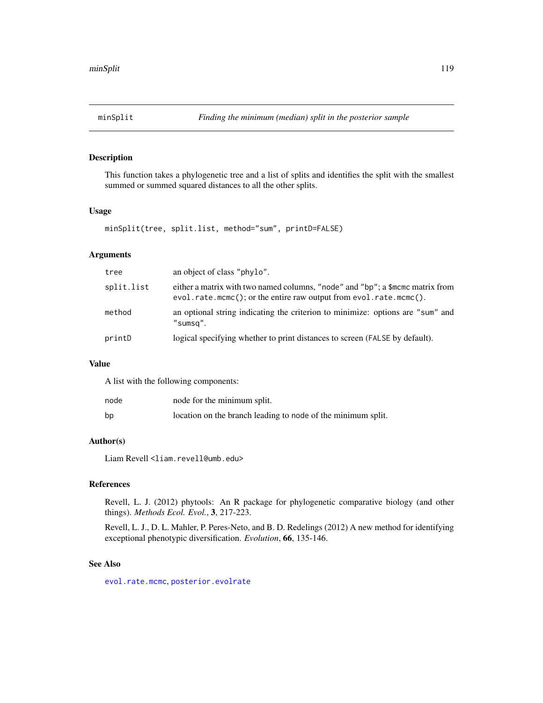This function takes a phylogenetic tree and a list of splits and identifies the split with the smallest summed or summed squared distances to all the other splits.

# Usage

minSplit(tree, split.list, method="sum", printD=FALSE)

# Arguments

| tree       | an object of class "phylo".                                                                                                                              |
|------------|----------------------------------------------------------------------------------------------------------------------------------------------------------|
| split.list | either a matrix with two named columns, "node" and "bp"; a \$mcmc matrix from<br>$evol.rate.mcmc()$ ; or the entire raw output from $evol.rate.mcmc()$ . |
| method     | an optional string indicating the criterion to minimize: options are "sum" and<br>"sumsq".                                                               |
| printD     | logical specifying whether to print distances to screen (FALSE by default).                                                                              |

## Value

A list with the following components:

| node | node for the minimum split.                                  |
|------|--------------------------------------------------------------|
| bp   | location on the branch leading to node of the minimum split. |

# Author(s)

Liam Revell <liam.revell@umb.edu>

## References

Revell, L. J. (2012) phytools: An R package for phylogenetic comparative biology (and other things). *Methods Ecol. Evol.*, 3, 217-223.

Revell, L. J., D. L. Mahler, P. Peres-Neto, and B. D. Redelings (2012) A new method for identifying exceptional phenotypic diversification. *Evolution*, 66, 135-146.

# See Also

[evol.rate.mcmc](#page-64-0), [posterior.evolrate](#page-168-0)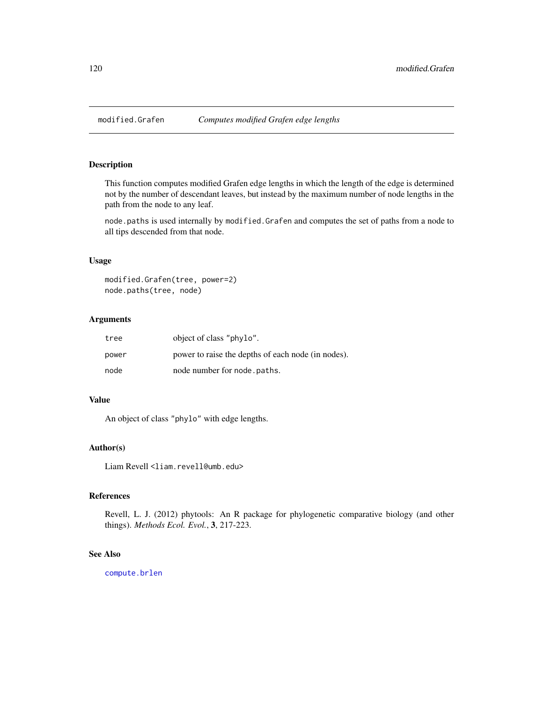This function computes modified Grafen edge lengths in which the length of the edge is determined not by the number of descendant leaves, but instead by the maximum number of node lengths in the path from the node to any leaf.

node.paths is used internally by modified.Grafen and computes the set of paths from a node to all tips descended from that node.

# Usage

```
modified.Grafen(tree, power=2)
node.paths(tree, node)
```
# Arguments

| tree  | object of class "phylo".                           |
|-------|----------------------------------------------------|
| power | power to raise the depths of each node (in nodes). |
| node  | node number for node . paths.                      |

## Value

An object of class "phylo" with edge lengths.

#### Author(s)

Liam Revell <liam.revell@umb.edu>

# References

Revell, L. J. (2012) phytools: An R package for phylogenetic comparative biology (and other things). *Methods Ecol. Evol.*, 3, 217-223.

## See Also

[compute.brlen](#page-0-0)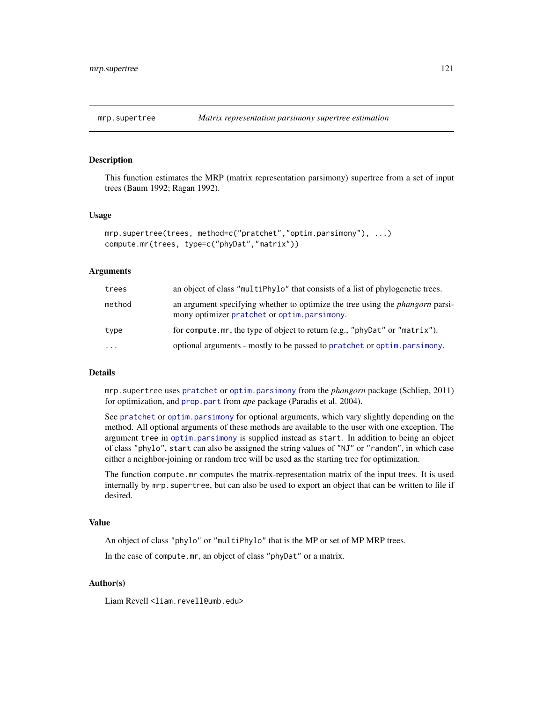This function estimates the MRP (matrix representation parsimony) supertree from a set of input trees (Baum 1992; Ragan 1992).

#### Usage

```
mrp.supertree(trees, method=c("pratchet","optim.parsimony"), ...)
compute.mr(trees, type=c("phyDat","matrix"))
```
## Arguments

| trees     | an object of class "multiPhylo" that consists of a list of phylogenetic trees.                                                      |
|-----------|-------------------------------------------------------------------------------------------------------------------------------------|
| method    | an argument specifying whether to optimize the tree using the <i>phangorn</i> parsi-<br>mony optimizer pratchet or optim.parsimony. |
| type      | for compute.mr, the type of object to return (e.g., "phyDat" or "matrix").                                                          |
| $\ddotsc$ | optional arguments - mostly to be passed to pratchet or optim. parsimony.                                                           |

### Details

mrp.supertree uses [pratchet](#page-0-0) or [optim.parsimony](#page-0-0) from the *phangorn* package (Schliep, 2011) for optimization, and [prop.part](#page-0-0) from *ape* package (Paradis et al. 2004).

See [pratchet](#page-0-0) or [optim.parsimony](#page-0-0) for optional arguments, which vary slightly depending on the method. All optional arguments of these methods are available to the user with one exception. The argument tree in [optim.parsimony](#page-0-0) is supplied instead as start. In addition to being an object of class "phylo", start can also be assigned the string values of "NJ" or "random", in which case either a neighbor-joining or random tree will be used as the starting tree for optimization.

The function compute.mr computes the matrix-representation matrix of the input trees. It is used internally by mrp.supertree, but can also be used to export an object that can be written to file if desired.

## Value

An object of class "phylo" or "multiPhylo" that is the MP or set of MP MRP trees.

In the case of compute.mr, an object of class "phyDat" or a matrix.

## Author(s)

Liam Revell <liam.revell@umb.edu>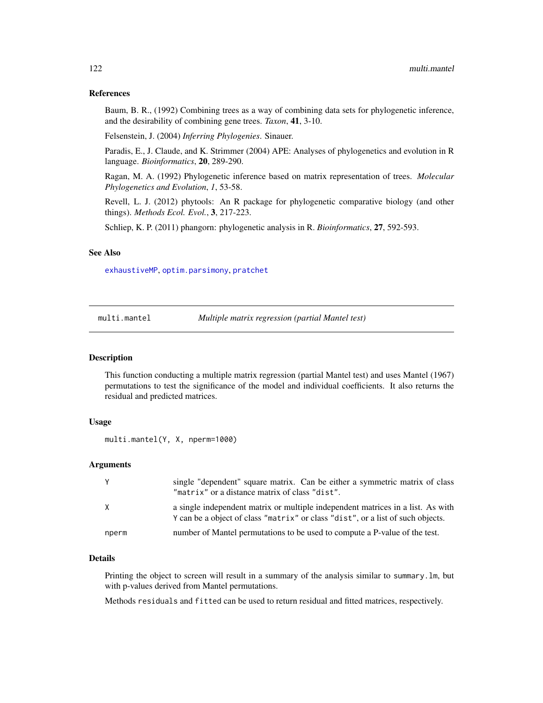## References

Baum, B. R., (1992) Combining trees as a way of combining data sets for phylogenetic inference, and the desirability of combining gene trees. *Taxon*, 41, 3-10.

Felsenstein, J. (2004) *Inferring Phylogenies*. Sinauer.

Paradis, E., J. Claude, and K. Strimmer (2004) APE: Analyses of phylogenetics and evolution in R language. *Bioinformatics*, 20, 289-290.

Ragan, M. A. (1992) Phylogenetic inference based on matrix representation of trees. *Molecular Phylogenetics and Evolution*, *1*, 53-58.

Revell, L. J. (2012) phytools: An R package for phylogenetic comparative biology (and other things). *Methods Ecol. Evol.*, 3, 217-223.

Schliep, K. P. (2011) phangorn: phylogenetic analysis in R. *Bioinformatics*, 27, 592-593.

## See Also

[exhaustiveMP](#page-69-0), [optim.parsimony](#page-0-0), [pratchet](#page-0-0)

multi.mantel *Multiple matrix regression (partial Mantel test)*

#### Description

This function conducting a multiple matrix regression (partial Mantel test) and uses Mantel (1967) permutations to test the significance of the model and individual coefficients. It also returns the residual and predicted matrices.

## Usage

```
multi.mantel(Y, X, nperm=1000)
```
# Arguments

| Y     | single "dependent" square matrix. Can be either a symmetric matrix of class<br>"matrix" or a distance matrix of class "dist".                                      |
|-------|--------------------------------------------------------------------------------------------------------------------------------------------------------------------|
| X     | a single independent matrix or multiple independent matrices in a list. As with<br>Y can be a object of class "matrix" or class "dist", or a list of such objects. |
| nperm | number of Mantel permutations to be used to compute a P-value of the test.                                                                                         |

# Details

Printing the object to screen will result in a summary of the analysis similar to summary.lm, but with p-values derived from Mantel permutations.

Methods residuals and fitted can be used to return residual and fitted matrices, respectively.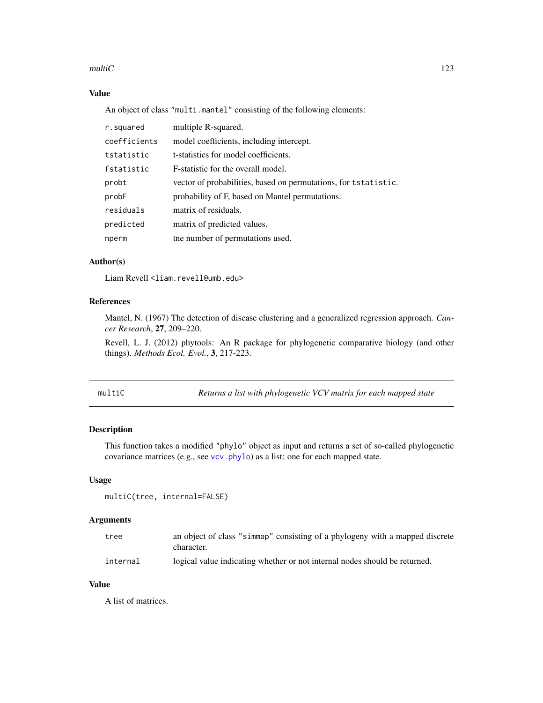#### multiC  $\qquad \qquad$  123

# Value

An object of class "multi.mantel" consisting of the following elements:

| r.squared    | multiple R-squared.                                             |
|--------------|-----------------------------------------------------------------|
| coefficients | model coefficients, including intercept.                        |
| tstatistic   | t-statistics for model coefficients.                            |
| fstatistic   | F-statistic for the overall model.                              |
| probt        | vector of probabilities, based on permutations, for tstatistic. |
| probF        | probability of F, based on Mantel permutations.                 |
| residuals    | matrix of residuals.                                            |
| predicted    | matrix of predicted values.                                     |
| nperm        | the number of permutations used.                                |

# Author(s)

Liam Revell <liam.revell@umb.edu>

# References

Mantel, N. (1967) The detection of disease clustering and a generalized regression approach. *Cancer Research*, 27, 209–220.

Revell, L. J. (2012) phytools: An R package for phylogenetic comparative biology (and other things). *Methods Ecol. Evol.*, 3, 217-223.

multiC *Returns a list with phylogenetic VCV matrix for each mapped state*

# Description

This function takes a modified "phylo" object as input and returns a set of so-called phylogenetic covariance matrices (e.g., see [vcv.phylo](#page-0-0)) as a list: one for each mapped state.

#### Usage

```
multiC(tree, internal=FALSE)
```
# Arguments

| tree     | an object of class "simmap" consisting of a phylogeny with a mapped discrete<br>character. |
|----------|--------------------------------------------------------------------------------------------|
| internal | logical value indicating whether or not internal nodes should be returned.                 |

# Value

A list of matrices.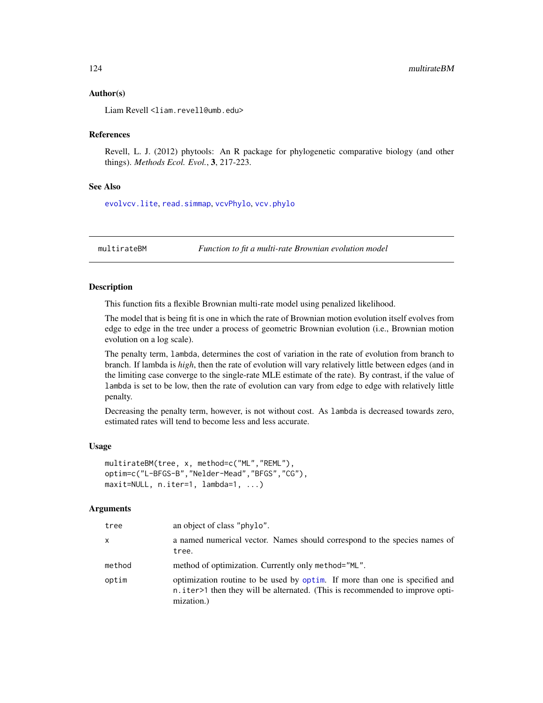## Author(s)

Liam Revell <liam.revell@umb.edu>

## References

Revell, L. J. (2012) phytools: An R package for phylogenetic comparative biology (and other things). *Methods Ecol. Evol.*, 3, 217-223.

## See Also

[evolvcv.lite](#page-67-0), [read.simmap](#page-176-0), [vcvPhylo](#page-208-0), [vcv.phylo](#page-0-0)

multirateBM *Function to fit a multi-rate Brownian evolution model*

## Description

This function fits a flexible Brownian multi-rate model using penalized likelihood.

The model that is being fit is one in which the rate of Brownian motion evolution itself evolves from edge to edge in the tree under a process of geometric Brownian evolution (i.e., Brownian motion evolution on a log scale).

The penalty term, lambda, determines the cost of variation in the rate of evolution from branch to branch. If lambda is *high*, then the rate of evolution will vary relatively little between edges (and in the limiting case converge to the single-rate MLE estimate of the rate). By contrast, if the value of lambda is set to be low, then the rate of evolution can vary from edge to edge with relatively little penalty.

Decreasing the penalty term, however, is not without cost. As lambda is decreased towards zero, estimated rates will tend to become less and less accurate.

#### Usage

```
multirateBM(tree, x, method=c("ML","REML"),
optim=c("L-BFGS-B","Nelder-Mead","BFGS","CG"),
maxit=NULL, n.iter=1, lambda=1, ...)
```
## Arguments

| tree   | an object of class "phylo".                                                                                                                                               |
|--------|---------------------------------------------------------------------------------------------------------------------------------------------------------------------------|
| x      | a named numerical vector. Names should correspond to the species names of<br>tree.                                                                                        |
| method | method of optimization. Currently only method="ML".                                                                                                                       |
| optim  | optimization routine to be used by optim. If more than one is specified and<br>n.iter>1 then they will be alternated. (This is recommended to improve opti-<br>mization.) |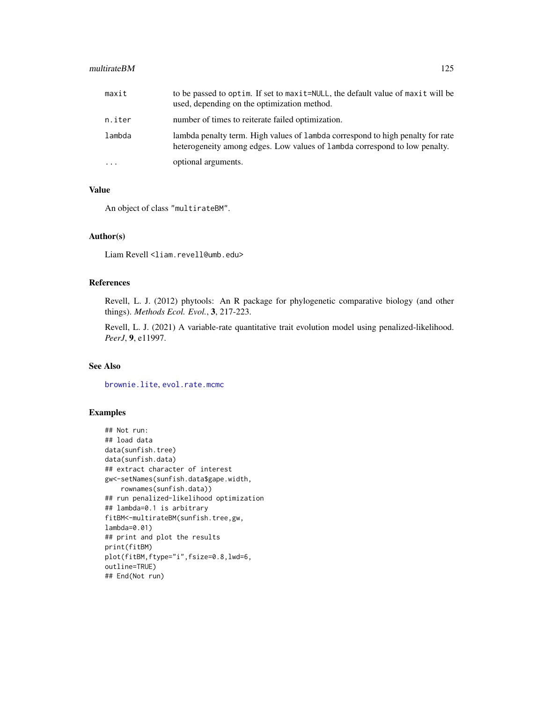#### multirateBM 125

| maxit      | to be passed to optim. If set to maxit=NULL, the default value of maxit will be<br>used, depending on the optimization method.                               |
|------------|--------------------------------------------------------------------------------------------------------------------------------------------------------------|
| n.iter     | number of times to reiterate failed optimization.                                                                                                            |
| lambda     | lambda penalty term. High values of lambda correspond to high penalty for rate<br>heterogeneity among edges. Low values of lambda correspond to low penalty. |
| $\ddots$ . | optional arguments.                                                                                                                                          |

# Value

An object of class "multirateBM".

#### Author(s)

Liam Revell <liam.revell@umb.edu>

# References

Revell, L. J. (2012) phytools: An R package for phylogenetic comparative biology (and other things). *Methods Ecol. Evol.*, 3, 217-223.

Revell, L. J. (2021) A variable-rate quantitative trait evolution model using penalized-likelihood. *PeerJ*, 9, e11997.

# See Also

[brownie.lite](#page-32-0), [evol.rate.mcmc](#page-64-0)

#### Examples

```
## Not run:
## load data
data(sunfish.tree)
data(sunfish.data)
## extract character of interest
gw<-setNames(sunfish.data$gape.width,
   rownames(sunfish.data))
## run penalized-likelihood optimization
## lambda=0.1 is arbitrary
fitBM<-multirateBM(sunfish.tree,gw,
lambda=0.01)
## print and plot the results
print(fitBM)
plot(fitBM,ftype="i",fsize=0.8,lwd=6,
outline=TRUE)
## End(Not run)
```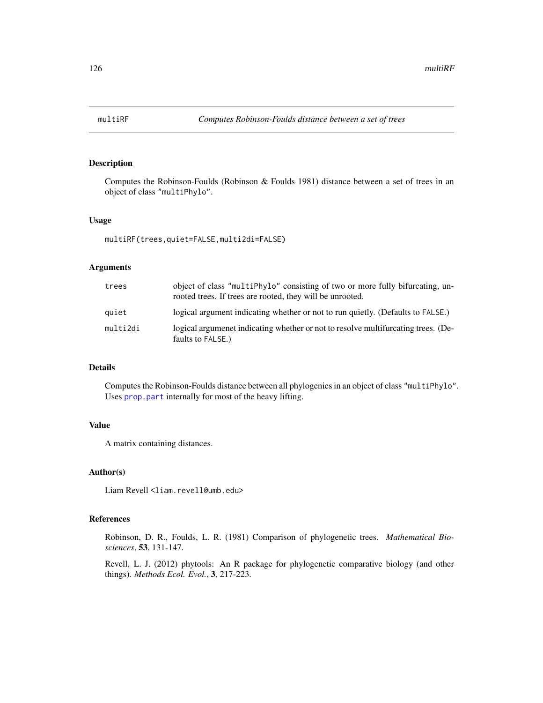Computes the Robinson-Foulds (Robinson & Foulds 1981) distance between a set of trees in an object of class "multiPhylo".

#### Usage

multiRF(trees,quiet=FALSE,multi2di=FALSE)

## Arguments

| trees    | object of class "multiPhylo" consisting of two or more fully bifurcating, un-<br>rooted trees. If trees are rooted, they will be unrooted. |
|----------|--------------------------------------------------------------------------------------------------------------------------------------------|
| quiet    | logical argument indicating whether or not to run quietly. (Defaults to FALSE.)                                                            |
| multi2di | logical argument indicating whether or not to resolve multifurcating trees. (De-<br>faults to FALSE.)                                      |

#### Details

Computes the Robinson-Foulds distance between all phylogenies in an object of class "multiPhylo". Uses [prop.part](#page-0-0) internally for most of the heavy lifting.

## Value

A matrix containing distances.

# Author(s)

Liam Revell <liam.revell@umb.edu>

# References

Robinson, D. R., Foulds, L. R. (1981) Comparison of phylogenetic trees. *Mathematical Biosciences*, 53, 131-147.

Revell, L. J. (2012) phytools: An R package for phylogenetic comparative biology (and other things). *Methods Ecol. Evol.*, 3, 217-223.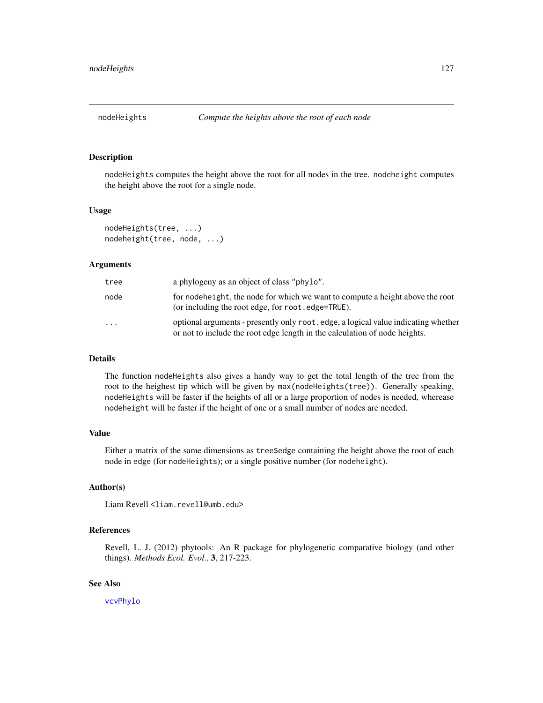nodeHeights computes the height above the root for all nodes in the tree. nodeheight computes the height above the root for a single node.

#### Usage

```
nodeHeights(tree, ...)
nodeheight(tree, node, ...)
```
## Arguments

| tree | a phylogeny as an object of class "phylo".                                                                                                                      |
|------|-----------------------------------------------------------------------------------------------------------------------------------------------------------------|
| node | for nodeheight, the node for which we want to compute a height above the root<br>(or including the root edge, for root, edge=TRUE).                             |
| .    | optional arguments - presently only root edge, a logical value indicating whether<br>or not to include the root edge length in the calculation of node heights. |

#### Details

The function nodeHeights also gives a handy way to get the total length of the tree from the root to the heighest tip which will be given by max(nodeHeights(tree)). Generally speaking, nodeHeights will be faster if the heights of all or a large proportion of nodes is needed, wherease nodeheight will be faster if the height of one or a small number of nodes are needed.

#### Value

Either a matrix of the same dimensions as tree\$edge containing the height above the root of each node in edge (for nodeHeights); or a single positive number (for nodeheight).

## Author(s)

Liam Revell <liam.revell@umb.edu>

# References

Revell, L. J. (2012) phytools: An R package for phylogenetic comparative biology (and other things). *Methods Ecol. Evol.*, 3, 217-223.

# See Also

[vcvPhylo](#page-208-0)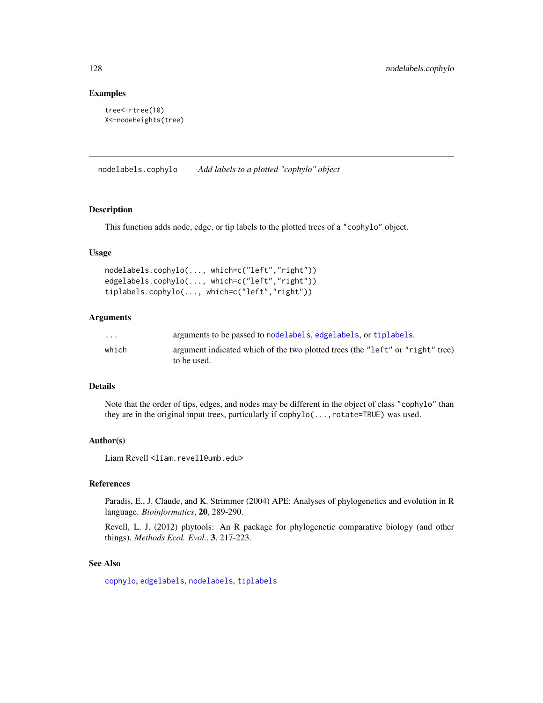## Examples

```
tree<-rtree(10)
X<-nodeHeights(tree)
```
nodelabels.cophylo *Add labels to a plotted "cophylo" object*

# Description

This function adds node, edge, or tip labels to the plotted trees of a "cophylo" object.

## Usage

```
nodelabels.cophylo(..., which=c("left","right"))
edgelabels.cophylo(..., which=c("left","right"))
tiplabels.cophylo(..., which=c("left","right"))
```
# Arguments

| $\cdots$ | arguments to be passed to nodelabels, edgelabels, or tiplabels.                |
|----------|--------------------------------------------------------------------------------|
| which    | argument indicated which of the two plotted trees (the "left" or "right" tree) |
|          | to be used.                                                                    |

#### Details

Note that the order of tips, edges, and nodes may be different in the object of class "cophylo" than they are in the original input trees, particularly if cophylo(..., rotate=TRUE) was used.

#### Author(s)

Liam Revell <liam.revell@umb.edu>

# References

Paradis, E., J. Claude, and K. Strimmer (2004) APE: Analyses of phylogenetics and evolution in R language. *Bioinformatics*, 20, 289-290.

Revell, L. J. (2012) phytools: An R package for phylogenetic comparative biology (and other things). *Methods Ecol. Evol.*, 3, 217-223.

#### See Also

[cophylo](#page-42-0), [edgelabels](#page-0-0), [nodelabels](#page-0-0), [tiplabels](#page-0-0)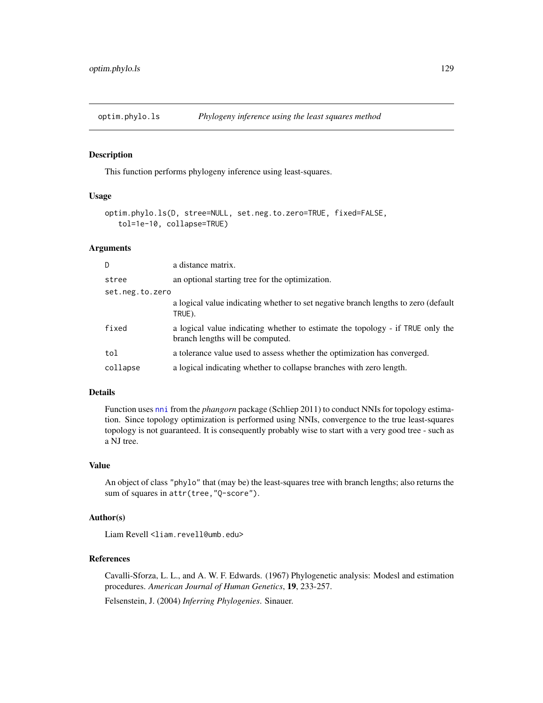optim.phylo.ls *Phylogeny inference using the least squares method*

#### Description

This function performs phylogeny inference using least-squares.

## Usage

```
optim.phylo.ls(D, stree=NULL, set.neg.to.zero=TRUE, fixed=FALSE,
   tol=1e-10, collapse=TRUE)
```
## Arguments

| D               | a distance matrix.                                                                                                 |
|-----------------|--------------------------------------------------------------------------------------------------------------------|
| stree           | an optional starting tree for the optimization.                                                                    |
| set.neg.to.zero |                                                                                                                    |
|                 | a logical value indicating whether to set negative branch lengths to zero (default<br>TRUE).                       |
| fixed           | a logical value indicating whether to estimate the topology - if TRUE only the<br>branch lengths will be computed. |
| tol             | a tolerance value used to assess whether the optimization has converged.                                           |
| collapse        | a logical indicating whether to collapse branches with zero length.                                                |

# Details

Function uses [nni](#page-0-0) from the *phangorn* package (Schliep 2011) to conduct NNIs for topology estimation. Since topology optimization is performed using NNIs, convergence to the true least-squares topology is not guaranteed. It is consequently probably wise to start with a very good tree - such as a NJ tree.

#### Value

An object of class "phylo" that (may be) the least-squares tree with branch lengths; also returns the sum of squares in attr(tree,"Q-score").

# Author(s)

Liam Revell <liam.revell@umb.edu>

# References

Cavalli-Sforza, L. L., and A. W. F. Edwards. (1967) Phylogenetic analysis: Modesl and estimation procedures. *American Journal of Human Genetics*, 19, 233-257.

Felsenstein, J. (2004) *Inferring Phylogenies*. Sinauer.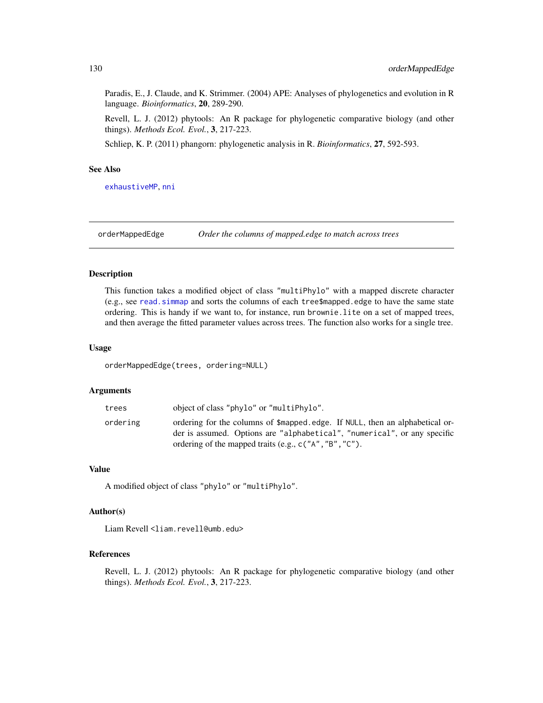Paradis, E., J. Claude, and K. Strimmer. (2004) APE: Analyses of phylogenetics and evolution in R language. *Bioinformatics*, 20, 289-290.

Revell, L. J. (2012) phytools: An R package for phylogenetic comparative biology (and other things). *Methods Ecol. Evol.*, 3, 217-223.

Schliep, K. P. (2011) phangorn: phylogenetic analysis in R. *Bioinformatics*, 27, 592-593.

# See Also

[exhaustiveMP](#page-69-0), [nni](#page-0-0)

orderMappedEdge *Order the columns of mapped.edge to match across trees*

## Description

This function takes a modified object of class "multiPhylo" with a mapped discrete character (e.g., see [read.simmap](#page-176-0) and sorts the columns of each tree\$mapped.edge to have the same state ordering. This is handy if we want to, for instance, run brownie.lite on a set of mapped trees, and then average the fitted parameter values across trees. The function also works for a single tree.

#### Usage

orderMappedEdge(trees, ordering=NULL)

#### Arguments

| trees    | object of class "phylo" or "multiPhylo".                                                                                                                 |
|----------|----------------------------------------------------------------------------------------------------------------------------------------------------------|
| ordering | ordering for the columns of \$mapped.edge. If NULL, then an alphabetical or-<br>der is assumed. Options are "alphabetical", "numerical", or any specific |
|          | ordering of the mapped traits (e.g., $c("A", "B", "C").$                                                                                                 |

# Value

A modified object of class "phylo" or "multiPhylo".

# Author(s)

Liam Revell <liam.revell@umb.edu>

## References

Revell, L. J. (2012) phytools: An R package for phylogenetic comparative biology (and other things). *Methods Ecol. Evol.*, 3, 217-223.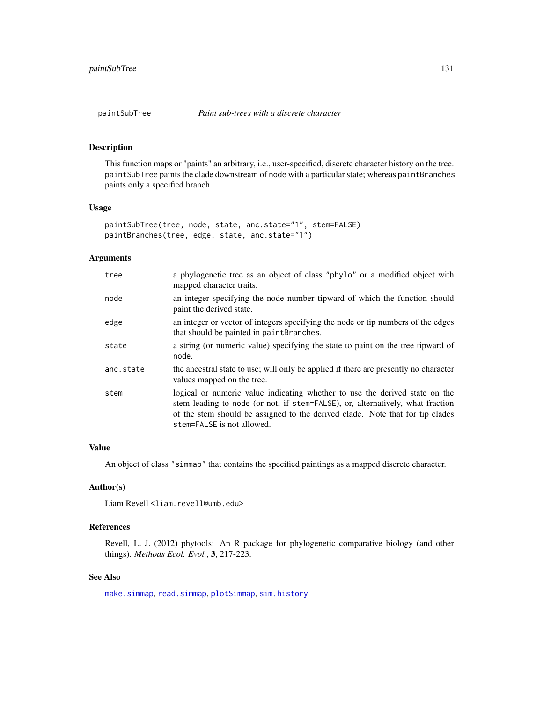This function maps or "paints" an arbitrary, i.e., user-specified, discrete character history on the tree. paintSubTree paints the clade downstream of node with a particular state; whereas paintBranches paints only a specified branch.

## Usage

```
paintSubTree(tree, node, state, anc.state="1", stem=FALSE)
paintBranches(tree, edge, state, anc.state="1")
```
# Arguments

| tree      | a phylogenetic tree as an object of class "phylo" or a modified object with<br>mapped character traits.                                                                                                                                                                      |
|-----------|------------------------------------------------------------------------------------------------------------------------------------------------------------------------------------------------------------------------------------------------------------------------------|
| node      | an integer specifying the node number tipward of which the function should<br>paint the derived state.                                                                                                                                                                       |
| edge      | an integer or vector of integers specifying the node or tip numbers of the edges<br>that should be painted in paintBranches.                                                                                                                                                 |
| state     | a string (or numeric value) specifying the state to paint on the tree tipward of<br>node.                                                                                                                                                                                    |
| anc.state | the ancestral state to use; will only be applied if there are presently no character<br>values mapped on the tree.                                                                                                                                                           |
| stem      | logical or numeric value indicating whether to use the derived state on the<br>stem leading to node (or not, if stem=FALSE), or, alternatively, what fraction<br>of the stem should be assigned to the derived clade. Note that for tip clades<br>stem=FALSE is not allowed. |

#### Value

An object of class "simmap" that contains the specified paintings as a mapped discrete character.

# Author(s)

Liam Revell <liam.revell@umb.edu>

# References

Revell, L. J. (2012) phytools: An R package for phylogenetic comparative biology (and other things). *Methods Ecol. Evol.*, 3, 217-223.

# See Also

[make.simmap](#page-107-0), [read.simmap](#page-176-0), [plotSimmap](#page-160-0), [sim.history](#page-191-0)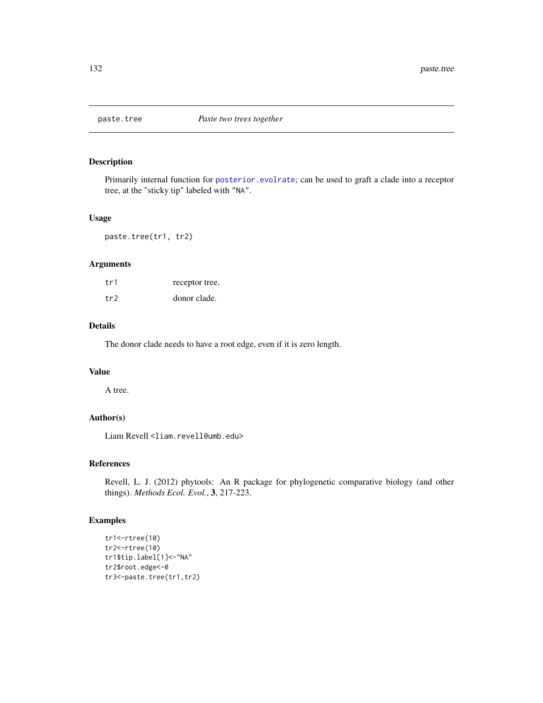Primarily internal function for [posterior.evolrate](#page-168-0); can be used to graft a clade into a receptor tree, at the "sticky tip" labeled with "NA".

#### Usage

paste.tree(tr1, tr2)

## Arguments

| tr1 | receptor tree. |
|-----|----------------|
| tr2 | donor clade.   |

# Details

The donor clade needs to have a root edge, even if it is zero length.

# Value

A tree.

# Author(s)

Liam Revell <liam.revell@umb.edu>

# References

Revell, L. J. (2012) phytools: An R package for phylogenetic comparative biology (and other things). *Methods Ecol. Evol.*, 3, 217-223.

# Examples

```
tr1<-rtree(10)
tr2<-rtree(10)
tr1$tip.label[1]<-"NA"
tr2$root.edge<-0
tr3<-paste.tree(tr1,tr2)
```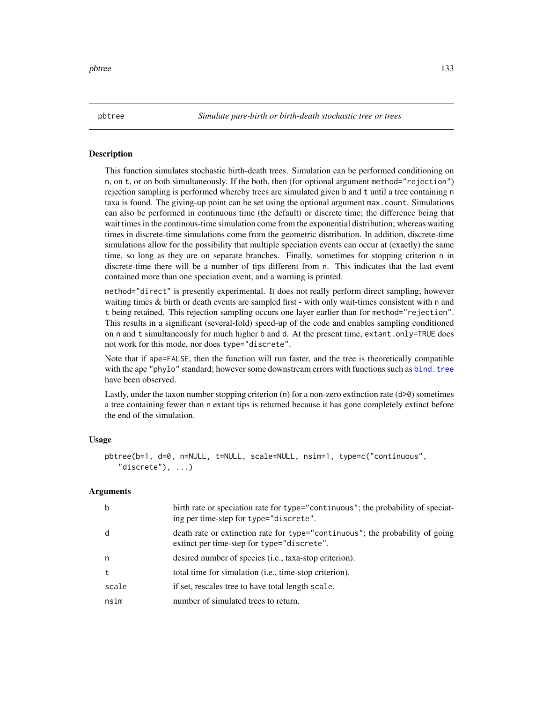This function simulates stochastic birth-death trees. Simulation can be performed conditioning on n, on t, or on both simultaneously. If the both, then (for optional argument method="rejection") rejection sampling is performed whereby trees are simulated given b and t until a tree containing n taxa is found. The giving-up point can be set using the optional argument max.count. Simulations can also be performed in continuous time (the default) or discrete time; the difference being that wait times in the continous-time simulation come from the exponential distribution; whereas waiting times in discrete-time simulations come from the geometric distribution. In addition, discrete-time simulations allow for the possibility that multiple speciation events can occur at (exactly) the same time, so long as they are on separate branches. Finally, sometimes for stopping criterion n in discrete-time there will be a number of tips different from n. This indicates that the last event contained more than one speciation event, and a warning is printed.

method="direct" is presently experimental. It does not really perform direct sampling; however waiting times & birth or death events are sampled first - with only wait-times consistent with n and t being retained. This rejection sampling occurs one layer earlier than for method="rejection". This results in a significant (several-fold) speed-up of the code and enables sampling conditioned on n and t simultaneously for much higher b and d. At the present time, extant.only=TRUE does not work for this mode, nor does type="discrete".

Note that if ape=FALSE, then the function will run faster, and the tree is theoretically compatible with the ape "phylo" standard; however some downstream errors with functions such as [bind.tree](#page-0-0) have been observed.

Lastly, under the taxon number stopping criterion (n) for a non-zero extinction rate  $(d>0)$  sometimes a tree containing fewer than n extant tips is returned because it has gone completely extinct before the end of the simulation.

## Usage

```
pbtree(b=1, d=0, n=NULL, t=NULL, scale=NULL, nsim=1, type=c("continuous",
   "discrete"), ...)
```
#### Arguments

| b     | birth rate or speciation rate for type="continuous"; the probability of speciat-<br>ing per time-step for type="discrete".  |
|-------|-----------------------------------------------------------------------------------------------------------------------------|
| d     | death rate or extinction rate for type="continuous"; the probability of going<br>extinct per time-step for type="discrete". |
| n     | desired number of species ( <i>i.e.</i> , taxa-stop criterion).                                                             |
| t.    | total time for simulation (i.e., time-stop criterion).                                                                      |
| scale | if set, rescales tree to have total length scale.                                                                           |
| nsim  | number of simulated trees to return.                                                                                        |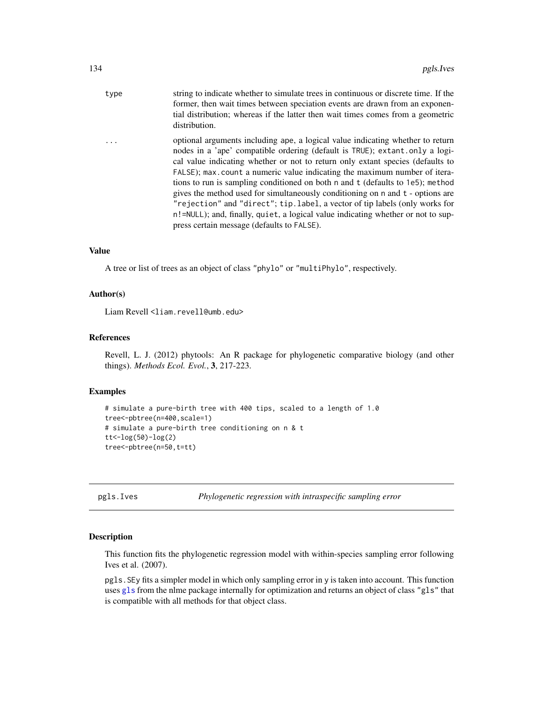| type     | string to indicate whether to simulate trees in continuous or discrete time. If the<br>former, then wait times between speciation events are drawn from an exponen-<br>tial distribution; whereas if the latter then wait times comes from a geometric<br>distribution.                                                                                                                                                                                                                                                                                                                                                                                                                                           |
|----------|-------------------------------------------------------------------------------------------------------------------------------------------------------------------------------------------------------------------------------------------------------------------------------------------------------------------------------------------------------------------------------------------------------------------------------------------------------------------------------------------------------------------------------------------------------------------------------------------------------------------------------------------------------------------------------------------------------------------|
| $\ddots$ | optional arguments including ape, a logical value indicating whether to return<br>nodes in a 'ape' compatible ordering (default is TRUE); extant only a logi-<br>cal value indicating whether or not to return only extant species (defaults to<br>FALSE); max.count a numeric value indicating the maximum number of itera-<br>tions to run is sampling conditioned on both n and t (defaults to 1e5); method<br>gives the method used for simultaneously conditioning on n and t - options are<br>"rejection" and "direct"; tip.label, a vector of tip labels (only works for<br>n!=NULL); and, finally, quiet, a logical value indicating whether or not to sup-<br>press certain message (defaults to FALSE). |

# Value

A tree or list of trees as an object of class "phylo" or "multiPhylo", respectively.

# Author(s)

Liam Revell <liam.revell@umb.edu>

# References

Revell, L. J. (2012) phytools: An R package for phylogenetic comparative biology (and other things). *Methods Ecol. Evol.*, 3, 217-223.

#### Examples

```
# simulate a pure-birth tree with 400 tips, scaled to a length of 1.0
tree<-pbtree(n=400,scale=1)
# simulate a pure-birth tree conditioning on n & t
tt < -log(50) - log(2)tree<-pbtree(n=50,t=tt)
```
pgls.Ives *Phylogenetic regression with intraspecific sampling error*

## Description

This function fits the phylogenetic regression model with within-species sampling error following Ives et al. (2007).

pgls.SEy fits a simpler model in which only sampling error in y is taken into account. This function uses [gls](#page-0-0) from the nlme package internally for optimization and returns an object of class "gls" that is compatible with all methods for that object class.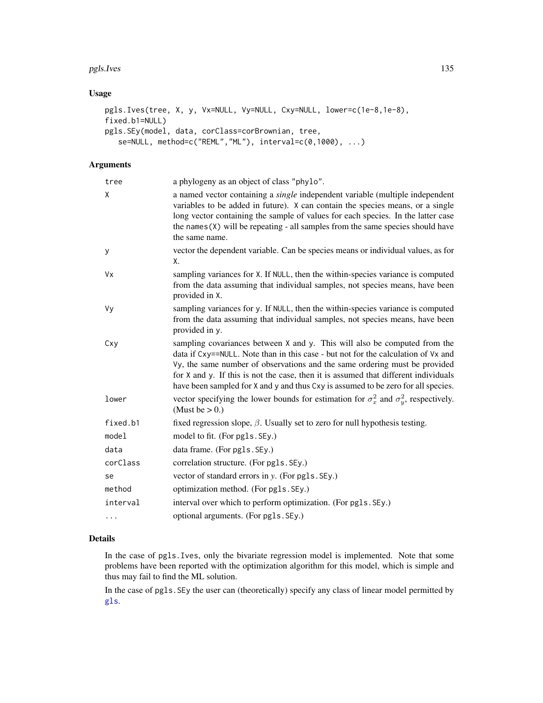#### pgls.Ives 135

# Usage

```
pgls.Ives(tree, X, y, Vx=NULL, Vy=NULL, Cxy=NULL, lower=c(1e-8,1e-8),
fixed.b1=NULL)
pgls.SEy(model, data, corClass=corBrownian, tree,
   se=NULL, method=c("REML","ML"), interval=c(0,1000), ...)
```
# Arguments

| tree     | a phylogeny as an object of class "phylo".                                                                                                                                                                                                                                                                                                                                                                               |
|----------|--------------------------------------------------------------------------------------------------------------------------------------------------------------------------------------------------------------------------------------------------------------------------------------------------------------------------------------------------------------------------------------------------------------------------|
| χ        | a named vector containing a <i>single</i> independent variable (multiple independent<br>variables to be added in future). X can contain the species means, or a single<br>long vector containing the sample of values for each species. In the latter case<br>the names $(X)$ will be repeating - all samples from the same species should have<br>the same name.                                                        |
| y        | vector the dependent variable. Can be species means or individual values, as for<br>Χ.                                                                                                                                                                                                                                                                                                                                   |
| Vx       | sampling variances for X. If NULL, then the within-species variance is computed<br>from the data assuming that individual samples, not species means, have been<br>provided in X.                                                                                                                                                                                                                                        |
| Vy       | sampling variances for y. If NULL, then the within-species variance is computed<br>from the data assuming that individual samples, not species means, have been<br>provided in y.                                                                                                                                                                                                                                        |
| Cxy      | sampling covariances between X and y. This will also be computed from the<br>data if Cxy==NULL. Note than in this case - but not for the calculation of Vx and<br>Vy, the same number of observations and the same ordering must be provided<br>for X and y. If this is not the case, then it is assumed that different individuals<br>have been sampled for X and y and thus Cxy is assumed to be zero for all species. |
| lower    | vector specifying the lower bounds for estimation for $\sigma_x^2$ and $\sigma_y^2$ , respectively.<br>(Must be $> 0.$ )                                                                                                                                                                                                                                                                                                 |
| fixed.b1 | fixed regression slope, $\beta$ . Usually set to zero for null hypothesis testing.                                                                                                                                                                                                                                                                                                                                       |
| model    | model to fit. (For pgls. SEy.)                                                                                                                                                                                                                                                                                                                                                                                           |
| data     | data frame. (For pgls. SEy.)                                                                                                                                                                                                                                                                                                                                                                                             |
| corClass | correlation structure. (For pgls. SEy.)                                                                                                                                                                                                                                                                                                                                                                                  |
| se       | vector of standard errors in y. (For pgls. SEy.)                                                                                                                                                                                                                                                                                                                                                                         |
| method   | optimization method. (For pgls. SEy.)                                                                                                                                                                                                                                                                                                                                                                                    |
| interval | interval over which to perform optimization. (For pgls. SEy.)                                                                                                                                                                                                                                                                                                                                                            |
| $\cdots$ | optional arguments. (For pgls. SEy.)                                                                                                                                                                                                                                                                                                                                                                                     |
|          |                                                                                                                                                                                                                                                                                                                                                                                                                          |

# Details

In the case of pgls.Ives, only the bivariate regression model is implemented. Note that some problems have been reported with the optimization algorithm for this model, which is simple and thus may fail to find the ML solution.

In the case of pgls.SEy the user can (theoretically) specify any class of linear model permitted by [gls](#page-0-0).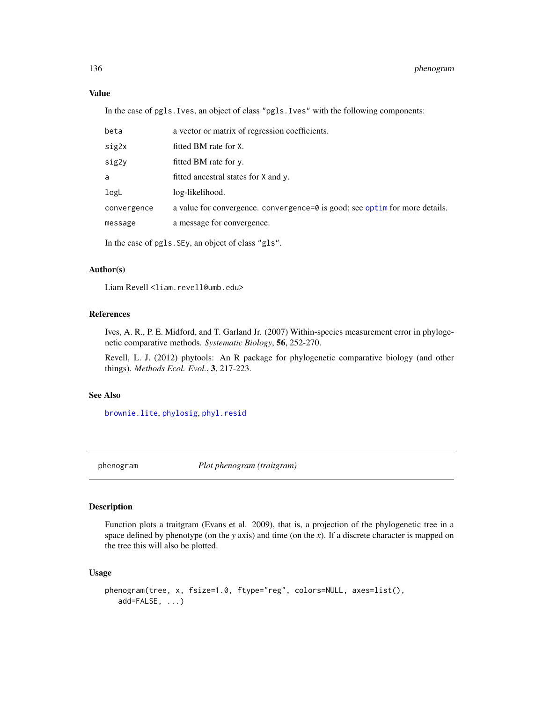## Value

In the case of pgls.Ives, an object of class "pgls.Ives" with the following components:

| beta        | a vector or matrix of regression coefficients.                               |
|-------------|------------------------------------------------------------------------------|
| sig2x       | fitted BM rate for X.                                                        |
| sig2y       | fitted BM rate for y.                                                        |
| a           | fitted ancestral states for X and y.                                         |
| logL        | log-likelihood.                                                              |
| convergence | a value for convergence. convergence=0 is good; see optime for more details. |
| message     | a message for convergence.                                                   |
|             |                                                                              |

In the case of pgls.SEy, an object of class "gls".

# Author(s)

Liam Revell <liam.revell@umb.edu>

# References

Ives, A. R., P. E. Midford, and T. Garland Jr. (2007) Within-species measurement error in phylogenetic comparative methods. *Systematic Biology*, 56, 252-270.

Revell, L. J. (2012) phytools: An R package for phylogenetic comparative biology (and other things). *Methods Ecol. Evol.*, 3, 217-223.

# See Also

[brownie.lite](#page-32-0), [phylosig](#page-155-0), [phyl.resid](#page-141-0)

phenogram *Plot phenogram (traitgram)*

# Description

Function plots a traitgram (Evans et al. 2009), that is, a projection of the phylogenetic tree in a space defined by phenotype (on the *y* axis) and time (on the *x*). If a discrete character is mapped on the tree this will also be plotted.

#### Usage

```
phenogram(tree, x, fsize=1.0, ftype="reg", colors=NULL, axes=list(),
  add=FALSE, ...)
```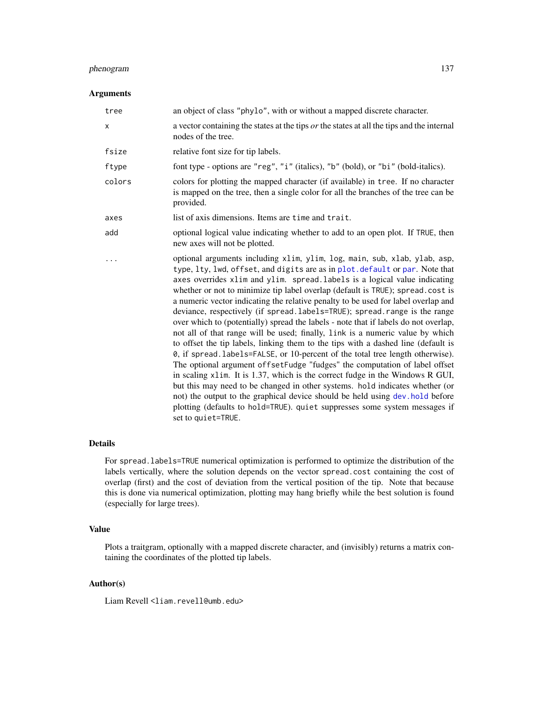# phenogram 137

## Arguments

| tree   | an object of class "phylo", with or without a mapped discrete character.                                                                                                                                                                                                                                                                                                                                                                                                                                                                                                                                                                                                                                                                                                                                                                                                                                                                                                                                                                                                                                                                                                                                                                                                       |
|--------|--------------------------------------------------------------------------------------------------------------------------------------------------------------------------------------------------------------------------------------------------------------------------------------------------------------------------------------------------------------------------------------------------------------------------------------------------------------------------------------------------------------------------------------------------------------------------------------------------------------------------------------------------------------------------------------------------------------------------------------------------------------------------------------------------------------------------------------------------------------------------------------------------------------------------------------------------------------------------------------------------------------------------------------------------------------------------------------------------------------------------------------------------------------------------------------------------------------------------------------------------------------------------------|
| Χ      | a vector containing the states at the tips <i>or</i> the states at all the tips and the internal<br>nodes of the tree.                                                                                                                                                                                                                                                                                                                                                                                                                                                                                                                                                                                                                                                                                                                                                                                                                                                                                                                                                                                                                                                                                                                                                         |
| fsize  | relative font size for tip labels.                                                                                                                                                                                                                                                                                                                                                                                                                                                                                                                                                                                                                                                                                                                                                                                                                                                                                                                                                                                                                                                                                                                                                                                                                                             |
| ftype  | font type - options are "reg", "i" (italics), "b" (bold), or "bi" (bold-italics).                                                                                                                                                                                                                                                                                                                                                                                                                                                                                                                                                                                                                                                                                                                                                                                                                                                                                                                                                                                                                                                                                                                                                                                              |
| colors | colors for plotting the mapped character (if available) in tree. If no character<br>is mapped on the tree, then a single color for all the branches of the tree can be<br>provided.                                                                                                                                                                                                                                                                                                                                                                                                                                                                                                                                                                                                                                                                                                                                                                                                                                                                                                                                                                                                                                                                                            |
| axes   | list of axis dimensions. Items are time and trait.                                                                                                                                                                                                                                                                                                                                                                                                                                                                                                                                                                                                                                                                                                                                                                                                                                                                                                                                                                                                                                                                                                                                                                                                                             |
| add    | optional logical value indicating whether to add to an open plot. If TRUE, then<br>new axes will not be plotted.                                                                                                                                                                                                                                                                                                                                                                                                                                                                                                                                                                                                                                                                                                                                                                                                                                                                                                                                                                                                                                                                                                                                                               |
|        | optional arguments including xlim, ylim, log, main, sub, xlab, ylab, asp,<br>type, lty, lwd, offset, and digits are as in plot. default or par. Note that<br>axes overrides xlim and ylim. spread. labels is a logical value indicating<br>whether or not to minimize tip label overlap (default is TRUE); spread.cost is<br>a numeric vector indicating the relative penalty to be used for label overlap and<br>deviance, respectively (if spread.labels=TRUE); spread.range is the range<br>over which to (potentially) spread the labels - note that if labels do not overlap,<br>not all of that range will be used; finally, link is a numeric value by which<br>to offset the tip labels, linking them to the tips with a dashed line (default is<br>0, if spread. labels=FALSE, or 10-percent of the total tree length otherwise).<br>The optional argument offsetFudge "fudges" the computation of label offset<br>in scaling x1im. It is 1.37, which is the correct fudge in the Windows R GUI,<br>but this may need to be changed in other systems. hold indicates whether (or<br>not) the output to the graphical device should be held using dev. hold before<br>plotting (defaults to hold=TRUE). quiet suppresses some system messages if<br>set to quiet=TRUE. |

# Details

For spread.labels=TRUE numerical optimization is performed to optimize the distribution of the labels vertically, where the solution depends on the vector spread.cost containing the cost of overlap (first) and the cost of deviation from the vertical position of the tip. Note that because this is done via numerical optimization, plotting may hang briefly while the best solution is found (especially for large trees).

# Value

Plots a traitgram, optionally with a mapped discrete character, and (invisibly) returns a matrix containing the coordinates of the plotted tip labels.

# Author(s)

Liam Revell <liam.revell@umb.edu>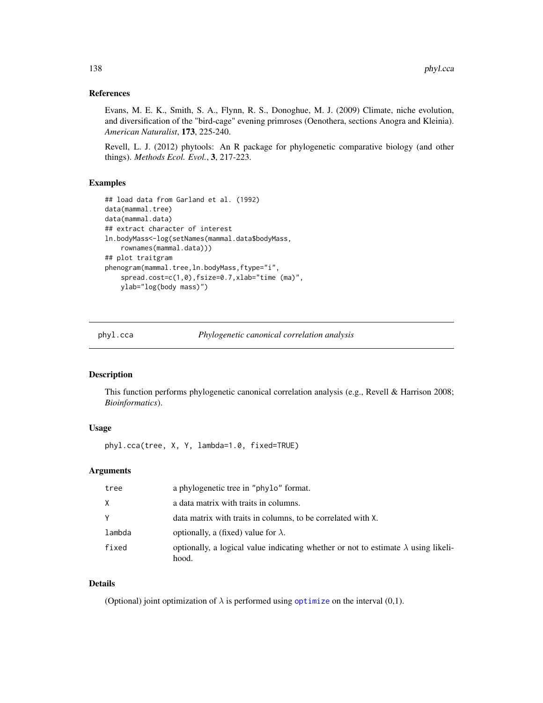## References

Evans, M. E. K., Smith, S. A., Flynn, R. S., Donoghue, M. J. (2009) Climate, niche evolution, and diversification of the "bird-cage" evening primroses (Oenothera, sections Anogra and Kleinia). *American Naturalist*, 173, 225-240.

Revell, L. J. (2012) phytools: An R package for phylogenetic comparative biology (and other things). *Methods Ecol. Evol.*, 3, 217-223.

## Examples

```
## load data from Garland et al. (1992)
data(mammal.tree)
data(mammal.data)
## extract character of interest
ln.bodyMass<-log(setNames(mammal.data$bodyMass,
    rownames(mammal.data)))
## plot traitgram
phenogram(mammal.tree,ln.bodyMass,ftype="i",
    spread.cost=c(1,0),fsize=0.7,xlab="time (ma)",
   ylab="log(body mass)")
```
<span id="page-137-0"></span>

phyl.cca *Phylogenetic canonical correlation analysis*

## Description

This function performs phylogenetic canonical correlation analysis (e.g., Revell & Harrison 2008; *Bioinformatics*).

# Usage

phyl.cca(tree, X, Y, lambda=1.0, fixed=TRUE)

### Arguments

| tree   | a phylogenetic tree in "phylo" format.                                                             |
|--------|----------------------------------------------------------------------------------------------------|
| X      | a data matrix with traits in columns.                                                              |
| Y      | data matrix with traits in columns, to be correlated with X.                                       |
| lambda | optionally, a (fixed) value for $\lambda$ .                                                        |
| fixed  | optionally, a logical value indicating whether or not to estimate $\lambda$ using likeli-<br>hood. |

## Details

(Optional) joint optimization of  $\lambda$  is performed using [optimize](#page-0-0) on the interval (0,1).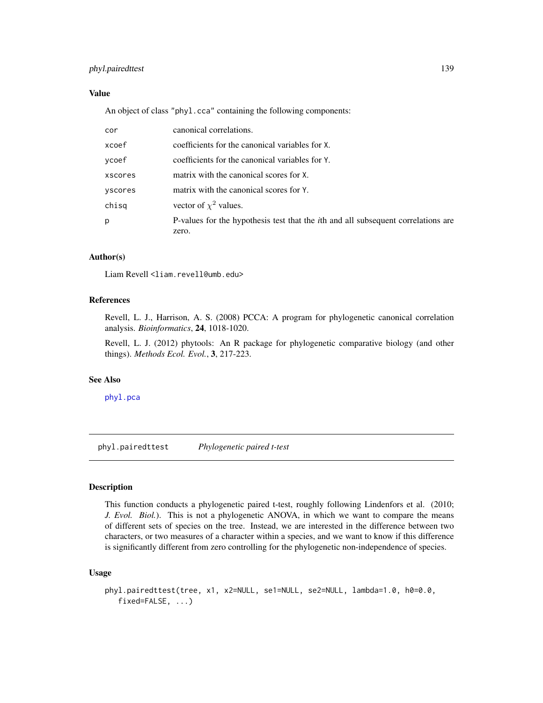# phyl.pairedttest 139

# Value

An object of class "phyl.cca" containing the following components:

| cor     | canonical correlations.                                                                   |
|---------|-------------------------------------------------------------------------------------------|
| xcoef   | coefficients for the canonical variables for X.                                           |
| vcoef   | coefficients for the canonical variables for Y.                                           |
| xscores | matrix with the canonical scores for X.                                                   |
| vscores | matrix with the canonical scores for Y.                                                   |
| chisq   | vector of $\chi^2$ values.                                                                |
| p       | P-values for the hypothesis test that the <i>i</i> th and all subsequent correlations are |
|         | zero.                                                                                     |

# Author(s)

Liam Revell <liam.revell@umb.edu>

## References

Revell, L. J., Harrison, A. S. (2008) PCCA: A program for phylogenetic canonical correlation analysis. *Bioinformatics*, 24, 1018-1020.

Revell, L. J. (2012) phytools: An R package for phylogenetic comparative biology (and other things). *Methods Ecol. Evol.*, 3, 217-223.

# See Also

[phyl.pca](#page-140-0)

phyl.pairedttest *Phylogenetic paired t-test*

# Description

This function conducts a phylogenetic paired t-test, roughly following Lindenfors et al. (2010; *J. Evol. Biol.*). This is not a phylogenetic ANOVA, in which we want to compare the means of different sets of species on the tree. Instead, we are interested in the difference between two characters, or two measures of a character within a species, and we want to know if this difference is significantly different from zero controlling for the phylogenetic non-independence of species.

#### Usage

```
phyl.pairedttest(tree, x1, x2=NULL, se1=NULL, se2=NULL, lambda=1.0, h0=0.0,
  fixed=FALSE, ...)
```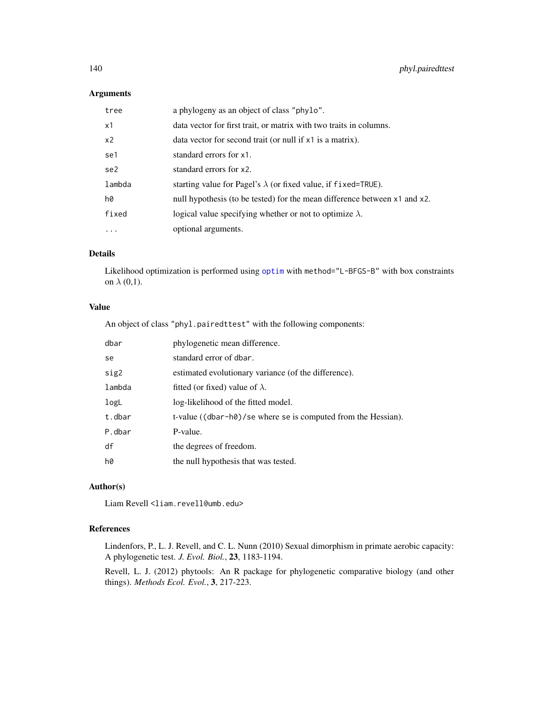# Arguments

| tree           | a phylogeny as an object of class "phylo".                                |
|----------------|---------------------------------------------------------------------------|
| x1             | data vector for first trait, or matrix with two traits in columns.        |
| x <sub>2</sub> | data vector for second trait (or null if x1 is a matrix).                 |
| se1            | standard errors for x1.                                                   |
| se2            | standard errors for x2.                                                   |
| lambda         | starting value for Pagel's $\lambda$ (or fixed value, if fixed=TRUE).     |
| h0             | null hypothesis (to be tested) for the mean difference between x1 and x2. |
| fixed          | logical value specifying whether or not to optimize $\lambda$ .           |
| .              | optional arguments.                                                       |

# Details

Likelihood optimization is performed using [optim](#page-0-0) with method="L-BFGS-B" with box constraints on  $\lambda$  (0,1).

# Value

An object of class "phyl.pairedttest" with the following components:

| dbar   | phylogenetic mean difference.                                 |
|--------|---------------------------------------------------------------|
| se     | standard error of dbar.                                       |
| sig2   | estimated evolutionary variance (of the difference).          |
| lambda | fitted (or fixed) value of $\lambda$ .                        |
| logL   | log-likelihood of the fitted model.                           |
| t.dbar | t-value ((dbar-h0)/se where se is computed from the Hessian). |
| P.dbar | P-value.                                                      |
| df     | the degrees of freedom.                                       |
| h0     | the null hypothesis that was tested.                          |

# Author(s)

Liam Revell <liam.revell@umb.edu>

# References

Lindenfors, P., L. J. Revell, and C. L. Nunn (2010) Sexual dimorphism in primate aerobic capacity: A phylogenetic test. *J. Evol. Biol.*, 23, 1183-1194.

Revell, L. J. (2012) phytools: An R package for phylogenetic comparative biology (and other things). *Methods Ecol. Evol.*, 3, 217-223.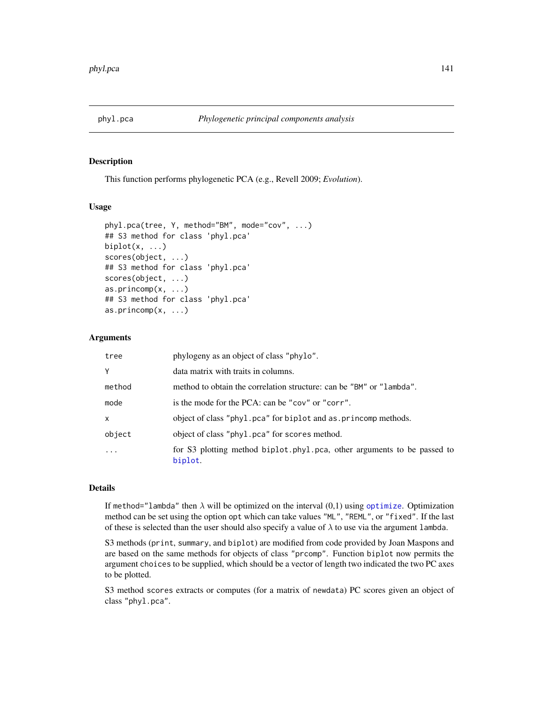<span id="page-140-0"></span>

This function performs phylogenetic PCA (e.g., Revell 2009; *Evolution*).

## Usage

```
phyl.pca(tree, Y, method="BM", mode="cov", ...)
## S3 method for class 'phyl.pca'
biplot(x, \ldots)scores(object, ...)
## S3 method for class 'phyl.pca'
scores(object, ...)
as.princomp(x, ...)
## S3 method for class 'phyl.pca'
as.princomp(x, ...)
```
# **Arguments**

| tree   | phylogeny as an object of class "phylo".                                           |
|--------|------------------------------------------------------------------------------------|
| Y      | data matrix with traits in columns.                                                |
| method | method to obtain the correlation structure: can be "BM" or "lambda".               |
| mode   | is the mode for the PCA: can be "cov" or "corr".                                   |
| X      | object of class "phyl.pca" for biplot and as.princomp methods.                     |
| object | object of class "phyl.pca" for scores method.                                      |
|        | for S3 plotting method biplot.phyl.pca, other arguments to be passed to<br>biplot. |

# Details

If method="lambda" then  $\lambda$  will be [optimize](#page-0-0)d on the interval  $(0,1)$  using optimize. Optimization method can be set using the option opt which can take values "ML", "REML", or "fixed". If the last of these is selected than the user should also specify a value of  $\lambda$  to use via the argument lambda.

S3 methods (print, summary, and biplot) are modified from code provided by Joan Maspons and are based on the same methods for objects of class "prcomp". Function biplot now permits the argument choices to be supplied, which should be a vector of length two indicated the two PC axes to be plotted.

S3 method scores extracts or computes (for a matrix of newdata) PC scores given an object of class "phyl.pca".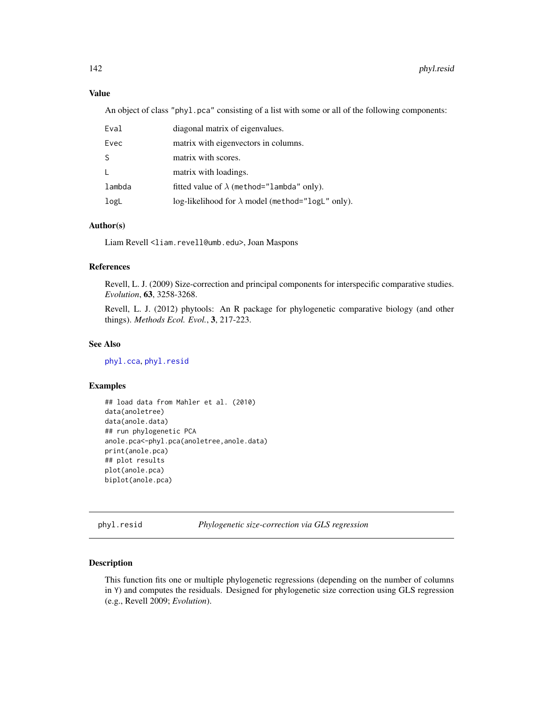# Value

An object of class "phyl.pca" consisting of a list with some or all of the following components:

| Eval         | diagonal matrix of eigenvalues.                          |
|--------------|----------------------------------------------------------|
| Evec         | matrix with eigenvectors in columns.                     |
| -S           | matrix with scores.                                      |
| $\mathsf{L}$ | matrix with loadings.                                    |
| lambda       | fitted value of $\lambda$ (method="lambda" only).        |
| logL         | log-likelihood for $\lambda$ model (method="logL" only). |

# Author(s)

Liam Revell <liam.revell@umb.edu>, Joan Maspons

## References

Revell, L. J. (2009) Size-correction and principal components for interspecific comparative studies. *Evolution*, 63, 3258-3268.

Revell, L. J. (2012) phytools: An R package for phylogenetic comparative biology (and other things). *Methods Ecol. Evol.*, 3, 217-223.

# See Also

[phyl.cca](#page-137-0), [phyl.resid](#page-141-0)

# Examples

```
## load data from Mahler et al. (2010)
data(anoletree)
data(anole.data)
## run phylogenetic PCA
anole.pca<-phyl.pca(anoletree,anole.data)
print(anole.pca)
## plot results
plot(anole.pca)
biplot(anole.pca)
```
<span id="page-141-0"></span>phyl.resid *Phylogenetic size-correction via GLS regression*

# Description

This function fits one or multiple phylogenetic regressions (depending on the number of columns in Y) and computes the residuals. Designed for phylogenetic size correction using GLS regression (e.g., Revell 2009; *Evolution*).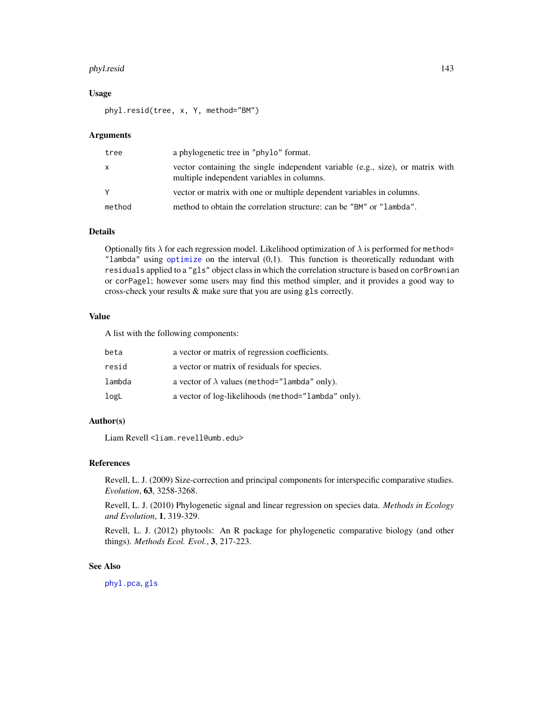#### phyl.resid 143

## Usage

phyl.resid(tree, x, Y, method="BM")

#### Arguments

| tree   | a phylogenetic tree in "phylo" format.                                                                                       |
|--------|------------------------------------------------------------------------------------------------------------------------------|
| X      | vector containing the single independent variable (e.g., size), or matrix with<br>multiple independent variables in columns. |
| Y      | vector or matrix with one or multiple dependent variables in columns.                                                        |
| method | method to obtain the correlation structure: can be "BM" or "lambda".                                                         |

## Details

Optionally fits  $\lambda$  for each regression model. Likelihood optimization of  $\lambda$  is performed for method= "lambda" using [optimize](#page-0-0) on the interval (0,1). This function is theoretically redundant with residuals applied to a "gls" object class in which the correlation structure is based on corBrownian or corPagel; however some users may find this method simpler, and it provides a good way to cross-check your results & make sure that you are using gls correctly.

# Value

A list with the following components:

| beta   | a vector or matrix of regression coefficients.       |
|--------|------------------------------------------------------|
| resid  | a vector or matrix of residuals for species.         |
| lambda | a vector of $\lambda$ values (method="lambda" only). |
| logL   | a vector of log-likelihoods (method="lambda" only).  |

## Author(s)

Liam Revell <liam.revell@umb.edu>

## References

Revell, L. J. (2009) Size-correction and principal components for interspecific comparative studies. *Evolution*, 63, 3258-3268.

Revell, L. J. (2010) Phylogenetic signal and linear regression on species data. *Methods in Ecology and Evolution*, 1, 319-329.

Revell, L. J. (2012) phytools: An R package for phylogenetic comparative biology (and other things). *Methods Ecol. Evol.*, 3, 217-223.

# See Also

[phyl.pca](#page-140-0), [gls](#page-0-0)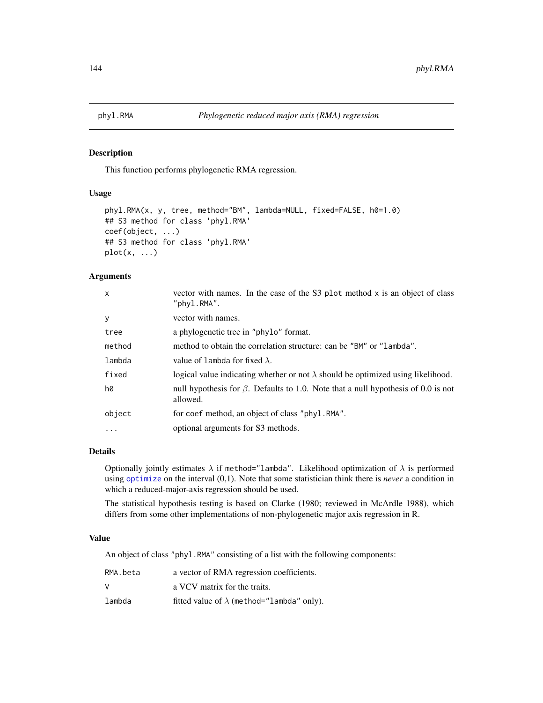This function performs phylogenetic RMA regression.

# Usage

```
phyl.RMA(x, y, tree, method="BM", lambda=NULL, fixed=FALSE, h0=1.0)
## S3 method for class 'phyl.RMA'
coef(object, ...)
## S3 method for class 'phyl.RMA'
plot(x, \ldots)
```
## Arguments

| $\mathsf{x}$ | vector with names. In the case of the S3 plot method x is an object of class<br>"phyl.RMA".          |
|--------------|------------------------------------------------------------------------------------------------------|
| y            | vector with names.                                                                                   |
| tree         | a phylogenetic tree in "phylo" format.                                                               |
| method       | method to obtain the correlation structure: can be "BM" or "lambda".                                 |
| lambda       | value of lambda for fixed $\lambda$ .                                                                |
| fixed        | logical value indicating whether or not $\lambda$ should be optimized using likelihood.              |
| h0           | null hypothesis for $\beta$ . Defaults to 1.0. Note that a null hypothesis of 0.0 is not<br>allowed. |
| object       | for coef method, an object of class "phyl.RMA".                                                      |
| $\cdot$      | optional arguments for S3 methods.                                                                   |
|              |                                                                                                      |

## Details

Optionally jointly estimates  $\lambda$  if method="lambda". Likelihood optimization of  $\lambda$  is performed using [optimize](#page-0-0) on the interval (0,1). Note that some statistician think there is *never* a condition in which a reduced-major-axis regression should be used.

The statistical hypothesis testing is based on Clarke (1980; reviewed in McArdle 1988), which differs from some other implementations of non-phylogenetic major axis regression in R.

## Value

An object of class "phyl.RMA" consisting of a list with the following components:

| RMA.beta | a vector of RMA regression coefficients.          |
|----------|---------------------------------------------------|
| V        | a VCV matrix for the traits.                      |
| lambda   | fitted value of $\lambda$ (method="lambda" only). |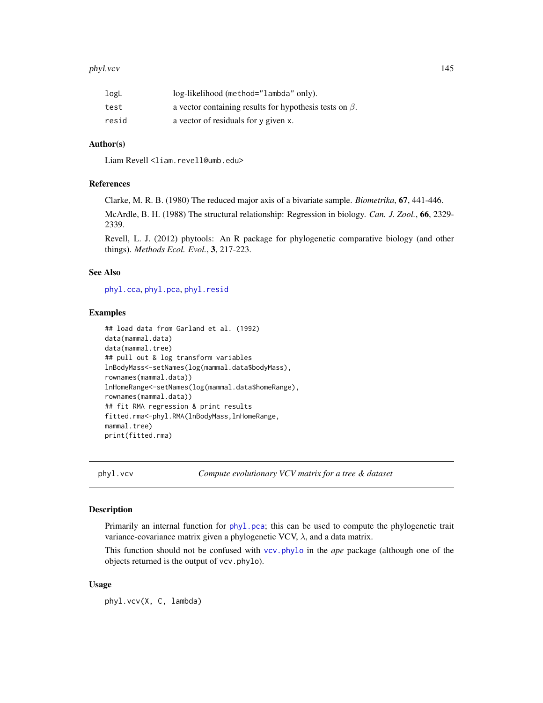#### phyl.vcv 145

| logL  | log-likelihood (method="lambda" only).                        |
|-------|---------------------------------------------------------------|
| test  | a vector containing results for hypothesis tests on $\beta$ . |
| resid | a vector of residuals for y given x.                          |

### Author(s)

Liam Revell <liam.revell@umb.edu>

### **References**

Clarke, M. R. B. (1980) The reduced major axis of a bivariate sample. *Biometrika*, 67, 441-446.

McArdle, B. H. (1988) The structural relationship: Regression in biology. *Can. J. Zool.*, 66, 2329- 2339.

Revell, L. J. (2012) phytools: An R package for phylogenetic comparative biology (and other things). *Methods Ecol. Evol.*, 3, 217-223.

# See Also

[phyl.cca](#page-137-0), [phyl.pca](#page-140-0), [phyl.resid](#page-141-0)

### Examples

```
## load data from Garland et al. (1992)
data(mammal.data)
data(mammal.tree)
## pull out & log transform variables
lnBodyMass<-setNames(log(mammal.data$bodyMass),
rownames(mammal.data))
lnHomeRange<-setNames(log(mammal.data$homeRange),
rownames(mammal.data))
## fit RMA regression & print results
fitted.rma<-phyl.RMA(lnBodyMass,lnHomeRange,
mammal.tree)
print(fitted.rma)
```
phyl.vcv *Compute evolutionary VCV matrix for a tree & dataset*

#### Description

Primarily an internal function for [phyl.pca](#page-140-0); this can be used to compute the phylogenetic trait variance-covariance matrix given a phylogenetic VCV,  $\lambda$ , and a data matrix.

This function should not be confused with [vcv.phylo](#page-0-0) in the *ape* package (although one of the objects returned is the output of vcv.phylo).

### Usage

phyl.vcv(X, C, lambda)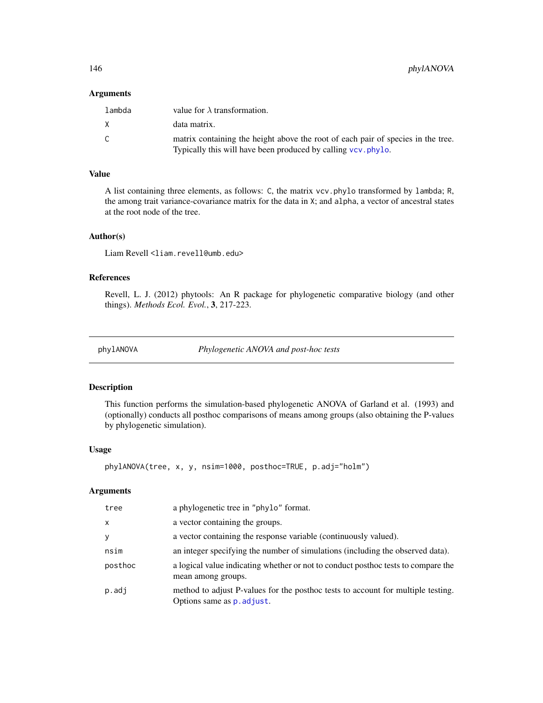146 phylANOVA

#### Arguments

| lambda | value for $\lambda$ transformation.                                                                                                               |
|--------|---------------------------------------------------------------------------------------------------------------------------------------------------|
| X.     | data matrix.                                                                                                                                      |
| C      | matrix containing the height above the root of each pair of species in the tree.<br>Typically this will have been produced by calling vcv. phylo. |

# Value

A list containing three elements, as follows: C, the matrix vcv.phylo transformed by lambda; R, the among trait variance-covariance matrix for the data in X; and alpha, a vector of ancestral states at the root node of the tree.

#### Author(s)

Liam Revell <liam.revell@umb.edu>

# References

Revell, L. J. (2012) phytools: An R package for phylogenetic comparative biology (and other things). *Methods Ecol. Evol.*, 3, 217-223.

phylANOVA *Phylogenetic ANOVA and post-hoc tests*

### Description

This function performs the simulation-based phylogenetic ANOVA of Garland et al. (1993) and (optionally) conducts all posthoc comparisons of means among groups (also obtaining the P-values by phylogenetic simulation).

#### Usage

```
phylANOVA(tree, x, y, nsim=1000, posthoc=TRUE, p.adj="holm")
```

| tree     | a phylogenetic tree in "phylo" format.                                                                         |
|----------|----------------------------------------------------------------------------------------------------------------|
| $\times$ | a vector containing the groups.                                                                                |
| У        | a vector containing the response variable (continuously valued).                                               |
| nsim     | an integer specifying the number of simulations (including the observed data).                                 |
| posthoc  | a logical value indicating whether or not to conduct posthoc tests to compare the<br>mean among groups.        |
| p.adj    | method to adjust P-values for the posthoc tests to account for multiple testing.<br>Options same as p. adjust. |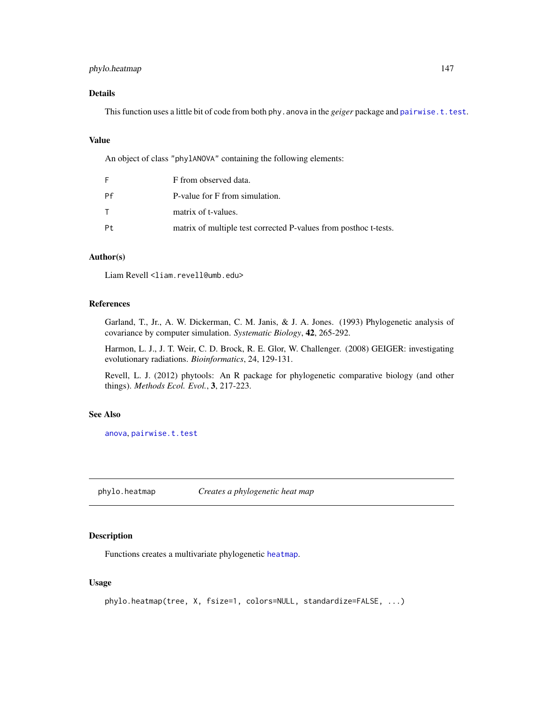# phylo.heatmap 147

### Details

This function uses a little bit of code from both phy. anova in the *geiger* package and [pairwise.t.test](#page-0-0).

#### Value

An object of class "phylANOVA" containing the following elements:

| F  | F from observed data.                                            |
|----|------------------------------------------------------------------|
| Pf | P-value for F from simulation.                                   |
|    | matrix of t-values.                                              |
| Pt | matrix of multiple test corrected P-values from posthoc t-tests. |

### Author(s)

Liam Revell <liam.revell@umb.edu>

### References

Garland, T., Jr., A. W. Dickerman, C. M. Janis, & J. A. Jones. (1993) Phylogenetic analysis of covariance by computer simulation. *Systematic Biology*, 42, 265-292.

Harmon, L. J., J. T. Weir, C. D. Brock, R. E. Glor, W. Challenger. (2008) GEIGER: investigating evolutionary radiations. *Bioinformatics*, 24, 129-131.

Revell, L. J. (2012) phytools: An R package for phylogenetic comparative biology (and other things). *Methods Ecol. Evol.*, 3, 217-223.

#### See Also

[anova](#page-0-0), [pairwise.t.test](#page-0-0)

<span id="page-146-0"></span>phylo.heatmap *Creates a phylogenetic heat map*

### Description

Functions creates a multivariate phylogenetic [heatmap](#page-0-0).

### Usage

```
phylo.heatmap(tree, X, fsize=1, colors=NULL, standardize=FALSE, ...)
```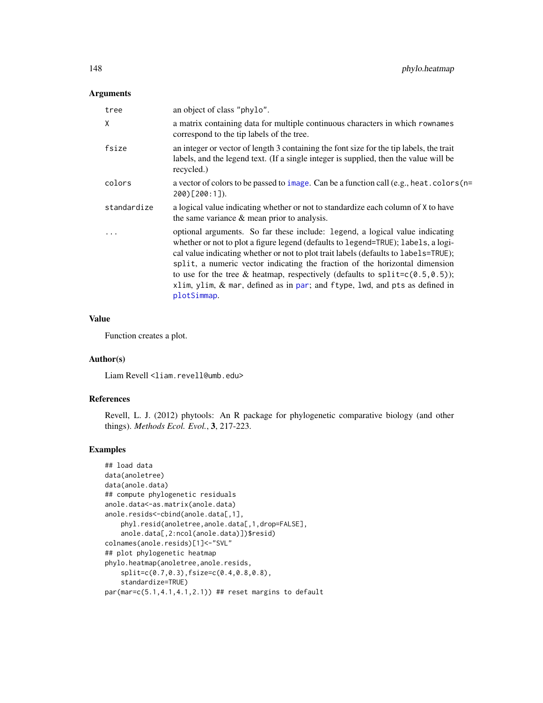### Arguments

| tree        | an object of class "phylo".                                                                                                                                                                                                                                                                                                                                                                                                                                                                                                  |
|-------------|------------------------------------------------------------------------------------------------------------------------------------------------------------------------------------------------------------------------------------------------------------------------------------------------------------------------------------------------------------------------------------------------------------------------------------------------------------------------------------------------------------------------------|
| X           | a matrix containing data for multiple continuous characters in which rownames<br>correspond to the tip labels of the tree.                                                                                                                                                                                                                                                                                                                                                                                                   |
| fsize       | an integer or vector of length 3 containing the font size for the tip labels, the trait<br>labels, and the legend text. (If a single integer is supplied, then the value will be<br>recycled.)                                                                                                                                                                                                                                                                                                                               |
| colors      | a vector of colors to be passed to image. Can be a function call (e.g., heat. colors (n=<br>$200$ [200:1]).                                                                                                                                                                                                                                                                                                                                                                                                                  |
| standardize | a logical value indicating whether or not to standardize each column of X to have<br>the same variance $\&$ mean prior to analysis.                                                                                                                                                                                                                                                                                                                                                                                          |
| .           | optional arguments. So far these include: legend, a logical value indicating<br>whether or not to plot a figure legend (defaults to legend=TRUE); labels, a logi-<br>cal value indicating whether or not to plot trait labels (defaults to labels=TRUE);<br>split, a numeric vector indicating the fraction of the horizontal dimension<br>to use for the tree & heatmap, respectively (defaults to split= $c(0.5, 0.5)$ );<br>xlim, ylim, $\&$ mar, defined as in par; and ftype, lwd, and pts as defined in<br>plotSimmap. |

### Value

Function creates a plot.

#### Author(s)

Liam Revell <liam.revell@umb.edu>

# References

Revell, L. J. (2012) phytools: An R package for phylogenetic comparative biology (and other things). *Methods Ecol. Evol.*, 3, 217-223.

# Examples

```
## load data
data(anoletree)
data(anole.data)
## compute phylogenetic residuals
anole.data<-as.matrix(anole.data)
anole.resids<-cbind(anole.data[,1],
   phyl.resid(anoletree,anole.data[,1,drop=FALSE],
   anole.data[,2:ncol(anole.data)])$resid)
colnames(anole.resids)[1]<-"SVL"
## plot phylogenetic heatmap
phylo.heatmap(anoletree,anole.resids,
    split=c(0.7,0.3),fsize=c(0.4,0.8,0.8),
    standardize=TRUE)
par(max=c(5.1,4.1,4.1,2.1)) ## reset margins to default
```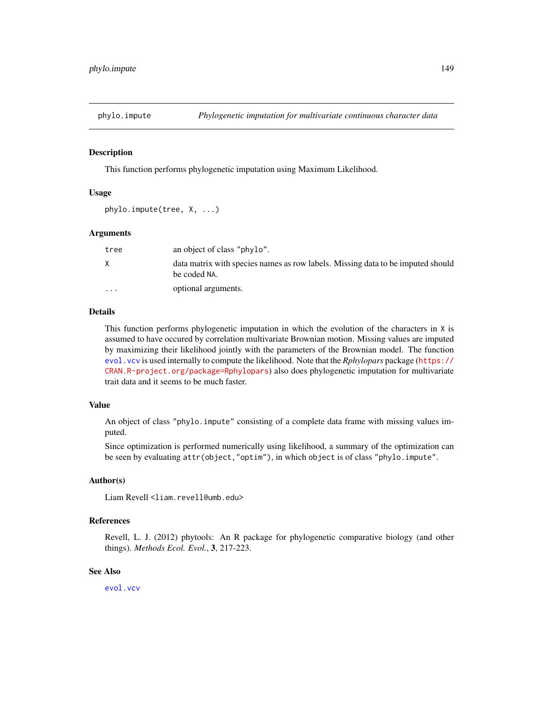#### Description

This function performs phylogenetic imputation using Maximum Likelihood.

#### Usage

phylo.impute(tree, X, ...)

#### Arguments

| tree                    | an object of class "phylo".                                                                     |
|-------------------------|-------------------------------------------------------------------------------------------------|
| X.                      | data matrix with species names as row labels. Missing data to be imputed should<br>be coded NA. |
| $\cdot$ $\cdot$ $\cdot$ | optional arguments.                                                                             |

# Details

This function performs phylogenetic imputation in which the evolution of the characters in X is assumed to have occured by correlation multivariate Brownian motion. Missing values are imputed by maximizing their likelihood jointly with the parameters of the Brownian model. The function [evol.vcv](#page-65-0) is used internally to compute the likelihood. Note that the *Rphylopars* package ([https://](https://CRAN.R-project.org/package=Rphylopars) [CRAN.R-project.org/package=Rphylopars](https://CRAN.R-project.org/package=Rphylopars)) also does phylogenetic imputation for multivariate trait data and it seems to be much faster.

#### Value

An object of class "phylo.impute" consisting of a complete data frame with missing values imputed.

Since optimization is performed numerically using likelihood, a summary of the optimization can be seen by evaluating attr(object,"optim"), in which object is of class "phylo.impute".

#### Author(s)

Liam Revell <liam.revell@umb.edu>

#### References

Revell, L. J. (2012) phytools: An R package for phylogenetic comparative biology (and other things). *Methods Ecol. Evol.*, 3, 217-223.

#### See Also

[evol.vcv](#page-65-0)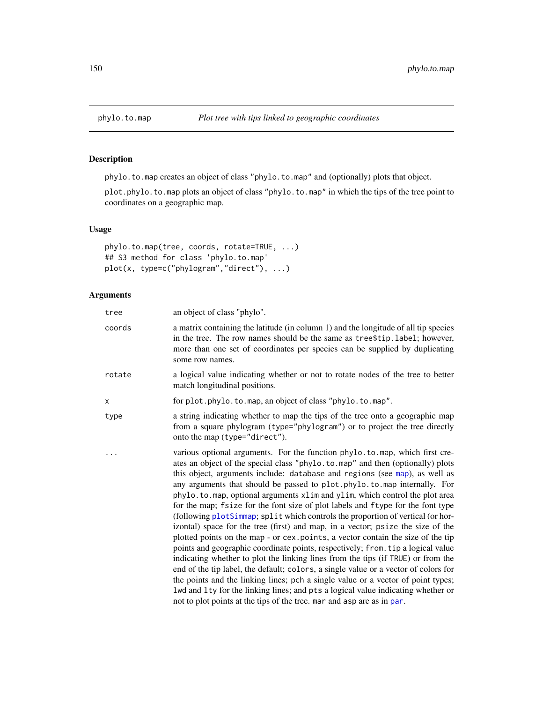# Description

phylo.to.map creates an object of class "phylo.to.map" and (optionally) plots that object.

plot.phylo.to.map plots an object of class "phylo.to.map" in which the tips of the tree point to coordinates on a geographic map.

# Usage

```
phylo.to.map(tree, coords, rotate=TRUE, ...)
## S3 method for class 'phylo.to.map'
plot(x, type=c("phylogram","direct"), ...)
```

| tree   | an object of class "phylo".                                                                                                                                                                                                                                                                                                                                                                                                                                                                                                                                                                                                                                                                                                                                                                                                                                                                                                                                                                                                                                                                                                                                                                                                                                          |
|--------|----------------------------------------------------------------------------------------------------------------------------------------------------------------------------------------------------------------------------------------------------------------------------------------------------------------------------------------------------------------------------------------------------------------------------------------------------------------------------------------------------------------------------------------------------------------------------------------------------------------------------------------------------------------------------------------------------------------------------------------------------------------------------------------------------------------------------------------------------------------------------------------------------------------------------------------------------------------------------------------------------------------------------------------------------------------------------------------------------------------------------------------------------------------------------------------------------------------------------------------------------------------------|
| coords | a matrix containing the latitude (in column 1) and the longitude of all tip species<br>in the tree. The row names should be the same as tree\$tip.label; however,<br>more than one set of coordinates per species can be supplied by duplicating<br>some row names.                                                                                                                                                                                                                                                                                                                                                                                                                                                                                                                                                                                                                                                                                                                                                                                                                                                                                                                                                                                                  |
| rotate | a logical value indicating whether or not to rotate nodes of the tree to better<br>match longitudinal positions.                                                                                                                                                                                                                                                                                                                                                                                                                                                                                                                                                                                                                                                                                                                                                                                                                                                                                                                                                                                                                                                                                                                                                     |
| x      | for plot.phylo.to.map, an object of class "phylo.to.map".                                                                                                                                                                                                                                                                                                                                                                                                                                                                                                                                                                                                                                                                                                                                                                                                                                                                                                                                                                                                                                                                                                                                                                                                            |
| type   | a string indicating whether to map the tips of the tree onto a geographic map<br>from a square phylogram (type="phylogram") or to project the tree directly<br>onto the map (type="direct").                                                                                                                                                                                                                                                                                                                                                                                                                                                                                                                                                                                                                                                                                                                                                                                                                                                                                                                                                                                                                                                                         |
|        | various optional arguments. For the function phylo.to.map, which first cre-<br>ates an object of the special class "phylo.to.map" and then (optionally) plots<br>this object, arguments include: database and regions (see map), as well as<br>any arguments that should be passed to plot.phylo.to.map internally. For<br>phylo.to.map, optional arguments xlim and ylim, which control the plot area<br>for the map; fsize for the font size of plot labels and ftype for the font type<br>(following plotSimmap; split which controls the proportion of vertical (or hor-<br>izontal) space for the tree (first) and map, in a vector; psize the size of the<br>plotted points on the map - or cex. points, a vector contain the size of the tip<br>points and geographic coordinate points, respectively; from. tip a logical value<br>indicating whether to plot the linking lines from the tips (if TRUE) or from the<br>end of the tip label, the default; colors, a single value or a vector of colors for<br>the points and the linking lines; pch a single value or a vector of point types;<br>lwd and lty for the linking lines; and pts a logical value indicating whether or<br>not to plot points at the tips of the tree. mar and asp are as in par. |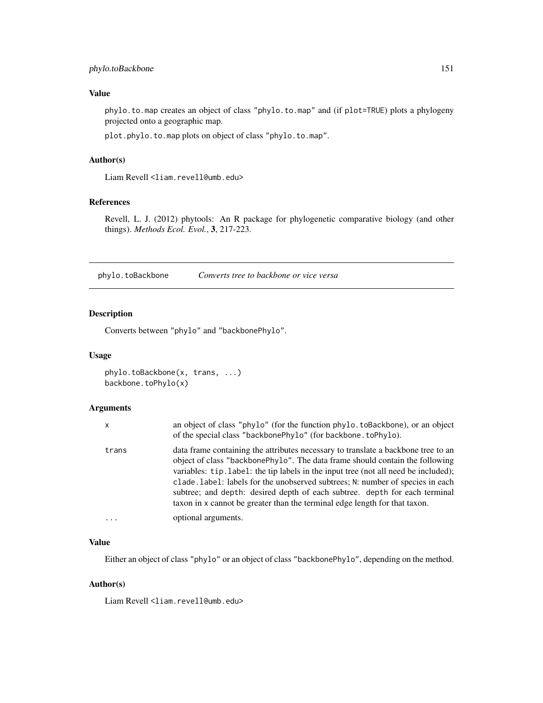# phylo.toBackbone 151

# Value

phylo.to.map creates an object of class "phylo.to.map" and (if plot=TRUE) plots a phylogeny projected onto a geographic map.

plot.phylo.to.map plots on object of class "phylo.to.map".

# Author(s)

Liam Revell <liam.revell@umb.edu>

# References

Revell, L. J. (2012) phytools: An R package for phylogenetic comparative biology (and other things). *Methods Ecol. Evol.*, 3, 217-223.

<span id="page-150-0"></span>phylo.toBackbone *Converts tree to backbone or vice versa*

# Description

Converts between "phylo" and "backbonePhylo".

#### Usage

```
phylo.toBackbone(x, trans, ...)
backbone.toPhylo(x)
```
#### Arguments

| x     | an object of class "phylo" (for the function phylo. to Backbone), or an object<br>of the special class "backbonePhylo" (for backbone. toPhylo).                                                                                                                                                                                                                                                                                                                                                       |
|-------|-------------------------------------------------------------------------------------------------------------------------------------------------------------------------------------------------------------------------------------------------------------------------------------------------------------------------------------------------------------------------------------------------------------------------------------------------------------------------------------------------------|
| trans | data frame containing the attributes necessary to translate a backbone tree to an<br>object of class "backbonePhylo". The data frame should contain the following<br>variables: tip.label: the tip labels in the input tree (not all need be included);<br>clade. Label: labels for the unobserved subtrees; N: number of species in each<br>subtree; and depth: desired depth of each subtree. depth for each terminal<br>taxon in x cannot be greater than the terminal edge length for that taxon. |
|       | optional arguments.                                                                                                                                                                                                                                                                                                                                                                                                                                                                                   |

### Value

Either an object of class "phylo" or an object of class "backbonePhylo", depending on the method.

# Author(s)

Liam Revell <liam.revell@umb.edu>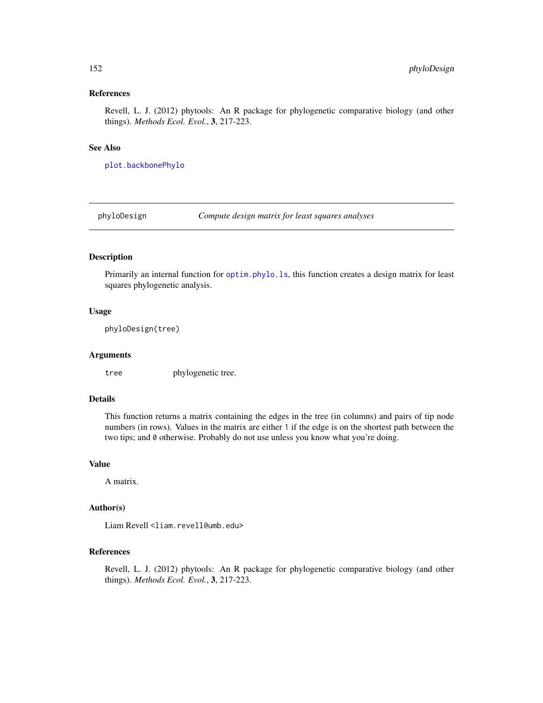# References

Revell, L. J. (2012) phytools: An R package for phylogenetic comparative biology (and other things). *Methods Ecol. Evol.*, 3, 217-223.

### See Also

[plot.backbonePhylo](#page-157-0)

phyloDesign *Compute design matrix for least squares analyses*

### Description

Primarily an internal function for [optim.phylo.ls](#page-128-0), this function creates a design matrix for least squares phylogenetic analysis.

### Usage

phyloDesign(tree)

#### Arguments

tree phylogenetic tree.

### Details

This function returns a matrix containing the edges in the tree (in columns) and pairs of tip node numbers (in rows). Values in the matrix are either 1 if the edge is on the shortest path between the two tips; and 0 otherwise. Probably do not use unless you know what you're doing.

# Value

A matrix.

### Author(s)

Liam Revell <liam.revell@umb.edu>

# References

Revell, L. J. (2012) phytools: An R package for phylogenetic comparative biology (and other things). *Methods Ecol. Evol.*, 3, 217-223.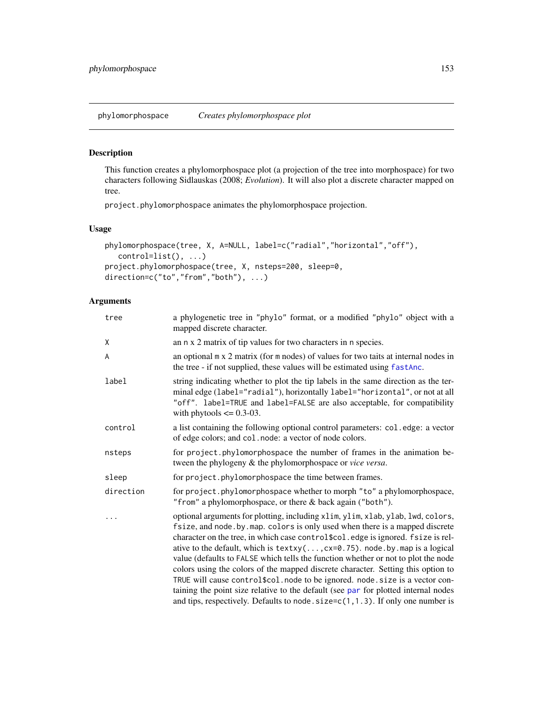# Description

This function creates a phylomorphospace plot (a projection of the tree into morphospace) for two characters following Sidlauskas (2008; *Evolution*). It will also plot a discrete character mapped on tree.

project.phylomorphospace animates the phylomorphospace projection.

<span id="page-152-0"></span>phylomorphospace *Creates phylomorphospace plot*

### Usage

```
phylomorphospace(tree, X, A=NULL, label=c("radial","horizontal","off"),
   control=list(), ...)
project.phylomorphospace(tree, X, nsteps=200, sleep=0,
direction=c("to","from","both"), ...)
```

| tree      | a phylogenetic tree in "phylo" format, or a modified "phylo" object with a<br>mapped discrete character.                                                                                                                                                                                                                                                                                                                                                                                                                                                                                                                                                                                                                                                                                 |
|-----------|------------------------------------------------------------------------------------------------------------------------------------------------------------------------------------------------------------------------------------------------------------------------------------------------------------------------------------------------------------------------------------------------------------------------------------------------------------------------------------------------------------------------------------------------------------------------------------------------------------------------------------------------------------------------------------------------------------------------------------------------------------------------------------------|
| χ         | an n x 2 matrix of tip values for two characters in n species.                                                                                                                                                                                                                                                                                                                                                                                                                                                                                                                                                                                                                                                                                                                           |
| A         | an optional m x 2 matrix (for m nodes) of values for two taits at internal nodes in<br>the tree - if not supplied, these values will be estimated using fastAnc.                                                                                                                                                                                                                                                                                                                                                                                                                                                                                                                                                                                                                         |
| label     | string indicating whether to plot the tip labels in the same direction as the ter-<br>minal edge (label="radial"), horizontally label="horizontal", or not at all<br>"off". label=TRUE and label=FALSE are also acceptable, for compatibility<br>with phytools $\leq$ 0.3-03.                                                                                                                                                                                                                                                                                                                                                                                                                                                                                                            |
| control   | a list containing the following optional control parameters: col.edge: a vector<br>of edge colors; and col. node: a vector of node colors.                                                                                                                                                                                                                                                                                                                                                                                                                                                                                                                                                                                                                                               |
| nsteps    | for project.phylomorphospace the number of frames in the animation be-<br>tween the phylogeny & the phylomorphospace or <i>vice versa</i> .                                                                                                                                                                                                                                                                                                                                                                                                                                                                                                                                                                                                                                              |
| sleep     | for project.phylomorphospace the time between frames.                                                                                                                                                                                                                                                                                                                                                                                                                                                                                                                                                                                                                                                                                                                                    |
| direction | for project.phylomorphospace whether to morph "to" a phylomorphospace,<br>"from" a phylomorphospace, or there & back again ("both").                                                                                                                                                                                                                                                                                                                                                                                                                                                                                                                                                                                                                                                     |
|           | optional arguments for plotting, including xlim, ylim, xlab, ylab, lwd, colors,<br>fsize, and node. by map. colors is only used when there is a mapped discrete<br>character on the tree, in which case control\$col.edge is ignored. fsize is rel-<br>ative to the default, which is $text{texty}(\ldots, \text{cx=0.75})$ . node.by.map is a logical<br>value (defaults to FALSE which tells the function whether or not to plot the node<br>colors using the colors of the mapped discrete character. Setting this option to<br>TRUE will cause control\$col.node to be ignored.node.size is a vector con-<br>taining the point size relative to the default (see par for plotted internal nodes<br>and tips, respectively. Defaults to node. $size=c(1,1.3)$ . If only one number is |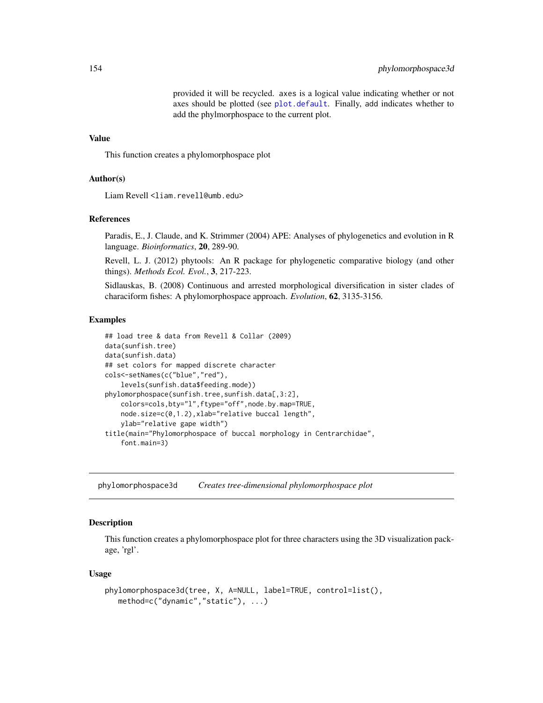provided it will be recycled. axes is a logical value indicating whether or not axes should be plotted (see [plot.default](#page-0-0). Finally, add indicates whether to add the phylmorphospace to the current plot.

#### Value

This function creates a phylomorphospace plot

### Author(s)

Liam Revell <liam.revell@umb.edu>

#### References

Paradis, E., J. Claude, and K. Strimmer (2004) APE: Analyses of phylogenetics and evolution in R language. *Bioinformatics*, 20, 289-90.

Revell, L. J. (2012) phytools: An R package for phylogenetic comparative biology (and other things). *Methods Ecol. Evol.*, 3, 217-223.

Sidlauskas, B. (2008) Continuous and arrested morphological diversification in sister clades of characiform fishes: A phylomorphospace approach. *Evolution*, 62, 3135-3156.

#### Examples

```
## load tree & data from Revell & Collar (2009)
data(sunfish.tree)
data(sunfish.data)
## set colors for mapped discrete character
cols<-setNames(c("blue","red"),
    levels(sunfish.data$feeding.mode))
phylomorphospace(sunfish.tree,sunfish.data[,3:2],
   colors=cols,bty="l",ftype="off",node.by.map=TRUE,
   node.size=c(0,1.2),xlab="relative buccal length",
   ylab="relative gape width")
title(main="Phylomorphospace of buccal morphology in Centrarchidae",
    font.main=3)
```
phylomorphospace3d *Creates tree-dimensional phylomorphospace plot*

### Description

This function creates a phylomorphospace plot for three characters using the 3D visualization package, 'rgl'.

#### Usage

```
phylomorphospace3d(tree, X, A=NULL, label=TRUE, control=list(),
   method=c("dynamic","static"), ...)
```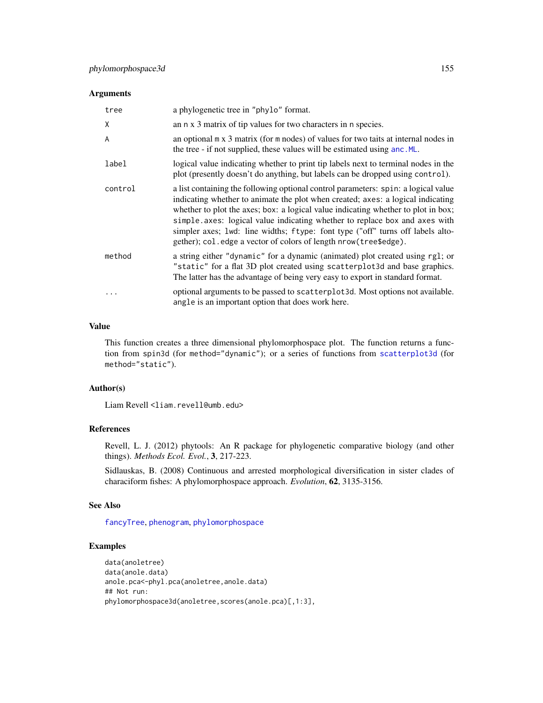### Arguments

| tree    | a phylogenetic tree in "phylo" format.                                                                                                                                                                                                                                                                                                                                                                                                                                                          |
|---------|-------------------------------------------------------------------------------------------------------------------------------------------------------------------------------------------------------------------------------------------------------------------------------------------------------------------------------------------------------------------------------------------------------------------------------------------------------------------------------------------------|
| X       | an n x 3 matrix of tip values for two characters in n species.                                                                                                                                                                                                                                                                                                                                                                                                                                  |
| A       | an optional $m \times 3$ matrix (for $m$ nodes) of values for two taits at internal nodes in<br>the tree - if not supplied, these values will be estimated using anc. ML.                                                                                                                                                                                                                                                                                                                       |
| label   | logical value indicating whether to print tip labels next to terminal nodes in the<br>plot (presently doesn't do anything, but labels can be dropped using control).                                                                                                                                                                                                                                                                                                                            |
| control | a list containing the following optional control parameters: spin: a logical value<br>indicating whether to animate the plot when created; axes: a logical indicating<br>whether to plot the axes; box: a logical value indicating whether to plot in box;<br>simple.axes: logical value indicating whether to replace box and axes with<br>simpler axes; lwd: line widths; ftype: font type ("off" turns off labels alto-<br>gether); col. edge a vector of colors of length nrow(tree\$edge). |
| method  | a string either "dynamic" for a dynamic (animated) plot created using rg1; or<br>"static" for a flat 3D plot created using scatterplot3d and base graphics.<br>The latter has the advantage of being very easy to export in standard format.                                                                                                                                                                                                                                                    |
|         | optional arguments to be passed to scatter plot 3d. Most options not available.<br>angle is an important option that does work here.                                                                                                                                                                                                                                                                                                                                                            |

### Value

This function creates a three dimensional phylomorphospace plot. The function returns a function from spin3d (for method="dynamic"); or a series of functions from [scatterplot3d](#page-0-0) (for method="static").

# Author(s)

Liam Revell <liam.revell@umb.edu>

# References

Revell, L. J. (2012) phytools: An R package for phylogenetic comparative biology (and other things). *Methods Ecol. Evol.*, 3, 217-223.

Sidlauskas, B. (2008) Continuous and arrested morphological diversification in sister clades of characiform fishes: A phylomorphospace approach. *Evolution*, 62, 3135-3156.

#### See Also

[fancyTree](#page-72-0), [phenogram](#page-135-0), [phylomorphospace](#page-152-0)

# Examples

```
data(anoletree)
data(anole.data)
anole.pca<-phyl.pca(anoletree,anole.data)
## Not run:
phylomorphospace3d(anoletree,scores(anole.pca)[,1:3],
```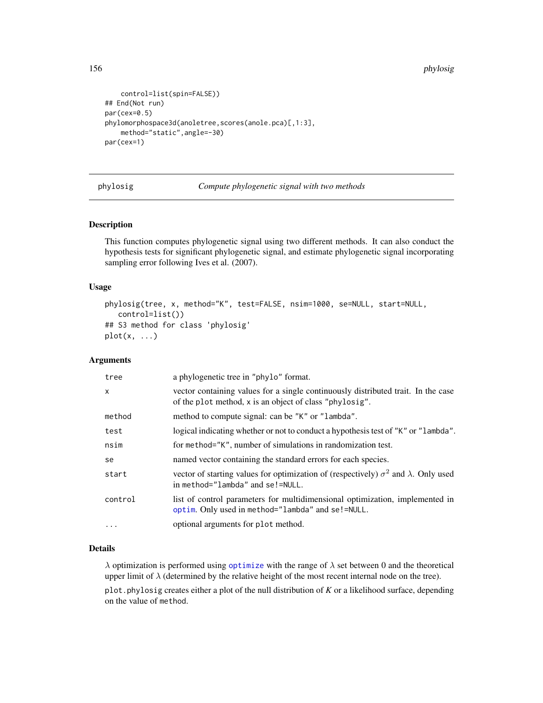156 phylosig

```
control=list(spin=FALSE))
## End(Not run)
par(cex=0.5)
phylomorphospace3d(anoletree,scores(anole.pca)[,1:3],
   method="static",angle=-30)
par(cex=1)
```
phylosig *Compute phylogenetic signal with two methods*

#### Description

This function computes phylogenetic signal using two different methods. It can also conduct the hypothesis tests for significant phylogenetic signal, and estimate phylogenetic signal incorporating sampling error following Ives et al. (2007).

#### Usage

```
phylosig(tree, x, method="K", test=FALSE, nsim=1000, se=NULL, start=NULL,
   control=list())
## S3 method for class 'phylosig'
plot(x, \ldots)
```
### Arguments

| tree         | a phylogenetic tree in "phylo" format.                                                                                                       |
|--------------|----------------------------------------------------------------------------------------------------------------------------------------------|
| $\mathsf{x}$ | vector containing values for a single continuously distributed trait. In the case<br>of the plot method, x is an object of class "phylosig". |
| method       | method to compute signal: can be "K" or "lambda".                                                                                            |
| test         | logical indicating whether or not to conduct a hypothesis test of "K" or "lambda".                                                           |
| nsim         | for method="K", number of simulations in randomization test.                                                                                 |
| se           | named vector containing the standard errors for each species.                                                                                |
| start        | vector of starting values for optimization of (respectively) $\sigma^2$ and $\lambda$ . Only used<br>in method="lambda" and se!=NULL.        |
| control      | list of control parameters for multidimensional optimization, implemented in<br>optim. Only used in method="lambda" and se!=NULL.            |
| .            | optional arguments for plot method.                                                                                                          |

#### Details

 $\lambda$  optimization is performed using [optimize](#page-0-0) with the range of  $\lambda$  set between 0 and the theoretical upper limit of  $\lambda$  (determined by the relative height of the most recent internal node on the tree).

plot.phylosig creates either a plot of the null distribution of *K* or a likelihood surface, depending on the value of method.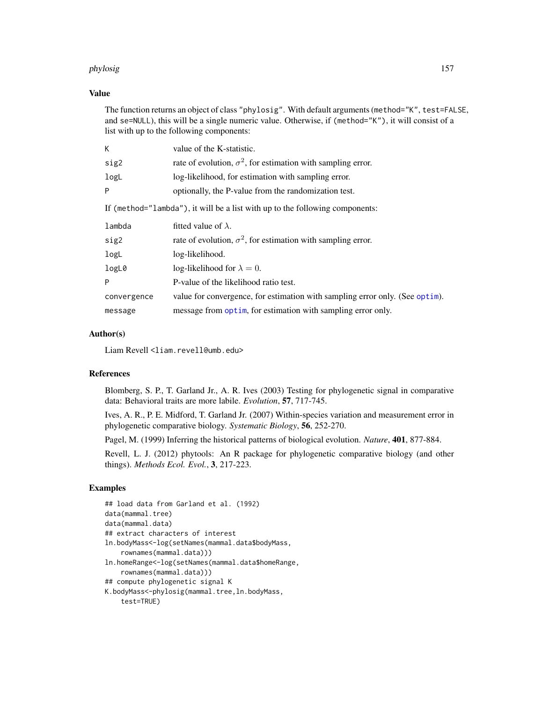#### phylosig 157

### Value

The function returns an object of class "phylosig". With default arguments (method="K", test=FALSE, and se=NULL), this will be a single numeric value. Otherwise, if (method="K"), it will consist of a list with up to the following components:

| K                                                                            | value of the K-statistic.                                                    |  |
|------------------------------------------------------------------------------|------------------------------------------------------------------------------|--|
| sig2                                                                         | rate of evolution, $\sigma^2$ , for estimation with sampling error.          |  |
| logL                                                                         | log-likelihood, for estimation with sampling error.                          |  |
| P                                                                            | optionally, the P-value from the randomization test.                         |  |
| If (method="lambda"), it will be a list with up to the following components: |                                                                              |  |
| lambda                                                                       | fitted value of $\lambda$ .                                                  |  |
| sig2                                                                         | rate of evolution, $\sigma^2$ , for estimation with sampling error.          |  |
| logL                                                                         | log-likelihood.                                                              |  |
| logL0                                                                        | log-likelihood for $\lambda = 0$ .                                           |  |
| P                                                                            | P-value of the likelihood ratio test.                                        |  |
| convergence                                                                  | value for convergence, for estimation with sampling error only. (See optim). |  |
| message                                                                      | message from optim, for estimation with sampling error only.                 |  |

#### Author(s)

Liam Revell <liam.revell@umb.edu>

### References

Blomberg, S. P., T. Garland Jr., A. R. Ives (2003) Testing for phylogenetic signal in comparative data: Behavioral traits are more labile. *Evolution*, 57, 717-745.

Ives, A. R., P. E. Midford, T. Garland Jr. (2007) Within-species variation and measurement error in phylogenetic comparative biology. *Systematic Biology*, 56, 252-270.

Pagel, M. (1999) Inferring the historical patterns of biological evolution. *Nature*, 401, 877-884.

Revell, L. J. (2012) phytools: An R package for phylogenetic comparative biology (and other things). *Methods Ecol. Evol.*, 3, 217-223.

# Examples

```
## load data from Garland et al. (1992)
data(mammal.tree)
data(mammal.data)
## extract characters of interest
ln.bodyMass<-log(setNames(mammal.data$bodyMass,
    rownames(mammal.data)))
ln.homeRange<-log(setNames(mammal.data$homeRange,
    rownames(mammal.data)))
## compute phylogenetic signal K
K.bodyMass<-phylosig(mammal.tree,ln.bodyMass,
    test=TRUE)
```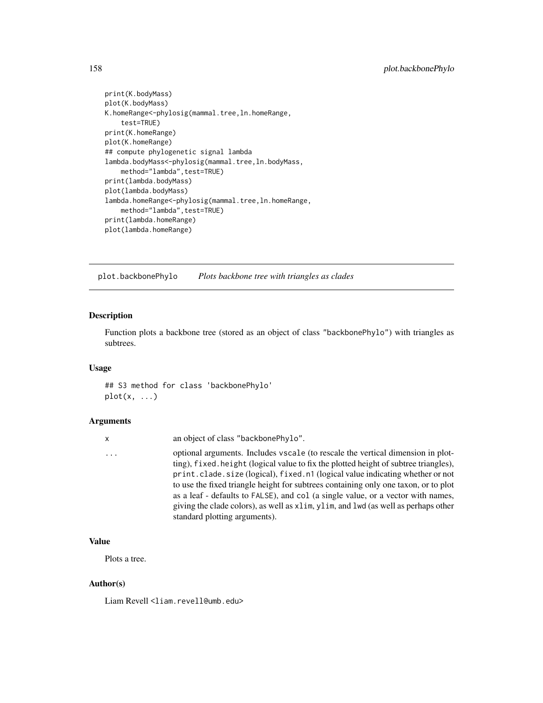```
print(K.bodyMass)
plot(K.bodyMass)
K.homeRange<-phylosig(mammal.tree,ln.homeRange,
    test=TRUE)
print(K.homeRange)
plot(K.homeRange)
## compute phylogenetic signal lambda
lambda.bodyMass<-phylosig(mammal.tree,ln.bodyMass,
    method="lambda", test=TRUE)
print(lambda.bodyMass)
plot(lambda.bodyMass)
lambda.homeRange<-phylosig(mammal.tree,ln.homeRange,
    method="lambda", test=TRUE)
print(lambda.homeRange)
plot(lambda.homeRange)
```
<span id="page-157-0"></span>plot.backbonePhylo *Plots backbone tree with triangles as clades*

# Description

Function plots a backbone tree (stored as an object of class "backbonePhylo") with triangles as subtrees.

#### Usage

## S3 method for class 'backbonePhylo'  $plot(x, \ldots)$ 

### Arguments

| x | an object of class "backbonePhylo".                                                                                                                                                                                                                                                                                                                                                                                                                                                                                                                       |
|---|-----------------------------------------------------------------------------------------------------------------------------------------------------------------------------------------------------------------------------------------------------------------------------------------------------------------------------------------------------------------------------------------------------------------------------------------------------------------------------------------------------------------------------------------------------------|
| . | optional arguments. Includes vscale (to rescale the vertical dimension in plot-<br>ting), fixed height (logical value to fix the plotted height of subtree triangles),<br>print.clade.size (logical), fixed.n1 (logical value indicating whether or not<br>to use the fixed triangle height for subtrees containing only one taxon, or to plot<br>as a leaf - defaults to FALSE), and col (a single value, or a vector with names,<br>giving the clade colors), as well as x1im, y1im, and 1wd (as well as perhaps other<br>standard plotting arguments). |
|   |                                                                                                                                                                                                                                                                                                                                                                                                                                                                                                                                                           |

### Value

Plots a tree.

### Author(s)

Liam Revell <liam.revell@umb.edu>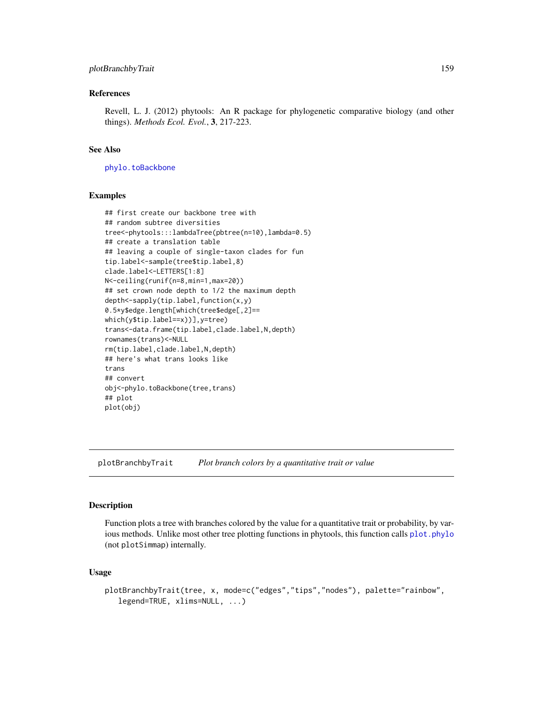# plotBranchbyTrait 159

### References

Revell, L. J. (2012) phytools: An R package for phylogenetic comparative biology (and other things). *Methods Ecol. Evol.*, 3, 217-223.

#### See Also

[phylo.toBackbone](#page-150-0)

# Examples

```
## first create our backbone tree with
## random subtree diversities
tree<-phytools:::lambdaTree(pbtree(n=10),lambda=0.5)
## create a translation table
## leaving a couple of single-taxon clades for fun
tip.label<-sample(tree$tip.label,8)
clade.label<-LETTERS[1:8]
N<-ceiling(runif(n=8,min=1,max=20))
## set crown node depth to 1/2 the maximum depth
depth<-sapply(tip.label,function(x,y)
0.5*y$edge.length[which(tree$edge[,2]==
which(y$tip.label==x))],y=tree)
trans<-data.frame(tip.label,clade.label,N,depth)
rownames(trans)<-NULL
rm(tip.label,clade.label,N,depth)
## here's what trans looks like
trans
## convert
obj<-phylo.toBackbone(tree,trans)
## plot
plot(obj)
```
plotBranchbyTrait *Plot branch colors by a quantitative trait or value*

#### Description

Function plots a tree with branches colored by the value for a quantitative trait or probability, by various methods. Unlike most other tree plotting functions in phytools, this function calls plot. phylo (not plotSimmap) internally.

#### Usage

```
plotBranchbyTrait(tree, x, mode=c("edges","tips","nodes"), palette="rainbow",
   legend=TRUE, xlims=NULL, ...)
```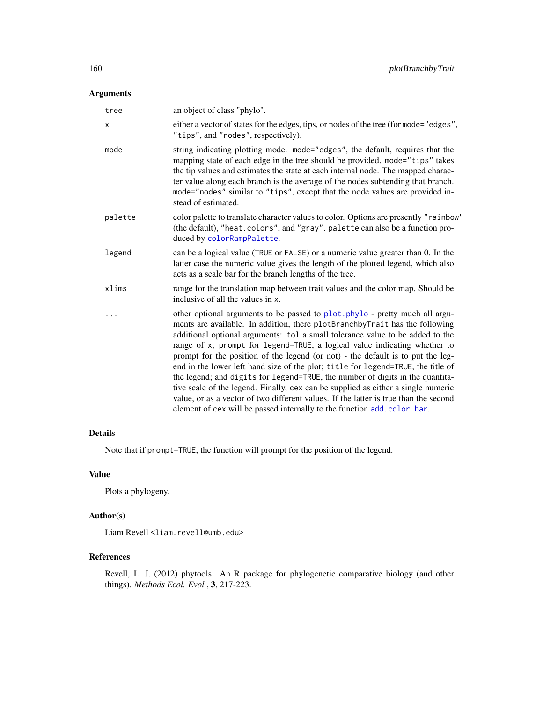# Arguments

| tree    | an object of class "phylo".                                                                                                                                                                                                                                                                                                                                                                                                                                                                                                                                                                                                                                                                                                                                                                                                                |
|---------|--------------------------------------------------------------------------------------------------------------------------------------------------------------------------------------------------------------------------------------------------------------------------------------------------------------------------------------------------------------------------------------------------------------------------------------------------------------------------------------------------------------------------------------------------------------------------------------------------------------------------------------------------------------------------------------------------------------------------------------------------------------------------------------------------------------------------------------------|
| X       | either a vector of states for the edges, tips, or nodes of the tree (for mode="edges",<br>"tips", and "nodes", respectively).                                                                                                                                                                                                                                                                                                                                                                                                                                                                                                                                                                                                                                                                                                              |
| mode    | string indicating plotting mode. mode="edges", the default, requires that the<br>mapping state of each edge in the tree should be provided. mode="tips" takes<br>the tip values and estimates the state at each internal node. The mapped charac-<br>ter value along each branch is the average of the nodes subtending that branch.<br>mode="nodes" similar to "tips", except that the node values are provided in-<br>stead of estimated.                                                                                                                                                                                                                                                                                                                                                                                                |
| palette | color palette to translate character values to color. Options are presently "rainbow"<br>(the default), "heat.colors", and "gray". palette can also be a function pro-<br>duced by colorRampPalette.                                                                                                                                                                                                                                                                                                                                                                                                                                                                                                                                                                                                                                       |
| legend  | can be a logical value (TRUE or FALSE) or a numeric value greater than 0. In the<br>latter case the numeric value gives the length of the plotted legend, which also<br>acts as a scale bar for the branch lengths of the tree.                                                                                                                                                                                                                                                                                                                                                                                                                                                                                                                                                                                                            |
| xlims   | range for the translation map between trait values and the color map. Should be<br>inclusive of all the values in x.                                                                                                                                                                                                                                                                                                                                                                                                                                                                                                                                                                                                                                                                                                                       |
|         | other optional arguments to be passed to plot.phylo - pretty much all argu-<br>ments are available. In addition, there plotBranchbyTrait has the following<br>additional optional arguments: tol a small tolerance value to be added to the<br>range of x; prompt for legend=TRUE, a logical value indicating whether to<br>prompt for the position of the legend (or not) - the default is to put the leg-<br>end in the lower left hand size of the plot; title for legend=TRUE, the title of<br>the legend; and digits for legend=TRUE, the number of digits in the quantita-<br>tive scale of the legend. Finally, cex can be supplied as either a single numeric<br>value, or as a vector of two different values. If the latter is true than the second<br>element of cex will be passed internally to the function add. color. bar. |

### Details

Note that if prompt=TRUE, the function will prompt for the position of the legend.

# Value

Plots a phylogeny.

# Author(s)

Liam Revell <liam.revell@umb.edu>

# References

Revell, L. J. (2012) phytools: An R package for phylogenetic comparative biology (and other things). *Methods Ecol. Evol.*, 3, 217-223.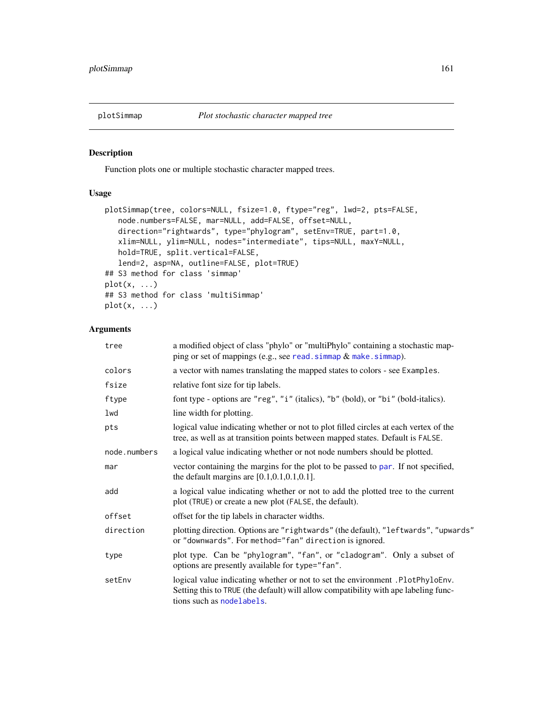<span id="page-160-0"></span>

# Description

Function plots one or multiple stochastic character mapped trees.

# Usage

```
plotSimmap(tree, colors=NULL, fsize=1.0, ftype="reg", lwd=2, pts=FALSE,
   node.numbers=FALSE, mar=NULL, add=FALSE, offset=NULL,
   direction="rightwards", type="phylogram", setEnv=TRUE, part=1.0,
   xlim=NULL, ylim=NULL, nodes="intermediate", tips=NULL, maxY=NULL,
   hold=TRUE, split.vertical=FALSE,
   lend=2, asp=NA, outline=FALSE, plot=TRUE)
## S3 method for class 'simmap'
plot(x, \ldots)## S3 method for class 'multiSimmap'
plot(x, \ldots)
```

| tree         | a modified object of class "phylo" or "multiPhylo" containing a stochastic map-<br>ping or set of mappings (e.g., see read. simmap $\&$ make. simmap).                                            |  |
|--------------|---------------------------------------------------------------------------------------------------------------------------------------------------------------------------------------------------|--|
| colors       | a vector with names translating the mapped states to colors - see Examples.                                                                                                                       |  |
| fsize        | relative font size for tip labels.                                                                                                                                                                |  |
| ftype        | font type - options are "reg", "i" (italics), "b" (bold), or "bi" (bold-italics).                                                                                                                 |  |
| lwd          | line width for plotting.                                                                                                                                                                          |  |
| pts          | logical value indicating whether or not to plot filled circles at each vertex of the<br>tree, as well as at transition points between mapped states. Default is FALSE.                            |  |
| node.numbers | a logical value indicating whether or not node numbers should be plotted.                                                                                                                         |  |
| mar          | vector containing the margins for the plot to be passed to par. If not specified,<br>the default margins are $[0.1, 0.1, 0.1, 0.1]$ .                                                             |  |
| add          | a logical value indicating whether or not to add the plotted tree to the current<br>plot (TRUE) or create a new plot (FALSE, the default).                                                        |  |
| offset       | offset for the tip labels in character widths.                                                                                                                                                    |  |
| direction    | plotting direction. Options are "rightwards" (the default), "leftwards", "upwards"<br>or "downwards". For method="fan" direction is ignored.                                                      |  |
| type         | plot type. Can be "phylogram", "fan", or "cladogram". Only a subset of<br>options are presently available for type="fan".                                                                         |  |
| setEnv       | logical value indicating whether or not to set the environment .PlotPhyloEnv.<br>Setting this to TRUE (the default) will allow compatibility with ape labeling func-<br>tions such as nodelabels. |  |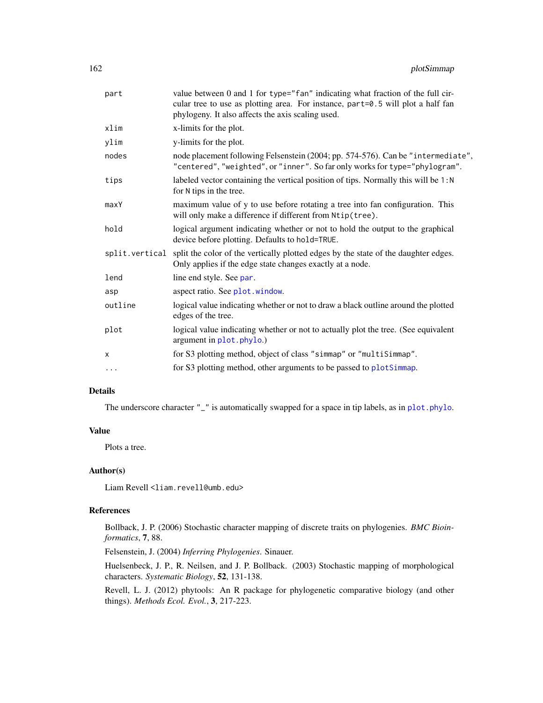| part           | value between 0 and 1 for type="fan" indicating what fraction of the full cir-<br>cular tree to use as plotting area. For instance, part=0.5 will plot a half fan<br>phylogeny. It also affects the axis scaling used. |  |
|----------------|------------------------------------------------------------------------------------------------------------------------------------------------------------------------------------------------------------------------|--|
| xlim           | x-limits for the plot.                                                                                                                                                                                                 |  |
| ylim           | y-limits for the plot.                                                                                                                                                                                                 |  |
| nodes          | node placement following Felsenstein (2004; pp. 574-576). Can be "intermediate",<br>"centered", "weighted", or "inner". So far only works for type="phylogram".                                                        |  |
| tips           | labeled vector containing the vertical position of tips. Normally this will be 1:N<br>for N tips in the tree.                                                                                                          |  |
| maxY           | maximum value of y to use before rotating a tree into fan configuration. This<br>will only make a difference if different from Ntip(tree).                                                                             |  |
| hold           | logical argument indicating whether or not to hold the output to the graphical<br>device before plotting. Defaults to hold=TRUE.                                                                                       |  |
| split.vertical | split the color of the vertically plotted edges by the state of the daughter edges.<br>Only applies if the edge state changes exactly at a node.                                                                       |  |
| lend           | line end style. See par.                                                                                                                                                                                               |  |
| asp            | aspect ratio. See plot.window.                                                                                                                                                                                         |  |
| outline        | logical value indicating whether or not to draw a black outline around the plotted<br>edges of the tree.                                                                                                               |  |
| plot           | logical value indicating whether or not to actually plot the tree. (See equivalent<br>argument in plot.phylo.)                                                                                                         |  |
| X              | for S3 plotting method, object of class "simmap" or "multiSimmap".                                                                                                                                                     |  |
| $\cdots$       | for S3 plotting method, other arguments to be passed to plotSimmap.                                                                                                                                                    |  |

# Details

The underscore character "\_" is automatically swapped for a space in tip labels, as in [plot.phylo](#page-0-0).

### Value

Plots a tree.

#### Author(s)

Liam Revell <liam.revell@umb.edu>

### References

Bollback, J. P. (2006) Stochastic character mapping of discrete traits on phylogenies. *BMC Bioinformatics*, 7, 88.

Felsenstein, J. (2004) *Inferring Phylogenies*. Sinauer.

Huelsenbeck, J. P., R. Neilsen, and J. P. Bollback. (2003) Stochastic mapping of morphological characters. *Systematic Biology*, 52, 131-138.

Revell, L. J. (2012) phytools: An R package for phylogenetic comparative biology (and other things). *Methods Ecol. Evol.*, 3, 217-223.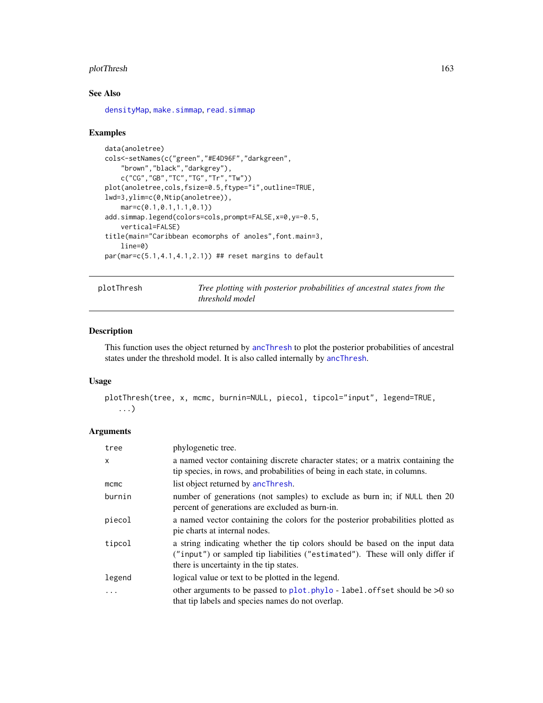#### plotThresh 163

# See Also

[densityMap](#page-48-0), [make.simmap](#page-107-0), [read.simmap](#page-176-0)

### Examples

```
data(anoletree)
cols<-setNames(c("green","#E4D96F","darkgreen",
    "brown","black","darkgrey"),
    c("CG","GB","TC","TG","Tr","Tw"))
plot(anoletree,cols,fsize=0.5,ftype="i",outline=TRUE,
lwd=3,ylim=c(0,Ntip(anoletree)),
    mar=c(0.1,0.1,1.1,0.1))
add.simmap.legend(colors=cols,prompt=FALSE,x=0,y=-0.5,
    vertical=FALSE)
title(main="Caribbean ecomorphs of anoles",font.main=3,
    line=0)
par(max=c(5.1,4.1,4.1,2.1)) ## reset margins to default
```
plotThresh *Tree plotting with posterior probabilities of ancestral states from the threshold model*

#### Description

This function uses the object returned by [ancThresh](#page-19-0) to plot the posterior probabilities of ancestral states under the threshold model. It is also called internally by [ancThresh](#page-19-0).

## Usage

```
plotThresh(tree, x, mcmc, burnin=NULL, piecol, tipcol="input", legend=TRUE,
   ...)
```

| tree     | phylogenetic tree.                                                                                                                                                                                       |
|----------|----------------------------------------------------------------------------------------------------------------------------------------------------------------------------------------------------------|
| $\times$ | a named vector containing discrete character states; or a matrix containing the<br>tip species, in rows, and probabilities of being in each state, in columns.                                           |
| $m$ cmc  | list object returned by ancThresh.                                                                                                                                                                       |
| burnin   | number of generations (not samples) to exclude as burn in; if NULL then 20<br>percent of generations are excluded as burn-in.                                                                            |
| piecol   | a named vector containing the colors for the posterior probabilities plotted as<br>pie charts at internal nodes.                                                                                         |
| tipcol   | a string indicating whether the tip colors should be based on the input data<br>("input") or sampled tip liabilities ("estimated"). These will only differ if<br>there is uncertainty in the tip states. |
| legend   | logical value or text to be plotted in the legend.                                                                                                                                                       |
| .        | other arguments to be passed to plot. $phylo - label.$ offset should be $>0$ so<br>that tip labels and species names do not overlap.                                                                     |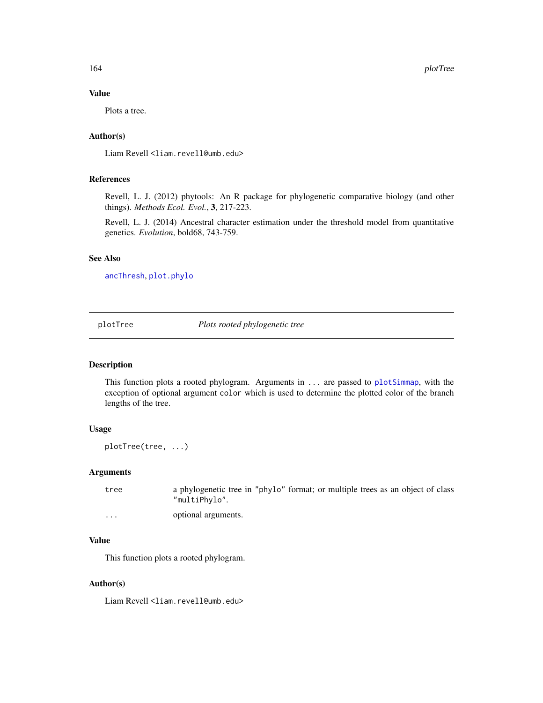### Value

Plots a tree.

# Author(s)

Liam Revell <liam.revell@umb.edu>

### References

Revell, L. J. (2012) phytools: An R package for phylogenetic comparative biology (and other things). *Methods Ecol. Evol.*, 3, 217-223.

Revell, L. J. (2014) Ancestral character estimation under the threshold model from quantitative genetics. *Evolution*, bold68, 743-759.

### See Also

[ancThresh](#page-19-0), [plot.phylo](#page-0-0)

<span id="page-163-0"></span>plotTree *Plots rooted phylogenetic tree*

### Description

This function plots a rooted phylogram. Arguments in ... are passed to [plotSimmap](#page-160-0), with the exception of optional argument color which is used to determine the plotted color of the branch lengths of the tree.

# Usage

plotTree(tree, ...)

#### Arguments

tree a phylogenetic tree in "phylo" format; or multiple trees as an object of class "multiPhylo".

... optional arguments.

### Value

This function plots a rooted phylogram.

#### Author(s)

Liam Revell <liam.revell@umb.edu>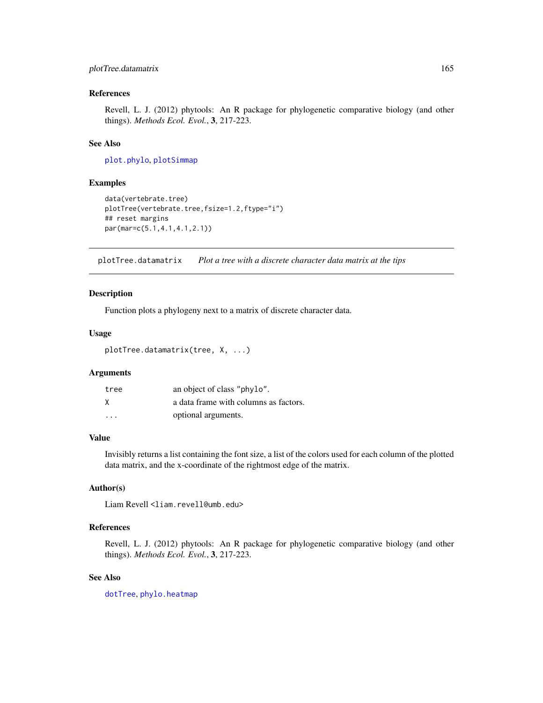# plotTree.datamatrix 165

### References

Revell, L. J. (2012) phytools: An R package for phylogenetic comparative biology (and other things). *Methods Ecol. Evol.*, 3, 217-223.

# See Also

[plot.phylo](#page-0-0), [plotSimmap](#page-160-0)

### Examples

```
data(vertebrate.tree)
plotTree(vertebrate.tree,fsize=1.2,ftype="i")
## reset margins
par(mar=c(5.1,4.1,4.1,2.1))
```
plotTree.datamatrix *Plot a tree with a discrete character data matrix at the tips*

### Description

Function plots a phylogeny next to a matrix of discrete character data.

#### Usage

plotTree.datamatrix(tree, X, ...)

#### Arguments

| tree                    | an object of class "phylo".           |
|-------------------------|---------------------------------------|
| X                       | a data frame with columns as factors. |
| $\cdot$ $\cdot$ $\cdot$ | optional arguments.                   |

### Value

Invisibly returns a list containing the font size, a list of the colors used for each column of the plotted data matrix, and the x-coordinate of the rightmost edge of the matrix.

# Author(s)

Liam Revell <liam.revell@umb.edu>

# References

Revell, L. J. (2012) phytools: An R package for phylogenetic comparative biology (and other things). *Methods Ecol. Evol.*, 3, 217-223.

### See Also

[dotTree](#page-54-0), [phylo.heatmap](#page-146-0)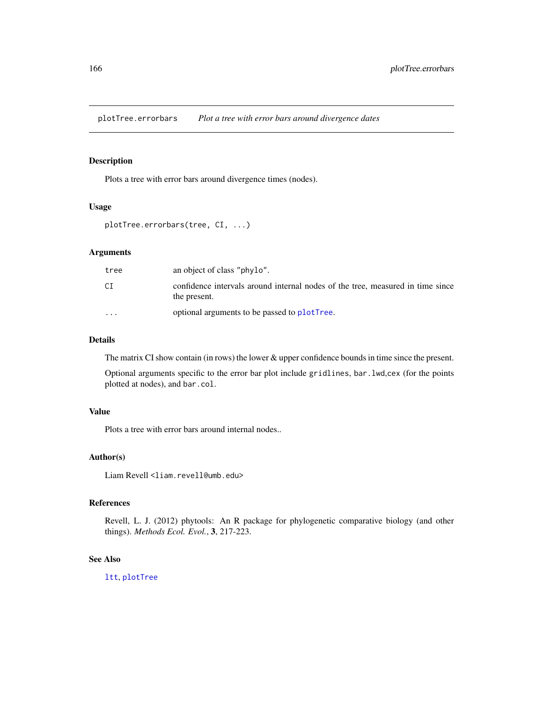plotTree.errorbars *Plot a tree with error bars around divergence dates*

# Description

Plots a tree with error bars around divergence times (nodes).

#### Usage

```
plotTree.errorbars(tree, CI, ...)
```
# Arguments

| tree                    | an object of class "phylo".                                                                    |
|-------------------------|------------------------------------------------------------------------------------------------|
| СI                      | confidence intervals around internal nodes of the tree, measured in time since<br>the present. |
| $\cdot$ $\cdot$ $\cdot$ | optional arguments to be passed to plotTree.                                                   |

#### Details

The matrix CI show contain (in rows) the lower & upper confidence bounds in time since the present.

Optional arguments specific to the error bar plot include gridlines, bar.lwd,cex (for the points plotted at nodes), and bar.col.

### Value

Plots a tree with error bars around internal nodes..

#### Author(s)

Liam Revell <liam.revell@umb.edu>

# References

Revell, L. J. (2012) phytools: An R package for phylogenetic comparative biology (and other things). *Methods Ecol. Evol.*, 3, 217-223.

### See Also

[ltt](#page-103-0), [plotTree](#page-163-0)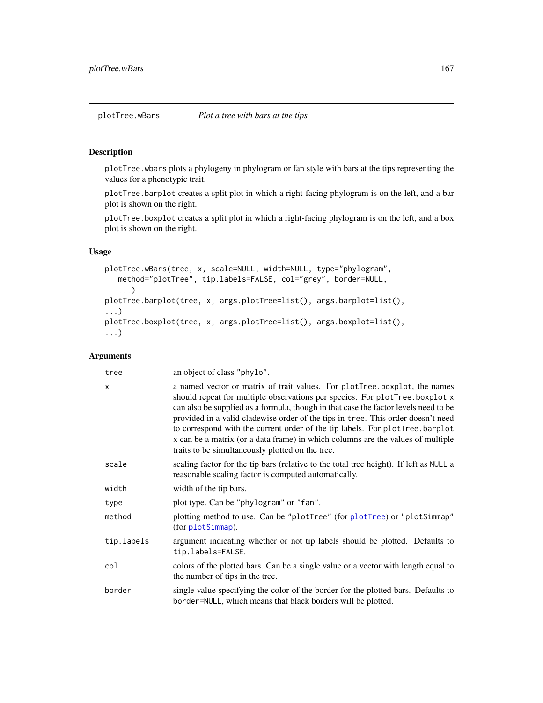### Description

plotTree.wbars plots a phylogeny in phylogram or fan style with bars at the tips representing the values for a phenotypic trait.

plotTree.barplot creates a split plot in which a right-facing phylogram is on the left, and a bar plot is shown on the right.

plotTree.boxplot creates a split plot in which a right-facing phylogram is on the left, and a box plot is shown on the right.

# Usage

```
plotTree.wBars(tree, x, scale=NULL, width=NULL, type="phylogram",
   method="plotTree", tip.labels=FALSE, col="grey", border=NULL,
   ...)
plotTree.barplot(tree, x, args.plotTree=list(), args.barplot=list(),
...)
plotTree.boxplot(tree, x, args.plotTree=list(), args.boxplot=list(),
...)
```

| tree         | an object of class "phylo".                                                                                                                                                                                                                                                                                                                                                                                                                                                                                                                                |  |
|--------------|------------------------------------------------------------------------------------------------------------------------------------------------------------------------------------------------------------------------------------------------------------------------------------------------------------------------------------------------------------------------------------------------------------------------------------------------------------------------------------------------------------------------------------------------------------|--|
| $\mathsf{x}$ | a named vector or matrix of trait values. For plotTree boxplot, the names<br>should repeat for multiple observations per species. For plotTree.boxplot x<br>can also be supplied as a formula, though in that case the factor levels need to be<br>provided in a valid cladewise order of the tips in tree. This order doesn't need<br>to correspond with the current order of the tip labels. For plotTree.barplot<br>x can be a matrix (or a data frame) in which columns are the values of multiple<br>traits to be simultaneously plotted on the tree. |  |
| scale        | scaling factor for the tip bars (relative to the total tree height). If left as NULL a<br>reasonable scaling factor is computed automatically.                                                                                                                                                                                                                                                                                                                                                                                                             |  |
| width        | width of the tip bars.                                                                                                                                                                                                                                                                                                                                                                                                                                                                                                                                     |  |
| type         | plot type. Can be "phylogram" or "fan".                                                                                                                                                                                                                                                                                                                                                                                                                                                                                                                    |  |
| method       | plotting method to use. Can be "plotTree" (for plotTree) or "plotSimmap"<br>(for plotSimmap).                                                                                                                                                                                                                                                                                                                                                                                                                                                              |  |
| tip.labels   | argument indicating whether or not tip labels should be plotted. Defaults to<br>tip.labels=FALSE.                                                                                                                                                                                                                                                                                                                                                                                                                                                          |  |
| col          | colors of the plotted bars. Can be a single value or a vector with length equal to<br>the number of tips in the tree.                                                                                                                                                                                                                                                                                                                                                                                                                                      |  |
| border       | single value specifying the color of the border for the plotted bars. Defaults to<br>border=NULL, which means that black borders will be plotted.                                                                                                                                                                                                                                                                                                                                                                                                          |  |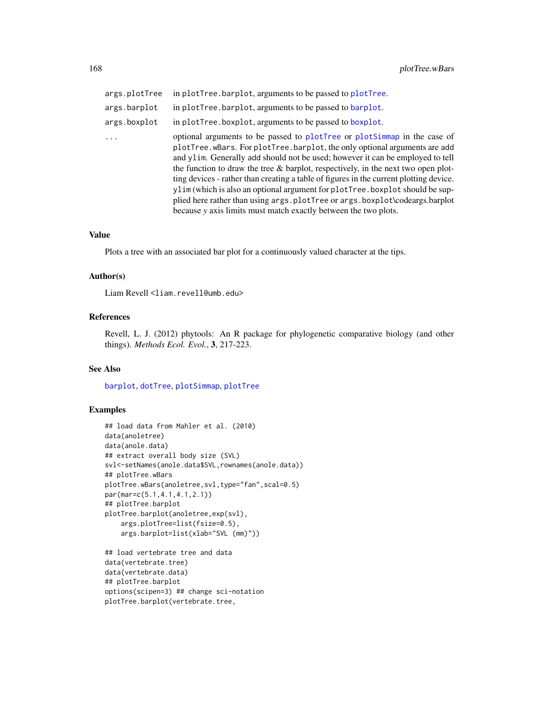| args.plotTree | in plotTree.barplot, arguments to be passed to plotTree.                                                                                                                                                                                                                                                                                                                                                                                                                                                                                                                                                                                                     |
|---------------|--------------------------------------------------------------------------------------------------------------------------------------------------------------------------------------------------------------------------------------------------------------------------------------------------------------------------------------------------------------------------------------------------------------------------------------------------------------------------------------------------------------------------------------------------------------------------------------------------------------------------------------------------------------|
| args.barplot  | in plotTree.barplot, arguments to be passed to barplot.                                                                                                                                                                                                                                                                                                                                                                                                                                                                                                                                                                                                      |
| args.boxplot  | in plotTree.boxplot, arguments to be passed to boxplot.                                                                                                                                                                                                                                                                                                                                                                                                                                                                                                                                                                                                      |
| $\ddots$ .    | optional arguments to be passed to plotTree or plotSimmap in the case of<br>plotTree.wBars. For plotTree.barplot, the only optional arguments are add<br>and ylim. Generally add should not be used; however it can be employed to tell<br>the function to draw the tree $\&$ barplot, respectively, in the next two open plot-<br>ting devices - rather than creating a table of figures in the current plotting device.<br>ylim (which is also an optional argument for plotTree. boxplot should be sup-<br>plied here rather than using args.plotTree or args.boxplot\codeargs.barplot<br>because y axis limits must match exactly between the two plots. |

#### Value

Plots a tree with an associated bar plot for a continuously valued character at the tips.

#### Author(s)

Liam Revell <liam.revell@umb.edu>

# References

Revell, L. J. (2012) phytools: An R package for phylogenetic comparative biology (and other things). *Methods Ecol. Evol.*, 3, 217-223.

### See Also

[barplot](#page-0-0), [dotTree](#page-54-0), [plotSimmap](#page-160-0), [plotTree](#page-163-0)

### Examples

```
## load data from Mahler et al. (2010)
data(anoletree)
data(anole.data)
## extract overall body size (SVL)
svl<-setNames(anole.data$SVL,rownames(anole.data))
## plotTree.wBars
plotTree.wBars(anoletree,svl,type="fan",scal=0.5)
par(mar=c(5.1,4.1,4.1,2.1))
## plotTree.barplot
plotTree.barplot(anoletree,exp(svl),
    args.plotTree=list(fsize=0.5),
    args.barplot=list(xlab="SVL (mm)"))
```

```
## load vertebrate tree and data
data(vertebrate.tree)
data(vertebrate.data)
## plotTree.barplot
options(scipen=3) ## change sci-notation
plotTree.barplot(vertebrate.tree,
```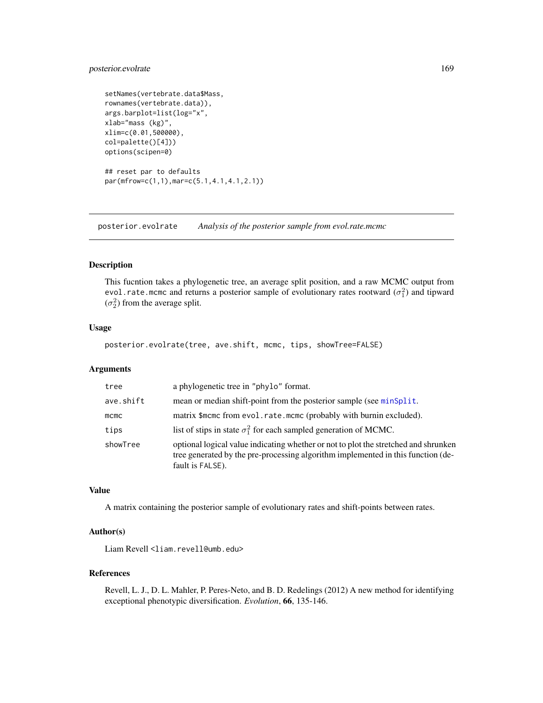# posterior.evolrate 169

```
setNames(vertebrate.data$Mass,
rownames(vertebrate.data)),
args.barplot=list(log="x",
xlab="mass (kg)",
xlim=c(0.01,500000),
col=palette()[4]))
options(scipen=0)
## reset par to defaults
par(mfrow=c(1,1),mar=c(5.1,4.1,4.1,2.1))
```
posterior.evolrate *Analysis of the posterior sample from evol.rate.mcmc*

#### Description

This fucntion takes a phylogenetic tree, an average split position, and a raw MCMC output from evol.rate.mcmc and returns a posterior sample of evolutionary rates rootward  $(\sigma_1^2)$  and tipward  $(\sigma_2^2)$  from the average split.

# Usage

posterior.evolrate(tree, ave.shift, mcmc, tips, showTree=FALSE)

### Arguments

| tree      | a phylogenetic tree in "phylo" format.                                                                                                                                                      |  |
|-----------|---------------------------------------------------------------------------------------------------------------------------------------------------------------------------------------------|--|
| ave.shift | mean or median shift-point from the posterior sample (see minsplit.                                                                                                                         |  |
| $m$ cmc   | matrix \$mcmc from evol.rate.mcmc (probably with burnin excluded).                                                                                                                          |  |
| tips      | list of stips in state $\sigma_1^2$ for each sampled generation of MCMC.                                                                                                                    |  |
| showTree  | optional logical value indicating whether or not to plot the stretched and shrunken<br>tree generated by the pre-processing algorithm implemented in this function (de-<br>fault is FALSE). |  |

### Value

A matrix containing the posterior sample of evolutionary rates and shift-points between rates.

# Author(s)

Liam Revell <liam.revell@umb.edu>

#### References

Revell, L. J., D. L. Mahler, P. Peres-Neto, and B. D. Redelings (2012) A new method for identifying exceptional phenotypic diversification. *Evolution*, 66, 135-146.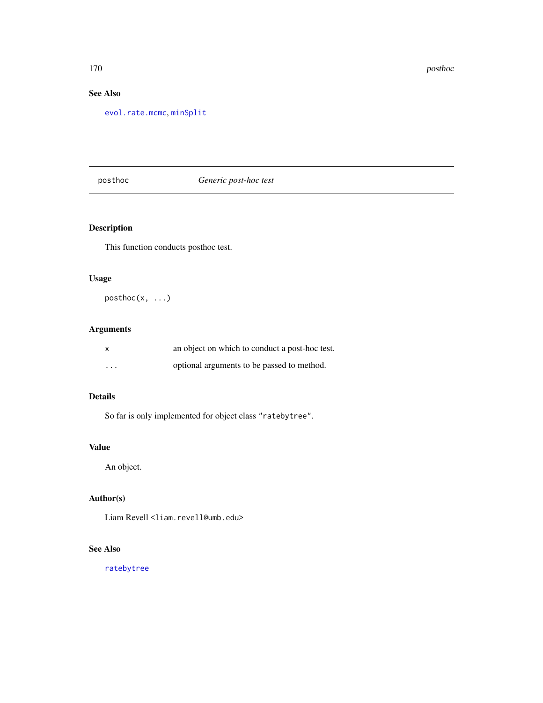# See Also

[evol.rate.mcmc](#page-64-0), [minSplit](#page-118-0)

posthoc *Generic post-hoc test*

# Description

This function conducts posthoc test.

# Usage

posthoc(x, ...)

# Arguments

| X        | an object on which to conduct a post-hoc test. |
|----------|------------------------------------------------|
| $\cdots$ | optional arguments to be passed to method.     |

# Details

So far is only implemented for object class "ratebytree".

# Value

An object.

# Author(s)

Liam Revell <liam.revell@umb.edu>

# See Also

[ratebytree](#page-172-0)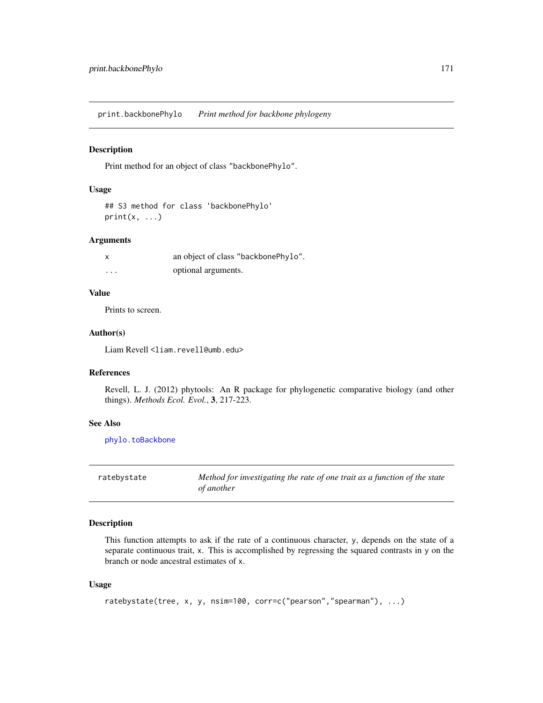print.backbonePhylo *Print method for backbone phylogeny*

### Description

Print method for an object of class "backbonePhylo".

### Usage

```
## S3 method for class 'backbonePhylo'
print(x, \ldots)
```
### Arguments

|                         | an object of class "backbonePhylo". |
|-------------------------|-------------------------------------|
| $\cdot$ $\cdot$ $\cdot$ | optional arguments.                 |

# Value

Prints to screen.

### Author(s)

Liam Revell <liam.revell@umb.edu>

# References

Revell, L. J. (2012) phytools: An R package for phylogenetic comparative biology (and other things). *Methods Ecol. Evol.*, 3, 217-223.

#### See Also

[phylo.toBackbone](#page-150-0)

ratebystate *Method for investigating the rate of one trait as a function of the state of another*

# Description

This function attempts to ask if the rate of a continuous character, y, depends on the state of a separate continuous trait, x. This is accomplished by regressing the squared contrasts in y on the branch or node ancestral estimates of x.

### Usage

```
ratebystate(tree, x, y, nsim=100, corr=c("pearson","spearman"), ...)
```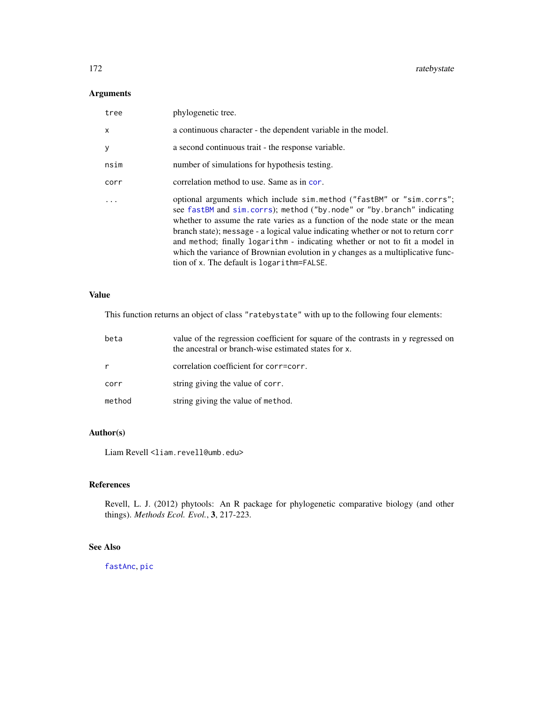# Arguments

| tree | phylogenetic tree.                                                                                                                                                                                                                                                                                                                                                                                                                                                                                                                    |
|------|---------------------------------------------------------------------------------------------------------------------------------------------------------------------------------------------------------------------------------------------------------------------------------------------------------------------------------------------------------------------------------------------------------------------------------------------------------------------------------------------------------------------------------------|
| x    | a continuous character - the dependent variable in the model.                                                                                                                                                                                                                                                                                                                                                                                                                                                                         |
| y    | a second continuous trait - the response variable.                                                                                                                                                                                                                                                                                                                                                                                                                                                                                    |
| nsim | number of simulations for hypothesis testing.                                                                                                                                                                                                                                                                                                                                                                                                                                                                                         |
| corr | correlation method to use. Same as in cor.                                                                                                                                                                                                                                                                                                                                                                                                                                                                                            |
| .    | optional arguments which include sim.method ("fastBM" or "sim.corrs";<br>see fastBM and sim.corrs); method ("by.node" or "by.branch" indicating<br>whether to assume the rate varies as a function of the node state or the mean<br>branch state); message - a logical value indicating whether or not to return corr<br>and method; finally logarithm - indicating whether or not to fit a model in<br>which the variance of Brownian evolution in y changes as a multiplicative func-<br>tion of x. The default is logarithm=FALSE. |

# Value

This function returns an object of class "ratebystate" with up to the following four elements:

| beta   | value of the regression coefficient for square of the contrasts in y regressed on<br>the ancestral or branch-wise estimated states for x. |
|--------|-------------------------------------------------------------------------------------------------------------------------------------------|
|        | correlation coefficient for corr=corr.                                                                                                    |
| corr   | string giving the value of corr.                                                                                                          |
| method | string giving the value of method.                                                                                                        |

# Author(s)

Liam Revell <liam.revell@umb.edu>

# References

Revell, L. J. (2012) phytools: An R package for phylogenetic comparative biology (and other things). *Methods Ecol. Evol.*, 3, 217-223.

# See Also

[fastAnc](#page-74-0), [pic](#page-0-0)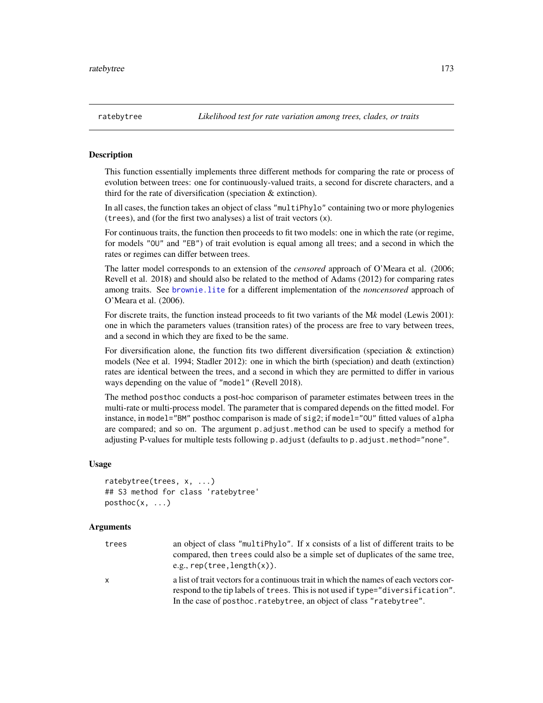<span id="page-172-0"></span>

### Description

This function essentially implements three different methods for comparing the rate or process of evolution between trees: one for continuously-valued traits, a second for discrete characters, and a third for the rate of diversification (speciation & extinction).

In all cases, the function takes an object of class "multiPhylo" containing two or more phylogenies (trees), and (for the first two analyses) a list of trait vectors (x).

For continuous traits, the function then proceeds to fit two models: one in which the rate (or regime, for models "OU" and "EB") of trait evolution is equal among all trees; and a second in which the rates or regimes can differ between trees.

The latter model corresponds to an extension of the *censored* approach of O'Meara et al. (2006; Revell et al. 2018) and should also be related to the method of Adams (2012) for comparing rates among traits. See [brownie.lite](#page-32-0) for a different implementation of the *noncensored* approach of O'Meara et al. (2006).

For discrete traits, the function instead proceeds to fit two variants of the M*k* model (Lewis 2001): one in which the parameters values (transition rates) of the process are free to vary between trees, and a second in which they are fixed to be the same.

For diversification alone, the function fits two different diversification (speciation  $\&$  extinction) models (Nee et al. 1994; Stadler 2012): one in which the birth (speciation) and death (extinction) rates are identical between the trees, and a second in which they are permitted to differ in various ways depending on the value of "model" (Revell 2018).

The method posthoc conducts a post-hoc comparison of parameter estimates between trees in the multi-rate or multi-process model. The parameter that is compared depends on the fitted model. For instance, in model="BM" posthoc comparison is made of sig2; if model="OU" fitted values of alpha are compared; and so on. The argument p.adjust.method can be used to specify a method for adjusting P-values for multiple tests following p.adjust (defaults to p.adjust.method="none".

#### Usage

```
ratebytree(trees, x, ...)
## S3 method for class 'ratebytree'
posthoc(x, \ldots)
```

| trees    | an object of class "multiPhylo". If x consists of a list of different traits to be<br>compared, then trees could also be a simple set of duplicates of the same tree,<br>e.g., $rep(tree, length(x))$ .                                             |
|----------|-----------------------------------------------------------------------------------------------------------------------------------------------------------------------------------------------------------------------------------------------------|
| <b>X</b> | a list of trait vectors for a continuous trait in which the names of each vectors cor-<br>respond to the tip labels of trees. This is not used if type="diversification".<br>In the case of posthoc. rateby tree, an object of class "rateby tree". |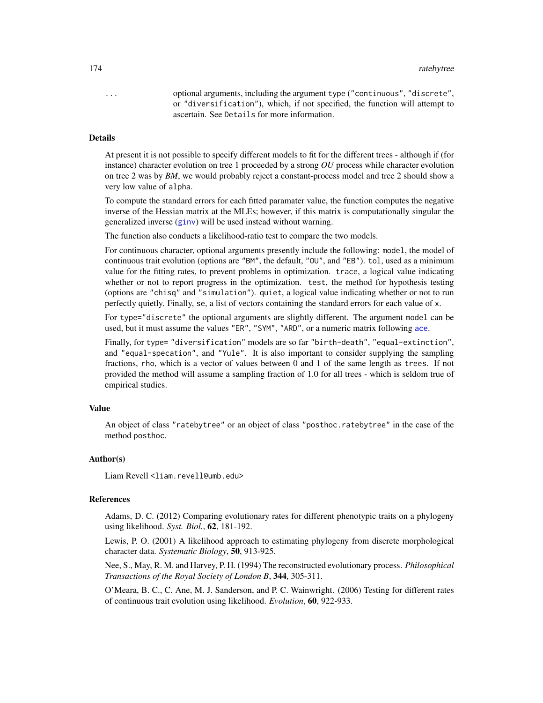... optional arguments, including the argument type ("continuous", "discrete", or "diversification"), which, if not specified, the function will attempt to ascertain. See Details for more information.

#### Details

At present it is not possible to specify different models to fit for the different trees - although if (for instance) character evolution on tree 1 proceeded by a strong *OU* process while character evolution on tree 2 was by *BM*, we would probably reject a constant-process model and tree 2 should show a very low value of alpha.

To compute the standard errors for each fitted paramater value, the function computes the negative inverse of the Hessian matrix at the MLEs; however, if this matrix is computationally singular the generalized inverse ([ginv](#page-0-0)) will be used instead without warning.

The function also conducts a likelihood-ratio test to compare the two models.

For continuous character, optional arguments presently include the following: model, the model of continuous trait evolution (options are "BM", the default, "OU", and "EB"). tol, used as a minimum value for the fitting rates, to prevent problems in optimization. trace, a logical value indicating whether or not to report progress in the optimization. test, the method for hypothesis testing (options are "chisq" and "simulation"). quiet, a logical value indicating whether or not to run perfectly quietly. Finally, se, a list of vectors containing the standard errors for each value of x.

For type="discrete" the optional arguments are slightly different. The argument model can be used, but it must assume the values "ER", "SYM", "ARD", or a numeric matrix following [ace](#page-0-0).

Finally, for type= "diversification" models are so far "birth-death", "equal-extinction", and "equal-specation", and "Yule". It is also important to consider supplying the sampling fractions, rho, which is a vector of values between 0 and 1 of the same length as trees. If not provided the method will assume a sampling fraction of 1.0 for all trees - which is seldom true of empirical studies.

### Value

An object of class "ratebytree" or an object of class "posthoc.ratebytree" in the case of the method posthoc.

### Author(s)

Liam Revell <liam.revell@umb.edu>

#### References

Adams, D. C. (2012) Comparing evolutionary rates for different phenotypic traits on a phylogeny using likelihood. *Syst. Biol.*, 62, 181-192.

Lewis, P. O. (2001) A likelihood approach to estimating phylogeny from discrete morphological character data. *Systematic Biology*, 50, 913-925.

Nee, S., May, R. M. and Harvey, P. H. (1994) The reconstructed evolutionary process. *Philosophical Transactions of the Royal Society of London B*, 344, 305-311.

O'Meara, B. C., C. Ane, M. J. Sanderson, and P. C. Wainwright. (2006) Testing for different rates of continuous trait evolution using likelihood. *Evolution*, 60, 922-933.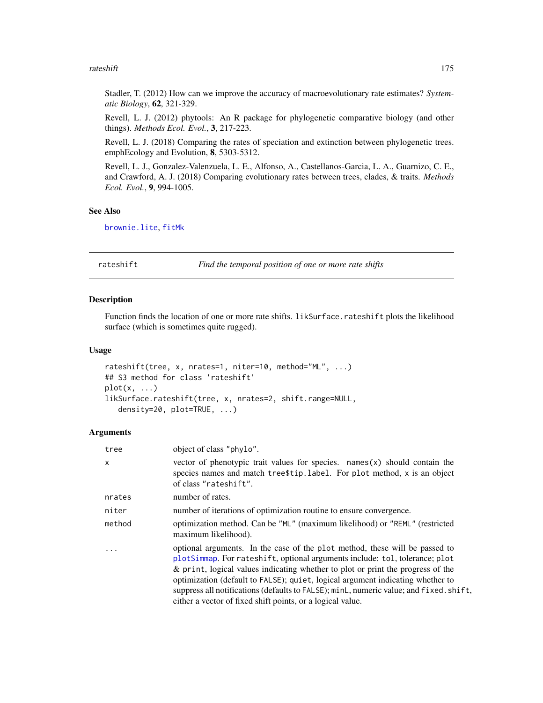#### rateshift 175

Stadler, T. (2012) How can we improve the accuracy of macroevolutionary rate estimates? *Systematic Biology*, 62, 321-329.

Revell, L. J. (2012) phytools: An R package for phylogenetic comparative biology (and other things). *Methods Ecol. Evol.*, 3, 217-223.

Revell, L. J. (2018) Comparing the rates of speciation and extinction between phylogenetic trees. emphEcology and Evolution, 8, 5303-5312.

Revell, L. J., Gonzalez-Valenzuela, L. E., Alfonso, A., Castellanos-Garcia, L. A., Guarnizo, C. E., and Crawford, A. J. (2018) Comparing evolutionary rates between trees, clades, & traits. *Methods Ecol. Evol.*, 9, 994-1005.

#### See Also

[brownie.lite](#page-32-0), [fitMk](#page-83-0)

#### rateshift *Find the temporal position of one or more rate shifts*

#### Description

Function finds the location of one or more rate shifts. likSurface.rateshift plots the likelihood surface (which is sometimes quite rugged).

#### Usage

```
rateshift(tree, x, nrates=1, niter=10, method="ML", ...)
## S3 method for class 'rateshift'
plot(x, \ldots)likSurface.rateshift(tree, x, nrates=2, shift.range=NULL,
   density=20, plot=TRUE, ...)
```

| tree    | object of class "phylo".                                                                                                                                                                                                                                                                                                                                                                                                                                                                |
|---------|-----------------------------------------------------------------------------------------------------------------------------------------------------------------------------------------------------------------------------------------------------------------------------------------------------------------------------------------------------------------------------------------------------------------------------------------------------------------------------------------|
| X       | vector of phenotypic trait values for species. $names(x)$ should contain the<br>species names and match tree\$tip.label. For plot method, x is an object<br>of class "rateshift".                                                                                                                                                                                                                                                                                                       |
| nrates  | number of rates.                                                                                                                                                                                                                                                                                                                                                                                                                                                                        |
| niter   | number of iterations of optimization routine to ensure convergence.                                                                                                                                                                                                                                                                                                                                                                                                                     |
| method  | optimization method. Can be "ML" (maximum likelihood) or "REML" (restricted<br>maximum likelihood).                                                                                                                                                                                                                                                                                                                                                                                     |
| $\cdot$ | optional arguments. In the case of the plot method, these will be passed to<br>plotSimmap. For rateshift, optional arguments include: tol, tolerance; plot<br>& print, logical values indicating whether to plot or print the progress of the<br>optimization (default to FALSE); quiet, logical argument indicating whether to<br>suppress all notifications (defaults to FALSE); minL, numeric value; and fixed. shift,<br>either a vector of fixed shift points, or a logical value. |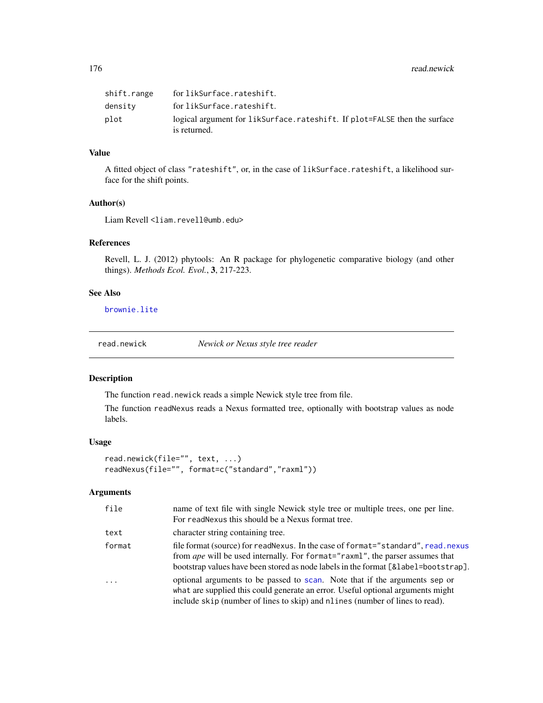176 read.newick

| shift.range | for likSurface.rateshift.                                                                 |
|-------------|-------------------------------------------------------------------------------------------|
| densitv     | for likSurface.rateshift.                                                                 |
| plot        | logical argument for likSurface.rateshift. If plot=FALSE then the surface<br>is returned. |

# Value

A fitted object of class "rateshift", or, in the case of likSurface.rateshift, a likelihood surface for the shift points.

#### Author(s)

Liam Revell <liam.revell@umb.edu>

### References

Revell, L. J. (2012) phytools: An R package for phylogenetic comparative biology (and other things). *Methods Ecol. Evol.*, 3, 217-223.

### See Also

[brownie.lite](#page-32-0)

read.newick *Newick or Nexus style tree reader*

# Description

The function read.newick reads a simple Newick style tree from file.

The function readNexus reads a Nexus formatted tree, optionally with bootstrap values as node labels.

#### Usage

```
read.newick(file="", text, ...)
readNexus(file="", format=c("standard","raxml"))
```

| file     | name of text file with single Newick style tree or multiple trees, one per line.<br>For readNexus this should be a Nexus format tree.                                                                                                                          |
|----------|----------------------------------------------------------------------------------------------------------------------------------------------------------------------------------------------------------------------------------------------------------------|
| text     | character string containing tree.                                                                                                                                                                                                                              |
| format   | file format (source) for readNexus. In the case of format="standard", read.nexus<br>from <i>ape</i> will be used internally. For format="raxml", the parser assumes that<br>bootstrap values have been stored as node labels in the format [&label=bootstrap]. |
| $\cdots$ | optional arguments to be passed to scan. Note that if the arguments sep or<br>what are supplied this could generate an error. Useful optional arguments might<br>include skip (number of lines to skip) and nlines (number of lines to read).                  |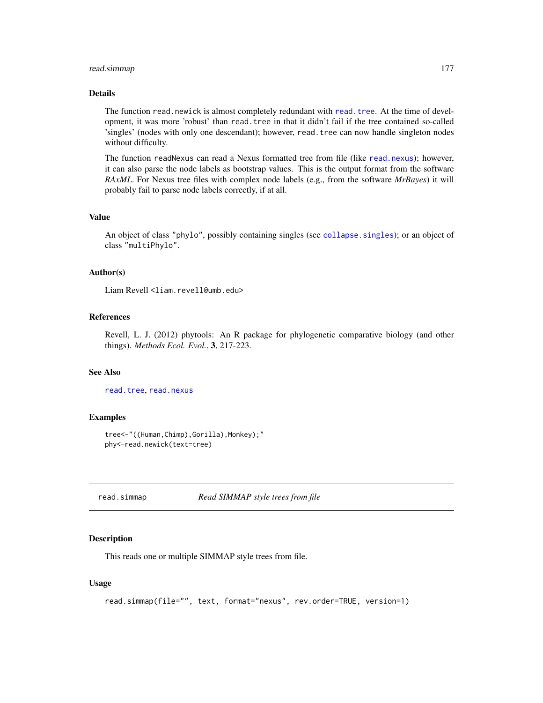### read.simmap 177

### Details

The function read.newick is almost completely redundant with [read.tree](#page-0-0). At the time of development, it was more 'robust' than read.tree in that it didn't fail if the tree contained so-called 'singles' (nodes with only one descendant); however, read.tree can now handle singleton nodes without difficulty.

The function readNexus can read a Nexus formatted tree from file (like [read.nexus](#page-0-0)); however, it can also parse the node labels as bootstrap values. This is the output format from the software *RAxML*. For Nexus tree files with complex node labels (e.g., from the software *MrBayes*) it will probably fail to parse node labels correctly, if at all.

### Value

An object of class "phylo", possibly containing singles (see [collapse.singles](#page-0-0)); or an object of class "multiPhylo".

# Author(s)

Liam Revell <liam.revell@umb.edu>

# References

Revell, L. J. (2012) phytools: An R package for phylogenetic comparative biology (and other things). *Methods Ecol. Evol.*, 3, 217-223.

#### See Also

[read.tree](#page-0-0), [read.nexus](#page-0-0)

#### Examples

```
tree<-"((Human,Chimp),Gorilla),Monkey);"
phy<-read.newick(text=tree)
```
<span id="page-176-0"></span>read.simmap *Read SIMMAP style trees from file*

#### **Description**

This reads one or multiple SIMMAP style trees from file.

#### Usage

```
read.simmap(file="", text, format="nexus", rev.order=TRUE, version=1)
```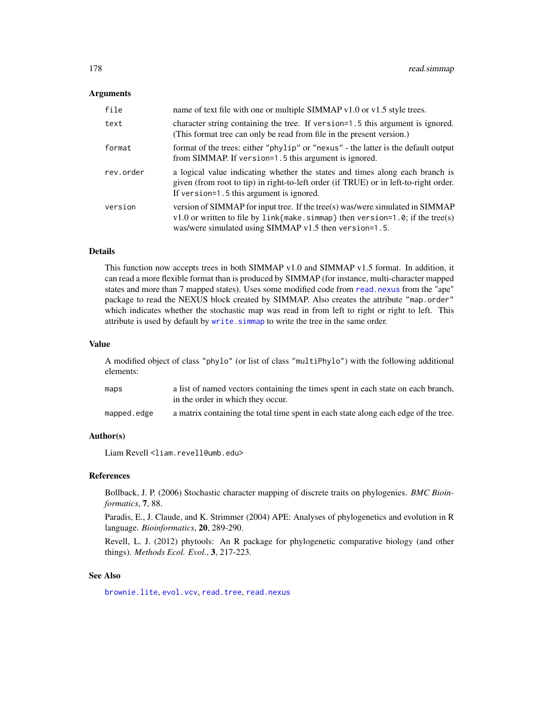### **Arguments**

| file      | name of text file with one or multiple SIMMAP v1.0 or v1.5 style trees.                                                                                                                                                    |
|-----------|----------------------------------------------------------------------------------------------------------------------------------------------------------------------------------------------------------------------------|
| text      | character string containing the tree. If version=1.5 this argument is ignored.<br>(This format tree can only be read from file in the present version.)                                                                    |
| format    | format of the trees: either "phylip" or "nexus" - the latter is the default output<br>from SIMMAP. If version=1.5 this argument is ignored.                                                                                |
| rev.order | a logical value indicating whether the states and times along each branch is<br>given (from root to tip) in right-to-left order (if TRUE) or in left-to-right order.<br>If version=1.5 this argument is ignored.           |
| version   | version of SIMMAP for input tree. If the tree(s) was/were simulated in SIMMAP<br>$v1.0$ or written to file by link{make.simmap} then version=1.0; if the tree(s)<br>was/were simulated using SIMMAP v1.5 then version=1.5. |

# Details

This function now accepts trees in both SIMMAP v1.0 and SIMMAP v1.5 format. In addition, it can read a more flexible format than is produced by SIMMAP (for instance, multi-character mapped states and more than 7 mapped states). Uses some modified code from [read.nexus](#page-0-0) from the "ape" package to read the NEXUS block created by SIMMAP. Also creates the attribute "map.order" which indicates whether the stochastic map was read in from left to right or right to left. This attribute is used by default by write. simmap to write the tree in the same order.

#### Value

A modified object of class "phylo" (or list of class "multiPhylo") with the following additional elements:

| maps        | a list of named vectors containing the times spent in each state on each branch,    |
|-------------|-------------------------------------------------------------------------------------|
|             | in the order in which they occur.                                                   |
| mapped.edge | a matrix containing the total time spent in each state along each edge of the tree. |

### Author(s)

Liam Revell <liam.revell@umb.edu>

### References

Bollback, J. P. (2006) Stochastic character mapping of discrete traits on phylogenies. *BMC Bioinformatics*, 7, 88.

Paradis, E., J. Claude, and K. Strimmer (2004) APE: Analyses of phylogenetics and evolution in R language. *Bioinformatics*, 20, 289-290.

Revell, L. J. (2012) phytools: An R package for phylogenetic comparative biology (and other things). *Methods Ecol. Evol.*, 3, 217-223.

#### See Also

[brownie.lite](#page-32-0), [evol.vcv](#page-65-0), [read.tree](#page-0-0), [read.nexus](#page-0-0)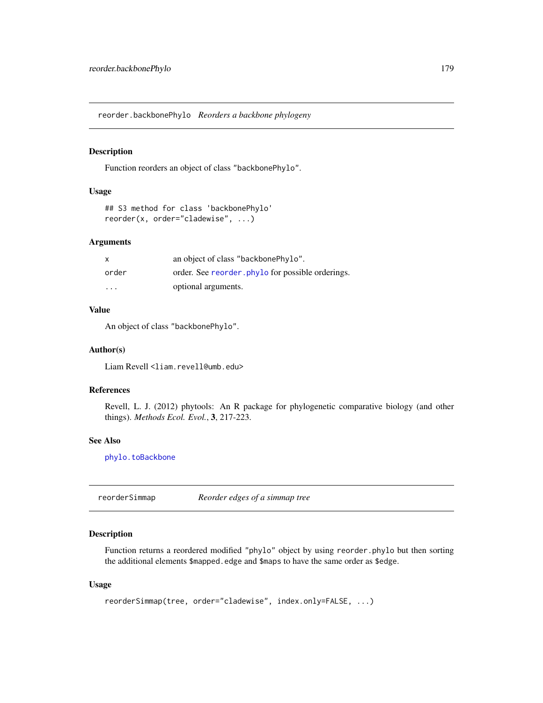reorder.backbonePhylo *Reorders a backbone phylogeny*

# Description

Function reorders an object of class "backbonePhylo".

#### Usage

```
## S3 method for class 'backbonePhylo'
reorder(x, order="cladewise", ...)
```
# Arguments

| x                       | an object of class "backbonePhylo".              |
|-------------------------|--------------------------------------------------|
| order                   | order. See reorder phylo for possible orderings. |
| $\cdot$ $\cdot$ $\cdot$ | optional arguments.                              |

# Value

An object of class "backbonePhylo".

### Author(s)

Liam Revell <liam.revell@umb.edu>

# References

Revell, L. J. (2012) phytools: An R package for phylogenetic comparative biology (and other things). *Methods Ecol. Evol.*, 3, 217-223.

#### See Also

[phylo.toBackbone](#page-150-0)

reorderSimmap *Reorder edges of a simmap tree*

#### Description

Function returns a reordered modified "phylo" object by using reorder.phylo but then sorting the additional elements \$mapped.edge and \$maps to have the same order as \$edge.

### Usage

```
reorderSimmap(tree, order="cladewise", index.only=FALSE, ...)
```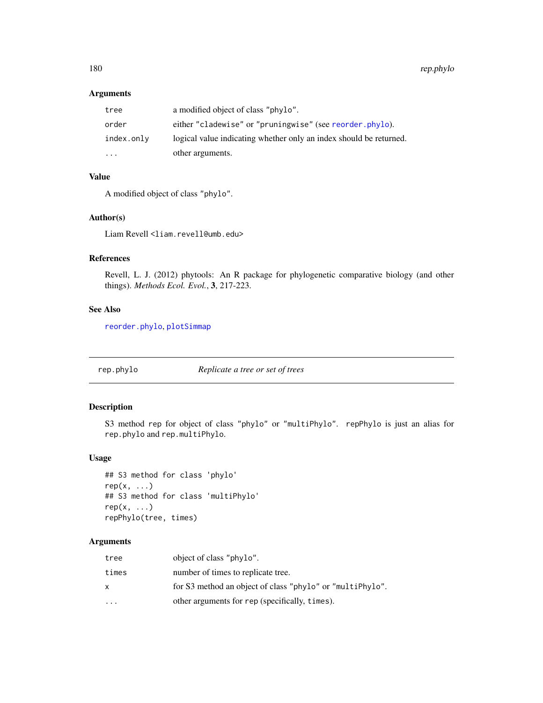# Arguments

| tree                    | a modified object of class "phylo".                                |
|-------------------------|--------------------------------------------------------------------|
| order                   | either "cladewise" or "pruningwise" (see reorder.phylo).           |
| index.only              | logical value indicating whether only an index should be returned. |
| $\cdot$ $\cdot$ $\cdot$ | other arguments.                                                   |

# Value

A modified object of class "phylo".

#### Author(s)

Liam Revell <liam.revell@umb.edu>

# References

Revell, L. J. (2012) phytools: An R package for phylogenetic comparative biology (and other things). *Methods Ecol. Evol.*, 3, 217-223.

### See Also

[reorder.phylo](#page-0-0), [plotSimmap](#page-160-0)

rep.phylo *Replicate a tree or set of trees*

### Description

S3 method rep for object of class "phylo" or "multiPhylo". repPhylo is just an alias for rep.phylo and rep.multiPhylo.

### Usage

```
## S3 method for class 'phylo'
rep(x, \ldots)## S3 method for class 'multiPhylo'
rep(x, \ldots)repPhylo(tree, times)
```

| tree    | object of class "phylo".                                  |
|---------|-----------------------------------------------------------|
| times   | number of times to replicate tree.                        |
| X       | for S3 method an object of class "phylo" or "multiPhylo". |
| $\cdot$ | other arguments for rep (specifically, times).            |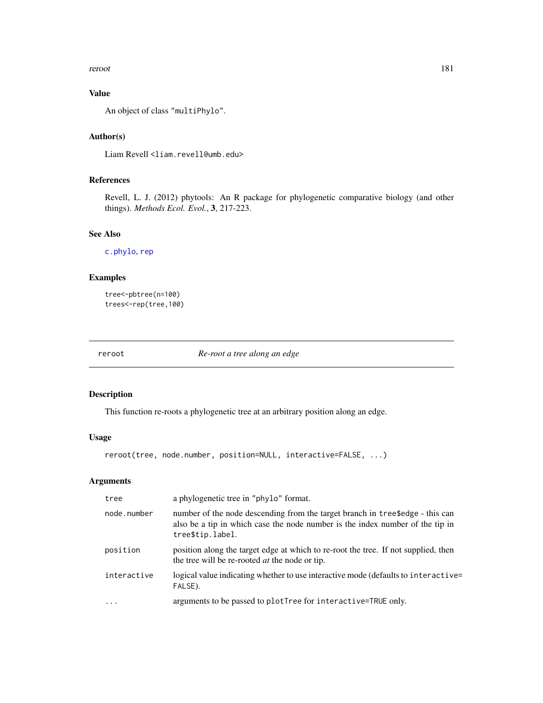#### reroot and the set of the set of the set of the set of the set of the set of the set of the set of the set of the set of the set of the set of the set of the set of the set of the set of the set of the set of the set of th

# Value

An object of class "multiPhylo".

# Author(s)

Liam Revell <liam.revell@umb.edu>

# References

Revell, L. J. (2012) phytools: An R package for phylogenetic comparative biology (and other things). *Methods Ecol. Evol.*, 3, 217-223.

# See Also

[c.phylo](#page-0-0), [rep](#page-0-0)

# Examples

```
tree<-pbtree(n=100)
trees<-rep(tree,100)
```
reroot *Re-root a tree along an edge*

# Description

This function re-roots a phylogenetic tree at an arbitrary position along an edge.

# Usage

reroot(tree, node.number, position=NULL, interactive=FALSE, ...)

# Arguments

| tree        | a phylogenetic tree in "phylo" format.                                                                                                                                            |
|-------------|-----------------------------------------------------------------------------------------------------------------------------------------------------------------------------------|
| node.number | number of the node descending from the target branch in treesedge - this can<br>also be a tip in which case the node number is the index number of the tip in<br>tree\$tip.label. |
| position    | position along the target edge at which to re-root the tree. If not supplied, then<br>the tree will be re-rooted <i>at</i> the node or tip.                                       |
| interactive | logical value indicating whether to use interactive mode (defaults to interactive=<br>FALSE).                                                                                     |
| $\cdots$    | arguments to be passed to plotTree for interactive=TRUE only.                                                                                                                     |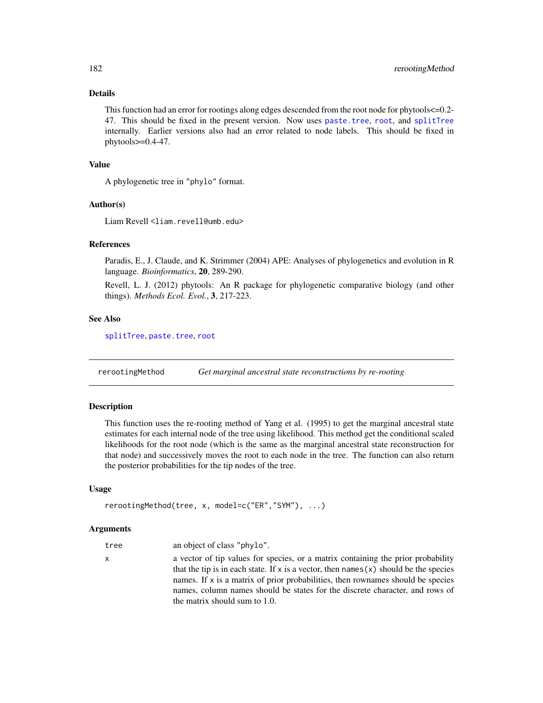# Details

This function had an error for rootings along edges descended from the root node for phytools<=0.2- 47. This should be fixed in the present version. Now uses [paste.tree](#page-131-0), [root](#page-0-0), and [splitTree](#page-199-0) internally. Earlier versions also had an error related to node labels. This should be fixed in phytools>=0.4-47.

#### Value

A phylogenetic tree in "phylo" format.

# Author(s)

Liam Revell <liam.revell@umb.edu>

# References

Paradis, E., J. Claude, and K. Strimmer (2004) APE: Analyses of phylogenetics and evolution in R language. *Bioinformatics*, 20, 289-290.

Revell, L. J. (2012) phytools: An R package for phylogenetic comparative biology (and other things). *Methods Ecol. Evol.*, 3, 217-223.

#### See Also

[splitTree](#page-199-0), [paste.tree](#page-131-0), [root](#page-0-0)

<span id="page-181-0"></span>rerootingMethod *Get marginal ancestral state reconstructions by re-rooting*

#### Description

This function uses the re-rooting method of Yang et al. (1995) to get the marginal ancestral state estimates for each internal node of the tree using likelihood. This method get the conditional scaled likelihoods for the root node (which is the same as the marginal ancestral state reconstruction for that node) and successively moves the root to each node in the tree. The function can also return the posterior probabilities for the tip nodes of the tree.

#### Usage

```
rerootingMethod(tree, x, model=c("ER","SYM"), ...)
```
#### Arguments

| tree | an object of class "phylo".                                                             |
|------|-----------------------------------------------------------------------------------------|
| x.   | a vector of tip values for species, or a matrix containing the prior probability        |
|      | that the tip is in each state. If x is a vector, then names $(x)$ should be the species |
|      | names. If x is a matrix of prior probabilities, then rownames should be species         |
|      | names, column names should be states for the discrete character, and rows of            |
|      | the matrix should sum to 1.0.                                                           |

<span id="page-181-1"></span>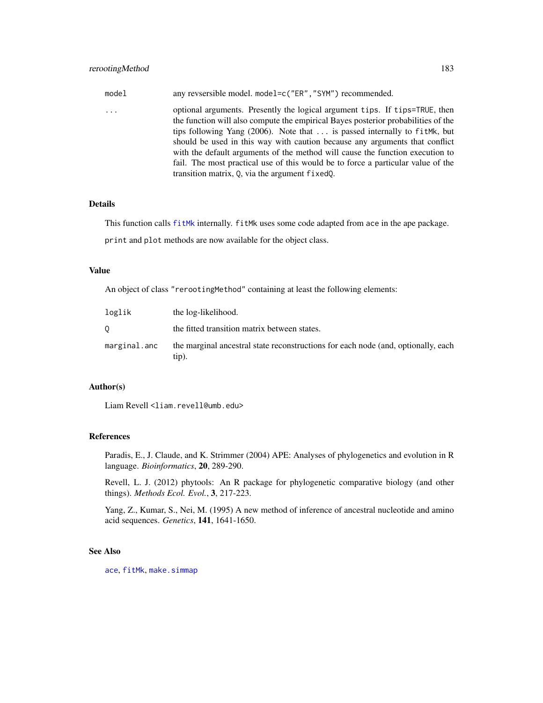| $\cdots$ | model | any revsersible model. model=c("ER", "SYM") recommended.                                                                                                                                                                                                                                                                                                                                                                                                                                                                                                    |
|----------|-------|-------------------------------------------------------------------------------------------------------------------------------------------------------------------------------------------------------------------------------------------------------------------------------------------------------------------------------------------------------------------------------------------------------------------------------------------------------------------------------------------------------------------------------------------------------------|
|          |       | optional arguments. Presently the logical argument tips. If tips=TRUE, then<br>the function will also compute the empirical Bayes posterior probabilities of the<br>tips following Yang (2006). Note that $\dots$ is passed internally to fit Mk, but<br>should be used in this way with caution because any arguments that conflict<br>with the default arguments of the method will cause the function execution to<br>fail. The most practical use of this would be to force a particular value of the<br>transition matrix, Q, via the argument fixedQ. |

#### Details

This function calls [fitMk](#page-83-0) internally. fitMk uses some code adapted from ace in the ape package.

print and plot methods are now available for the object class.

# Value

An object of class "rerootingMethod" containing at least the following elements:

| loglik       | the log-likelihood.                                                                        |
|--------------|--------------------------------------------------------------------------------------------|
| 0            | the fitted transition matrix between states.                                               |
| marginal.anc | the marginal ancestral state reconstructions for each node (and, optionally, each<br>tip). |

# Author(s)

Liam Revell <liam.revell@umb.edu>

# References

Paradis, E., J. Claude, and K. Strimmer (2004) APE: Analyses of phylogenetics and evolution in R language. *Bioinformatics*, 20, 289-290.

Revell, L. J. (2012) phytools: An R package for phylogenetic comparative biology (and other things). *Methods Ecol. Evol.*, 3, 217-223.

Yang, Z., Kumar, S., Nei, M. (1995) A new method of inference of ancestral nucleotide and amino acid sequences. *Genetics*, 141, 1641-1650.

#### See Also

[ace](#page-0-0), [fitMk](#page-83-0), [make.simmap](#page-107-0)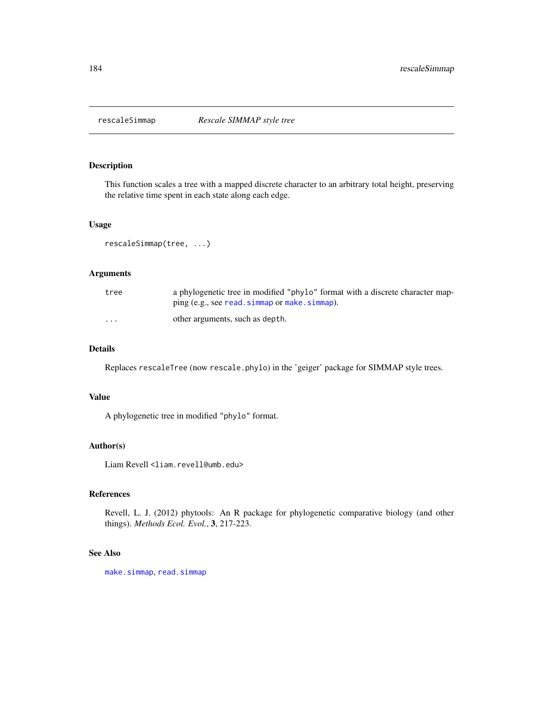This function scales a tree with a mapped discrete character to an arbitrary total height, preserving the relative time spent in each state along each edge.

#### Usage

```
rescaleSimmap(tree, ...)
```
# Arguments

| tree                    | a phylogenetic tree in modified "phylo" format with a discrete character map-<br>ping (e.g., see read. simmap or make. simmap). |
|-------------------------|---------------------------------------------------------------------------------------------------------------------------------|
| $\cdot$ $\cdot$ $\cdot$ | other arguments, such as depth.                                                                                                 |

#### Details

Replaces rescaleTree (now rescale.phylo) in the 'geiger' package for SIMMAP style trees.

# Value

A phylogenetic tree in modified "phylo" format.

#### Author(s)

Liam Revell <liam.revell@umb.edu>

#### References

Revell, L. J. (2012) phytools: An R package for phylogenetic comparative biology (and other things). *Methods Ecol. Evol.*, 3, 217-223.

#### See Also

[make.simmap](#page-107-0), [read.simmap](#page-176-0)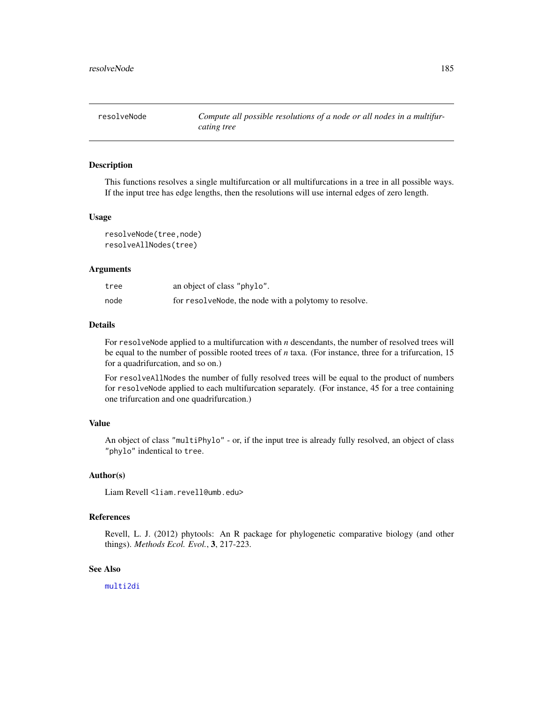This functions resolves a single multifurcation or all multifurcations in a tree in all possible ways. If the input tree has edge lengths, then the resolutions will use internal edges of zero length.

#### Usage

```
resolveNode(tree,node)
resolveAllNodes(tree)
```
#### Arguments

| tree | an object of class "phylo".                            |
|------|--------------------------------------------------------|
| node | for resolve Node, the node with a polytomy to resolve. |

#### Details

For resolveNode applied to a multifurcation with *n* descendants, the number of resolved trees will be equal to the number of possible rooted trees of *n* taxa. (For instance, three for a trifurcation, 15 for a quadrifurcation, and so on.)

For resolveAllNodes the number of fully resolved trees will be equal to the product of numbers for resolveNode applied to each multifurcation separately. (For instance, 45 for a tree containing one trifurcation and one quadrifurcation.)

#### Value

An object of class "multiPhylo" - or, if the input tree is already fully resolved, an object of class "phylo" indentical to tree.

#### Author(s)

Liam Revell <liam.revell@umb.edu>

# References

Revell, L. J. (2012) phytools: An R package for phylogenetic comparative biology (and other things). *Methods Ecol. Evol.*, 3, 217-223.

#### See Also

[multi2di](#page-0-0)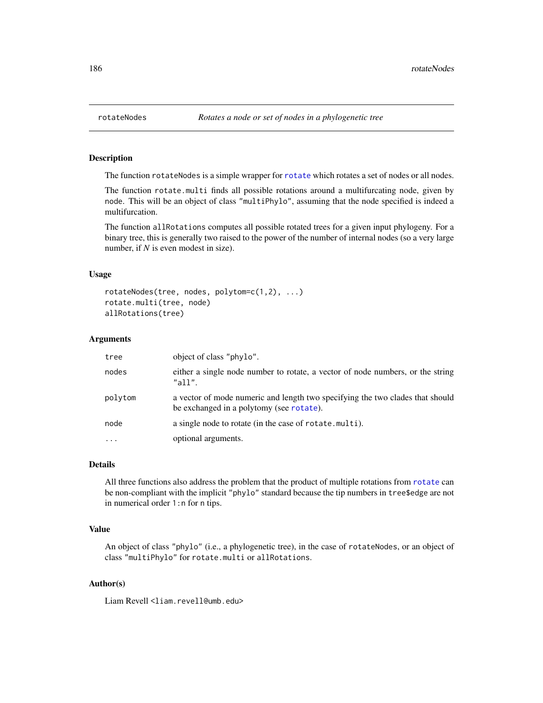The function [rotate](#page-0-0)Nodes is a simple wrapper for rotate which rotates a set of nodes or all nodes.

The function rotate.multi finds all possible rotations around a multifurcating node, given by node. This will be an object of class "multiPhylo", assuming that the node specified is indeed a multifurcation.

The function allRotations computes all possible rotated trees for a given input phylogeny. For a binary tree, this is generally two raised to the power of the number of internal nodes (so a very large number, if *N* is even modest in size).

#### Usage

```
rotateNodes(tree, nodes, polytom=c(1,2), ...)
rotate.multi(tree, node)
allRotations(tree)
```
#### Arguments

| tree              | object of class "phylo".                                                                                                  |
|-------------------|---------------------------------------------------------------------------------------------------------------------------|
| nodes             | either a single node number to rotate, a vector of node numbers, or the string<br>"all"                                   |
| polytom           | a vector of mode numeric and length two specifying the two clades that should<br>be exchanged in a polytomy (see rotate). |
| node              | a single node to rotate (in the case of rotate multi).                                                                    |
| $\cdot\cdot\cdot$ | optional arguments.                                                                                                       |

#### Details

All three functions also address the problem that the product of multiple rotations from [rotate](#page-0-0) can be non-compliant with the implicit "phylo" standard because the tip numbers in tree\$edge are not in numerical order 1:n for n tips.

#### Value

An object of class "phylo" (i.e., a phylogenetic tree), in the case of rotateNodes, or an object of class "multiPhylo" for rotate.multi or allRotations.

#### Author(s)

Liam Revell <liam.revell@umb.edu>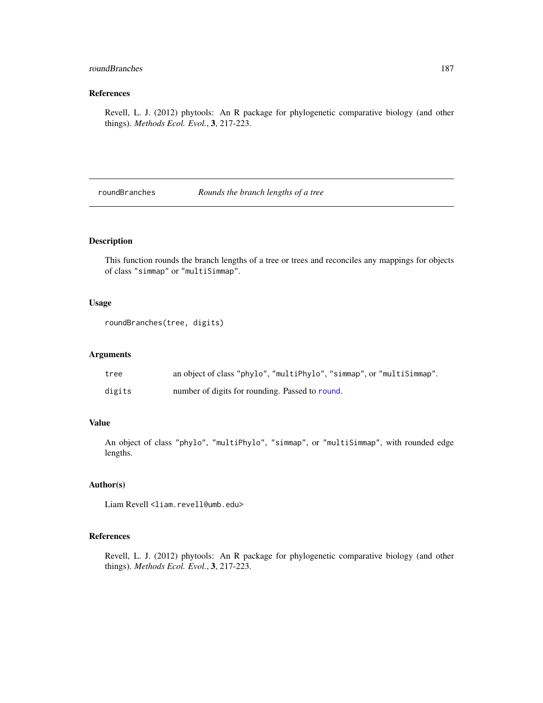# roundBranches 187

# References

Revell, L. J. (2012) phytools: An R package for phylogenetic comparative biology (and other things). *Methods Ecol. Evol.*, 3, 217-223.

roundBranches *Rounds the branch lengths of a tree*

# Description

This function rounds the branch lengths of a tree or trees and reconciles any mappings for objects of class "simmap" or "multiSimmap".

# Usage

```
roundBranches(tree, digits)
```
# Arguments

| tree   | an object of class "phylo", "multiPhylo", "simmap", or "multiSimmap". |
|--------|-----------------------------------------------------------------------|
| digits | number of digits for rounding. Passed to round.                       |

# Value

An object of class "phylo", "multiPhylo", "simmap", or "multiSimmap", with rounded edge lengths.

#### Author(s)

Liam Revell <liam.revell@umb.edu>

# References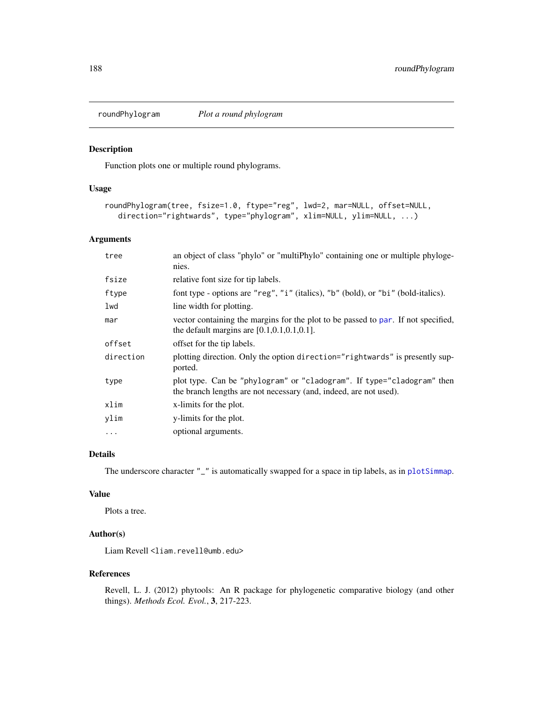<span id="page-187-0"></span>

Function plots one or multiple round phylograms.

#### Usage

```
roundPhylogram(tree, fsize=1.0, ftype="reg", lwd=2, mar=NULL, offset=NULL,
   direction="rightwards", type="phylogram", xlim=NULL, ylim=NULL, ...)
```
# Arguments

| tree      | an object of class "phylo" or "multiPhylo" containing one or multiple phyloge-<br>nies.                                                     |
|-----------|---------------------------------------------------------------------------------------------------------------------------------------------|
| fsize     | relative font size for tip labels.                                                                                                          |
| ftype     | font type - options are "reg", "i" (italics), "b" (bold), or "bi" (bold-italics).                                                           |
| lwd       | line width for plotting.                                                                                                                    |
| mar       | vector containing the margins for the plot to be passed to par. If not specified,<br>the default margins are $[0.1, 0.1, 0.1, 0.1]$ .       |
| offset    | offset for the tip labels.                                                                                                                  |
| direction | plotting direction. Only the option direction="rightwards" is presently sup-<br>ported.                                                     |
| type      | plot type. Can be "phylogram" or "cladogram". If type="cladogram" then<br>the branch lengths are not necessary (and, indeed, are not used). |
| xlim      | x-limits for the plot.                                                                                                                      |
| ylim      | y-limits for the plot.                                                                                                                      |
| .         | optional arguments.                                                                                                                         |

# Details

The underscore character "\_" is automatically swapped for a space in tip labels, as in [plotSimmap](#page-160-0).

# Value

Plots a tree.

#### Author(s)

Liam Revell <liam.revell@umb.edu>

#### References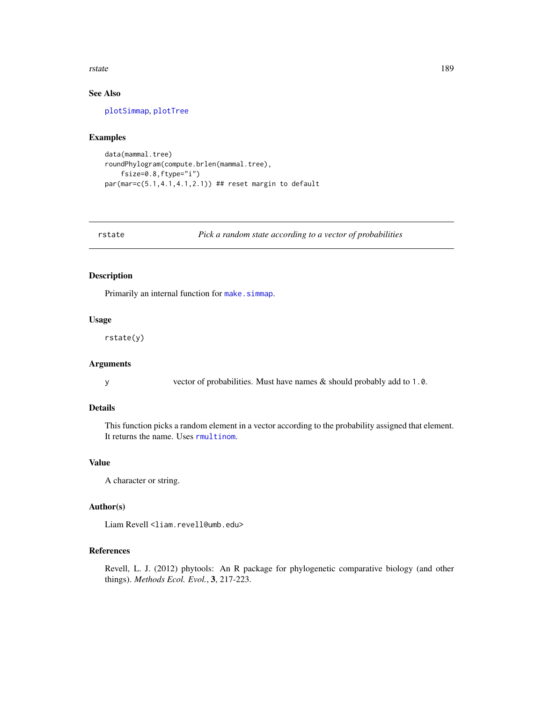#### <span id="page-188-0"></span>rstate and the state of the state of the state of the state of the state of the state of the state of the state of the state of the state of the state of the state of the state of the state of the state of the state of the

# See Also

[plotSimmap](#page-160-0), [plotTree](#page-163-0)

# Examples

```
data(mammal.tree)
roundPhylogram(compute.brlen(mammal.tree),
    fsize=0.8,ftype="i")
par(mar=c(5.1,4.1,4.1,2.1)) ## reset margin to default
```
rstate *Pick a random state according to a vector of probabilities*

#### Description

Primarily an internal function for [make.simmap](#page-107-0).

#### Usage

rstate(y)

# Arguments

y vector of probabilities. Must have names & should probably add to 1.0.

#### Details

This function picks a random element in a vector according to the probability assigned that element. It returns the name. Uses [rmultinom](#page-0-0).

#### Value

A character or string.

#### Author(s)

Liam Revell <liam.revell@umb.edu>

# References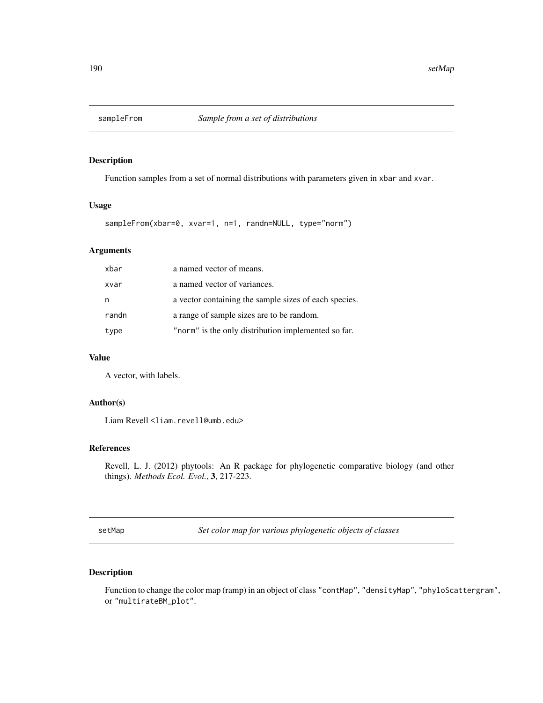Function samples from a set of normal distributions with parameters given in xbar and xvar.

#### Usage

```
sampleFrom(xbar=0, xvar=1, n=1, randn=NULL, type="norm")
```
# Arguments

| xbar  | a named vector of means.                              |
|-------|-------------------------------------------------------|
| xvar  | a named vector of variances.                          |
| n     | a vector containing the sample sizes of each species. |
| randn | a range of sample sizes are to be random.             |
| type  | "norm" is the only distribution implemented so far.   |

# Value

A vector, with labels.

#### Author(s)

Liam Revell <liam.revell@umb.edu>

#### References

Revell, L. J. (2012) phytools: An R package for phylogenetic comparative biology (and other things). *Methods Ecol. Evol.*, 3, 217-223.

setMap *Set color map for various phylogenetic objects of classes*

# Description

Function to change the color map (ramp) in an object of class "contMap", "densityMap", "phyloScattergram", or "multirateBM\_plot".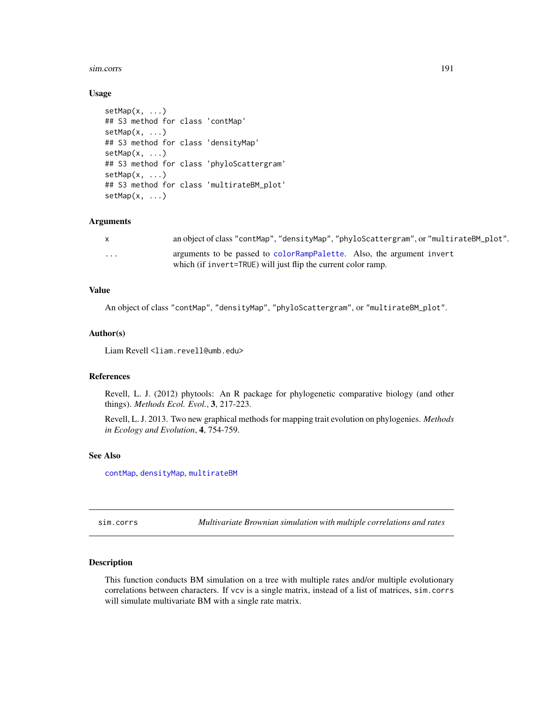#### <span id="page-190-0"></span>sim.corrs 191

#### Usage

```
setMap(x, ...)
## S3 method for class 'contMap'
setMap(x, ...)
## S3 method for class 'densityMap'
setMap(x, ...)
## S3 method for class 'phyloScattergram'
setMap(x, ...)
## S3 method for class 'multirateBM_plot'
setMap(x, \ldots)
```
#### Arguments

|          | an object of class "contMap", "densityMap", "phyloScattergram", or "multirateBM_plot". |
|----------|----------------------------------------------------------------------------------------|
| $\cdots$ | arguments to be passed to colorRampPalette. Also, the argument invert                  |
|          | which (if invert=TRUE) will just flip the current color ramp.                          |

#### Value

An object of class "contMap", "densityMap", "phyloScattergram", or "multirateBM\_plot".

#### Author(s)

Liam Revell <liam.revell@umb.edu>

#### References

Revell, L. J. (2012) phytools: An R package for phylogenetic comparative biology (and other things). *Methods Ecol. Evol.*, 3, 217-223.

Revell, L. J. 2013. Two new graphical methods for mapping trait evolution on phylogenies. *Methods in Ecology and Evolution*, 4, 754-759.

#### See Also

[contMap](#page-40-0), [densityMap](#page-48-0), [multirateBM](#page-123-0)

sim.corrs *Multivariate Brownian simulation with multiple correlations and rates*

#### Description

This function conducts BM simulation on a tree with multiple rates and/or multiple evolutionary correlations between characters. If vcv is a single matrix, instead of a list of matrices, sim.corrs will simulate multivariate BM with a single rate matrix.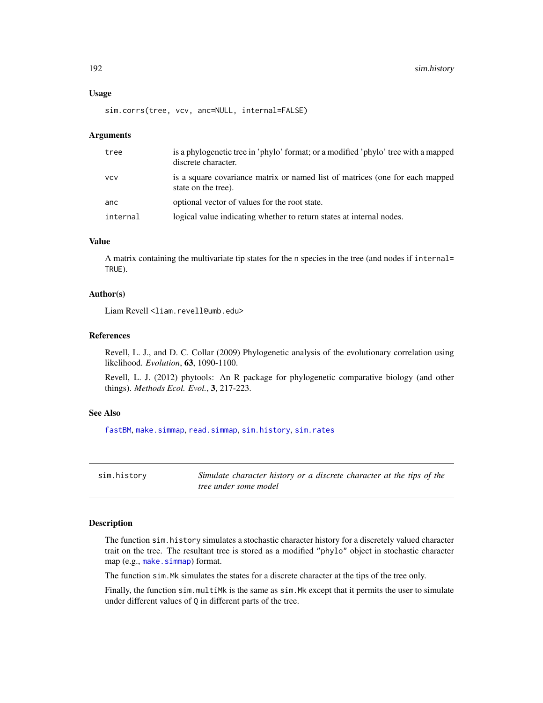#### <span id="page-191-1"></span>Usage

sim.corrs(tree, vcv, anc=NULL, internal=FALSE)

#### Arguments

| tree       | is a phylogenetic tree in 'phylo' format; or a modified 'phylo' tree with a mapped<br>discrete character. |
|------------|-----------------------------------------------------------------------------------------------------------|
| <b>VCV</b> | is a square covariance matrix or named list of matrices (one for each mapped<br>state on the tree).       |
| anc        | optional vector of values for the root state.                                                             |
| internal   | logical value indicating whether to return states at internal nodes.                                      |

#### Value

A matrix containing the multivariate tip states for the n species in the tree (and nodes if internal= TRUE).

## Author(s)

Liam Revell <liam.revell@umb.edu>

#### References

Revell, L. J., and D. C. Collar (2009) Phylogenetic analysis of the evolutionary correlation using likelihood. *Evolution*, 63, 1090-1100.

Revell, L. J. (2012) phytools: An R package for phylogenetic comparative biology (and other things). *Methods Ecol. Evol.*, 3, 217-223.

#### See Also

[fastBM](#page-75-0), [make.simmap](#page-107-0), [read.simmap](#page-176-0), [sim.history](#page-191-0), [sim.rates](#page-194-0)

<span id="page-191-0"></span>sim.history *Simulate character history or a discrete character at the tips of the tree under some model*

# Description

The function sim.history simulates a stochastic character history for a discretely valued character trait on the tree. The resultant tree is stored as a modified "phylo" object in stochastic character map (e.g., [make.simmap](#page-107-0)) format.

The function sim.Mk simulates the states for a discrete character at the tips of the tree only.

Finally, the function sim.multiMk is the same as sim.Mk except that it permits the user to simulate under different values of Q in different parts of the tree.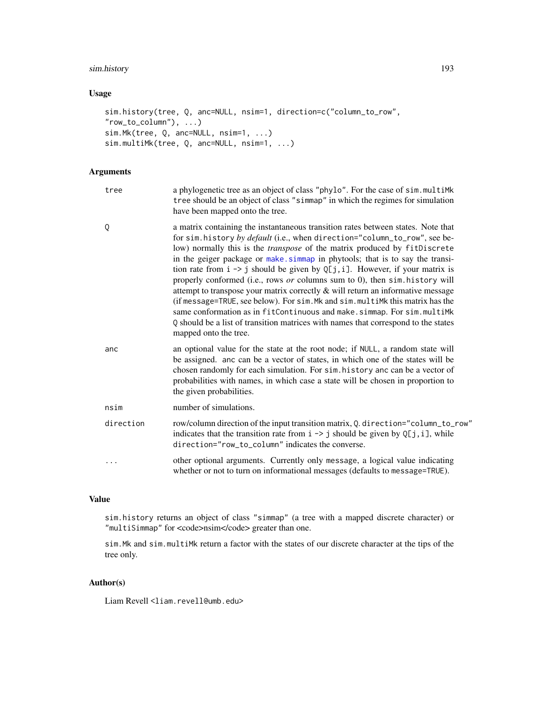# sim.history 193

# Usage

```
sim.history(tree, Q, anc=NULL, nsim=1, direction=c("column_to_row",
"row_to_column"), ...)
sim.Mk(tree, Q, anc=NULL, nsim=1, ...)
sim.multiMk(tree, Q, anc=NULL, nsim=1, ...)
```
# Arguments

| tree      | a phylogenetic tree as an object of class "phylo". For the case of sim.multiMk<br>tree should be an object of class "simmap" in which the regimes for simulation<br>have been mapped onto the tree.                                                                                                                                                                                                                                                                                                                                                                                                                                                                                                                                                                                                                                                                           |
|-----------|-------------------------------------------------------------------------------------------------------------------------------------------------------------------------------------------------------------------------------------------------------------------------------------------------------------------------------------------------------------------------------------------------------------------------------------------------------------------------------------------------------------------------------------------------------------------------------------------------------------------------------------------------------------------------------------------------------------------------------------------------------------------------------------------------------------------------------------------------------------------------------|
| Q         | a matrix containing the instantaneous transition rates between states. Note that<br>for sim. history by default (i.e., when direction="column_to_row", see be-<br>low) normally this is the <i>transpose</i> of the matrix produced by fitDiscrete<br>in the geiger package or make simmap in phytools; that is to say the transi-<br>tion rate from $i \rightarrow j$ should be given by Q[j, i]. However, if your matrix is<br>properly conformed (i.e., rows or columns sum to 0), then sim. history will<br>attempt to transpose your matrix correctly $\&$ will return an informative message<br>(if message=TRUE, see below). For sim. Mk and sim. multiMk this matrix has the<br>same conformation as in fitContinuous and make.simmap. For sim.multiMk<br>Q should be a list of transition matrices with names that correspond to the states<br>mapped onto the tree. |
| anc       | an optional value for the state at the root node; if NULL, a random state will<br>be assigned. anc can be a vector of states, in which one of the states will be<br>chosen randomly for each simulation. For sim. history anc can be a vector of<br>probabilities with names, in which case a state will be chosen in proportion to<br>the given probabilities.                                                                                                                                                                                                                                                                                                                                                                                                                                                                                                               |
| nsim      | number of simulations.                                                                                                                                                                                                                                                                                                                                                                                                                                                                                                                                                                                                                                                                                                                                                                                                                                                        |
| direction | row/column direction of the input transition matrix, Q. direction="column_to_row"<br>indicates that the transition rate from $i \rightarrow j$ should be given by Q[j, i], while<br>direction="row_to_column" indicates the converse.                                                                                                                                                                                                                                                                                                                                                                                                                                                                                                                                                                                                                                         |
| $\cdots$  | other optional arguments. Currently only message, a logical value indicating<br>whether or not to turn on informational messages (defaults to message=TRUE).                                                                                                                                                                                                                                                                                                                                                                                                                                                                                                                                                                                                                                                                                                                  |
|           |                                                                                                                                                                                                                                                                                                                                                                                                                                                                                                                                                                                                                                                                                                                                                                                                                                                                               |

# Value

sim.history returns an object of class "simmap" (a tree with a mapped discrete character) or "multiSimmap" for <code>nsim</code> greater than one.

sim.Mk and sim.multiMk return a factor with the states of our discrete character at the tips of the tree only.

#### Author(s)

Liam Revell <liam.revell@umb.edu>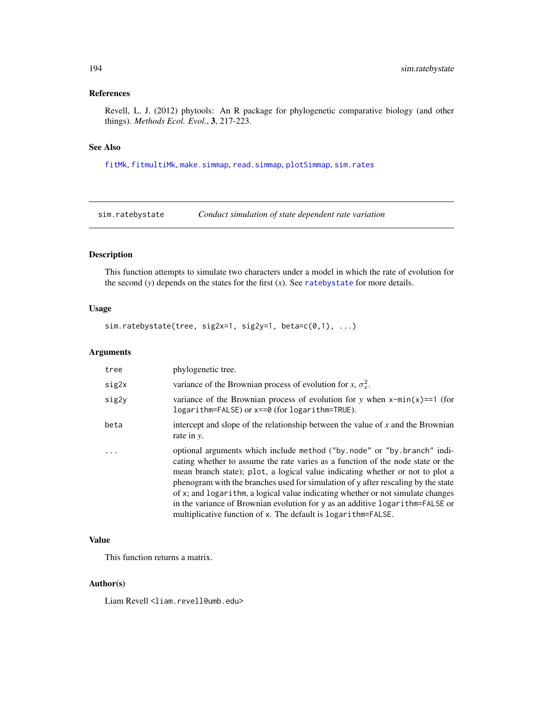# <span id="page-193-0"></span>References

Revell, L. J. (2012) phytools: An R package for phylogenetic comparative biology (and other things). *Methods Ecol. Evol.*, 3, 217-223.

# See Also

[fitMk](#page-83-0), [fitmultiMk](#page-83-1), [make.simmap](#page-107-0), [read.simmap](#page-176-0), [plotSimmap](#page-160-0), [sim.rates](#page-194-0)

sim.ratebystate *Conduct simulation of state dependent rate variation*

# Description

This function attempts to simulate two characters under a model in which the rate of evolution for the second (*y*) depends on the states for the first (*x*). See [ratebystate](#page-170-0) for more details.

# Usage

sim.ratebystate(tree, sig2x=1, sig2y=1, beta=c(0,1), ...)

#### Arguments

| tree  | phylogenetic tree.                                                                                                                                                                                                                                                                                                                                                                                                                                                                                                                                                    |
|-------|-----------------------------------------------------------------------------------------------------------------------------------------------------------------------------------------------------------------------------------------------------------------------------------------------------------------------------------------------------------------------------------------------------------------------------------------------------------------------------------------------------------------------------------------------------------------------|
| sig2x | variance of the Brownian process of evolution for x, $\sigma_r^2$ .                                                                                                                                                                                                                                                                                                                                                                                                                                                                                                   |
| sig2y | variance of the Brownian process of evolution for y when $x$ -min(x)==1 (for<br>logarithm=FALSE) or x==0 (for logarithm=TRUE).                                                                                                                                                                                                                                                                                                                                                                                                                                        |
| beta  | intercept and slope of the relationship between the value of $x$ and the Brownian<br>rate in y.                                                                                                                                                                                                                                                                                                                                                                                                                                                                       |
|       | optional arguments which include method ("by.node" or "by.branch" indi-<br>cating whether to assume the rate varies as a function of the node state or the<br>mean branch state); plot, a logical value indicating whether or not to plot a<br>phenogram with the branches used for simulation of y after rescaling by the state<br>of x; and logarithm, a logical value indicating whether or not simulate changes<br>in the variance of Brownian evolution for y as an additive logarithm=FALSE or<br>multiplicative function of x. The default is logarithm=FALSE. |

#### Value

This function returns a matrix.

#### Author(s)

Liam Revell <liam.revell@umb.edu>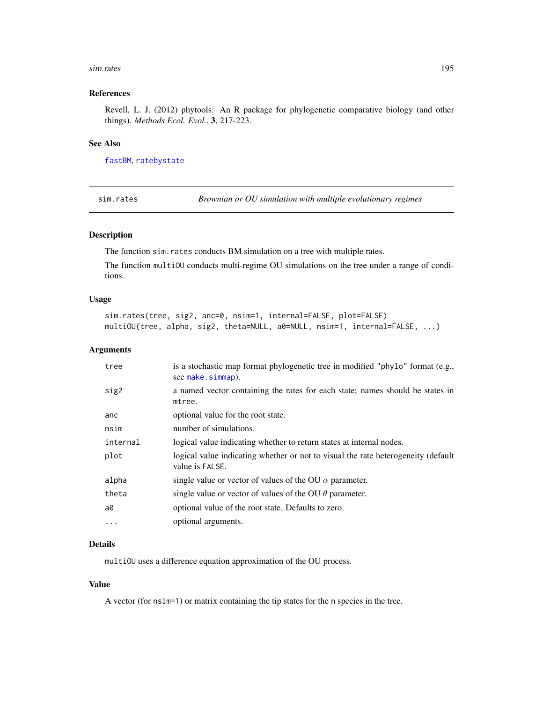#### <span id="page-194-1"></span>sim.rates 195

#### References

Revell, L. J. (2012) phytools: An R package for phylogenetic comparative biology (and other things). *Methods Ecol. Evol.*, 3, 217-223.

## See Also

[fastBM](#page-75-0), [ratebystate](#page-170-0)

<span id="page-194-0"></span>sim.rates *Brownian or OU simulation with multiple evolutionary regimes*

# Description

The function sim.rates conducts BM simulation on a tree with multiple rates.

The function multiOU conducts multi-regime OU simulations on the tree under a range of conditions.

#### Usage

```
sim.rates(tree, sig2, anc=0, nsim=1, internal=FALSE, plot=FALSE)
multiOU(tree, alpha, sig2, theta=NULL, a0=NULL, nsim=1, internal=FALSE, ...)
```
#### Arguments

| tree      | is a stochastic map format phylogenetic tree in modified "phylo" format (e.g.,<br>see make.simmap).  |
|-----------|------------------------------------------------------------------------------------------------------|
| sig2      | a named vector containing the rates for each state; names should be states in<br>mtree.              |
| anc       | optional value for the root state.                                                                   |
| nsim      | number of simulations.                                                                               |
| internal  | logical value indicating whether to return states at internal nodes.                                 |
| plot      | logical value indicating whether or not to visual the rate heterogeneity (default<br>value is FALSE. |
| alpha     | single value or vector of values of the OU $\alpha$ parameter.                                       |
| theta     | single value or vector of values of the OU $\theta$ parameter.                                       |
| a0        | optional value of the root state. Defaults to zero.                                                  |
| $\ddotsc$ | optional arguments.                                                                                  |

# Details

multiOU uses a difference equation approximation of the OU process.

#### Value

A vector (for nsim=1) or matrix containing the tip states for the n species in the tree.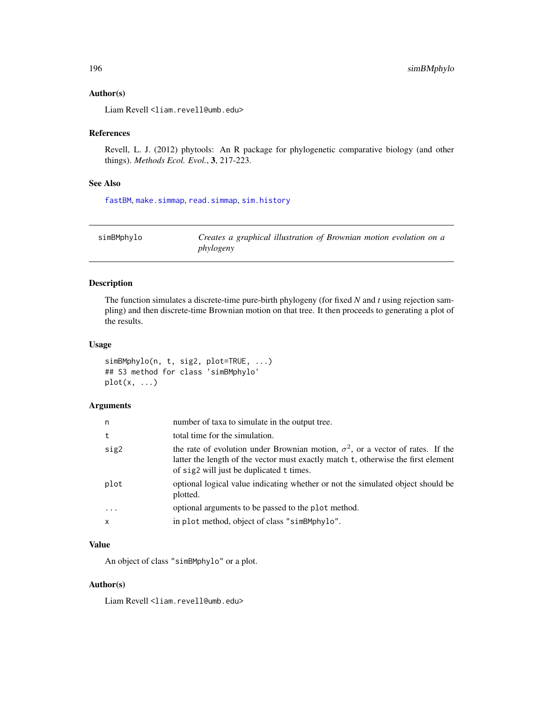# <span id="page-195-0"></span>Author(s)

Liam Revell <liam.revell@umb.edu>

# References

Revell, L. J. (2012) phytools: An R package for phylogenetic comparative biology (and other things). *Methods Ecol. Evol.*, 3, 217-223.

# See Also

[fastBM](#page-75-0), [make.simmap](#page-107-0), [read.simmap](#page-176-0), [sim.history](#page-191-0)

| simBMphylo | Creates a graphical illustration of Brownian motion evolution on a |
|------------|--------------------------------------------------------------------|
|            | phylogeny                                                          |

# Description

The function simulates a discrete-time pure-birth phylogeny (for fixed *N* and *t* using rejection sampling) and then discrete-time Brownian motion on that tree. It then proceeds to generating a plot of the results.

# Usage

```
simBMphylo(n, t, sig2, plot=TRUE, ...)
## S3 method for class 'simBMphylo'
plot(x, ...)
```
# Arguments

| n            | number of taxa to simulate in the output tree.                                                                                                                                                                          |
|--------------|-------------------------------------------------------------------------------------------------------------------------------------------------------------------------------------------------------------------------|
| t            | total time for the simulation.                                                                                                                                                                                          |
| sig2         | the rate of evolution under Brownian motion, $\sigma^2$ , or a vector of rates. If the<br>latter the length of the vector must exactly match t, otherwise the first element<br>of sig2 will just be duplicated t times. |
| plot         | optional logical value indicating whether or not the simulated object should be<br>plotted.                                                                                                                             |
| $\ddots$     | optional arguments to be passed to the plot method.                                                                                                                                                                     |
| $\mathsf{x}$ | in plot method, object of class "simBMphylo".                                                                                                                                                                           |

# Value

An object of class "simBMphylo" or a plot.

## Author(s)

Liam Revell <liam.revell@umb.edu>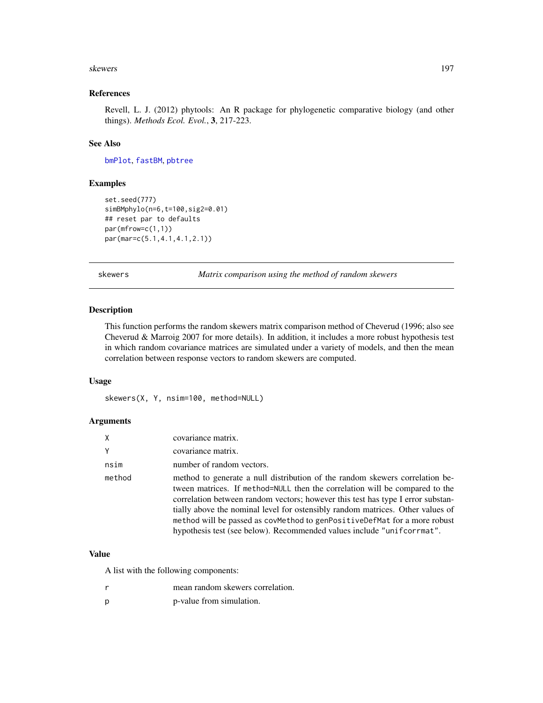#### <span id="page-196-0"></span>skewers and the set of the set of the set of the set of the set of the set of the set of the set of the set of the set of the set of the set of the set of the set of the set of the set of the set of the set of the set of t

# References

Revell, L. J. (2012) phytools: An R package for phylogenetic comparative biology (and other things). *Methods Ecol. Evol.*, 3, 217-223.

# See Also

[bmPlot](#page-30-0), [fastBM](#page-75-0), [pbtree](#page-132-0)

#### Examples

```
set.seed(777)
simBMphylo(n=6,t=100,sig2=0.01)
## reset par to defaults
par(mfrow=c(1,1))
par(mar=c(5.1,4.1,4.1,2.1))
```
skewers *Matrix comparison using the method of random skewers*

# Description

This function performs the random skewers matrix comparison method of Cheverud (1996; also see Cheverud & Marroig 2007 for more details). In addition, it includes a more robust hypothesis test in which random covariance matrices are simulated under a variety of models, and then the mean correlation between response vectors to random skewers are computed.

# Usage

skewers(X, Y, nsim=100, method=NULL)

# Arguments

| X      | covariance matrix.                                                                                                                                                                                                                                                                                                                                                                                                                                                                      |
|--------|-----------------------------------------------------------------------------------------------------------------------------------------------------------------------------------------------------------------------------------------------------------------------------------------------------------------------------------------------------------------------------------------------------------------------------------------------------------------------------------------|
| V      | covariance matrix.                                                                                                                                                                                                                                                                                                                                                                                                                                                                      |
| nsim   | number of random vectors.                                                                                                                                                                                                                                                                                                                                                                                                                                                               |
| method | method to generate a null distribution of the random skewers correlation be-<br>tween matrices. If method=NULL then the correlation will be compared to the<br>correlation between random vectors; however this test has type I error substan-<br>tially above the nominal level for ostensibly random matrices. Other values of<br>method will be passed as covMethod to genPositiveDefMat for a more robust<br>hypothesis test (see below). Recommended values include "unifcorrmat". |

#### Value

A list with the following components:

- r mean random skewers correlation.
- p p-value from simulation.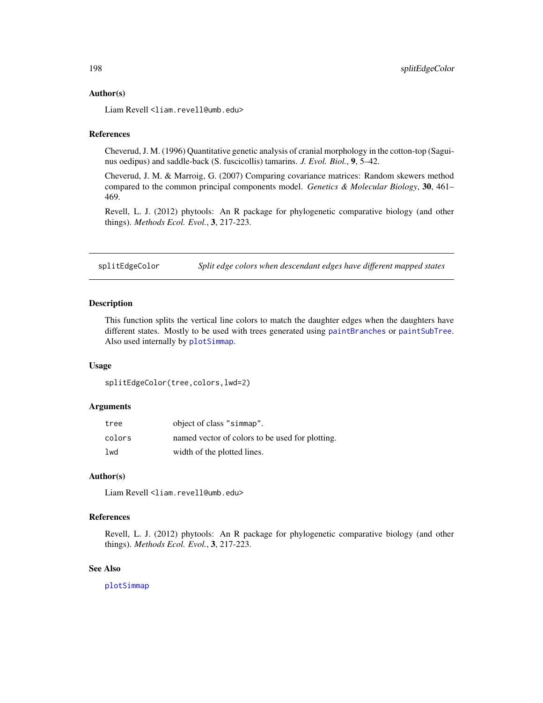#### <span id="page-197-0"></span>Author(s)

Liam Revell <liam.revell@umb.edu>

#### References

Cheverud, J. M. (1996) Quantitative genetic analysis of cranial morphology in the cotton-top (Saguinus oedipus) and saddle-back (S. fuscicollis) tamarins. *J. Evol. Biol.*, 9, 5–42.

Cheverud, J. M. & Marroig, G. (2007) Comparing covariance matrices: Random skewers method compared to the common principal components model. *Genetics & Molecular Biology*, 30, 461– 469.

Revell, L. J. (2012) phytools: An R package for phylogenetic comparative biology (and other things). *Methods Ecol. Evol.*, 3, 217-223.

splitEdgeColor *Split edge colors when descendant edges have different mapped states*

# Description

This function splits the vertical line colors to match the daughter edges when the daughters have different states. Mostly to be used with trees generated using [paintBranches](#page-130-0) or [paintSubTree](#page-130-1). Also used internally by [plotSimmap](#page-160-0).

#### Usage

splitEdgeColor(tree,colors,lwd=2)

#### **Arguments**

| tree   | object of class "simmap".                       |  |
|--------|-------------------------------------------------|--|
| colors | named vector of colors to be used for plotting. |  |
| lwd    | width of the plotted lines.                     |  |

# Author(s)

Liam Revell <liam.revell@umb.edu>

#### References

Revell, L. J. (2012) phytools: An R package for phylogenetic comparative biology (and other things). *Methods Ecol. Evol.*, 3, 217-223.

# See Also

[plotSimmap](#page-160-0)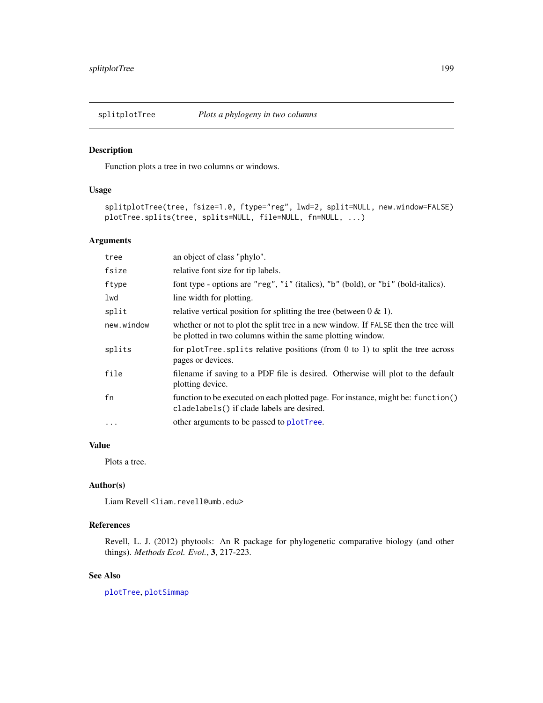Function plots a tree in two columns or windows.

# Usage

```
splitplotTree(tree, fsize=1.0, ftype="reg", lwd=2, split=NULL, new.window=FALSE)
plotTree.splits(tree, splits=NULL, file=NULL, fn=NULL, ...)
```
# Arguments

| tree       | an object of class "phylo".                                                                                                                      |  |
|------------|--------------------------------------------------------------------------------------------------------------------------------------------------|--|
| fsize      | relative font size for tip labels.                                                                                                               |  |
| ftype      | font type - options are "reg", "i" (italics), "b" (bold), or "bi" (bold-italics).                                                                |  |
| lwd        | line width for plotting.                                                                                                                         |  |
| split      | relative vertical position for splitting the tree (between $0 \& 1$ ).                                                                           |  |
| new.window | whether or not to plot the split tree in a new window. If FALSE then the tree will<br>be plotted in two columns within the same plotting window. |  |
| splits     | for plotTree. splits relative positions (from $0$ to $1$ ) to split the tree across<br>pages or devices.                                         |  |
| file       | filename if saving to a PDF file is desired. Otherwise will plot to the default<br>plotting device.                                              |  |
| fn         | function to be executed on each plotted page. For instance, might be: function()<br>cladelabels() if clade labels are desired.                   |  |
| $\cdots$   | other arguments to be passed to plotTree.                                                                                                        |  |

# Value

Plots a tree.

#### Author(s)

Liam Revell <liam.revell@umb.edu>

# References

Revell, L. J. (2012) phytools: An R package for phylogenetic comparative biology (and other things). *Methods Ecol. Evol.*, 3, 217-223.

# See Also

[plotTree](#page-163-0), [plotSimmap](#page-160-0)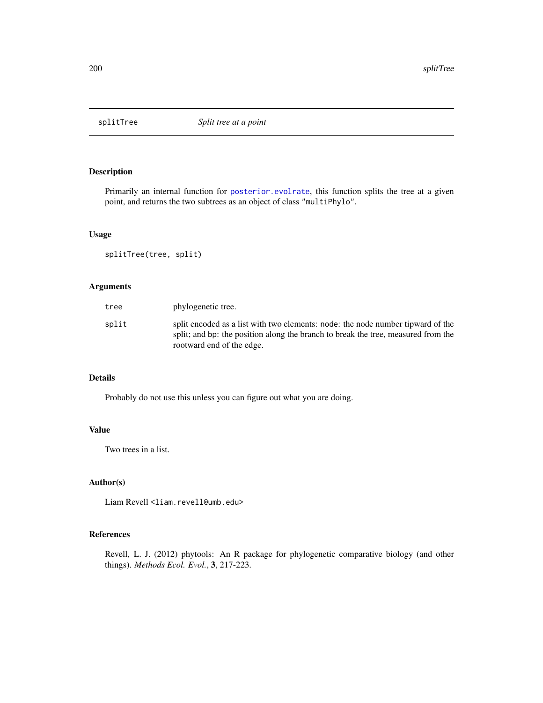<span id="page-199-0"></span>

Primarily an internal function for [posterior.evolrate](#page-168-0), this function splits the tree at a given point, and returns the two subtrees as an object of class "multiPhylo".

# Usage

splitTree(tree, split)

# Arguments

| tree  | phylogenetic tree.                                                                                                                                                                                |
|-------|---------------------------------------------------------------------------------------------------------------------------------------------------------------------------------------------------|
| split | split encoded as a list with two elements: node: the node number tipward of the<br>split; and bp: the position along the branch to break the tree, measured from the<br>rootward end of the edge. |

# Details

Probably do not use this unless you can figure out what you are doing.

# Value

Two trees in a list.

#### Author(s)

Liam Revell <liam.revell@umb.edu>

# References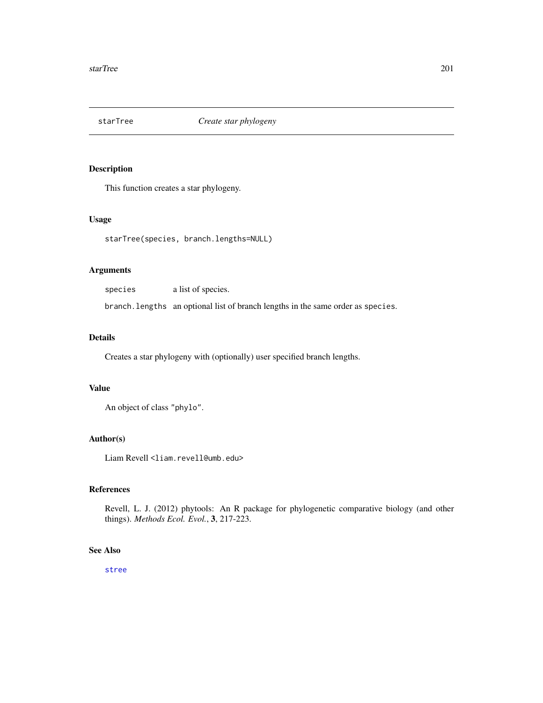This function creates a star phylogeny.

# Usage

starTree(species, branch.lengths=NULL)

# Arguments

species a list of species. branch.lengths an optional list of branch lengths in the same order as species.

#### Details

Creates a star phylogeny with (optionally) user specified branch lengths.

## Value

An object of class "phylo".

# Author(s)

Liam Revell <liam.revell@umb.edu>

# References

Revell, L. J. (2012) phytools: An R package for phylogenetic comparative biology (and other things). *Methods Ecol. Evol.*, 3, 217-223.

#### See Also

[stree](#page-0-0)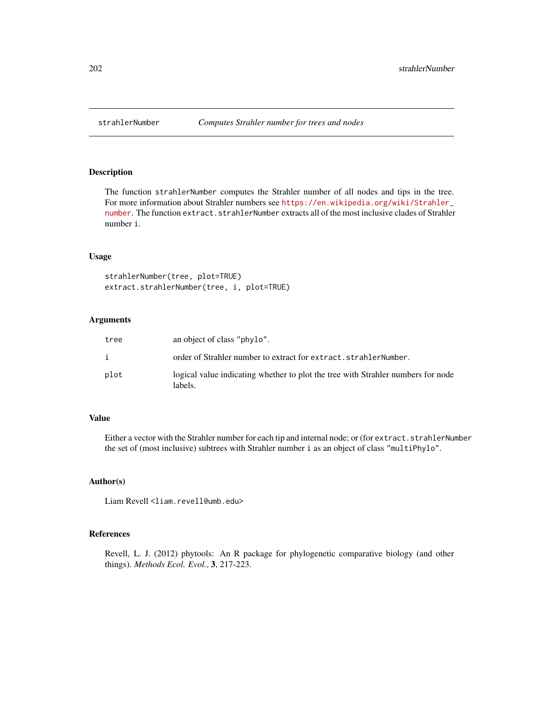The function strahlerNumber computes the Strahler number of all nodes and tips in the tree. For more information about Strahler numbers see [https://en.wikipedia.org/wiki/Strahler\\_](https://en.wikipedia.org/wiki/Strahler_number) [number](https://en.wikipedia.org/wiki/Strahler_number). The function extract.strahlerNumber extracts all of the most inclusive clades of Strahler number i.

#### Usage

```
strahlerNumber(tree, plot=TRUE)
extract.strahlerNumber(tree, i, plot=TRUE)
```
#### Arguments

| tree | an object of class "phylo".                                                                 |
|------|---------------------------------------------------------------------------------------------|
| i    | order of Strahler number to extract for extract.strahlerNumber.                             |
| plot | logical value indicating whether to plot the tree with Strahler numbers for node<br>labels. |

# Value

Either a vector with the Strahler number for each tip and internal node; or (for extract.strahlerNumber the set of (most inclusive) subtrees with Strahler number i as an object of class "multiPhylo".

#### Author(s)

Liam Revell <liam.revell@umb.edu>

#### References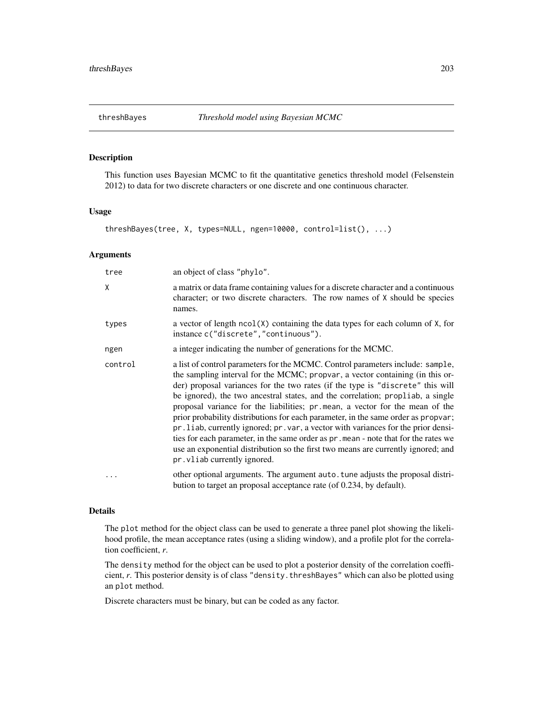<span id="page-202-0"></span>

This function uses Bayesian MCMC to fit the quantitative genetics threshold model (Felsenstein 2012) to data for two discrete characters or one discrete and one continuous character.

# Usage

```
threshBayes(tree, X, types=NULL, ngen=10000, control=list(), ...)
```
#### Arguments

| tree    | an object of class "phylo".                                                                                                                                                                                                                                                                                                                                                                                                                                                                                                                                                                                                                                                                                                                                                                                   |  |
|---------|---------------------------------------------------------------------------------------------------------------------------------------------------------------------------------------------------------------------------------------------------------------------------------------------------------------------------------------------------------------------------------------------------------------------------------------------------------------------------------------------------------------------------------------------------------------------------------------------------------------------------------------------------------------------------------------------------------------------------------------------------------------------------------------------------------------|--|
| X       | a matrix or data frame containing values for a discrete character and a continuous<br>character; or two discrete characters. The row names of X should be species<br>names.                                                                                                                                                                                                                                                                                                                                                                                                                                                                                                                                                                                                                                   |  |
| types   | a vector of length $ncol(X)$ containing the data types for each column of $X$ , for<br>instance c("discrete", "continuous").                                                                                                                                                                                                                                                                                                                                                                                                                                                                                                                                                                                                                                                                                  |  |
| ngen    | a integer indicating the number of generations for the MCMC.                                                                                                                                                                                                                                                                                                                                                                                                                                                                                                                                                                                                                                                                                                                                                  |  |
| control | a list of control parameters for the MCMC. Control parameters include: sample,<br>the sampling interval for the MCMC; propvar, a vector containing (in this or-<br>der) proposal variances for the two rates (if the type is "discrete" this will<br>be ignored), the two ancestral states, and the correlation; propliab, a single<br>proposal variance for the liabilities; pr.mean, a vector for the mean of the<br>prior probability distributions for each parameter, in the same order as propvar;<br>pr. liab, currently ignored; pr. var, a vector with variances for the prior densi-<br>ties for each parameter, in the same order as $pr$ . mean - note that for the rates we<br>use an exponential distribution so the first two means are currently ignored; and<br>pr. vliab currently ignored. |  |
|         | other optional arguments. The argument auto tune adjusts the proposal distri-<br>bution to target an proposal acceptance rate (of 0.234, by default).                                                                                                                                                                                                                                                                                                                                                                                                                                                                                                                                                                                                                                                         |  |

#### Details

The plot method for the object class can be used to generate a three panel plot showing the likelihood profile, the mean acceptance rates (using a sliding window), and a profile plot for the correlation coefficient, *r*.

The density method for the object can be used to plot a posterior density of the correlation coefficient, *r*. This posterior density is of class "density.threshBayes" which can also be plotted using an plot method.

Discrete characters must be binary, but can be coded as any factor.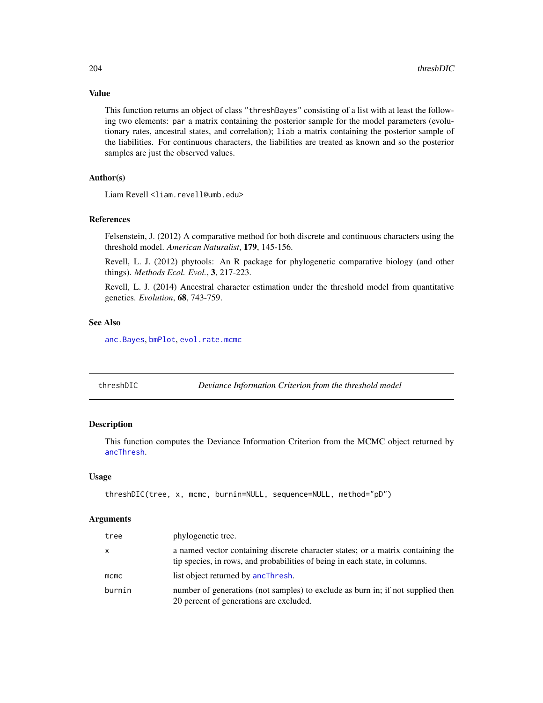# Value

This function returns an object of class "threshBayes" consisting of a list with at least the following two elements: par a matrix containing the posterior sample for the model parameters (evolutionary rates, ancestral states, and correlation); liab a matrix containing the posterior sample of the liabilities. For continuous characters, the liabilities are treated as known and so the posterior samples are just the observed values.

# Author(s)

Liam Revell <liam.revell@umb.edu>

# References

Felsenstein, J. (2012) A comparative method for both discrete and continuous characters using the threshold model. *American Naturalist*, 179, 145-156.

Revell, L. J. (2012) phytools: An R package for phylogenetic comparative biology (and other things). *Methods Ecol. Evol.*, 3, 217-223.

Revell, L. J. (2014) Ancestral character estimation under the threshold model from quantitative genetics. *Evolution*, 68, 743-759.

# See Also

[anc.Bayes](#page-14-0), [bmPlot](#page-30-0), [evol.rate.mcmc](#page-64-0)

<span id="page-203-0"></span>

| threshDIC | Deviance Information Criterion from the threshold model |  |
|-----------|---------------------------------------------------------|--|
|           |                                                         |  |

# Description

This function computes the Deviance Information Criterion from the MCMC object returned by [ancThresh](#page-19-0).

#### Usage

```
threshDIC(tree, x, mcmc, burnin=NULL, sequence=NULL, method="pD")
```
# Arguments

| tree         | phylogenetic tree.                                                                                                                                             |
|--------------|----------------------------------------------------------------------------------------------------------------------------------------------------------------|
| $\mathsf{x}$ | a named vector containing discrete character states; or a matrix containing the<br>tip species, in rows, and probabilities of being in each state, in columns. |
| mcmc         | list object returned by ancThresh.                                                                                                                             |
| burnin       | number of generations (not samples) to exclude as burn in; if not supplied then<br>20 percent of generations are excluded.                                     |

<span id="page-203-1"></span>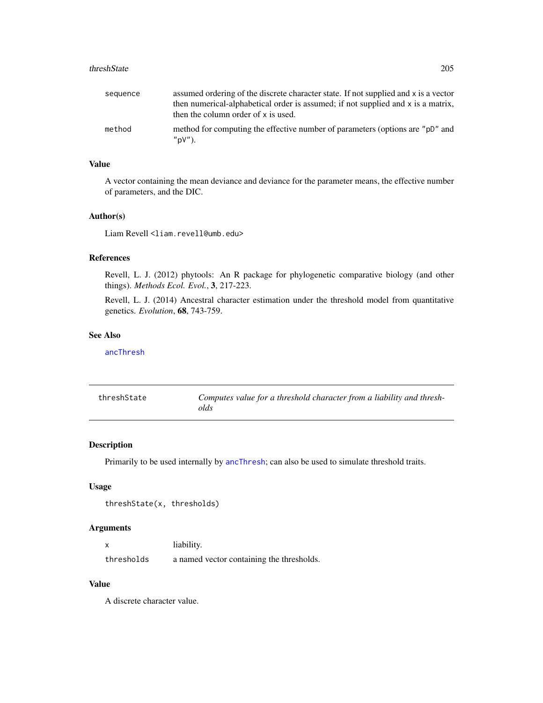#### <span id="page-204-0"></span>threshState 205

| sequence | assumed ordering of the discrete character state. If not supplied and x is a vector<br>then numerical-alphabetical order is assumed; if not supplied and x is a matrix,<br>then the column order of x is used. |
|----------|----------------------------------------------------------------------------------------------------------------------------------------------------------------------------------------------------------------|
| method   | method for computing the effective number of parameters (options are "pD" and<br>"pV".                                                                                                                         |

#### Value

A vector containing the mean deviance and deviance for the parameter means, the effective number of parameters, and the DIC.

# Author(s)

Liam Revell <liam.revell@umb.edu>

# References

Revell, L. J. (2012) phytools: An R package for phylogenetic comparative biology (and other things). *Methods Ecol. Evol.*, 3, 217-223.

Revell, L. J. (2014) Ancestral character estimation under the threshold model from quantitative genetics. *Evolution*, 68, 743-759.

# See Also

[ancThresh](#page-19-0)

| threshState | Computes value for a threshold character from a liability and thresh- |
|-------------|-----------------------------------------------------------------------|
|             | olds                                                                  |

# Description

Primarily to be used internally by [ancThresh](#page-19-0); can also be used to simulate threshold traits.

#### Usage

```
threshState(x, thresholds)
```
# Arguments

| $\boldsymbol{\mathsf{x}}$ | liability.                                |
|---------------------------|-------------------------------------------|
| thresholds                | a named vector containing the thresholds. |

# Value

A discrete character value.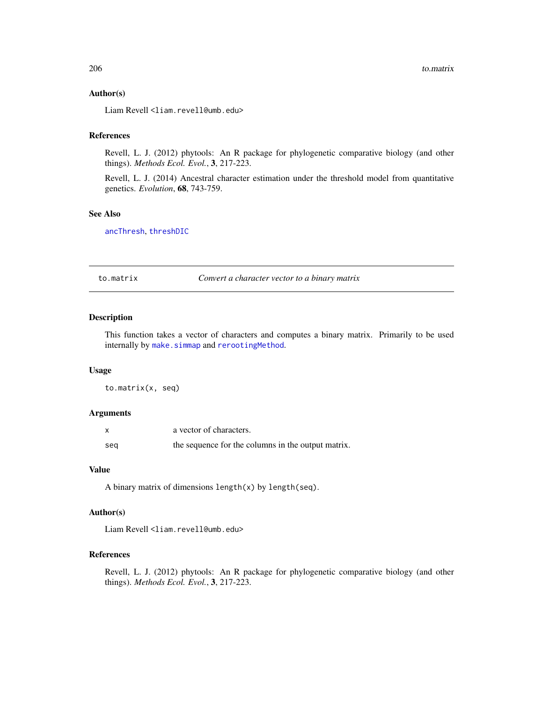#### Author(s)

Liam Revell <liam.revell@umb.edu>

#### References

Revell, L. J. (2012) phytools: An R package for phylogenetic comparative biology (and other things). *Methods Ecol. Evol.*, 3, 217-223.

Revell, L. J. (2014) Ancestral character estimation under the threshold model from quantitative genetics. *Evolution*, 68, 743-759.

# See Also

[ancThresh](#page-19-0), [threshDIC](#page-203-0)

to.matrix *Convert a character vector to a binary matrix*

# Description

This function takes a vector of characters and computes a binary matrix. Primarily to be used internally by [make.simmap](#page-107-0) and [rerootingMethod](#page-181-0).

#### Usage

to.matrix(x, seq)

#### Arguments

| $\boldsymbol{\mathsf{x}}$ | a vector of characters.                            |
|---------------------------|----------------------------------------------------|
| seg                       | the sequence for the columns in the output matrix. |

#### Value

A binary matrix of dimensions length(x) by length(seq).

# Author(s)

Liam Revell <liam.revell@umb.edu>

# References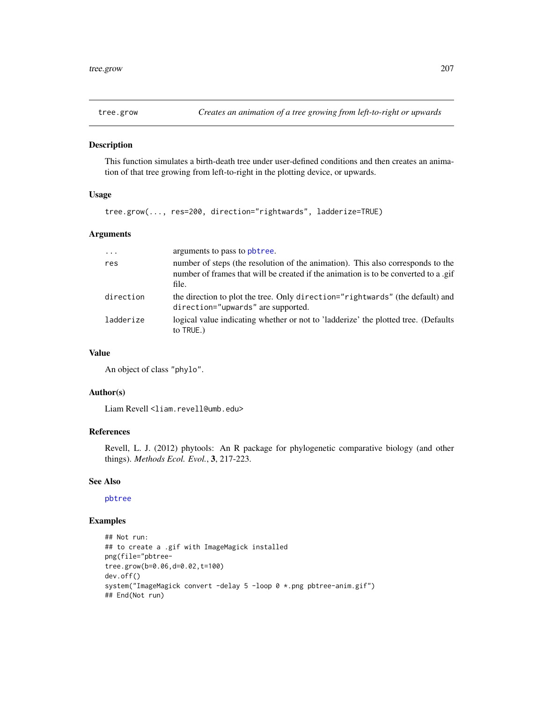<span id="page-206-0"></span>

This function simulates a birth-death tree under user-defined conditions and then creates an animation of that tree growing from left-to-right in the plotting device, or upwards.

# Usage

tree.grow(..., res=200, direction="rightwards", ladderize=TRUE)

# Arguments

| $\ddots$  | arguments to pass to pbtree.                                                                                                                                                    |
|-----------|---------------------------------------------------------------------------------------------------------------------------------------------------------------------------------|
| res       | number of steps (the resolution of the animation). This also corresponds to the<br>number of frames that will be created if the animation is to be converted to a .gif<br>file. |
| direction | the direction to plot the tree. Only direction="rightwards" (the default) and<br>direction="upwards" are supported.                                                             |
| ladderize | logical value indicating whether or not to 'ladderize' the plotted tree. (Defaults<br>to TRUE.)                                                                                 |

#### Value

An object of class "phylo".

# Author(s)

Liam Revell <liam.revell@umb.edu>

# References

Revell, L. J. (2012) phytools: An R package for phylogenetic comparative biology (and other things). *Methods Ecol. Evol.*, 3, 217-223.

#### See Also

[pbtree](#page-132-0)

# Examples

```
## Not run:
## to create a .gif with ImageMagick installed
png(file="pbtree-
tree.grow(b=0.06,d=0.02,t=100)
dev.off()
system("ImageMagick convert -delay 5 -loop 0 *.png pbtree-anim.gif")
## End(Not run)
```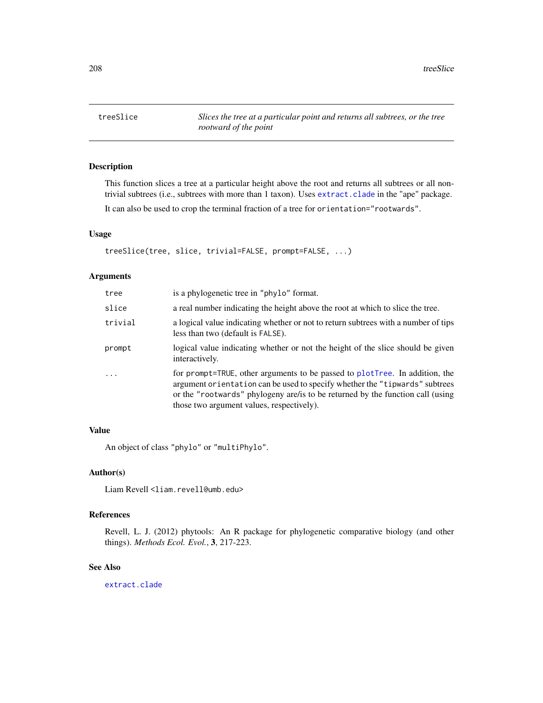208 treeSlice transfer that the contract of the contract of the contract of the contract of the contract of the contract of the contract of the contract of the contract of the contract of the contract of the contract of th

treeSlice *Slices the tree at a particular point and returns all subtrees, or the tree rootward of the point*

# Description

This function slices a tree at a particular height above the root and returns all subtrees or all nontrivial subtrees (i.e., subtrees with more than 1 taxon). Uses [extract.clade](#page-0-0) in the "ape" package.

It can also be used to crop the terminal fraction of a tree for orientation="rootwards".

# Usage

treeSlice(tree, slice, trivial=FALSE, prompt=FALSE, ...)

#### Arguments

| tree     | is a phylogenetic tree in "phylo" format.                                                                                                                                                                                                                                                  |
|----------|--------------------------------------------------------------------------------------------------------------------------------------------------------------------------------------------------------------------------------------------------------------------------------------------|
| slice    | a real number indicating the height above the root at which to slice the tree.                                                                                                                                                                                                             |
| trivial  | a logical value indicating whether or not to return subtrees with a number of tips<br>less than two (default is FALSE).                                                                                                                                                                    |
| prompt   | logical value indicating whether or not the height of the slice should be given<br>interactively.                                                                                                                                                                                          |
| $\cdots$ | for prompt=TRUE, other arguments to be passed to plotTree. In addition, the<br>argument orientation can be used to specify whether the "tipwards" subtrees<br>or the "rootwards" phylogeny are/ is to be returned by the function call (using<br>those two argument values, respectively). |

# Value

An object of class "phylo" or "multiPhylo".

#### Author(s)

Liam Revell <liam.revell@umb.edu>

# References

Revell, L. J. (2012) phytools: An R package for phylogenetic comparative biology (and other things). *Methods Ecol. Evol.*, 3, 217-223.

# See Also

[extract.clade](#page-0-0)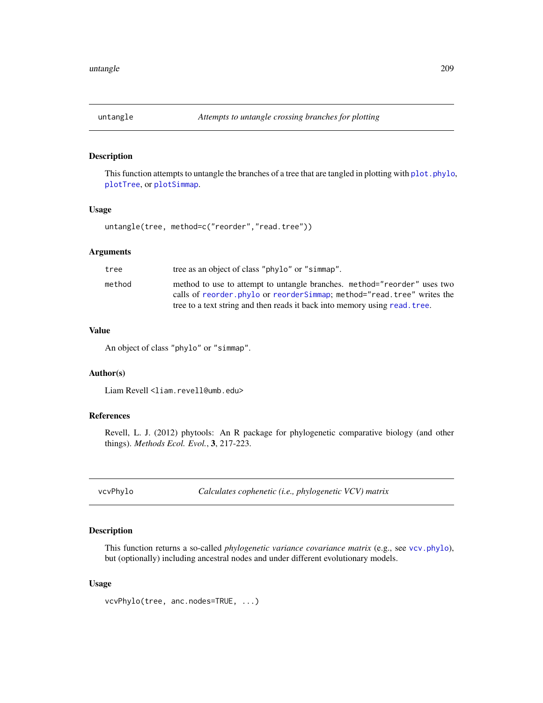This function attempts to untangle the branches of a tree that are tangled in plotting with plot. phylo, [plotTree](#page-163-0), or [plotSimmap](#page-160-0).

# Usage

untangle(tree, method=c("reorder","read.tree"))

# Arguments

| tree   | tree as an object of class "phylo" or "simmap".                            |
|--------|----------------------------------------------------------------------------|
| method | method to use to attempt to untangle branches. method="reorder" uses two   |
|        | calls of reorder phylo or reorder Simmap; method="read.tree" writes the    |
|        | tree to a text string and then reads it back into memory using read. tree. |

#### Value

An object of class "phylo" or "simmap".

# Author(s)

Liam Revell <liam.revell@umb.edu>

# References

Revell, L. J. (2012) phytools: An R package for phylogenetic comparative biology (and other things). *Methods Ecol. Evol.*, 3, 217-223.

vcvPhylo *Calculates cophenetic (i.e., phylogenetic VCV) matrix*

## Description

This function returns a so-called *phylogenetic variance covariance matrix* (e.g., see [vcv.phylo](#page-0-0)), but (optionally) including ancestral nodes and under different evolutionary models.

#### Usage

```
vcvPhylo(tree, anc.nodes=TRUE, ...)
```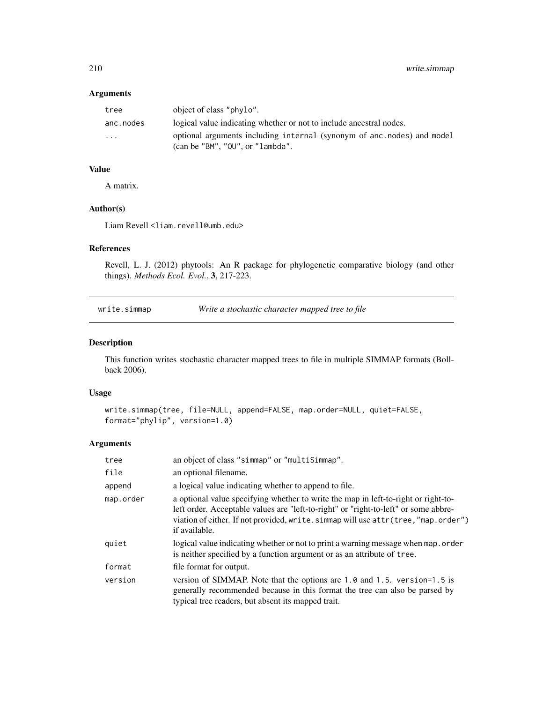# <span id="page-209-1"></span>Arguments

| tree      | object of class "phylo".                                                                                            |
|-----------|---------------------------------------------------------------------------------------------------------------------|
| anc.nodes | logical value indicating whether or not to include ancestral nodes.                                                 |
| .         | optional arguments including internal (synonym of anc.nodes) and model<br>$\alpha$ (can be "BM", "OU", or "lambda". |

# Value

A matrix.

#### Author(s)

Liam Revell <liam.revell@umb.edu>

# References

Revell, L. J. (2012) phytools: An R package for phylogenetic comparative biology (and other things). *Methods Ecol. Evol.*, 3, 217-223.

<span id="page-209-0"></span>write.simmap *Write a stochastic character mapped tree to file*

# Description

This function writes stochastic character mapped trees to file in multiple SIMMAP formats (Bollback 2006).

#### Usage

```
write.simmap(tree, file=NULL, append=FALSE, map.order=NULL, quiet=FALSE,
format="phylip", version=1.0)
```
# Arguments

| tree      | an object of class "simmap" or "multiSimmap".                                                                                                                                                                                                                                    |
|-----------|----------------------------------------------------------------------------------------------------------------------------------------------------------------------------------------------------------------------------------------------------------------------------------|
| file      | an optional filename.                                                                                                                                                                                                                                                            |
| append    | a logical value indicating whether to append to file.                                                                                                                                                                                                                            |
| map.order | a optional value specifying whether to write the map in left-to-right or right-to-<br>left order. Acceptable values are "left-to-right" or "right-to-left" or some abbre-<br>viation of either. If not provided, write. simmap will use attr(tree, "map.order")<br>if available. |
| quiet     | logical value indicating whether or not to print a warning message when map.order<br>is neither specified by a function argument or as an attribute of tree.                                                                                                                     |
| format    | file format for output.                                                                                                                                                                                                                                                          |
| version   | version of SIMMAP. Note that the options are 1.0 and 1.5. version=1.5 is<br>generally recommended because in this format the tree can also be parsed by<br>typical tree readers, but absent its mapped trait.                                                                    |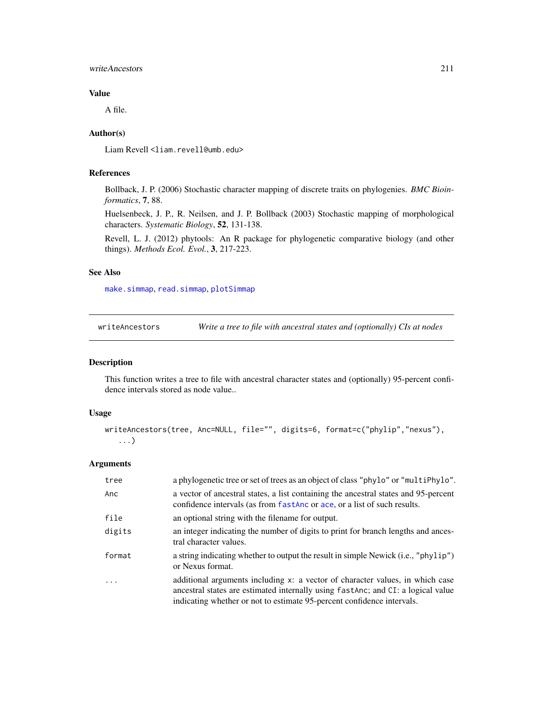#### <span id="page-210-0"></span>writeAncestors 211

#### Value

A file.

# Author(s)

Liam Revell <liam.revell@umb.edu>

## References

Bollback, J. P. (2006) Stochastic character mapping of discrete traits on phylogenies. *BMC Bioinformatics*, 7, 88.

Huelsenbeck, J. P., R. Neilsen, and J. P. Bollback (2003) Stochastic mapping of morphological characters. *Systematic Biology*, 52, 131-138.

Revell, L. J. (2012) phytools: An R package for phylogenetic comparative biology (and other things). *Methods Ecol. Evol.*, 3, 217-223.

# See Also

[make.simmap](#page-107-0), [read.simmap](#page-176-0), [plotSimmap](#page-160-0)

writeAncestors *Write a tree to file with ancestral states and (optionally) CIs at nodes*

# Description

This function writes a tree to file with ancestral character states and (optionally) 95-percent confidence intervals stored as node value..

#### Usage

```
writeAncestors(tree, Anc=NULL, file="", digits=6, format=c("phylip","nexus"),
   ...)
```
# Arguments

| tree   | a phylogenetic tree or set of trees as an object of class "phylo" or "multiPhylo".                                                                                                                                                          |
|--------|---------------------------------------------------------------------------------------------------------------------------------------------------------------------------------------------------------------------------------------------|
| Anc    | a vector of ancestral states, a list containing the ancestral states and 95-percent<br>confidence intervals (as from fast Andre or ace, or a list of such results.                                                                          |
| file   | an optional string with the filename for output.                                                                                                                                                                                            |
| digits | an integer indicating the number of digits to print for branch lengths and ances-<br>tral character values.                                                                                                                                 |
| format | a string indicating whether to output the result in simple Newick (i.e., "phylip")<br>or Nexus format.                                                                                                                                      |
| .      | additional arguments including x: a vector of character values, in which case<br>ancestral states are estimated internally using fastanc; and CI: a logical value<br>indicating whether or not to estimate 95-percent confidence intervals. |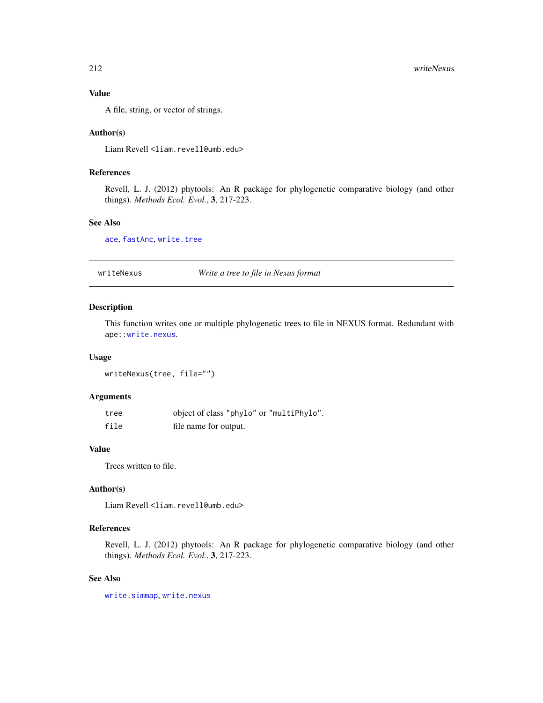#### Value

A file, string, or vector of strings.

#### Author(s)

Liam Revell <liam.revell@umb.edu>

# References

Revell, L. J. (2012) phytools: An R package for phylogenetic comparative biology (and other things). *Methods Ecol. Evol.*, 3, 217-223.

#### See Also

[ace](#page-0-0), [fastAnc](#page-74-0), [write.tree](#page-0-0)

writeNexus *Write a tree to file in Nexus format*

#### Description

This function writes one or multiple phylogenetic trees to file in NEXUS format. Redundant with ape:[:write.nexus](#page-0-0).

#### Usage

writeNexus(tree, file="")

# Arguments

| tree | object of class "phylo" or "multiPhylo". |
|------|------------------------------------------|
| file | file name for output.                    |

# Value

Trees written to file.

#### Author(s)

Liam Revell <liam.revell@umb.edu>

# References

Revell, L. J. (2012) phytools: An R package for phylogenetic comparative biology (and other things). *Methods Ecol. Evol.*, 3, 217-223.

#### See Also

[write.simmap](#page-209-0), [write.nexus](#page-0-0)

<span id="page-211-0"></span>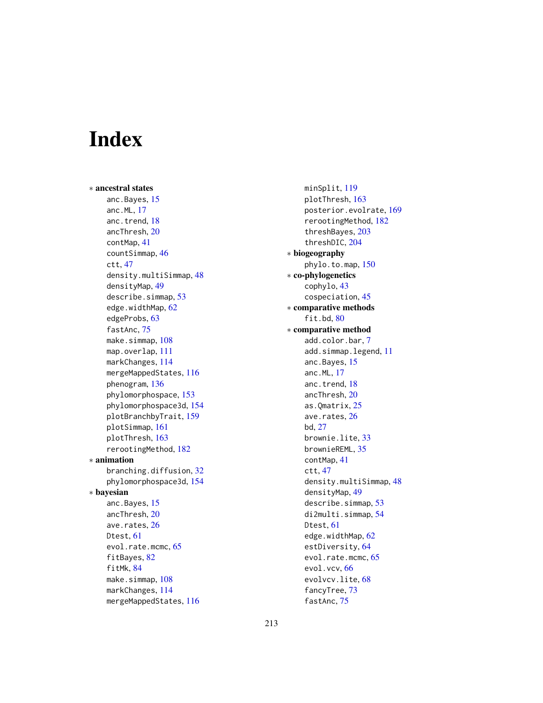# **Index**

∗ ancestral states anc.Bayes, [15](#page-14-1) anc.ML, [17](#page-16-0) anc.trend, [18](#page-17-0) ancThresh, [20](#page-19-1) contMap, [41](#page-40-1) countSimmap, [46](#page-45-0) ctt, [47](#page-46-0) density.multiSimmap, [48](#page-47-0) densityMap, [49](#page-48-1) describe.simmap, [53](#page-52-0) edge.widthMap, [62](#page-61-0) edgeProbs, [63](#page-62-0) fastAnc, [75](#page-74-1) make.simmap, [108](#page-107-1) map.overlap, [111](#page-110-0) markChanges, [114](#page-113-0) mergeMappedStates, [116](#page-115-0) phenogram, [136](#page-135-0) phylomorphospace, [153](#page-152-0) phylomorphospace3d, [154](#page-153-0) plotBranchbyTrait, [159](#page-158-0) plotSimmap, [161](#page-160-1) plotThresh, [163](#page-162-0) rerootingMethod, [182](#page-181-1) ∗ animation branching.diffusion, [32](#page-31-0) phylomorphospace3d, [154](#page-153-0) ∗ bayesian anc.Bayes, [15](#page-14-1) ancThresh, [20](#page-19-1) ave.rates, [26](#page-25-0) Dtest, [61](#page-60-0) evol.rate.mcmc, [65](#page-64-1) fitBayes, [82](#page-81-0) fitMk, [84](#page-83-2) make.simmap, [108](#page-107-1) markChanges, [114](#page-113-0) mergeMappedStates, [116](#page-115-0)

minSplit, [119](#page-118-0) plotThresh, [163](#page-162-0) posterior.evolrate, [169](#page-168-1) rerootingMethod, [182](#page-181-1) threshBayes, [203](#page-202-0) threshDIC, [204](#page-203-1) ∗ biogeography phylo.to.map, [150](#page-149-0) ∗ co-phylogenetics cophylo, [43](#page-42-0) cospeciation, [45](#page-44-0) ∗ comparative methods fit.bd, [80](#page-79-0) ∗ comparative method add.color.bar, [7](#page-6-0) add.simmap.legend, [11](#page-10-0) anc.Bayes, [15](#page-14-1) anc.ML, [17](#page-16-0) anc.trend, [18](#page-17-0) ancThresh, [20](#page-19-1) as.Qmatrix, [25](#page-24-0) ave.rates, [26](#page-25-0) bd, [27](#page-26-0) brownie.lite, [33](#page-32-0) brownieREML, [35](#page-34-0) contMap, [41](#page-40-1) ctt, [47](#page-46-0) density.multiSimmap, [48](#page-47-0) densityMap, [49](#page-48-1) describe.simmap, [53](#page-52-0) di2multi.simmap, [54](#page-53-0) Dtest, [61](#page-60-0) edge.widthMap, [62](#page-61-0) estDiversity, [64](#page-63-0) evol.rate.mcmc, [65](#page-64-1) evol.vcv, [66](#page-65-0) evolvcv.lite, [68](#page-67-0) fancyTree, [73](#page-72-0) fastAnc, [75](#page-74-1)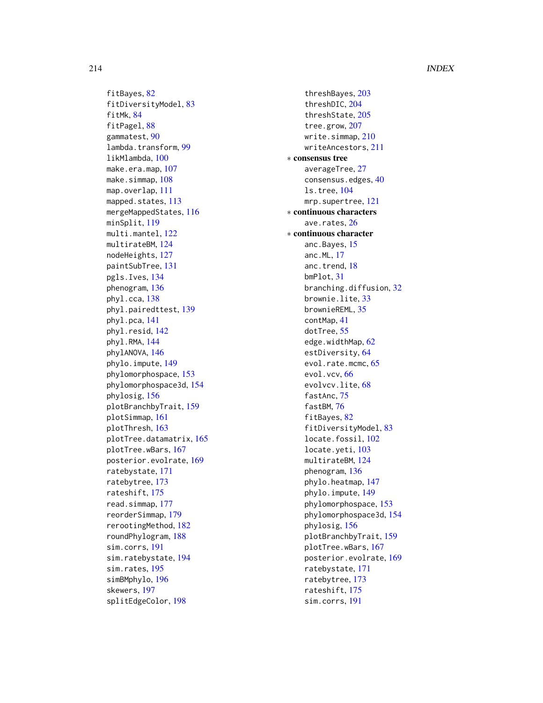#### 214 INDEX

fitBayes, [82](#page-81-0) fitDiversityModel, [83](#page-82-0) fitMk, [84](#page-83-2) fitPagel, [88](#page-87-0) gammatest, [90](#page-89-0) lambda.transform, [99](#page-98-0) likMlambda, [100](#page-99-0) make.era.map, [107](#page-106-0) make.simmap, [108](#page-107-1) map.overlap, [111](#page-110-0) mapped.states, [113](#page-112-0) mergeMappedStates, [116](#page-115-0) minSplit, [119](#page-118-0) multi.mantel, [122](#page-121-0) multirateBM, [124](#page-123-1) nodeHeights, [127](#page-126-0) paintSubTree, [131](#page-130-2) pgls.Ives, [134](#page-133-0) phenogram, [136](#page-135-0) phyl.cca, [138](#page-137-0) phyl.pairedttest, [139](#page-138-0) phyl.pca, [141](#page-140-0) phyl.resid, [142](#page-141-0) phyl.RMA, [144](#page-143-0) phylANOVA, [146](#page-145-0) phylo.impute, [149](#page-148-0) phylomorphospace, [153](#page-152-0) phylomorphospace3d, [154](#page-153-0) phylosig, [156](#page-155-0) plotBranchbyTrait, [159](#page-158-0) plotSimmap, [161](#page-160-1) plotThresh, [163](#page-162-0) plotTree.datamatrix, [165](#page-164-0) plotTree.wBars, [167](#page-166-0) posterior.evolrate, [169](#page-168-1) ratebystate, [171](#page-170-1) ratebytree, [173](#page-172-0) rateshift, [175](#page-174-0) read.simmap, [177](#page-176-1) reorderSimmap, [179](#page-178-1) rerootingMethod, [182](#page-181-1) roundPhylogram, [188](#page-187-0) sim.corrs, [191](#page-190-0) sim.ratebystate, [194](#page-193-0) sim.rates, [195](#page-194-1) simBMphylo, [196](#page-195-0) skewers, [197](#page-196-0) splitEdgeColor, [198](#page-197-0)

threshBayes, [203](#page-202-0) threshDIC, [204](#page-203-1) threshState, [205](#page-204-0) tree.grow, [207](#page-206-0) write.simmap, [210](#page-209-1) writeAncestors, [211](#page-210-0) ∗ consensus tree averageTree, [27](#page-26-0) consensus.edges, [40](#page-39-0) ls.tree, [104](#page-103-0) mrp.supertree, [121](#page-120-0) ∗ continuous characters ave.rates, [26](#page-25-0) ∗ continuous character anc.Bayes, [15](#page-14-1) anc.ML, [17](#page-16-0) anc.trend, [18](#page-17-0) bmPlot, [31](#page-30-1) branching.diffusion, [32](#page-31-0) brownie.lite, [33](#page-32-0) brownieREML, [35](#page-34-0) contMap, [41](#page-40-1) dotTree, [55](#page-54-0) edge.widthMap, [62](#page-61-0) estDiversity, [64](#page-63-0) evol.rate.mcmc, [65](#page-64-1) evol.vcv, [66](#page-65-0) evolvcv.lite, [68](#page-67-0) fastAnc, [75](#page-74-1) fastBM, [76](#page-75-1) fitBayes, [82](#page-81-0) fitDiversityModel, [83](#page-82-0) locate.fossil, [102](#page-101-0) locate.yeti, [103](#page-102-0) multirateBM, [124](#page-123-1) phenogram, [136](#page-135-0) phylo.heatmap, [147](#page-146-0) phylo.impute, [149](#page-148-0) phylomorphospace, [153](#page-152-0) phylomorphospace3d, [154](#page-153-0) phylosig, [156](#page-155-0) plotBranchbyTrait, [159](#page-158-0) plotTree.wBars, [167](#page-166-0) posterior.evolrate, [169](#page-168-1) ratebystate, [171](#page-170-1) ratebytree, [173](#page-172-0) rateshift, [175](#page-174-0) sim.corrs, [191](#page-190-0)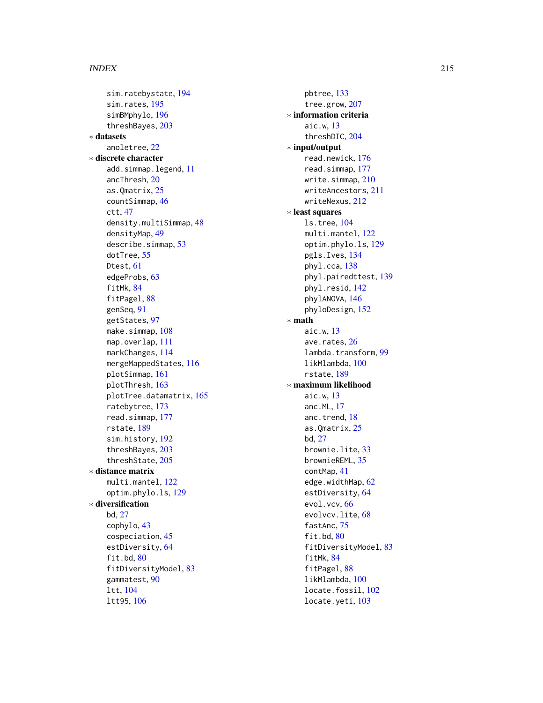#### INDEX 215

sim.ratebystate , [194](#page-193-0) sim.rates , [195](#page-194-1) simBMphylo , [196](#page-195-0) threshBayes , [203](#page-202-0) ∗ datasets anoletree , [22](#page-21-0) ∗ discrete character add.simmap.legend, [11](#page-10-0) ancThresh , [20](#page-19-1) as.Qmatrix , [25](#page-24-0) countSimmap , [46](#page-45-0) ctt , [47](#page-46-0) density.multiSimmap, [48](#page-47-0) densityMap , [49](#page-48-1) describe.simmap, [53](#page-52-0) dotTree, [55](#page-54-0) Dtest , [61](#page-60-0) edgeProbs , [63](#page-62-0) fitMk , [84](#page-83-2) fitPagel, [88](#page-87-0) genSeq , [91](#page-90-0) getStates , [97](#page-96-0) make.simmap, [108](#page-107-1) map.overlap, [111](#page-110-0) markChanges , [114](#page-113-0) mergeMappedStates , [116](#page-115-0) plotSimmap , [161](#page-160-1) plotThresh , [163](#page-162-0) plotTree.datamatrix, [165](#page-164-0) ratebytree , [173](#page-172-0) read.simmap , [177](#page-176-1) rstate , [189](#page-188-0) sim.history , [192](#page-191-1) threshBayes , [203](#page-202-0) threshState , [205](#page-204-0) ∗ distance matrix multi.mantel,[122](#page-121-0) optim.phylo.ls , [129](#page-128-0) ∗ diversification bd , [27](#page-26-0) cophylo , [43](#page-42-0) cospeciation , [45](#page-44-0) estDiversity, [64](#page-63-0) fit.bd, [80](#page-79-0) fitDiversityModel , [83](#page-82-0) gammatest , [90](#page-89-0) ltt , [104](#page-103-0) ltt95 , [106](#page-105-0)

pbtree , [133](#page-132-1) tree.grow , [207](#page-206-0) ∗ information criteria aic.w , [13](#page-12-0) threshDIC , [204](#page-203-1) ∗ input/output read.newick , [176](#page-175-0) read.simmap , [177](#page-176-1) write.simmap, $210\,$  $210\,$ writeAncestors , [211](#page-210-0) writeNexus , [212](#page-211-0) ∗ least squares ls.tree , [104](#page-103-0) multi.mantel,[122](#page-121-0) optim.phylo.ls , [129](#page-128-0) pgls.Ives , [134](#page-133-0) phyl.cca , [138](#page-137-0) phyl.pairedttest , [139](#page-138-0) phyl.resid , [142](#page-141-0) phylANOVA , [146](#page-145-0) phyloDesign , [152](#page-151-0) ∗ math aic.w , [13](#page-12-0) ave.rates, [26](#page-25-0) lambda.transform , [99](#page-98-0) likMlambda , [100](#page-99-0) rstate , [189](#page-188-0) ∗ maximum likelihood aic.w , [13](#page-12-0) anc.ML , [17](#page-16-0) anc.trend, [18](#page-17-0) as.Qmatrix, $25$ bd , [27](#page-26-0) brownie.lite, [33](#page-32-0) brownieREML , [35](#page-34-0) contMap , [41](#page-40-1) edge.widthMap, <mark>6</mark>2 estDiversity, [64](#page-63-0) evol.vcv, <mark>[66](#page-65-0)</mark> evolvcv.lite, [68](#page-67-0) fastAnc, [75](#page-74-1) fit.bd,  $80$ fitDiversityModel , [83](#page-82-0) fitMk , [84](#page-83-2) fitPagel, [88](#page-87-0) likMlambda , [100](#page-99-0) locate.fossil, [102](#page-101-0) locate.yeti, [103](#page-102-0)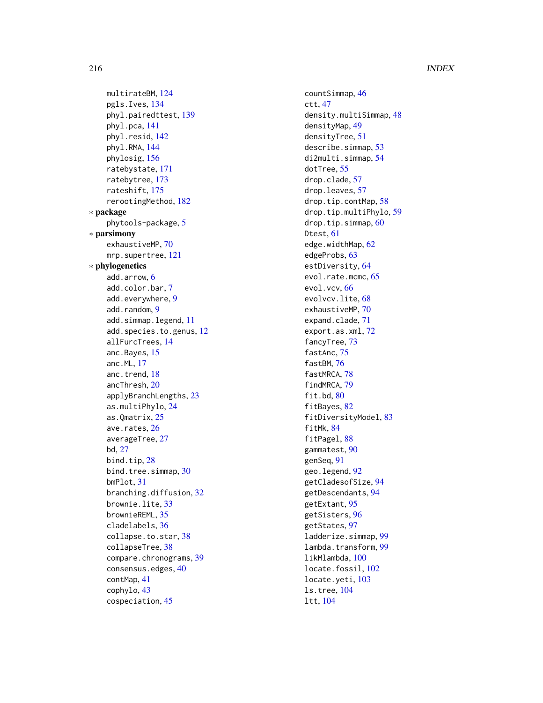216 **INDEX** 

multirateBM , [124](#page-123-1) pgls.Ives , [134](#page-133-0) phyl.pairedttest , [139](#page-138-0) phyl.pca , [141](#page-140-0) phyl.resid , [142](#page-141-0) phyl.RMA , [144](#page-143-0) phylosig , [156](#page-155-0) ratebystate , [171](#page-170-1) ratebytree , [173](#page-172-0) rateshift , [175](#page-174-0) rerootingMethod , [182](#page-181-1) ∗ package phytools-package , [5](#page-4-0) ∗ parsimony exhaustiveMP, [70](#page-69-0) mrp.supertree , [121](#page-120-0) ∗ phylogenetics add.arrow , [6](#page-5-0) add.color.bar , [7](#page-6-0) add.everywhere , [9](#page-8-0) add.random, [9](#page-8-0) add.simmap.legend, [11](#page-10-0) add.species.to.genus, [12](#page-11-0) allFurcTrees , [14](#page-13-0) anc.Bayes, [15](#page-14-1) anc.ML , [17](#page-16-0) anc.trend, [18](#page-17-0) ancThresh , [20](#page-19-1) applyBranchLengths , [23](#page-22-0) as.multiPhylo , [24](#page-23-0) as.Qmatrix , [25](#page-24-0) ave.rates, [26](#page-25-0) averageTree, [27](#page-26-0) bd , [27](#page-26-0) bind.tip, [28](#page-27-0) bind.tree.simmap, [30](#page-29-0) bmPlot , [31](#page-30-1) branching.diffusion, [32](#page-31-0) brownie.lite, [33](#page-32-0) brownieREML , [35](#page-34-0) cladelabels , [36](#page-35-0) collapse.to.star , [38](#page-37-0) collapseTree , [38](#page-37-0) compare.chronograms, [39](#page-38-0) consensus.edges , [40](#page-39-0) contMap , [41](#page-40-1) cophylo , [43](#page-42-0) cospeciation , [45](#page-44-0)

countSimmap , [46](#page-45-0) ctt , [47](#page-46-0) density.multiSimmap, [48](#page-47-0) densityMap , [49](#page-48-1) densityTree , [51](#page-50-0) describe.simmap, [53](#page-52-0) di2multi.simmap , [54](#page-53-0) dotTree , [55](#page-54-0) drop.clade , [57](#page-56-0) drop.leaves , [57](#page-56-0) drop.tip.contMap , [58](#page-57-0) drop.tip.multiPhylo , [59](#page-58-0) drop.tip.simmap , [60](#page-59-0) Dtest, [61](#page-60-0) edge.widthMap, <mark>6</mark>2 edgeProbs , [63](#page-62-0) estDiversity, [64](#page-63-0) evol.rate.mcmc, [65](#page-64-1) evol.vcv, <mark>[66](#page-65-0)</mark> evolvcv.lite, <mark>[68](#page-67-0)</mark> exhaustiveMP,<mark>7</mark>0 expand.clade , [71](#page-70-0) export.as.xml , [72](#page-71-0) fancyTree, [73](#page-72-0) fastAnc, [75](#page-74-1) fastBM, [76](#page-75-1) fastMRCA, [78](#page-77-0) findMRCA , [79](#page-78-0) fit.bd, [80](#page-79-0) fitBayes, [82](#page-81-0) fitDiversityModel , [83](#page-82-0) fitMk , [84](#page-83-2) fitPagel, [88](#page-87-0) gammatest , [90](#page-89-0) genSeq , [91](#page-90-0) geo.legend, [92](#page-91-0) getCladesofSize , [94](#page-93-0) getDescendants , [94](#page-93-0) getExtant , [95](#page-94-0) getSisters , [96](#page-95-0) getStates , [97](#page-96-0) ladderize.simmap , [99](#page-98-0) lambda.transform , [99](#page-98-0) likMlambda , [100](#page-99-0) locate.fossil, [102](#page-101-0) locate.yeti, [103](#page-102-0) ls.tree , [104](#page-103-0) ltt , [104](#page-103-0)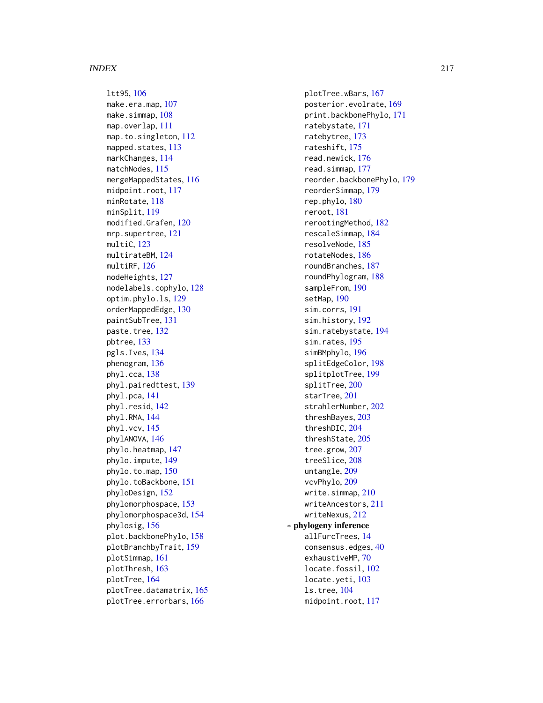ltt95, [106](#page-105-0) make.era.map, [107](#page-106-0) make.simmap, [108](#page-107-0) map.overlap, [111](#page-110-0) map.to.singleton, [112](#page-111-0) mapped.states, [113](#page-112-0) markChanges, [114](#page-113-0) matchNodes, [115](#page-114-0) mergeMappedStates, [116](#page-115-0) midpoint.root, [117](#page-116-0) minRotate, [118](#page-117-0) minSplit, [119](#page-118-0) modified.Grafen, [120](#page-119-0) mrp.supertree, [121](#page-120-0) multiC, [123](#page-122-0) multirateBM, [124](#page-123-0) multiRF, [126](#page-125-0) nodeHeights, [127](#page-126-0) nodelabels.cophylo, [128](#page-127-0) optim.phylo.ls, [129](#page-128-0) orderMappedEdge, [130](#page-129-0) paintSubTree, [131](#page-130-0) paste.tree, [132](#page-131-0) pbtree, [133](#page-132-0) pgls.Ives, [134](#page-133-0) phenogram, [136](#page-135-0) phyl.cca, [138](#page-137-0) phyl.pairedttest, [139](#page-138-0) phyl.pca, [141](#page-140-0) phyl.resid, [142](#page-141-0) phyl.RMA, [144](#page-143-0) phyl.vcv, [145](#page-144-0) phylANOVA, [146](#page-145-0) phylo.heatmap, [147](#page-146-0) phylo.impute, [149](#page-148-0) phylo.to.map, [150](#page-149-0) phylo.toBackbone, [151](#page-150-0) phyloDesign, [152](#page-151-0) phylomorphospace, [153](#page-152-0) phylomorphospace3d, [154](#page-153-0) phylosig, [156](#page-155-0) plot.backbonePhylo, [158](#page-157-0) plotBranchbyTrait, [159](#page-158-0) plotSimmap, [161](#page-160-0) plotThresh, [163](#page-162-0) plotTree, [164](#page-163-0) plotTree.datamatrix, [165](#page-164-0) plotTree.errorbars, [166](#page-165-0)

plotTree.wBars, [167](#page-166-0) posterior.evolrate, [169](#page-168-0) print.backbonePhylo, [171](#page-170-0) ratebystate, [171](#page-170-0) ratebytree, [173](#page-172-0) rateshift, [175](#page-174-0) read.newick, [176](#page-175-0) read.simmap, [177](#page-176-0) reorder.backbonePhylo, [179](#page-178-0) reorderSimmap, [179](#page-178-0) rep.phylo, [180](#page-179-0) reroot, [181](#page-180-0) rerootingMethod, [182](#page-181-0) rescaleSimmap, [184](#page-183-0) resolveNode, [185](#page-184-0) rotateNodes, [186](#page-185-0) roundBranches, [187](#page-186-0) roundPhylogram, [188](#page-187-0) sampleFrom, [190](#page-189-0) setMap, [190](#page-189-0) sim.corrs, [191](#page-190-0) sim.history, [192](#page-191-0) sim.ratebystate, [194](#page-193-0) sim.rates, [195](#page-194-0) simBMphylo, [196](#page-195-0) splitEdgeColor, [198](#page-197-0) splitplotTree, [199](#page-198-0) splitTree, [200](#page-199-0) starTree, [201](#page-200-0) strahlerNumber, [202](#page-201-0) threshBayes, [203](#page-202-0) threshDIC, [204](#page-203-0) threshState, [205](#page-204-0) tree.grow, [207](#page-206-0) treeSlice, [208](#page-207-0) untangle, [209](#page-208-0) vcvPhylo, [209](#page-208-0) write.simmap, [210](#page-209-0) writeAncestors, [211](#page-210-0) writeNexus, [212](#page-211-0) ∗ phylogeny inference allFurcTrees, [14](#page-13-0) consensus.edges, [40](#page-39-0) exhaustiveMP, [70](#page-69-0) locate.fossil, [102](#page-101-0) locate.yeti, [103](#page-102-0) ls.tree, [104](#page-103-0) midpoint.root, [117](#page-116-0)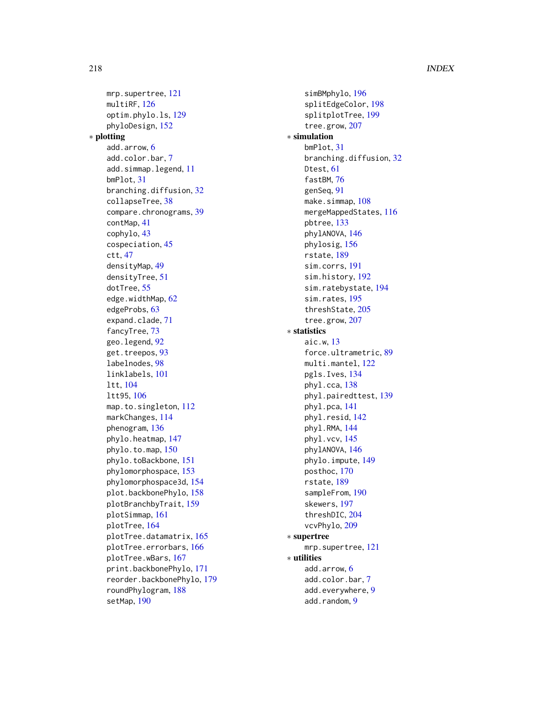mrp.supertree, [121](#page-120-0) multiRF, [126](#page-125-0) optim.phylo.ls, [129](#page-128-0) phyloDesign, [152](#page-151-0) ∗ plotting add.arrow, [6](#page-5-0) add.color.bar, [7](#page-6-0) add.simmap.legend, [11](#page-10-0) bmPlot, [31](#page-30-0) branching.diffusion, [32](#page-31-0) collapseTree, [38](#page-37-0) compare.chronograms, [39](#page-38-0) contMap, [41](#page-40-0) cophylo, [43](#page-42-0) cospeciation, [45](#page-44-0) ctt, [47](#page-46-0) densityMap, [49](#page-48-0) densityTree, [51](#page-50-0) dotTree, [55](#page-54-0) edge.widthMap, [62](#page-61-0) edgeProbs, [63](#page-62-0) expand.clade, [71](#page-70-0) fancyTree, [73](#page-72-0) geo.legend, [92](#page-91-0) get.treepos, [93](#page-92-0) labelnodes, [98](#page-97-0) linklabels, [101](#page-100-0) ltt, [104](#page-103-0) ltt95, [106](#page-105-0) map.to.singleton, [112](#page-111-0) markChanges, [114](#page-113-0) phenogram, [136](#page-135-0) phylo.heatmap, [147](#page-146-0) phylo.to.map, [150](#page-149-0) phylo.toBackbone, [151](#page-150-0) phylomorphospace, [153](#page-152-0) phylomorphospace3d, [154](#page-153-0) plot.backbonePhylo, [158](#page-157-0) plotBranchbyTrait, [159](#page-158-0) plotSimmap, [161](#page-160-0) plotTree, [164](#page-163-0) plotTree.datamatrix, [165](#page-164-0) plotTree.errorbars, [166](#page-165-0) plotTree.wBars, [167](#page-166-0) print.backbonePhylo, [171](#page-170-0) reorder.backbonePhylo, [179](#page-178-0) roundPhylogram, [188](#page-187-0) setMap, [190](#page-189-0)

simBMphylo, [196](#page-195-0) splitEdgeColor, [198](#page-197-0) splitplotTree, [199](#page-198-0) tree.grow, [207](#page-206-0) ∗ simulation bmPlot, [31](#page-30-0) branching.diffusion, [32](#page-31-0) Dtest, [61](#page-60-0) fastBM, [76](#page-75-0) genSeq, [91](#page-90-0) make.simmap, [108](#page-107-0) mergeMappedStates, [116](#page-115-0) pbtree, [133](#page-132-0) phylANOVA, [146](#page-145-0) phylosig, [156](#page-155-0) rstate, [189](#page-188-0) sim.corrs, [191](#page-190-0) sim.history, [192](#page-191-0) sim.ratebystate, [194](#page-193-0) sim.rates, [195](#page-194-0) threshState, [205](#page-204-0) tree.grow, [207](#page-206-0) ∗ statistics aic.w, [13](#page-12-0) force.ultrametric, [89](#page-88-0) multi.mantel, [122](#page-121-0) pgls.Ives, [134](#page-133-0) phyl.cca, [138](#page-137-0) phyl.pairedttest, [139](#page-138-0) phyl.pca, [141](#page-140-0) phyl.resid, [142](#page-141-0) phyl.RMA, [144](#page-143-0) phyl.vcv, [145](#page-144-0) phylANOVA, [146](#page-145-0) phylo.impute, [149](#page-148-0) posthoc, [170](#page-169-0) rstate, [189](#page-188-0) sampleFrom, [190](#page-189-0) skewers, [197](#page-196-0) threshDIC, [204](#page-203-0) vcvPhylo, [209](#page-208-0) ∗ supertree mrp.supertree, [121](#page-120-0) ∗ utilities add.arrow, [6](#page-5-0) add.color.bar, [7](#page-6-0) add.everywhere, [9](#page-8-0) add.random, [9](#page-8-0)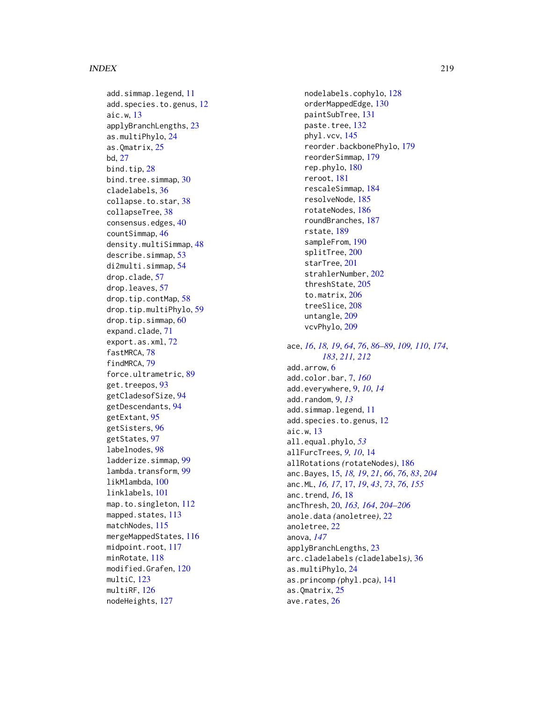add.simmap.legend, [11](#page-10-0) add.species.to.genus , [12](#page-11-0) aic.w , [13](#page-12-0) applyBranchLengths , [23](#page-22-0) as.multiPhylo , [24](#page-23-0) as.Qmatrix , [25](#page-24-0) bd , [27](#page-26-0) bind.tip, [28](#page-27-0) bind.tree.simmap, [30](#page-29-0) cladelabels , [36](#page-35-0) collapse.to.star , [38](#page-37-0) collapseTree , [38](#page-37-0) consensus.edges , [40](#page-39-0) countSimmap , [46](#page-45-0) density.multiSimmap, [48](#page-47-0) describe.simmap, [53](#page-52-0) di2multi.simmap , [54](#page-53-0) drop.clade , [57](#page-56-0) drop.leaves , [57](#page-56-0) drop.tip.contMap , [58](#page-57-0) drop.tip.multiPhylo , [59](#page-58-0) drop.tip.simmap , [60](#page-59-0) expand.clade , [71](#page-70-0) export.as.xml , [72](#page-71-0) fastMRCA, [78](#page-77-0) findMRCA , [79](#page-78-0) force.ultrametric , [89](#page-88-0) get.treepos, [93](#page-92-0) getCladesofSize , [94](#page-93-0) getDescendants , [94](#page-93-0) getExtant , [95](#page-94-0) getSisters , [96](#page-95-0) getStates , [97](#page-96-0) labelnodes , [98](#page-97-0) ladderize.simmap , [99](#page-98-0) lambda.transform , [99](#page-98-0) likMlambda , [100](#page-99-0) linklabels , [101](#page-100-0) map.to.singleton , [112](#page-111-0) mapped.states, [113](#page-112-0) matchNodes, [115](#page-114-0) mergeMappedStates , [116](#page-115-0) midpoint.root, [117](#page-116-0) minRotate , [118](#page-117-0) modified.Grafen , [120](#page-119-0) multiC, [123](#page-122-0) multiRF, [126](#page-125-0) nodeHeights , [127](#page-126-0)

nodelabels.cophylo , [128](#page-127-0) orderMappedEdge , [130](#page-129-0) paintSubTree , [131](#page-130-0) paste.tree, [132](#page-131-0) phyl.vcv , [145](#page-144-0) reorder.backbonePhylo , [179](#page-178-0) reorderSimmap , [179](#page-178-0) rep.phylo , [180](#page-179-0) reroot , [181](#page-180-0) rescaleSimmap , [184](#page-183-0) resolveNode , [185](#page-184-0) rotateNodes , [186](#page-185-0) roundBranches , [187](#page-186-0) rstate , [189](#page-188-0) sampleFrom , [190](#page-189-0) splitTree , [200](#page-199-0) starTree , [201](#page-200-0) strahlerNumber , [202](#page-201-0) threshState , [205](#page-204-0) to.matrix , [206](#page-205-0) treeSlice , [208](#page-207-0) untangle, [209](#page-208-0) vcvPhylo, [209](#page-208-0) ace, [16](#page-15-0), [18](#page-17-0), [19](#page-18-0), [64](#page-63-0), [76](#page-75-0), [86](#page-85-0)[–89](#page-88-0), [109](#page-108-0), [110](#page-109-0), [174](#page-173-0), *[183](#page-182-0)* , *[211](#page-210-0) , [212](#page-211-0)* add.arrow , [6](#page-5-0) add.color.bar , [7](#page-6-0) , *[160](#page-159-0)* add.everywhere , [9](#page-8-0) , *[10](#page-9-0)* , *[14](#page-13-0)* add.random , [9](#page-8-0) , *[13](#page-12-0)* add.simmap.legend, [11](#page-10-0) add.species.to.genus , [12](#page-11-0) aic.w , [13](#page-12-0) all.equal.phylo , *[53](#page-52-0)* allFurcTrees, [9](#page-8-0), [10](#page-9-0), [14](#page-13-0) allRotations *(*rotateNodes *)* , [186](#page-185-0) anc.Bayes , [15](#page-14-0) , *[18](#page-17-0) , [19](#page-18-0)* , *[21](#page-20-0)* , *[66](#page-65-0)* , *[76](#page-75-0)* , *[83](#page-82-0)* , *[204](#page-203-0)* anc.ML , *[16,](#page-15-0) [17](#page-16-0)* , [17](#page-16-0) , *[19](#page-18-0)* , *[43](#page-42-0)* , *[73](#page-72-0)* , *[76](#page-75-0)* , *[155](#page-154-0)* anc.trend , *[16](#page-15-0)* , [18](#page-17-0) ancThresh , [20](#page-19-0) , *[163](#page-162-0) , [164](#page-163-0)* , *[204](#page-203-0) [–206](#page-205-0)* anole.data *(*anoletree *)* , [22](#page-21-0) anoletree , [22](#page-21-0) anova , *[147](#page-146-0)* applyBranchLengths , [23](#page-22-0) arc.cladelabels *(*cladelabels *)* , [36](#page-35-0) as.multiPhylo , [24](#page-23-0) as.princomp *(*phyl.pca *)* , [141](#page-140-0) as.Qmatrix, $25$ ave. $r$ ates,  $26$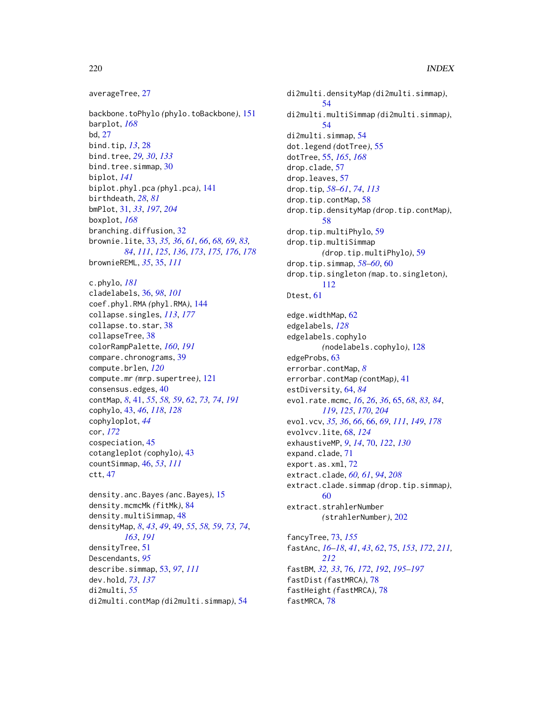```
averageTree, 27
```
backbone.toPhylo *(*phylo.toBackbone*)*, [151](#page-150-0) barplot, *[168](#page-167-0)* bd, [27](#page-26-0) bind.tip, *[13](#page-12-0)*, [28](#page-27-0) bind.tree, *[29,](#page-28-0) [30](#page-29-0)*, *[133](#page-132-0)* bind.tree.simmap, [30](#page-29-0) biplot, *[141](#page-140-0)* biplot.phyl.pca *(*phyl.pca*)*, [141](#page-140-0) birthdeath, *[28](#page-27-0)*, *[81](#page-80-0)* bmPlot, [31,](#page-30-0) *[33](#page-32-0)*, *[197](#page-196-0)*, *[204](#page-203-0)* boxplot, *[168](#page-167-0)* branching.diffusion, [32](#page-31-0) brownie.lite, [33,](#page-32-0) *[35,](#page-34-0) [36](#page-35-0)*, *[61](#page-60-0)*, *[66](#page-65-0)*, *[68,](#page-67-0) [69](#page-68-0)*, *[83,](#page-82-0) [84](#page-83-0)*, *[111](#page-110-0)*, *[125](#page-124-0)*, *[136](#page-135-0)*, *[173](#page-172-0)*, *[175,](#page-174-0) [176](#page-175-0)*, *[178](#page-177-0)* brownieREML, *[35](#page-34-0)*, [35,](#page-34-0) *[111](#page-110-0)* c.phylo, *[181](#page-180-0)* cladelabels, [36,](#page-35-0) *[98](#page-97-0)*, *[101](#page-100-0)* coef.phyl.RMA *(*phyl.RMA*)*, [144](#page-143-0) collapse.singles, *[113](#page-112-0)*, *[177](#page-176-0)* collapse.to.star, [38](#page-37-0) collapseTree, [38](#page-37-0) colorRampPalette, *[160](#page-159-0)*, *[191](#page-190-0)* compare.chronograms, [39](#page-38-0) compute.brlen, *[120](#page-119-0)* compute.mr *(*mrp.supertree*)*, [121](#page-120-0) consensus.edges, [40](#page-39-0) contMap, *[8](#page-7-0)*, [41,](#page-40-0) *[55](#page-54-0)*, *[58,](#page-57-0) [59](#page-58-0)*, *[62](#page-61-0)*, *[73,](#page-72-0) [74](#page-73-0)*, *[191](#page-190-0)* cophylo, [43,](#page-42-0) *[46](#page-45-0)*, *[118](#page-117-0)*, *[128](#page-127-0)* cophyloplot, *[44](#page-43-0)* cor, *[172](#page-171-0)* cospeciation, [45](#page-44-0) cotangleplot *(*cophylo*)*, [43](#page-42-0) countSimmap, [46,](#page-45-0) *[53](#page-52-0)*, *[111](#page-110-0)* ctt, [47](#page-46-0) density.anc.Bayes *(*anc.Bayes*)*, [15](#page-14-0) density.mcmcMk *(*fitMk*)*, [84](#page-83-0)

```
density.multiSimmap, 48
densityMap, 8, 43, 49, 49, 55, 58, 59, 73, 74,
         163, 191
densityTree, 51
Descendants, 95
describe.simmap, 53, 97, 111
dev.hold, 73, 137
di2multi, 55
di2multi.contMap (di2multi.simmap), 54
```
di2multi.densityMap *(*di2multi.simmap*)*, [54](#page-53-0) di2multi.multiSimmap *(*di2multi.simmap*)*, [54](#page-53-0) di2multi.simmap, [54](#page-53-0) dot.legend *(*dotTree*)*, [55](#page-54-0) dotTree, [55,](#page-54-0) *[165](#page-164-0)*, *[168](#page-167-0)* drop.clade, [57](#page-56-0) drop.leaves, [57](#page-56-0) drop.tip, *[58](#page-57-0)[–61](#page-60-0)*, *[74](#page-73-0)*, *[113](#page-112-0)* drop.tip.contMap, [58](#page-57-0) drop.tip.densityMap *(*drop.tip.contMap*)*, [58](#page-57-0) drop.tip.multiPhylo, [59](#page-58-0) drop.tip.multiSimmap *(*drop.tip.multiPhylo*)*, [59](#page-58-0) drop.tip.simmap, *[58](#page-57-0)[–60](#page-59-0)*, [60](#page-59-0) drop.tip.singleton *(*map.to.singleton*)*, [112](#page-111-0) Dtest, [61](#page-60-0) edge.widthMap, [62](#page-61-0) edgelabels, *[128](#page-127-0)* edgelabels.cophylo *(*nodelabels.cophylo*)*, [128](#page-127-0) edgeProbs, [63](#page-62-0) errorbar.contMap, *[8](#page-7-0)* errorbar.contMap *(*contMap*)*, [41](#page-40-0) estDiversity, [64,](#page-63-0) *[84](#page-83-0)* evol.rate.mcmc, *[16](#page-15-0)*, *[26](#page-25-0)*, *[36](#page-35-0)*, [65,](#page-64-0) *[68](#page-67-0)*, *[83,](#page-82-0) [84](#page-83-0)*, *[119](#page-118-0)*, *[125](#page-124-0)*, *[170](#page-169-0)*, *[204](#page-203-0)* evol.vcv, *[35,](#page-34-0) [36](#page-35-0)*, *[66](#page-65-0)*, [66,](#page-65-0) *[69](#page-68-0)*, *[111](#page-110-0)*, *[149](#page-148-0)*, *[178](#page-177-0)* evolvcv.lite, [68,](#page-67-0) *[124](#page-123-0)* exhaustiveMP, *[9](#page-8-0)*, *[14](#page-13-0)*, [70,](#page-69-0) *[122](#page-121-0)*, *[130](#page-129-0)* expand.clade, [71](#page-70-0) export.as.xml, [72](#page-71-0) extract.clade, *[60,](#page-59-0) [61](#page-60-0)*, *[94](#page-93-0)*, *[208](#page-207-0)* extract.clade.simmap *(*drop.tip.simmap*)*, [60](#page-59-0) extract.strahlerNumber *(*strahlerNumber*)*, [202](#page-201-0) fancyTree, [73,](#page-72-0) *[155](#page-154-0)* fastAnc, *[16](#page-15-0)[–18](#page-17-0)*, *[41](#page-40-0)*, *[43](#page-42-0)*, *[62](#page-61-0)*, [75,](#page-74-0) *[153](#page-152-0)*, *[172](#page-171-0)*, *[211,](#page-210-0) [212](#page-211-0)* fastBM, *[32,](#page-31-0) [33](#page-32-0)*, [76,](#page-75-0) *[172](#page-171-0)*, *[192](#page-191-0)*, *[195](#page-194-0)[–197](#page-196-0)* fastDist *(*fastMRCA*)*, [78](#page-77-0) fastHeight *(*fastMRCA*)*, [78](#page-77-0)

fastMRCA, [78](#page-77-0)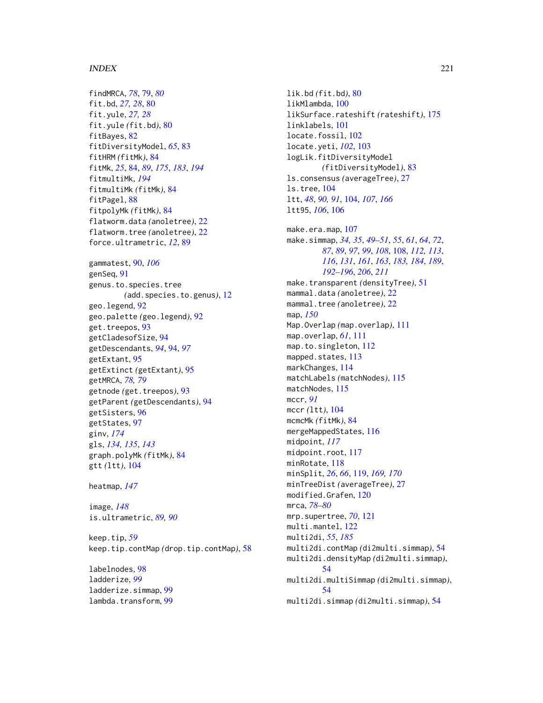findMRCA, *[78](#page-77-0)*, [79,](#page-78-0) *[80](#page-79-0)* fit.bd, *[27,](#page-26-0) [28](#page-27-0)*, [80](#page-79-0) fit.yule, *[27,](#page-26-0) [28](#page-27-0)* fit.yule *(*fit.bd*)*, [80](#page-79-0) fitBayes, [82](#page-81-0) fitDiversityModel, *[65](#page-64-0)*, [83](#page-82-0) fitHRM *(*fitMk*)*, [84](#page-83-0) fitMk, *[25](#page-24-0)*, [84,](#page-83-0) *[89](#page-88-0)*, *[175](#page-174-0)*, *[183](#page-182-0)*, *[194](#page-193-0)* fitmultiMk, *[194](#page-193-0)* fitmultiMk *(*fitMk*)*, [84](#page-83-0) fitPagel, [88](#page-87-0) fitpolyMk *(*fitMk*)*, [84](#page-83-0) flatworm.data *(*anoletree*)*, [22](#page-21-0) flatworm.tree *(*anoletree*)*, [22](#page-21-0) force.ultrametric, *[12](#page-11-0)*, [89](#page-88-0) gammatest, [90,](#page-89-0) *[106](#page-105-0)* genSeq, [91](#page-90-0) genus.to.species.tree *(*add.species.to.genus*)*, [12](#page-11-0) geo.legend, [92](#page-91-0) geo.palette *(*geo.legend*)*, [92](#page-91-0) get.treepos, [93](#page-92-0) getCladesofSize, [94](#page-93-0) getDescendants, *[94](#page-93-0)*, [94,](#page-93-0) *[97](#page-96-0)* getExtant, [95](#page-94-0) getExtinct *(*getExtant*)*, [95](#page-94-0) getMRCA, *[78,](#page-77-0) [79](#page-78-0)* getnode *(*get.treepos*)*, [93](#page-92-0) getParent *(*getDescendants*)*, [94](#page-93-0) getSisters, [96](#page-95-0) getStates, [97](#page-96-0) ginv, *[174](#page-173-0)* gls, *[134,](#page-133-0) [135](#page-134-0)*, *[143](#page-142-0)* graph.polyMk *(*fitMk*)*, [84](#page-83-0) gtt *(*ltt*)*, [104](#page-103-0)

heatmap, *[147](#page-146-0)*

image, *[148](#page-147-0)* is.ultrametric, *[89,](#page-88-0) [90](#page-89-0)*

keep.tip, *[59](#page-58-0)* keep.tip.contMap *(*drop.tip.contMap*)*, [58](#page-57-0)

labelnodes, [98](#page-97-0) ladderize, *[99](#page-98-0)* ladderize.simmap, [99](#page-98-0) lambda.transform, [99](#page-98-0) lik.bd *(*fit.bd*)*, [80](#page-79-0) likMlambda, [100](#page-99-0) likSurface.rateshift *(*rateshift*)*, [175](#page-174-0) linklabels, [101](#page-100-0) locate.fossil, [102](#page-101-0) locate.yeti, *[102](#page-101-0)*, [103](#page-102-0) logLik.fitDiversityModel *(*fitDiversityModel*)*, [83](#page-82-0) ls.consensus *(*averageTree*)*, [27](#page-26-0) ls.tree, [104](#page-103-0) ltt, *[48](#page-47-0)*, *[90,](#page-89-0) [91](#page-90-0)*, [104,](#page-103-0) *[107](#page-106-0)*, *[166](#page-165-0)* ltt95, *[106](#page-105-0)*, [106](#page-105-0) make.era.map, [107](#page-106-0) make.simmap, *[34,](#page-33-0) [35](#page-34-0)*, *[49](#page-48-0)[–51](#page-50-0)*, *[55](#page-54-0)*, *[61](#page-60-0)*, *[64](#page-63-0)*, *[72](#page-71-0)*, *[87](#page-86-0)*, *[89](#page-88-0)*, *[97](#page-96-0)*, *[99](#page-98-0)*, *[108](#page-107-0)*, [108,](#page-107-0) *[112,](#page-111-0) [113](#page-112-0)*, *[116](#page-115-0)*, *[131](#page-130-0)*, *[161](#page-160-0)*, *[163](#page-162-0)*, *[183,](#page-182-0) [184](#page-183-0)*, *[189](#page-188-0)*, *[192](#page-191-0)[–196](#page-195-0)*, *[206](#page-205-0)*, *[211](#page-210-0)* make.transparent *(*densityTree*)*, [51](#page-50-0) mammal.data *(*anoletree*)*, [22](#page-21-0) mammal.tree *(*anoletree*)*, [22](#page-21-0) map, *[150](#page-149-0)* Map.Overlap *(*map.overlap*)*, [111](#page-110-0) map.overlap, *[61](#page-60-0)*, [111](#page-110-0) map.to.singleton, [112](#page-111-0) mapped.states, [113](#page-112-0) markChanges, [114](#page-113-0) matchLabels *(*matchNodes*)*, [115](#page-114-0) matchNodes, [115](#page-114-0) mccr, *[91](#page-90-0)* mccr *(*ltt*)*, [104](#page-103-0) mcmcMk *(*fitMk*)*, [84](#page-83-0) mergeMappedStates, [116](#page-115-0) midpoint, *[117](#page-116-0)* midpoint.root, [117](#page-116-0) minRotate, [118](#page-117-0) minSplit, *[26](#page-25-0)*, *[66](#page-65-0)*, [119,](#page-118-0) *[169,](#page-168-0) [170](#page-169-0)* minTreeDist *(*averageTree*)*, [27](#page-26-0) modified.Grafen, [120](#page-119-0) mrca, *[78–](#page-77-0)[80](#page-79-0)* mrp.supertree, *[70](#page-69-0)*, [121](#page-120-0) multi.mantel, [122](#page-121-0) multi2di, *[55](#page-54-0)*, *[185](#page-184-0)* multi2di.contMap *(*di2multi.simmap*)*, [54](#page-53-0) multi2di.densityMap *(*di2multi.simmap*)*, [54](#page-53-0) multi2di.multiSimmap *(*di2multi.simmap*)*, [54](#page-53-0) multi2di.simmap *(*di2multi.simmap*)*, [54](#page-53-0)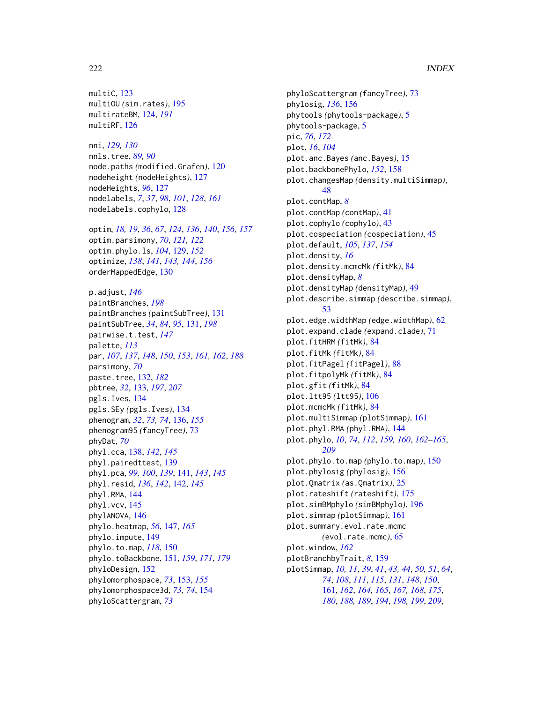multiC, [123](#page-122-0) multiOU *(*sim.rates*)*, [195](#page-194-0) multirateBM, [124,](#page-123-0) *[191](#page-190-0)* multiRF, [126](#page-125-0)

nni, *[129,](#page-128-0) [130](#page-129-0)* nnls.tree, *[89,](#page-88-0) [90](#page-89-0)* node.paths *(*modified.Grafen*)*, [120](#page-119-0) nodeheight *(*nodeHeights*)*, [127](#page-126-0) nodeHeights, *[96](#page-95-0)*, [127](#page-126-0) nodelabels, *[7](#page-6-0)*, *[37](#page-36-0)*, *[98](#page-97-0)*, *[101](#page-100-0)*, *[128](#page-127-0)*, *[161](#page-160-0)* nodelabels.cophylo, [128](#page-127-0)

optim, *[18,](#page-17-0) [19](#page-18-0)*, *[36](#page-35-0)*, *[67](#page-66-0)*, *[124](#page-123-0)*, *[136](#page-135-0)*, *[140](#page-139-0)*, *[156,](#page-155-0) [157](#page-156-0)* optim.parsimony, *[70](#page-69-0)*, *[121,](#page-120-0) [122](#page-121-0)* optim.phylo.ls, *[104](#page-103-0)*, [129,](#page-128-0) *[152](#page-151-0)* optimize, *[138](#page-137-0)*, *[141](#page-140-0)*, *[143,](#page-142-0) [144](#page-143-0)*, *[156](#page-155-0)* orderMappedEdge, [130](#page-129-0)

p.adjust, *[146](#page-145-0)* paintBranches, *[198](#page-197-0)* paintBranches *(*paintSubTree*)*, [131](#page-130-0) paintSubTree, *[34](#page-33-0)*, *[84](#page-83-0)*, *[95](#page-94-0)*, [131,](#page-130-0) *[198](#page-197-0)* pairwise.t.test, *[147](#page-146-0)* palette, *[113](#page-112-0)* par, *[107](#page-106-0)*, *[137](#page-136-0)*, *[148](#page-147-0)*, *[150](#page-149-0)*, *[153](#page-152-0)*, *[161,](#page-160-0) [162](#page-161-0)*, *[188](#page-187-0)* parsimony, *[70](#page-69-0)* paste.tree, [132,](#page-131-0) *[182](#page-181-0)* pbtree, *[32](#page-31-0)*, [133,](#page-132-0) *[197](#page-196-0)*, *[207](#page-206-0)* pgls.Ives, [134](#page-133-0) pgls.SEy *(*pgls.Ives*)*, [134](#page-133-0) phenogram, *[32](#page-31-0)*, *[73,](#page-72-0) [74](#page-73-0)*, [136,](#page-135-0) *[155](#page-154-0)* phenogram95 *(*fancyTree*)*, [73](#page-72-0) phyDat, *[70](#page-69-0)* phyl.cca, [138,](#page-137-0) *[142](#page-141-0)*, *[145](#page-144-0)* phyl.pairedttest, [139](#page-138-0) phyl.pca, *[99,](#page-98-0) [100](#page-99-0)*, *[139](#page-138-0)*, [141,](#page-140-0) *[143](#page-142-0)*, *[145](#page-144-0)* phyl.resid, *[136](#page-135-0)*, *[142](#page-141-0)*, [142,](#page-141-0) *[145](#page-144-0)* phyl.RMA, [144](#page-143-0) phyl.vcv, [145](#page-144-0) phylANOVA, [146](#page-145-0) phylo.heatmap, *[56](#page-55-0)*, [147,](#page-146-0) *[165](#page-164-0)* phylo.impute, [149](#page-148-0) phylo.to.map, *[118](#page-117-0)*, [150](#page-149-0) phylo.toBackbone, [151,](#page-150-0) *[159](#page-158-0)*, *[171](#page-170-0)*, *[179](#page-178-0)* phyloDesign, [152](#page-151-0) phylomorphospace, *[73](#page-72-0)*, [153,](#page-152-0) *[155](#page-154-0)* phylomorphospace3d, *[73,](#page-72-0) [74](#page-73-0)*, [154](#page-153-0) phyloScattergram, *[73](#page-72-0)*

phyloScattergram *(*fancyTree*)*, [73](#page-72-0) phylosig, *[136](#page-135-0)*, [156](#page-155-0) phytools *(*phytools-package*)*, [5](#page-4-0) phytools-package, [5](#page-4-0) pic, *[76](#page-75-0)*, *[172](#page-171-0)* plot, *[16](#page-15-0)*, *[104](#page-103-0)* plot.anc.Bayes *(*anc.Bayes*)*, [15](#page-14-0) plot.backbonePhylo, *[152](#page-151-0)*, [158](#page-157-0) plot.changesMap *(*density.multiSimmap*)*, [48](#page-47-0) plot.contMap, *[8](#page-7-0)* plot.contMap *(*contMap*)*, [41](#page-40-0) plot.cophylo *(*cophylo*)*, [43](#page-42-0) plot.cospeciation *(*cospeciation*)*, [45](#page-44-0) plot.default, *[105](#page-104-0)*, *[137](#page-136-0)*, *[154](#page-153-0)* plot.density, *[16](#page-15-0)* plot.density.mcmcMk *(*fitMk*)*, [84](#page-83-0) plot.densityMap, *[8](#page-7-0)* plot.densityMap *(*densityMap*)*, [49](#page-48-0) plot.describe.simmap *(*describe.simmap*)*, [53](#page-52-0) plot.edge.widthMap *(*edge.widthMap*)*, [62](#page-61-0) plot.expand.clade *(*expand.clade*)*, [71](#page-70-0) plot.fitHRM *(*fitMk*)*, [84](#page-83-0) plot.fitMk *(*fitMk*)*, [84](#page-83-0) plot.fitPagel *(*fitPagel*)*, [88](#page-87-0) plot.fitpolyMk *(*fitMk*)*, [84](#page-83-0) plot.gfit *(*fitMk*)*, [84](#page-83-0) plot.ltt95 *(*ltt95*)*, [106](#page-105-0) plot.mcmcMk *(*fitMk*)*, [84](#page-83-0) plot.multiSimmap *(*plotSimmap*)*, [161](#page-160-0) plot.phyl.RMA *(*phyl.RMA*)*, [144](#page-143-0) plot.phylo, *[10](#page-9-0)*, *[74](#page-73-0)*, *[112](#page-111-0)*, *[159,](#page-158-0) [160](#page-159-0)*, *[162](#page-161-0)[–165](#page-164-0)*, *[209](#page-208-0)* plot.phylo.to.map *(*phylo.to.map*)*, [150](#page-149-0) plot.phylosig *(*phylosig*)*, [156](#page-155-0) plot.Qmatrix *(*as.Qmatrix*)*, [25](#page-24-0) plot.rateshift *(*rateshift*)*, [175](#page-174-0) plot.simBMphylo *(*simBMphylo*)*, [196](#page-195-0) plot.simmap *(*plotSimmap*)*, [161](#page-160-0) plot.summary.evol.rate.mcmc *(*evol.rate.mcmc*)*, [65](#page-64-0) plot.window, *[162](#page-161-0)* plotBranchbyTrait, *[8](#page-7-0)*, [159](#page-158-0) plotSimmap, *[10,](#page-9-0) [11](#page-10-0)*, *[39](#page-38-0)*, *[41](#page-40-0)*, *[43,](#page-42-0) [44](#page-43-0)*, *[50,](#page-49-0) [51](#page-50-0)*, *[64](#page-63-0)*, *[74](#page-73-0)*, *[108](#page-107-0)*, *[111](#page-110-0)*, *[115](#page-114-0)*, *[131](#page-130-0)*, *[148](#page-147-0)*, *[150](#page-149-0)*, [161,](#page-160-0) *[162](#page-161-0)*, *[164,](#page-163-0) [165](#page-164-0)*, *[167,](#page-166-0) [168](#page-167-0)*, *[175](#page-174-0)*, *[180](#page-179-0)*, *[188,](#page-187-0) [189](#page-188-0)*, *[194](#page-193-0)*, *[198,](#page-197-0) [199](#page-198-0)*, *[209](#page-208-0)*,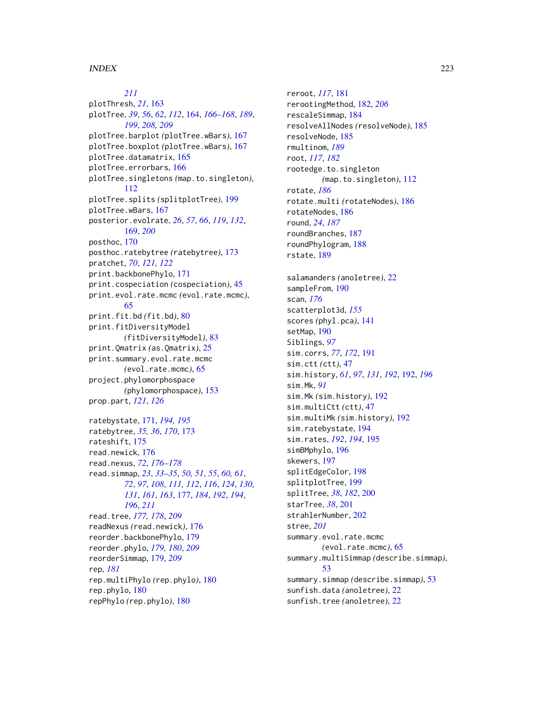# *[211](#page-210-0)*

plotThresh, *[21](#page-20-0)*, [163](#page-162-0) plotTree, *[39](#page-38-0)*, *[56](#page-55-0)*, *[62](#page-61-0)*, *[112](#page-111-0)*, [164,](#page-163-0) *[166–](#page-165-0)[168](#page-167-0)*, *[189](#page-188-0)*, *[199](#page-198-0)*, *[208,](#page-207-0) [209](#page-208-0)* plotTree.barplot *(*plotTree.wBars*)*, [167](#page-166-0) plotTree.boxplot *(*plotTree.wBars*)*, [167](#page-166-0) plotTree.datamatrix, [165](#page-164-0) plotTree.errorbars, [166](#page-165-0) plotTree.singletons *(*map.to.singleton*)*, [112](#page-111-0) plotTree.splits *(*splitplotTree*)*, [199](#page-198-0) plotTree.wBars, [167](#page-166-0) posterior.evolrate, *[26](#page-25-0)*, *[57](#page-56-0)*, *[66](#page-65-0)*, *[119](#page-118-0)*, *[132](#page-131-0)*, [169,](#page-168-0) *[200](#page-199-0)* posthoc, [170](#page-169-0) posthoc.ratebytree *(*ratebytree*)*, [173](#page-172-0) pratchet, *[70](#page-69-0)*, *[121,](#page-120-0) [122](#page-121-0)* print.backbonePhylo, [171](#page-170-0) print.cospeciation *(*cospeciation*)*, [45](#page-44-0) print.evol.rate.mcmc *(*evol.rate.mcmc*)*, [65](#page-64-0) print.fit.bd *(*fit.bd*)*, [80](#page-79-0) print.fitDiversityModel *(*fitDiversityModel*)*, [83](#page-82-0) print.Qmatrix *(*as.Qmatrix*)*, [25](#page-24-0) print.summary.evol.rate.mcmc *(*evol.rate.mcmc*)*, [65](#page-64-0) project.phylomorphospace *(*phylomorphospace*)*, [153](#page-152-0) prop.part, *[121](#page-120-0)*, *[126](#page-125-0)* ratebystate, [171,](#page-170-0) *[194,](#page-193-0) [195](#page-194-0)* ratebytree, *[35,](#page-34-0) [36](#page-35-0)*, *[170](#page-169-0)*, [173](#page-172-0) rateshift, [175](#page-174-0) read.newick, [176](#page-175-0) read.nexus, *[72](#page-71-0)*, *[176](#page-175-0)[–178](#page-177-0)* read.simmap, *[23](#page-22-0)*, *[33](#page-32-0)[–35](#page-34-0)*, *[50,](#page-49-0) [51](#page-50-0)*, *[55](#page-54-0)*, *[60,](#page-59-0) [61](#page-60-0)*, *[72](#page-71-0)*, *[97](#page-96-0)*, *[108](#page-107-0)*, *[111,](#page-110-0) [112](#page-111-0)*, *[116](#page-115-0)*, *[124](#page-123-0)*, *[130,](#page-129-0) [131](#page-130-0)*, *[161](#page-160-0)*, *[163](#page-162-0)*, [177,](#page-176-0) *[184](#page-183-0)*, *[192](#page-191-0)*, *[194](#page-193-0)*, *[196](#page-195-0)*, *[211](#page-210-0)* read.tree, *[177,](#page-176-0) [178](#page-177-0)*, *[209](#page-208-0)* readNexus *(*read.newick*)*, [176](#page-175-0) reorder.backbonePhylo, [179](#page-178-0) reorder.phylo, *[179,](#page-178-0) [180](#page-179-0)*, *[209](#page-208-0)* reorderSimmap, [179,](#page-178-0) *[209](#page-208-0)* rep, *[181](#page-180-0)* rep.multiPhylo *(*rep.phylo*)*, [180](#page-179-0) rep.phylo, [180](#page-179-0) repPhylo *(*rep.phylo*)*, [180](#page-179-0)

reroot, *[117](#page-116-0)*, [181](#page-180-0) rerootingMethod, [182,](#page-181-0) *[206](#page-205-0)* rescaleSimmap, [184](#page-183-0) resolveAllNodes *(*resolveNode*)*, [185](#page-184-0) resolveNode, [185](#page-184-0) rmultinom, *[189](#page-188-0)* root, *[117](#page-116-0)*, *[182](#page-181-0)* rootedge.to.singleton *(*map.to.singleton*)*, [112](#page-111-0) rotate, *[186](#page-185-0)* rotate.multi *(*rotateNodes*)*, [186](#page-185-0) rotateNodes, [186](#page-185-0) round, *[24](#page-23-0)*, *[187](#page-186-0)* roundBranches, [187](#page-186-0) roundPhylogram, [188](#page-187-0) rstate, [189](#page-188-0) salamanders *(*anoletree*)*, [22](#page-21-0) sampleFrom, [190](#page-189-0) scan, *[176](#page-175-0)* scatterplot3d, *[155](#page-154-0)* scores *(*phyl.pca*)*, [141](#page-140-0) setMap, [190](#page-189-0) Siblings, *[97](#page-96-0)* sim.corrs, *[77](#page-76-0)*, *[172](#page-171-0)*, [191](#page-190-0) sim.ctt *(*ctt*)*, [47](#page-46-0) sim.history, *[61](#page-60-0)*, *[97](#page-96-0)*, *[131](#page-130-0)*, *[192](#page-191-0)*, [192,](#page-191-0) *[196](#page-195-0)* sim.Mk, *[91](#page-90-0)* sim.Mk *(*sim.history*)*, [192](#page-191-0) sim.multiCtt *(*ctt*)*, [47](#page-46-0) sim.multiMk *(*sim.history*)*, [192](#page-191-0) sim.ratebystate, [194](#page-193-0) sim.rates, *[192](#page-191-0)*, *[194](#page-193-0)*, [195](#page-194-0) simBMphylo, [196](#page-195-0) skewers, [197](#page-196-0) splitEdgeColor, [198](#page-197-0) splitplotTree, [199](#page-198-0) splitTree, *[38](#page-37-0)*, *[182](#page-181-0)*, [200](#page-199-0) starTree, *[38](#page-37-0)*, [201](#page-200-0) strahlerNumber, [202](#page-201-0) stree, *[201](#page-200-0)* summary.evol.rate.mcmc *(*evol.rate.mcmc*)*, [65](#page-64-0) summary.multiSimmap *(*describe.simmap*)*, [53](#page-52-0) summary.simmap *(*describe.simmap*)*, [53](#page-52-0) sunfish.data *(*anoletree*)*, [22](#page-21-0) sunfish.tree *(*anoletree*)*, [22](#page-21-0)